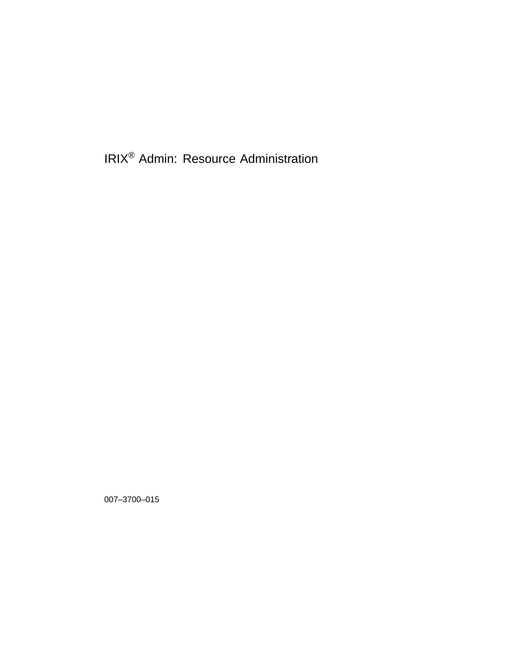IRIX® Admin: Resource Administration

007–3700–015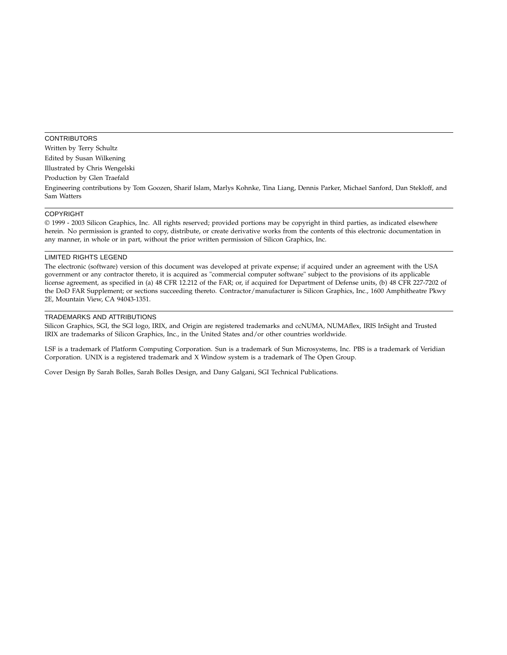### **CONTRIBUTORS** Written by Terry Schultz Edited by Susan Wilkening Illustrated by Chris Wengelski Production by Glen Traefald Engineering contributions by Tom Goozen, Sharif Islam, Marlys Kohnke, Tina Liang, Dennis Parker, Michael Sanford, Dan Stekloff, and Sam Watters

#### COPYRIGHT

© 1999 - 2003 Silicon Graphics, Inc. All rights reserved; provided portions may be copyright in third parties, as indicated elsewhere herein. No permission is granted to copy, distribute, or create derivative works from the contents of this electronic documentation in any manner, in whole or in part, without the prior written permission of Silicon Graphics, Inc.

#### LIMITED RIGHTS LEGEND

The electronic (software) version of this document was developed at private expense; if acquired under an agreement with the USA government or any contractor thereto, it is acquired as "commercial computer software" subject to the provisions of its applicable license agreement, as specified in (a) 48 CFR 12.212 of the FAR; or, if acquired for Department of Defense units, (b) 48 CFR 227-7202 of the DoD FAR Supplement; or sections succeeding thereto. Contractor/manufacturer is Silicon Graphics, Inc., 1600 Amphitheatre Pkwy 2E, Mountain View, CA 94043-1351.

#### TRADEMARKS AND ATTRIBUTIONS

Silicon Graphics, SGI, the SGI logo, IRIX, and Origin are registered trademarks and ccNUMA, NUMAflex, IRIS InSight and Trusted IRIX are trademarks of Silicon Graphics, Inc., in the United States and/or other countries worldwide.

LSF is a trademark of Platform Computing Corporation. Sun is a trademark of Sun Microsystems, Inc. PBS is a trademark of Veridian Corporation. UNIX is a registered trademark and X Window system is a trademark of The Open Group.

Cover Design By Sarah Bolles, Sarah Bolles Design, and Dany Galgani, SGI Technical Publications.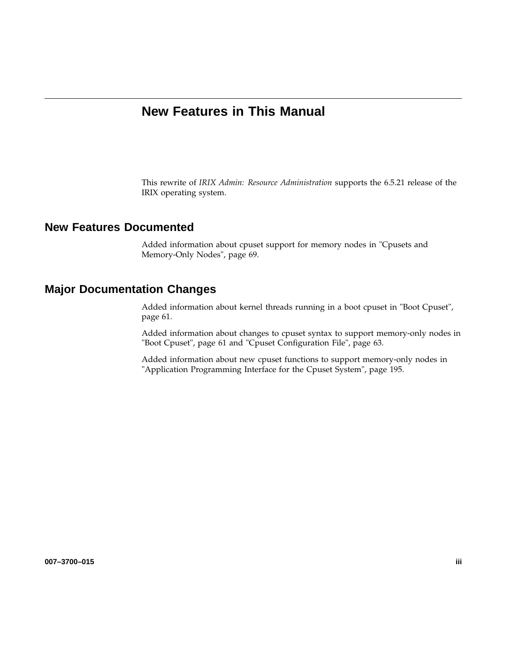# **New Features in This Manual**

This rewrite of *IRIX Admin: Resource Administration* supports the 6.5.21 release of the IRIX operating system.

## **New Features Documented**

Added information about cpuset support for memory nodes in "Cpusets and Memory-Only Nodes", page 69.

## **Major Documentation Changes**

Added information about kernel threads running in a boot cpuset in "Boot Cpuset", page 61.

Added information about changes to cpuset syntax to support memory-only nodes in "Boot Cpuset", page 61 and "Cpuset Configuration File", page 63.

Added information about new cpuset functions to support memory-only nodes in "Application Programming Interface for the Cpuset System", page 195.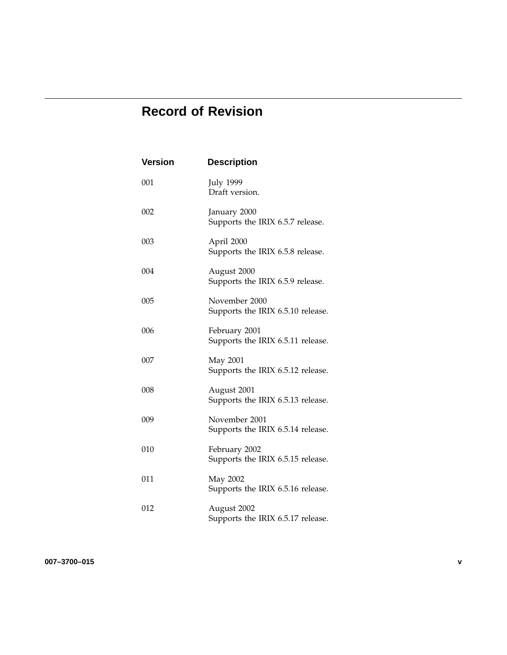# **Record of Revision**

| <b>Version</b> | <b>Description</b>                                 |
|----------------|----------------------------------------------------|
| 001            | <b>July 1999</b><br>Draft version.                 |
| 002            | January 2000<br>Supports the IRIX 6.5.7 release.   |
| 003            | April 2000<br>Supports the IRIX 6.5.8 release.     |
| 004            | August 2000<br>Supports the IRIX 6.5.9 release.    |
| 005            | November 2000<br>Supports the IRIX 6.5.10 release. |
| 006            | February 2001<br>Supports the IRIX 6.5.11 release. |
| 007            | May 2001<br>Supports the IRIX 6.5.12 release.      |
| 008            | August 2001<br>Supports the IRIX 6.5.13 release.   |
| 009            | November 2001<br>Supports the IRIX 6.5.14 release. |
| 010            | February 2002<br>Supports the IRIX 6.5.15 release. |
| 011            | May 2002<br>Supports the IRIX 6.5.16 release.      |
| 012            | August 2002<br>Supports the IRIX 6.5.17 release.   |

**007–3700–015 v**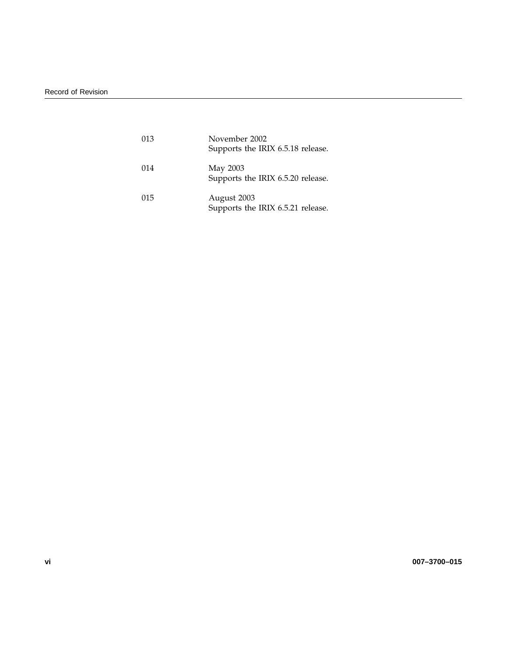| 013 | November 2002<br>Supports the IRIX 6.5.18 release. |
|-----|----------------------------------------------------|
| 014 | May 2003<br>Supports the IRIX 6.5.20 release.      |
| 015 | August 2003<br>Supports the IRIX 6.5.21 release.   |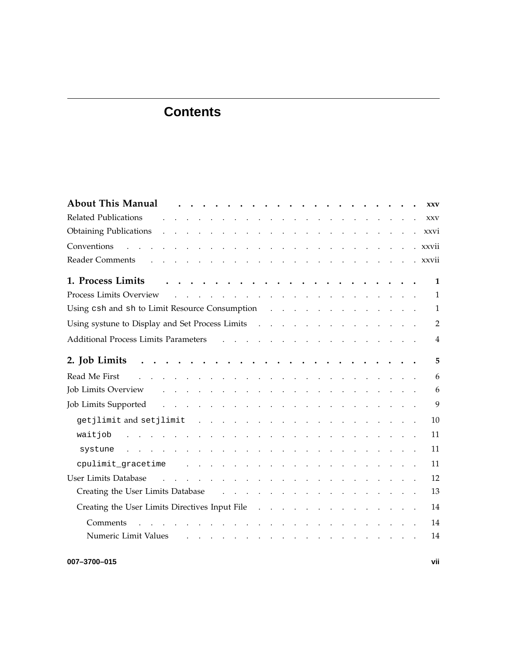| <b>About This Manual</b><br>$\sim$<br><b>XXV</b>                                                                                                                                                                                                                                                                                                                                                                                                 |
|--------------------------------------------------------------------------------------------------------------------------------------------------------------------------------------------------------------------------------------------------------------------------------------------------------------------------------------------------------------------------------------------------------------------------------------------------|
| <b>Related Publications</b><br>a construction of the construction of the construction of the construction of the construction of the construction of the construction of the construction of the construction of the construction of the construction of the<br><b>XXV</b>                                                                                                                                                                       |
| <b>Obtaining Publications</b><br>والمتعادل والمتعاون والمتعاون والمتعاون والمتعاون والمتعاون والمتعاون<br>xxvi                                                                                                                                                                                                                                                                                                                                   |
| Conventions<br>and the contract of the contract of the contract of the contract of the contract of<br>. xxvii                                                                                                                                                                                                                                                                                                                                    |
| <b>Reader Comments</b><br>$\mathbf{r} = \mathbf{r} \times \mathbf{r}$ , $\mathbf{r} = \mathbf{r} \times \mathbf{r}$ , $\mathbf{r} = \mathbf{r} \times \mathbf{r}$<br>. xxvii<br>$\begin{array}{cccccccccccccc} \bullet & \bullet & \bullet & \bullet & \bullet & \bullet & \bullet & \bullet & \bullet & \bullet & \bullet & \bullet & \bullet \end{array}$<br>$\mathbf{r} = \mathbf{r} + \mathbf{r}$ and $\mathbf{r} = \mathbf{r} + \mathbf{r}$ |
| 1. Process Limits<br>$\mathbf{1}$                                                                                                                                                                                                                                                                                                                                                                                                                |
| Process Limits Overview<br>$\mathbf{1}$<br>the contract of the contract of the contract of the contract of the contract of                                                                                                                                                                                                                                                                                                                       |
| Using csh and sh to Limit Resource Consumption<br>1<br>and a series of the contract of the contract of                                                                                                                                                                                                                                                                                                                                           |
| Using systune to Display and Set Process Limits<br>$\overline{2}$                                                                                                                                                                                                                                                                                                                                                                                |
| <b>Additional Process Limits Parameters</b><br>and a series of the contract of the contract of the<br>$\overline{4}$                                                                                                                                                                                                                                                                                                                             |
| 5<br>2. Job Limits                                                                                                                                                                                                                                                                                                                                                                                                                               |
| 6<br>Read Me First<br>the contract of the contract of the contract of the contract of the contract of                                                                                                                                                                                                                                                                                                                                            |
| 6<br>Job Limits Overview<br>and a series of the contract of the contract of the contract of the contract of                                                                                                                                                                                                                                                                                                                                      |
| 9<br>Job Limits Supported<br>the contract of the contract of the contract of the contract of the contract of                                                                                                                                                                                                                                                                                                                                     |
| 10<br>qetjlimit and setjlimit<br>a construction of the construction of the construction of the construction of the construction of the construction of the construction of the construction of the construction of the construction of the construction of the                                                                                                                                                                                   |
| 11<br>a construction of the construction of the construction of the construction of the construction of the construction of the construction of the construction of the construction of the construction of the construction of the<br>waitjob                                                                                                                                                                                                   |
| المتواطن والمتناول والمتناول والمتناول والمتناول والمتناول والمتناول والمتناولين<br>11<br>systune                                                                                                                                                                                                                                                                                                                                                |
| 11<br>cpulimit_gracetime<br>and a series of the contract of the contract of the contract of the contract of the contract of the contract of                                                                                                                                                                                                                                                                                                      |
| 12<br>User Limits Database<br>and the contract of the contract of the contract of the contract of the contract of                                                                                                                                                                                                                                                                                                                                |
| 13<br>Creating the User Limits Database<br>and a series of the contract of the contract of the contract of                                                                                                                                                                                                                                                                                                                                       |
| Creating the User Limits Directives Input File<br>14<br>and a series of the contract of the contract of                                                                                                                                                                                                                                                                                                                                          |
| 14<br>Comments<br>$\mathbf{r}$ . The state of the state $\mathbf{r}$ is the state of the state $\mathbf{r}$<br><b>Contract Contract Contract</b><br>$\sim$                                                                                                                                                                                                                                                                                       |
| Numeric Limit Values<br>14<br>the contract of the contract of the contract of the contract of                                                                                                                                                                                                                                                                                                                                                    |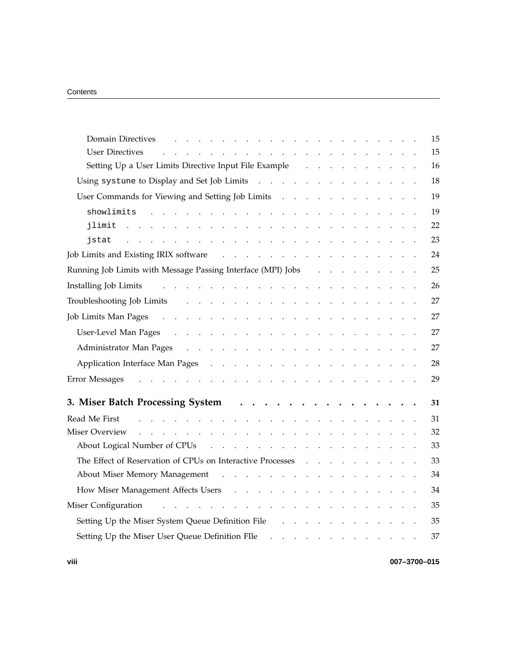| <b>Domain Directives</b>                                                                                                                                                                                                                                                                                                                          | 15 |
|---------------------------------------------------------------------------------------------------------------------------------------------------------------------------------------------------------------------------------------------------------------------------------------------------------------------------------------------------|----|
| <b>User Directives</b><br>$\mathbf{r}$ and $\mathbf{r}$ and $\mathbf{r}$                                                                                                                                                                                                                                                                          | 15 |
| Setting Up a User Limits Directive Input File Example                                                                                                                                                                                                                                                                                             | 16 |
| Using systune to Display and Set Job Limits                                                                                                                                                                                                                                                                                                       | 18 |
| User Commands for Viewing and Setting Job Limits (Commands for Viewing and Setting Job Limits (Commands 2001)                                                                                                                                                                                                                                     | 19 |
| showlimits<br>a construction of the construction of the construction of the construction of the construction of the construction of the construction of the construction of the construction of the construction of the construction of the                                                                                                       | 19 |
| jlimit<br>$\mathbf{L} = \mathbf{L} \times \mathbf{L}$<br>$\mathbf{r}$<br>$\sim$ .<br>$\sim$ $\sim$<br>$\mathbf{r}$<br>$\sim$                                                                                                                                                                                                                      | 22 |
| jstat<br>and the contract of<br>$\mathcal{L}^{\mathcal{L}}$ . The contract of the contract of the contract of the contract of the contract of the contract of the contract of the contract of the contract of the contract of the contract of the contract of the contrac<br><b>Contract Contract Contract Contract</b>                           | 23 |
| Job Limits and Existing IRIX software<br>and the contract of the contract of the contract of the contract of the contract of the contract of the contract of the contract of the contract of the contract of the contract of the contract of the contract of the contra                                                                           | 24 |
| Running Job Limits with Message Passing Interface (MPI) Jobs<br>$\mathbf{L} = \mathbf{L}$                                                                                                                                                                                                                                                         | 25 |
| and the contract of the contract of the contract of<br>Installing Job Limits                                                                                                                                                                                                                                                                      | 26 |
| Troubleshooting Job Limits<br>والمتواطن والمتواطن والمتواطن والمتواطن والمتواطن والمتواطن والمتواطن والمتواطن                                                                                                                                                                                                                                     | 27 |
| Job Limits Man Pages<br>$\mathcal{A}$ . The set of the set of the set of the set of the set of the set of the set of the set of the set of the set of the set of the set of the set of the set of the set of the set of the set of the set of the set of t<br>$\sim$ $\sim$ $\sim$<br>$\mathcal{L}^{\text{max}}$ , and $\mathcal{L}^{\text{max}}$ | 27 |
|                                                                                                                                                                                                                                                                                                                                                   | 27 |
| Administrator Man Pages<br>and the companion of the companion of the companion of the companion of the companion of the companion of the companion of the companion of the companion of the companion of the companion of the companion of the companion                                                                                          | 27 |
| Application Interface Man Pages<br>and the contract of the contract of the contract of the contract of the contract of the contract of the contract of the contract of the contract of the contract of the contract of the contract of the contract of the contra                                                                                 | 28 |
| Error Messages<br>and the company of the company of the company of the company of the company of the company of the company of the company of the company of the company of the company of the company of the company of the company of the comp                                                                                                  | 29 |
| 3. Miser Batch Processing System<br>$\ddot{\phantom{a}}$<br>$\ddot{\phantom{1}}$ .<br>$\ddot{\phantom{a}}$                                                                                                                                                                                                                                        | 31 |
| Read Me First<br>and a straightful and a straight and                                                                                                                                                                                                                                                                                             | 31 |
| Miser Overview<br><u>.</u>                                                                                                                                                                                                                                                                                                                        | 32 |
| About Logical Number of CPUs<br>and the contract of the contract of the                                                                                                                                                                                                                                                                           | 33 |
| The Effect of Reservation of CPUs on Interactive Processes                                                                                                                                                                                                                                                                                        | 33 |
| About Miser Memory Management<br>and the contract of the contract of the contract of the                                                                                                                                                                                                                                                          | 34 |
| How Miser Management Affects Users                                                                                                                                                                                                                                                                                                                | 34 |
| and the contract of the contract of the contract of<br>Miser Configuration                                                                                                                                                                                                                                                                        | 35 |
| Setting Up the Miser System Queue Definition File<br>$\mathbf{r}$ . The set of $\mathbf{r}$                                                                                                                                                                                                                                                       | 35 |
| Setting Up the Miser User Queue Definition FIle<br>$\mathbf{1}$ $\mathbf{1}$ $\mathbf{1}$ $\mathbf{1}$<br>$\cdot$<br>$\overline{\phantom{a}}$                                                                                                                                                                                                     | 37 |

**viii 007–3700–015**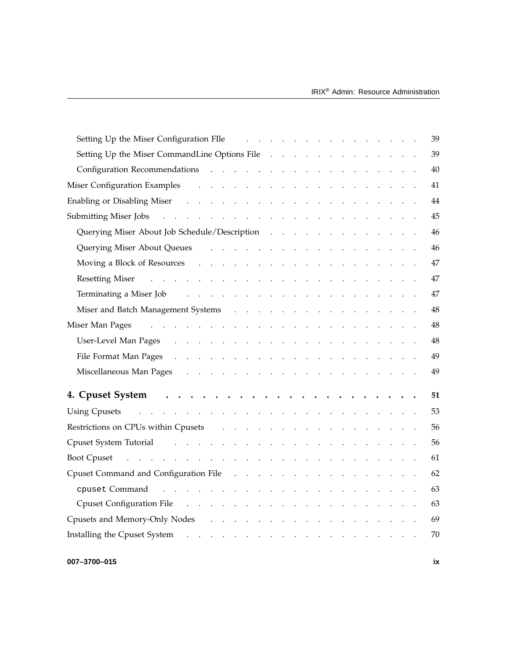| Setting Up the Miser Configuration FIIe<br>39<br><u>no provincialmente de la característica de la característica de la característica de la característica de la c</u>                                                                                        |
|---------------------------------------------------------------------------------------------------------------------------------------------------------------------------------------------------------------------------------------------------------------|
| Setting Up the Miser CommandLine Options File<br>39                                                                                                                                                                                                           |
| 40                                                                                                                                                                                                                                                            |
| 41                                                                                                                                                                                                                                                            |
| Enabling or Disabling Miser resources and the set of the set of the set of the set of the set of the set of the set of the set of the set of the set of the set of the set of the set of the set of the set of the set of the<br>44                           |
| 45                                                                                                                                                                                                                                                            |
| Querying Miser About Job Schedule/Description<br>46                                                                                                                                                                                                           |
| Querying Miser About Queues (a) and a contract the contract of the contract of the contract of the contract of the contract of the contract of the contract of the contract of the contract of the contract of the contract of<br>46                          |
| 47                                                                                                                                                                                                                                                            |
| Resetting Miser resources and the contract of the contract of the contract of the contract of the contract of the contract of the contract of the contract of the contract of the contract of the contract of the contract of<br>47                           |
| Terminating a Miser Job (Christian Action Acts and Acts and Acts and Acts and Acts and Acts and Acts and Acts and Acts and Acts and Acts and Acts and Acts and Acts and Acts and Acts and Acts and Acts and Acts and Acts and<br>47<br>$\ddot{\phantom{a}}$ . |
| Miser and Batch Management Systems (a) result in the case of the system of the contract of the contract of the contract of the contract of the contract of the contract of the contract of the contract of the contract of the<br>48                          |
| 48<br>Miser Man Pages<br>and the company of the company of the company of the company of the company of the company of the company of the company of the company of the company of the company of the company of the company of the company of the comp       |
| 48                                                                                                                                                                                                                                                            |
| 49                                                                                                                                                                                                                                                            |
| Miscellaneous Man Pages results in the contract of the Pages of the contract of the contract of the contract of the contract of the contract of the contract of the contract of the contract of the contract of the contract o<br>49                          |
| 51                                                                                                                                                                                                                                                            |
| والمواطن والمتعاون والمواطن والمتعاون والمتعاون والمتعاون والمتعاون والمتعاون والمتعاون والمتعاون<br>53<br><b>Using Cpusets</b>                                                                                                                               |
| 56                                                                                                                                                                                                                                                            |
| 56                                                                                                                                                                                                                                                            |
| 61                                                                                                                                                                                                                                                            |
| Cpuset Command and Configuration File (Ed. Theorem 1997) and the Command and Configuration File (Ed. Theorem 1997) and the Command and Configuration File (Ed. Theorem 1997) and the Command Command Configuration File (Ed. T<br>62                          |
| <u>. Karl Samuel Samuel Samuel Samuel Samuel Samuel Samuel Samuel Samuel Samuel Samuel Samuel Samuel Samuel Samuel Samuel Samuel Samuel Samuel Samuel Samuel Samuel Samuel Samuel Samuel Samuel Samuel Samuel Samuel Samuel Samu</u><br>63<br>cpuset Command  |
| Cpuset Configuration File<br>63                                                                                                                                                                                                                               |
| Cpusets and Memory-Only Nodes<br>69                                                                                                                                                                                                                           |
| 70                                                                                                                                                                                                                                                            |
|                                                                                                                                                                                                                                                               |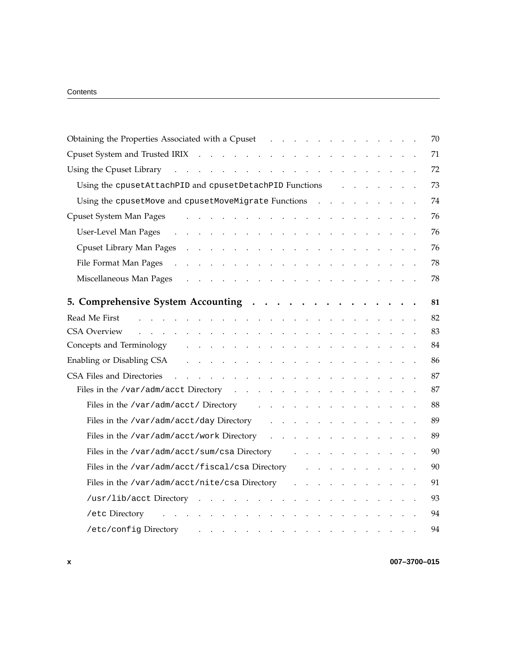| Obtaining the Properties Associated with a Cpuset<br><b>Service Control</b>                                                                                                                                                                                      | 70 |
|------------------------------------------------------------------------------------------------------------------------------------------------------------------------------------------------------------------------------------------------------------------|----|
| Cpuset System and Trusted IRIX                                                                                                                                                                                                                                   | 71 |
| Using the Cpuset Library                                                                                                                                                                                                                                         | 72 |
| Using the cpusetAttachPID and cpusetDetachPID Functions                                                                                                                                                                                                          | 73 |
| Using the cpusetMove and cpusetMoveMigrate Functions<br>$\mathbf{L}$                                                                                                                                                                                             | 74 |
| Cpuset System Man Pages<br>the contract of the contract of the contract of                                                                                                                                                                                       | 76 |
| User-Level Man Pages<br>and the contract of the<br>$\sim$<br>$\ddot{\phantom{a}}$<br>$\sim$<br>$\sim$ $\sim$<br>$\ddot{\phantom{a}}$<br>$\sim$                                                                                                                   | 76 |
| Cpuset Library Man Pages<br>$\sim 10^{-1}$ .<br>$\mathbf{r}$ . The set of $\mathbf{r}$<br>$\sim$<br>$\mathcal{A}^{\mathcal{A}}$ and $\mathcal{A}^{\mathcal{A}}$ and $\mathcal{A}^{\mathcal{A}}$<br>$\ddot{\phantom{a}}$<br>$\ddot{\phantom{a}}$<br>$\sim$ $\sim$ | 76 |
| File Format Man Pages<br>$\sim$ $\sim$<br>$\ddot{\phantom{a}}$<br>$\sim$<br>$\sim$ $\sim$ $\sim$<br>$\sim 100$<br>$\ddot{\phantom{a}}$<br>$\ddot{\phantom{a}}$<br>$\sim 10$<br><b>Carl Adams</b>                                                                 | 78 |
| Miscellaneous Man Pages<br>$\ddot{\phantom{1}}$<br>$\sim$<br>$\ddot{\phantom{0}}$<br>$\mathbf{r}$<br>$\sim 10^{-10}$<br>$\Delta$                                                                                                                                 | 78 |
| 5. Comprehensive System Accounting                                                                                                                                                                                                                               | 81 |
| Read Me First                                                                                                                                                                                                                                                    | 82 |
| <b>CSA Overview</b>                                                                                                                                                                                                                                              | 83 |
| Concepts and Terminology<br>$\mathbf{L} = \mathbf{L}$<br>$\sim$ $\sim$<br>$\ddot{\phantom{a}}$<br>$\ddot{\phantom{a}}$                                                                                                                                           | 84 |
| Enabling or Disabling CSA<br>$\sim$                                                                                                                                                                                                                              | 86 |
| CSA Files and Directories<br>$\sim$                                                                                                                                                                                                                              | 87 |
| Files in the /var/adm/acct Directory                                                                                                                                                                                                                             | 87 |
| Files in the /var/adm/acct/ Directory                                                                                                                                                                                                                            | 88 |
| Files in the /var/adm/acct/day Directory<br>$\mathbf{r}$<br>$\mathbf{r}$ . The set of $\mathbf{r}$<br>$\mathbf{r} = \mathbf{r} \mathbf{r} + \mathbf{r} \mathbf{r}$<br>$\ddot{\phantom{a}}$                                                                       | 89 |
| Files in the /var/adm/acct/work Directory<br>$\sim$<br>$\ddot{\phantom{a}}$<br>$\ddot{\phantom{a}}$                                                                                                                                                              | 89 |
| Files in the /var/adm/acct/sum/csa Directory<br>and the contract of the contract of the                                                                                                                                                                          | 90 |
| Files in the /var/adm/acct/fiscal/csa Directory<br>the contract of the contract of                                                                                                                                                                               | 90 |
| Files in the /var/adm/acct/nite/csa Directory                                                                                                                                                                                                                    | 91 |
| $/usr/lib/acct$ Directory<br>$\mathbf{r}$ . The set of $\mathbf{r}$<br>$\sim 100$ km s $^{-1}$<br>$\ddot{\phantom{a}}$                                                                                                                                           | 93 |
| /etc Directory                                                                                                                                                                                                                                                   | 94 |
| /etc/config Directory<br>$\bullet$                                                                                                                                                                                                                               | 94 |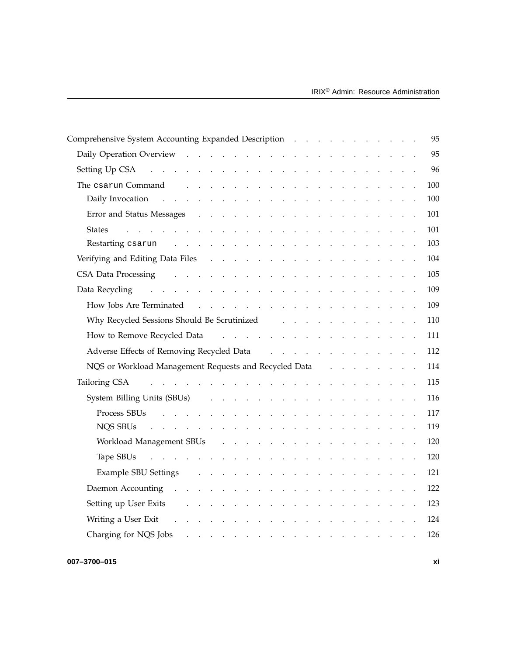| Comprehensive System Accounting Expanded Description                                                                                                                                                                                                          |                                                             |                                        |                                   |                                                                                         |  | 95      |
|---------------------------------------------------------------------------------------------------------------------------------------------------------------------------------------------------------------------------------------------------------------|-------------------------------------------------------------|----------------------------------------|-----------------------------------|-----------------------------------------------------------------------------------------|--|---------|
|                                                                                                                                                                                                                                                               |                                                             |                                        |                                   |                                                                                         |  | 95      |
| Setting Up CSA and the contract of the contract of the contract of the contract of the contract of the contract of the contract of the contract of the contract of the contract of the contract of the contract of the contrac                                |                                                             |                                        |                                   |                                                                                         |  | 96      |
| The csarun Command<br>a construction of the construction of the construction of the construction of the construction of the construction of the construction of the construction of the construction of the construction of the construction of the           |                                                             |                                        |                                   |                                                                                         |  | 100     |
| Daily Invocation<br>$\mathcal{L}(\mathcal{A})$ . The contribution of the contribution of $\mathcal{A}$                                                                                                                                                        | $\mathcal{L}(\mathcal{L})$ , and $\mathcal{L}(\mathcal{L})$ |                                        | $\sim 100$ km s $^{-1}$           | and the contract of the con-                                                            |  | $100\,$ |
| Error and Status Messages<br>$\mathbf{r}$ . The set of $\mathbf{r}$                                                                                                                                                                                           |                                                             |                                        |                                   |                                                                                         |  | 101     |
| <b>States</b><br>$\mathbf{r}$ , and $\mathbf{r}$ , and $\mathbf{r}$ , and $\mathbf{r}$ , and $\mathbf{r}$ , and $\mathbf{r}$                                                                                                                                  |                                                             |                                        |                                   |                                                                                         |  | 101     |
| Restarting csarun<br>the contract of the contract of the contract of the contract of                                                                                                                                                                          |                                                             |                                        |                                   | and the contract of the contract of                                                     |  | 103     |
| Verifying and Editing Data Files                                                                                                                                                                                                                              |                                                             |                                        |                                   |                                                                                         |  | 104     |
| CSA Data Processing results and the set of the set of the set of the set of the set of the set of the set of the set of the set of the set of the set of the set of the set of the set of the set of the set of the set of the                                |                                                             |                                        |                                   |                                                                                         |  | 105     |
| Data Recycling (a) and a contract the contract of the contract of the contract of the contract of the contract of the contract of the contract of the contract of the contract of the contract of the contract of the contract                                |                                                             |                                        |                                   |                                                                                         |  | 109     |
|                                                                                                                                                                                                                                                               |                                                             |                                        |                                   |                                                                                         |  | 109     |
| Why Recycled Sessions Should Be Scrutinized and a material contract to the state of the Secret Why Recycled                                                                                                                                                   |                                                             |                                        |                                   |                                                                                         |  | 110     |
| How to Remove Recycled Data response to response the contract of the Remove Recycled Data response to response the contract of the Remove B.                                                                                                                  |                                                             |                                        |                                   |                                                                                         |  | 111     |
| Adverse Effects of Removing Recycled Data Alexander Alexander Adverse Effects of Removing Recycled Data                                                                                                                                                       |                                                             |                                        |                                   |                                                                                         |  | 112     |
| NQS or Workload Management Requests and Recycled Data                                                                                                                                                                                                         |                                                             |                                        |                                   |                                                                                         |  | 114     |
| and the contract of the contract of the contract of the contract of the contract of the contract of the contract of the contract of the contract of the contract of the contract of the contract of the contract of the contra<br>Tailoring CSA               |                                                             |                                        |                                   |                                                                                         |  | 115     |
| System Billing Units (SBUs)<br>and the contract of the contract of the contract of the contract of the contract of the contract of the contract of the contract of the contract of the contract of the contract of the contract of the contract of the contra |                                                             |                                        |                                   |                                                                                         |  | 116     |
| Process SBUs<br>a construction of the construction of the construction of the construction of the construction of the construction of the construction of the construction of the construction of the construction of the construction of the                 |                                                             |                                        |                                   |                                                                                         |  | 117     |
| NQS SBUs<br><u>and a strained and a strained and</u>                                                                                                                                                                                                          |                                                             | $\mathbf{r} = \mathbf{r} - \mathbf{r}$ |                                   | $\mathbf{r}$ , $\mathbf{r}$ , $\mathbf{r}$ , $\mathbf{r}$ , $\mathbf{r}$ , $\mathbf{r}$ |  | 119     |
| Workload Management SBUs                                                                                                                                                                                                                                      | the contract of the contract of the                         |                                        |                                   | and the contract of the con-                                                            |  | 120     |
| Tape SBUs $\cdots$ $\cdots$ $\cdots$ $\cdots$                                                                                                                                                                                                                 | $\mathcal{L}(\mathbf{z})$ , and $\mathcal{L}(\mathbf{z})$   |                                        | $\sim 10^{-1}$ and $\sim 10^{-1}$ | and the contract of the contract of                                                     |  | 120     |
| <b>Example SBU Settings</b><br>and a series of the contract of the contract of the contract of the contract of the contract of the contract of                                                                                                                |                                                             |                                        |                                   |                                                                                         |  | 121     |
| Daemon Accounting residence in the contract of the contract of the contract of the contract of the contract of the contract of the contract of the contract of the contract of the contract of the contract of the contract of                                |                                                             |                                        |                                   |                                                                                         |  | 122     |
| Setting up User Exits<br>and the company of the company of the company of the company of the company of the company of the company of the company of the company of the company of the company of the company of the company of the company of the comp       |                                                             |                                        |                                   |                                                                                         |  | 123     |
| Writing a User Exit<br>the contract of the contract of the contract of the contract of the contract of the contract of the contract of                                                                                                                        |                                                             |                                        |                                   |                                                                                         |  | 124     |
| Charging for NQS Jobs                                                                                                                                                                                                                                         |                                                             |                                        |                                   |                                                                                         |  | 126     |
|                                                                                                                                                                                                                                                               |                                                             |                                        |                                   |                                                                                         |  |         |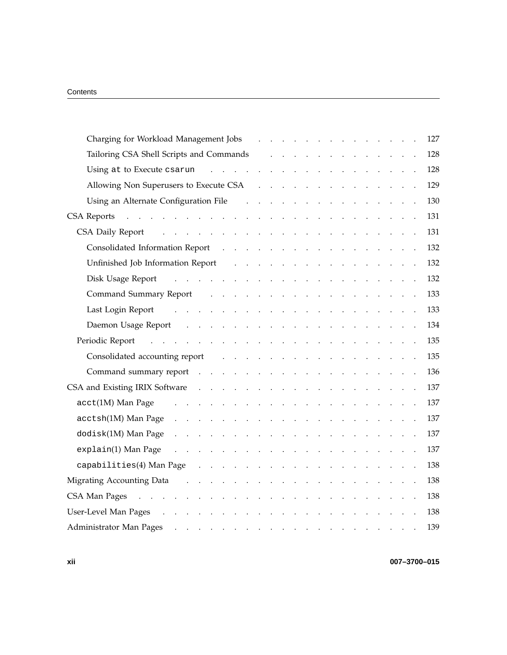| Charging for Workload Management Jobs                                                                                                                                                                                                                     |        |                                                     |  |  |                                                 |  |  | 127 |
|-----------------------------------------------------------------------------------------------------------------------------------------------------------------------------------------------------------------------------------------------------------|--------|-----------------------------------------------------|--|--|-------------------------------------------------|--|--|-----|
| Tailoring CSA Shell Scripts and Commands                                                                                                                                                                                                                  |        | and the contract of the contract of the contract of |  |  |                                                 |  |  | 128 |
|                                                                                                                                                                                                                                                           |        |                                                     |  |  |                                                 |  |  | 128 |
|                                                                                                                                                                                                                                                           |        |                                                     |  |  |                                                 |  |  | 129 |
| Using an Alternate Configuration File (b) in the case of the set of the set of the set of the set of the set of the set of the set of the set of the set of the set of the set of the set of the set of the set of the set of                             |        |                                                     |  |  |                                                 |  |  | 130 |
|                                                                                                                                                                                                                                                           |        |                                                     |  |  |                                                 |  |  | 131 |
| والمتعاون والمتعاون والمتعاون والمتعاون والمتعاون والمتعاون والمتعاون والمتعاون<br>CSA Daily Report                                                                                                                                                       |        |                                                     |  |  |                                                 |  |  | 131 |
|                                                                                                                                                                                                                                                           |        |                                                     |  |  |                                                 |  |  | 132 |
| Unfinished Job Information Report<br>and a series of the contract of the contract of the contract of                                                                                                                                                      |        |                                                     |  |  |                                                 |  |  | 132 |
| Disk Usage Report (Changel Allen Allen Allen Allen Allen Allen Allen Allen Allen Allen Allen Allen Allen Allen                                                                                                                                            |        |                                                     |  |  |                                                 |  |  | 132 |
| Command Summary Report<br>and the contract of the contract of the contract of the contract of the contract of the contract of the contract of the contract of the contract of the contract of the contract of the contract of the contract of the contra  |        |                                                     |  |  |                                                 |  |  | 133 |
| Last Login Report                                                                                                                                                                                                                                         |        |                                                     |  |  |                                                 |  |  | 133 |
|                                                                                                                                                                                                                                                           |        |                                                     |  |  |                                                 |  |  | 134 |
|                                                                                                                                                                                                                                                           |        |                                                     |  |  |                                                 |  |  | 135 |
| Consolidated accounting report<br>the contract of the contract of the contract of the contract of the contract of                                                                                                                                         |        |                                                     |  |  |                                                 |  |  | 135 |
| Command summary report resources and summary report resources and resources and resources are a set of the set of the set of the set of the set of the set of the set of the set of the set of the set of the set of the set o                            |        |                                                     |  |  |                                                 |  |  | 136 |
|                                                                                                                                                                                                                                                           |        |                                                     |  |  |                                                 |  |  | 137 |
| $\texttt{acct(1M)}$ Man Page<br>the contract of the contract of the contract of the contract of the contract of<br>$\ddot{\phantom{a}}$                                                                                                                   |        |                                                     |  |  |                                                 |  |  | 137 |
| $\arctan(M)$ Man Page $\cdots$ $\cdots$ $\cdots$ $\cdots$ $\cdots$ $\cdots$ $\cdots$ $\cdots$                                                                                                                                                             |        |                                                     |  |  |                                                 |  |  | 137 |
| dodisk(1M) Man Page<br>and a series of the contract of the contract of the contract of the contract of                                                                                                                                                    |        |                                                     |  |  |                                                 |  |  | 137 |
| explain(1) Man Page<br>and a construction of the construction of the construction of the construction of the construction of the construction of the construction of the construction of the construction of the construction of the construction of      |        |                                                     |  |  |                                                 |  |  | 137 |
| capabilities(4) Man Page<br>والمواطن والمواطن والمواطن والمواطن والمواطن والمواطن والمواطن والمواطن                                                                                                                                                       |        |                                                     |  |  |                                                 |  |  | 138 |
| Migrating Accounting Data<br>and the contract of the contract of                                                                                                                                                                                          |        | and the contract of the state                       |  |  |                                                 |  |  | 138 |
| CSA Man Pages<br>$\cdots$                                                                                                                                                                                                                                 | $\sim$ | $\mathcal{L}$                                       |  |  |                                                 |  |  | 138 |
| User-Level Man Pages                                                                                                                                                                                                                                      | $\sim$ | $\ddot{\phantom{a}}$                                |  |  |                                                 |  |  | 138 |
| Administrator Man Pages<br>the contract of the contract of the contract of the contract of the contract of the contract of the contract of the contract of the contract of the contract of the contract of the contract of the contract of the contract o |        |                                                     |  |  | $\mathbf{r}=(\mathbf{r}_1,\ldots,\mathbf{r}_N)$ |  |  | 139 |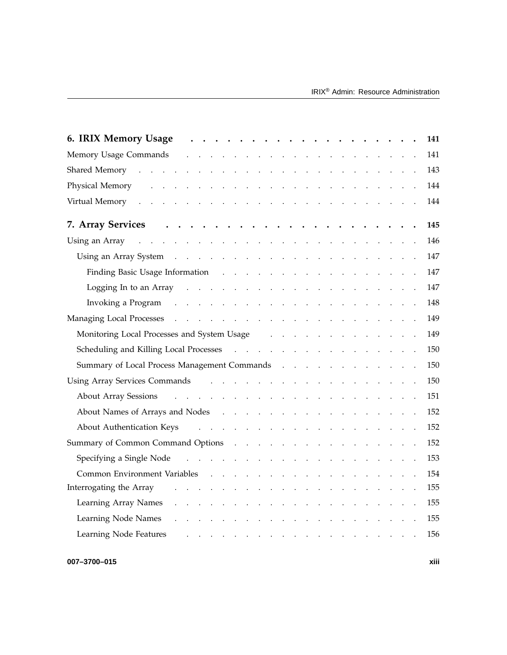| 6. IRIX Memory Usage<br>141                                                                                                                                                                                                                                  |
|--------------------------------------------------------------------------------------------------------------------------------------------------------------------------------------------------------------------------------------------------------------|
| Memory Usage Commands resources and resources and resources and resources are a set of the Memory of Theorem in the Memory of the Memory of the Memory of the Memory of the Memory of the Memory of the Memory of the Memory o<br>141                        |
| 143                                                                                                                                                                                                                                                          |
| 144<br>Physical Memory resources and the set of the set of the set of the set of the set of the set of the set of the set of the set of the set of the set of the set of the set of the set of the set of the set of the set of the s                        |
| 144<br>Virtual Memory (Changel and Changel and Changel and Changel and Changel and Changel and Changel and Changel and Changel and Changel and Changel and Changel and Changel and Changel and Changel and Changel and Changel and Ch                        |
| 145                                                                                                                                                                                                                                                          |
| Using an Array resources and the set of the set of the set of the set of the set of the set of the set of the set of the set of the set of the set of the set of the set of the set of the set of the set of the set of the se<br>146                        |
| 147                                                                                                                                                                                                                                                          |
| 147                                                                                                                                                                                                                                                          |
| 147<br>Logging In to an Array resources and the contract of the contract of the contract of the contract of the contract of the contract of the contract of the contract of the contract of the contract of the contract of the contr                        |
| 148<br>Invoking a Program (a) and a contract the contract of the contract of the contract of the contract of the contract of the contract of the contract of the contract of the contract of the contract of the contract of the cont                        |
| 149                                                                                                                                                                                                                                                          |
| Monitoring Local Processes and System Usage (a) and a contract the contract of the Monitoring Local Processes and System Usage (b) and a contract of the contract of the contract of the contract of the contract of the contr<br>149                        |
| Scheduling and Killing Local Processes (enterprise of the contract of the contract of the contract of the contract of the contract of the contract of the contract of the contract of the contract of the contract of the cont<br>150                        |
| Summary of Local Process Management Commands (a) and a contract of the set of the set of the set of the set of the set of the set of the set of the set of the set of the set of the set of the set of the set of the set of t<br>150                        |
| 150                                                                                                                                                                                                                                                          |
| 151                                                                                                                                                                                                                                                          |
| 152                                                                                                                                                                                                                                                          |
| About Authentication Keys Alberta About Authentication Keys Alberta Alberta Alberta Alberta Alberta Alberta Alberta Alberta Alberta Alberta Alberta Alberta Alberta Alberta Alberta Alberta Alberta Alberta Alberta Alberta Al<br>152                        |
| Summary of Common Command Options (Changel Summary of Common Command Options (Changel Summary Changel Summary O<br>152                                                                                                                                       |
| Specifying a Single Node recovery and recovery and single Node recovery and recovery and single security and s<br>153                                                                                                                                        |
| 154<br><b>Common Environment Variables</b>                                                                                                                                                                                                                   |
| 155<br>Interrogating the Array<br>$\sim 10^{-1}$ .<br>$\sim 10^{-1}$ km $^{-1}$<br>$\mathcal{L}^{\text{max}}$ , and $\mathcal{L}^{\text{max}}$<br>$\sim$ $\sim$<br>$\sim 10^{-1}$ $\sim$                                                                     |
| Learning Array Names<br>155<br>. The contract of the contract of the contract of the contract of $\mathcal{A}$                                                                                                                                               |
| Learning Node Names<br>155<br>and the contract of the contract of the contract of the contract of the contract of the contract of the contract of the contract of the contract of the contract of the contract of the contract of the contract of the contra |
| Learning Node Features<br>156                                                                                                                                                                                                                                |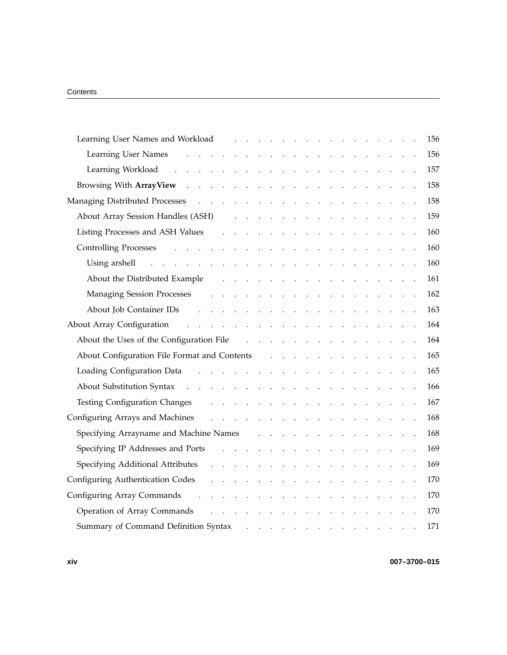| Learning User Names and Workload (Changel Alexander Alexander Alexander Alexander Alexander Alexander Alexander                                                                                                                                                      |  |  |                                                                                                                                                                                                                                |  |        |  |                                  |  |  | 156 |
|----------------------------------------------------------------------------------------------------------------------------------------------------------------------------------------------------------------------------------------------------------------------|--|--|--------------------------------------------------------------------------------------------------------------------------------------------------------------------------------------------------------------------------------|--|--------|--|----------------------------------|--|--|-----|
| Learning User Names<br>and a series of the contract of the contract of                                                                                                                                                                                               |  |  |                                                                                                                                                                                                                                |  |        |  | and the contract of the state of |  |  | 156 |
| Learning Workload<br>and the contract of the contract of the contract of                                                                                                                                                                                             |  |  |                                                                                                                                                                                                                                |  |        |  |                                  |  |  | 157 |
|                                                                                                                                                                                                                                                                      |  |  |                                                                                                                                                                                                                                |  |        |  |                                  |  |  | 158 |
|                                                                                                                                                                                                                                                                      |  |  |                                                                                                                                                                                                                                |  |        |  |                                  |  |  | 158 |
| About Array Session Handles (ASH)                                                                                                                                                                                                                                    |  |  | and the contract of the contract of the contract of the contract of the contract of the contract of the contract of the contract of the contract of the contract of the contract of the contract of the contract of the contra |  |        |  |                                  |  |  | 159 |
| Listing Processes and ASH Values<br>and the contract of the contract of the contract of the                                                                                                                                                                          |  |  |                                                                                                                                                                                                                                |  |        |  |                                  |  |  | 160 |
|                                                                                                                                                                                                                                                                      |  |  |                                                                                                                                                                                                                                |  |        |  |                                  |  |  | 160 |
| Using arshell the contract of the contract of the contract of the contract of the contract of the contract of the contract of the contract of the contract of the contract of the contract of the contract of the contract of                                        |  |  |                                                                                                                                                                                                                                |  |        |  |                                  |  |  | 160 |
| About the Distributed Example<br>and the contract of the contract of the contract of the contract of the contract of the contract of the contract of the contract of the contract of the contract of the contract of the contract of the contract of the contra      |  |  |                                                                                                                                                                                                                                |  |        |  |                                  |  |  | 161 |
|                                                                                                                                                                                                                                                                      |  |  |                                                                                                                                                                                                                                |  |        |  |                                  |  |  | 162 |
| About Job Container IDs<br>$\mathcal{L}^{\mathcal{A}}$ . The contribution of the contribution of the contribution of the contribution of the contribution of the contribution of the contribution of the contribution of the contribution of the contribution of the |  |  |                                                                                                                                                                                                                                |  |        |  |                                  |  |  | 163 |
| and the contract of the contract of the contract of the contract of<br>About Array Configuration                                                                                                                                                                     |  |  |                                                                                                                                                                                                                                |  |        |  |                                  |  |  | 164 |
|                                                                                                                                                                                                                                                                      |  |  |                                                                                                                                                                                                                                |  |        |  |                                  |  |  | 164 |
| About Configuration File Format and Contents Figure 1 and $\lambda$ . The substitution of the state of the state of the state of the state of the state of the state of the state of the state of the state of the state of the sta                                  |  |  |                                                                                                                                                                                                                                |  |        |  |                                  |  |  | 165 |
| Loading Configuration Data research and research and research and research and research and research and research and research and research and research and research and research and research and research and research and                                        |  |  |                                                                                                                                                                                                                                |  |        |  |                                  |  |  | 165 |
|                                                                                                                                                                                                                                                                      |  |  |                                                                                                                                                                                                                                |  |        |  |                                  |  |  | 166 |
| Testing Configuration Changes and the contract of the contract of the contract of the contract of the contract of the contract of the contract of the contract of the contract of the contract of the contract of the contract                                       |  |  |                                                                                                                                                                                                                                |  |        |  |                                  |  |  | 167 |
| Configuring Arrays and Machines and the contract of the contract of the Machines and the contract of the contract of the contract of the contract of the contract of the contract of the contract of the contract of the contr                                       |  |  |                                                                                                                                                                                                                                |  |        |  |                                  |  |  | 168 |
| Specifying Arrayname and Machine Names                                                                                                                                                                                                                               |  |  | and the contract of the contract of the contract of the contract of the contract of the contract of the contract of the contract of the contract of the contract of the contract of the contract of the contract of the contra |  |        |  |                                  |  |  | 168 |
| Specifying IP Addresses and Ports and Allen and Allen and Allen and Allen and Allen and Allen and Allen and Allen and Allen and Allen and Allen and Allen and Allen and Allen and Allen and Allen and Allen and Allen and Alle                                       |  |  |                                                                                                                                                                                                                                |  |        |  |                                  |  |  | 169 |
|                                                                                                                                                                                                                                                                      |  |  |                                                                                                                                                                                                                                |  |        |  |                                  |  |  | 169 |
| Configuring Authentication Codes<br>and a straightful contract and a                                                                                                                                                                                                 |  |  |                                                                                                                                                                                                                                |  |        |  |                                  |  |  | 170 |
| Configuring Array Commands                                                                                                                                                                                                                                           |  |  |                                                                                                                                                                                                                                |  |        |  |                                  |  |  | 170 |
| Operation of Array Commands                                                                                                                                                                                                                                          |  |  |                                                                                                                                                                                                                                |  |        |  | <b>Carl American Committee</b>   |  |  | 170 |
| Summary of Command Definition Syntax                                                                                                                                                                                                                                 |  |  | and a strong control of the state of                                                                                                                                                                                           |  | $\sim$ |  | and the contract of the con-     |  |  | 171 |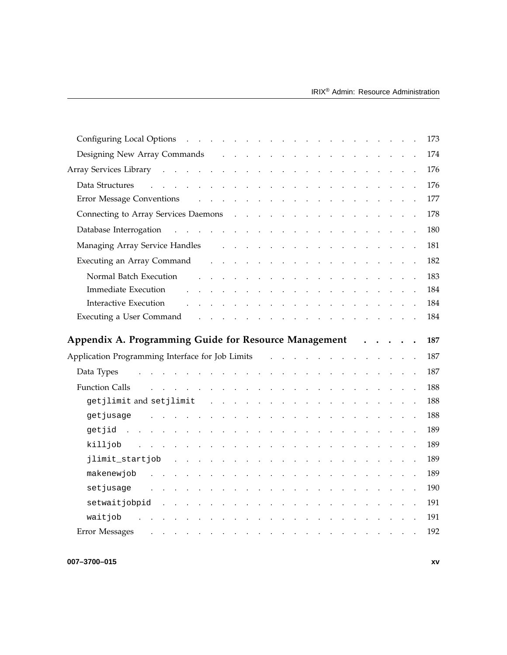| Configuring Local Options                                                                                                                                                                                                      |                                                                                                                 |                                                                                                                 |        |  |                                                                                 |  |  |  | $\mathbf{r}$ . The set of $\mathbf{r}$ |                                                                                                                                                                                                                                           |  |  | 173 |
|--------------------------------------------------------------------------------------------------------------------------------------------------------------------------------------------------------------------------------|-----------------------------------------------------------------------------------------------------------------|-----------------------------------------------------------------------------------------------------------------|--------|--|---------------------------------------------------------------------------------|--|--|--|----------------------------------------|-------------------------------------------------------------------------------------------------------------------------------------------------------------------------------------------------------------------------------------------|--|--|-----|
| Designing New Array Commands                                                                                                                                                                                                   |                                                                                                                 |                                                                                                                 |        |  | and the contract of the contract of the contract of the contract of             |  |  |  |                                        |                                                                                                                                                                                                                                           |  |  | 174 |
|                                                                                                                                                                                                                                |                                                                                                                 |                                                                                                                 |        |  |                                                                                 |  |  |  |                                        |                                                                                                                                                                                                                                           |  |  | 176 |
| Data Structures                                                                                                                                                                                                                | and the contract of the contract of the contract of the contract of the contract of                             |                                                                                                                 |        |  |                                                                                 |  |  |  |                                        |                                                                                                                                                                                                                                           |  |  | 176 |
|                                                                                                                                                                                                                                |                                                                                                                 |                                                                                                                 |        |  |                                                                                 |  |  |  |                                        |                                                                                                                                                                                                                                           |  |  | 177 |
|                                                                                                                                                                                                                                |                                                                                                                 |                                                                                                                 |        |  |                                                                                 |  |  |  |                                        |                                                                                                                                                                                                                                           |  |  | 178 |
|                                                                                                                                                                                                                                |                                                                                                                 |                                                                                                                 |        |  |                                                                                 |  |  |  |                                        |                                                                                                                                                                                                                                           |  |  | 180 |
| Managing Array Service Handles                                                                                                                                                                                                 |                                                                                                                 |                                                                                                                 |        |  | and the contract of the contract of the contract of the contract of             |  |  |  |                                        |                                                                                                                                                                                                                                           |  |  | 181 |
| Executing an Array Command                                                                                                                                                                                                     |                                                                                                                 |                                                                                                                 |        |  | and the contract of the contract of the contract of the contract of             |  |  |  |                                        |                                                                                                                                                                                                                                           |  |  | 182 |
| Normal Batch Execution                                                                                                                                                                                                         |                                                                                                                 |                                                                                                                 |        |  | and a series of the contract of the contract of the contract of the contract of |  |  |  |                                        |                                                                                                                                                                                                                                           |  |  | 183 |
| <b>Immediate Execution</b>                                                                                                                                                                                                     |                                                                                                                 | the contract of the contract of the contract of the contract of the contract of the contract of the contract of |        |  |                                                                                 |  |  |  |                                        |                                                                                                                                                                                                                                           |  |  | 184 |
| Interactive Execution                                                                                                                                                                                                          |                                                                                                                 |                                                                                                                 |        |  | والمتواطن والمتواطن والمتواطن والمتواطن والمتواطن والمتواطن والمتواطن           |  |  |  |                                        |                                                                                                                                                                                                                                           |  |  | 184 |
| Executing a User Command response to the contract of the contract of the contract of the contract of the contract of the contract of the contract of the contract of the contract of the contract of the contract of the contr |                                                                                                                 |                                                                                                                 |        |  |                                                                                 |  |  |  |                                        |                                                                                                                                                                                                                                           |  |  | 184 |
|                                                                                                                                                                                                                                |                                                                                                                 |                                                                                                                 |        |  |                                                                                 |  |  |  |                                        |                                                                                                                                                                                                                                           |  |  |     |
|                                                                                                                                                                                                                                |                                                                                                                 |                                                                                                                 |        |  |                                                                                 |  |  |  |                                        |                                                                                                                                                                                                                                           |  |  |     |
| Appendix A. Programming Guide for Resource Management                                                                                                                                                                          |                                                                                                                 |                                                                                                                 |        |  |                                                                                 |  |  |  |                                        | $\ddot{\phantom{a}}$                                                                                                                                                                                                                      |  |  | 187 |
| Application Programming Interface for Job Limits                                                                                                                                                                               |                                                                                                                 |                                                                                                                 |        |  |                                                                                 |  |  |  |                                        |                                                                                                                                                                                                                                           |  |  | 187 |
| Data Types                                                                                                                                                                                                                     | the contract of the contract of the contract of the contract of the contract of                                 |                                                                                                                 |        |  |                                                                                 |  |  |  |                                        |                                                                                                                                                                                                                                           |  |  | 187 |
| <b>Function Calls</b>                                                                                                                                                                                                          | $\mathbf{r}$ and $\mathbf{r}$ and $\mathbf{r}$ and $\mathbf{r}$                                                 |                                                                                                                 |        |  | and a series of the contract and a series of the contract of                    |  |  |  |                                        |                                                                                                                                                                                                                                           |  |  | 188 |
| getjlimit and setjlimit                                                                                                                                                                                                        |                                                                                                                 |                                                                                                                 |        |  | and a series of the contract of the contract of the contract of the contract of |  |  |  |                                        |                                                                                                                                                                                                                                           |  |  | 188 |
| qetjusaqe                                                                                                                                                                                                                      | and a series of the contract of the contract of the contract of the contract of                                 |                                                                                                                 |        |  |                                                                                 |  |  |  |                                        |                                                                                                                                                                                                                                           |  |  | 188 |
| $q$ etjid                                                                                                                                                                                                                      |                                                                                                                 |                                                                                                                 |        |  | and a second contract of the contract of the contract of the contract of        |  |  |  |                                        |                                                                                                                                                                                                                                           |  |  | 189 |
| killjob                                                                                                                                                                                                                        | and a series of the contract of the contract of the contract of the contract of the contract of the contract of |                                                                                                                 |        |  |                                                                                 |  |  |  |                                        |                                                                                                                                                                                                                                           |  |  | 189 |
| jlimit_startjob                                                                                                                                                                                                                |                                                                                                                 | and the contract of the contract of the contract of the contract of the contract of                             |        |  |                                                                                 |  |  |  |                                        |                                                                                                                                                                                                                                           |  |  | 189 |
| makenewjob                                                                                                                                                                                                                     |                                                                                                                 |                                                                                                                 | $\sim$ |  | the contract of the contract of the contract of                                 |  |  |  |                                        |                                                                                                                                                                                                                                           |  |  | 189 |
| setjusage                                                                                                                                                                                                                      | and a series of the contract of the contract of the contract of the contract of the contract of the contract of |                                                                                                                 |        |  |                                                                                 |  |  |  |                                        |                                                                                                                                                                                                                                           |  |  | 190 |
| setwaitjobpid                                                                                                                                                                                                                  |                                                                                                                 | and a series of the contract of the contract of the contract of the contract of                                 |        |  |                                                                                 |  |  |  |                                        |                                                                                                                                                                                                                                           |  |  | 191 |
| waitjob                                                                                                                                                                                                                        |                                                                                                                 |                                                                                                                 |        |  | the contract of the contract of the contract of                                 |  |  |  |                                        | $\mathcal{L}^{\mathcal{L}}$ . The set of the set of the set of the set of the set of the set of the set of the set of the set of the set of the set of the set of the set of the set of the set of the set of the set of the set of the s |  |  | 191 |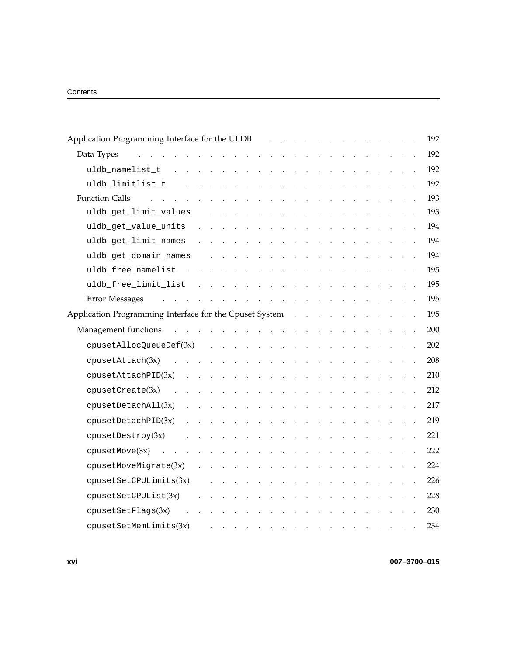| Application Programming Interface for the ULDB and a subset of the ULD and a subset of the ULD and a subset of the ULD B and a subset of the subset of the subset of the subset of the ULD B and a subset of the subset of the                   | 192 |
|--------------------------------------------------------------------------------------------------------------------------------------------------------------------------------------------------------------------------------------------------|-----|
| Data Types<br>and a series of the contract of the<br>and the contract of the state<br>$\bullet$                                                                                                                                                  | 192 |
| uldb_namelist_t<br>$\sim$ .<br>$\ddot{\phantom{a}}$<br>$\mathcal{L}$                                                                                                                                                                             | 192 |
| uldb_limitlist_t                                                                                                                                                                                                                                 | 192 |
| <b>Function Calls</b><br>$\mathbf{r}$<br>$\ddot{\phantom{a}}$<br>$\sim$<br>$\mathbf{r}$<br>$\sim$<br>$\sim$<br>$\ddot{\phantom{a}}$                                                                                                              | 193 |
| uldb_get_limit_values                                                                                                                                                                                                                            | 193 |
| uldb_get_value_units                                                                                                                                                                                                                             | 194 |
| uldb_get_limit_names<br>$\sim 100$ $\sim$<br>$\sim$ $\sim$<br>$\sim 10^{-1}$ and $\sim 10^{-1}$<br>$\sim$<br>$\sim 100$<br>$\sim$<br>$\sim$ $\sim$<br>and the state of the state<br>$\sim$                                                       | 194 |
| uldb_get_domain_names<br>and a series of the contract of the contract of<br>and the contract of                                                                                                                                                  | 194 |
| uldb_free_namelist<br>$\sim$ 100 $\sim$<br>$\sim$<br>$\sim 10^{-1}$ km $^{-1}$                                                                                                                                                                   | 195 |
| uldb_free_limit_list<br><b>Carl Adams</b><br>$\mathbf{L}^{\text{max}}$ and $\mathbf{L}^{\text{max}}$<br>$\sim 10^{-11}$ .<br>$\sim$ $\sim$<br>$\sim$ $\sim$<br>$\sim 10^{-1}$ and $\sim 10^{-1}$                                                 | 195 |
| Error Messages<br>and the contract of the contract of the contract of the contract of the contract of the contract of the contract of the contract of the contract of the contract of the contract of the contract of the contract of the contra | 195 |
| Application Programming Interface for the Cpuset System                                                                                                                                                                                          | 195 |
| Management functions                                                                                                                                                                                                                             | 200 |
| cpusetAllocQueueDef(3x)<br>and a series of the contract of the contract of the contract of                                                                                                                                                       | 202 |
| cpusetAttach(3x)<br>$\sim$<br>$\mathbf{r}$ . The set of $\mathbf{r}$<br>the contract of the contract of the contract of<br>$\mathbf{r}$ . The set of $\mathbf{r}$                                                                                | 208 |
| cpusetAttachPID(3x)<br>and a series of the contract of the contract of                                                                                                                                                                           | 210 |
| cpusetCreate(3x)<br>$\ddot{\phantom{a}}$<br>المتناول والمتناول والمتناول والمتناول والمتناول والمتناول والمتناول                                                                                                                                 | 212 |
| cpusetDetachAll(3x)<br>and a series of the contract of the contract of the con-<br>and a strategic control of                                                                                                                                    | 217 |
| cpusetDetachPID(3x)<br>المنابعة والمستنقل والمستنقل والمستنقل والمستنقل<br>$\sim 10^{-10}$ km $^{-1}$<br><b>Contract Contract Contract</b>                                                                                                       | 219 |
| cpusetDestroy(3x)<br>$\ddot{\phantom{a}}$<br>$\sim$<br>$\bullet$<br>$\sim$ $\sim$<br>$\sim$ $\sim$                                                                                                                                               | 221 |
| cpusetMove(3x)<br>$\ddot{\phantom{a}}$<br>$\sim$<br>$\sim$<br>$\sim$                                                                                                                                                                             | 222 |
| cpusetMoveMigrate(3x)<br>$\mathbf{L}$<br>$\sim$ $\sim$<br>$\ddot{\phantom{0}}$<br>$\sim$ 40 $\,$<br>$\sim 10^{-1}$ .<br>and the contract of the contract of<br>$\mathbf{r}$<br>$\sim$<br>$\sim$ $\sim$                                           | 224 |
| cpusetSetCPULimits(3x)<br>$\sim$<br>$\sim 10^{-10}$ km $^{-1}$<br><b>Contract Contract</b><br>$\mathbf{z} = \mathbf{z}$<br>$\sim 10$                                                                                                             | 226 |
| cpusetSetCPUList(3x)<br>and a state of<br>$\ddot{\phantom{a}}$<br><b>Contract Contract</b><br>$\sim$                                                                                                                                             | 228 |
| cpusetSetFlags(3x)<br>$\ddot{\phantom{a}}$<br>$\ddot{\phantom{a}}$                                                                                                                                                                               | 230 |
| cpusetSetMemLimits(3x)<br>$\sim$<br>$\bullet$<br>$\blacksquare$ .                                                                                                                                                                                | 234 |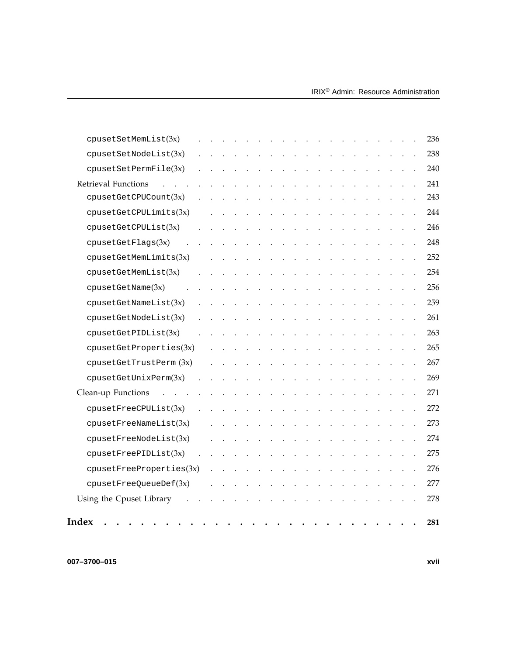| Index                         |  |  |                |                          |           |        |                                                             |           |               |  |  | 281 |
|-------------------------------|--|--|----------------|--------------------------|-----------|--------|-------------------------------------------------------------|-----------|---------------|--|--|-----|
| Using the Cpuset Library      |  |  |                |                          |           |        |                                                             |           |               |  |  | 278 |
| cpusetFreeQueueDef(3x)        |  |  |                |                          |           |        |                                                             |           |               |  |  | 277 |
| cpusetFreePropertyeerties(3x) |  |  |                |                          |           |        |                                                             |           |               |  |  | 276 |
| cpusetFreePIDList(3x)         |  |  |                |                          |           |        |                                                             |           |               |  |  | 275 |
| cpusetFreeNodeList(3x)        |  |  |                |                          |           |        |                                                             |           |               |  |  | 274 |
| cpusetFreeNameList(3x)        |  |  |                |                          |           |        |                                                             |           |               |  |  | 273 |
| cpusetFreeCPUList(3x)         |  |  |                |                          |           |        |                                                             |           |               |  |  | 272 |
| Clean-up Functions            |  |  |                |                          |           |        |                                                             |           |               |  |  | 271 |
| cpusetGetUnitxPerm(3x)        |  |  |                |                          |           |        |                                                             |           |               |  |  | 269 |
| cpusetGetTrustPerm(3x)        |  |  |                |                          |           |        |                                                             |           |               |  |  | 267 |
| cpusetGetProperties(3x)       |  |  | $\blacksquare$ | $\bullet$                |           | $\sim$ | $\bullet$ .<br><br><br><br><br><br><br><br><br><br><br><br> | $\bullet$ | $\sim$        |  |  | 265 |
| cpusetGetPIDList(3x)          |  |  |                |                          |           |        |                                                             |           |               |  |  | 263 |
| cpusetGetNodeList(3x)         |  |  |                |                          |           |        |                                                             |           |               |  |  | 261 |
| cpusetGetNameList(3x)         |  |  |                |                          |           |        |                                                             |           |               |  |  | 259 |
| cpusetGetName(3x)             |  |  |                |                          |           |        |                                                             |           |               |  |  | 256 |
| cpusetGetMemList(3x)          |  |  |                |                          |           |        |                                                             |           |               |  |  | 254 |
| cpusetGetMemLimits(3x)        |  |  |                |                          |           |        |                                                             |           |               |  |  | 252 |
| cpusetGetFlags(3x)            |  |  |                | <b>Contract Contract</b> | $\bullet$ |        | the contract of the con-                                    |           | $\sim$ 4 $\,$ |  |  | 248 |
| cpusetGetCPUList(3x)          |  |  |                |                          |           |        |                                                             |           |               |  |  | 246 |
| cpusetGetCPULimits(3x)        |  |  |                |                          |           |        |                                                             |           |               |  |  | 244 |
| cpusetGetCPUCount(3x)         |  |  |                |                          |           |        |                                                             |           |               |  |  | 243 |
| <b>Retrieval Functions</b>    |  |  |                |                          |           |        |                                                             |           |               |  |  | 241 |
| cpusetsetPermFile(3x)         |  |  |                |                          |           |        |                                                             |           |               |  |  | 240 |
| cpusetsetNodeList(3x)         |  |  |                |                          |           |        |                                                             |           |               |  |  | 238 |
| cpusetsetMemList(3x)          |  |  |                |                          |           |        |                                                             |           |               |  |  | 236 |

**007–3700–015 xvii**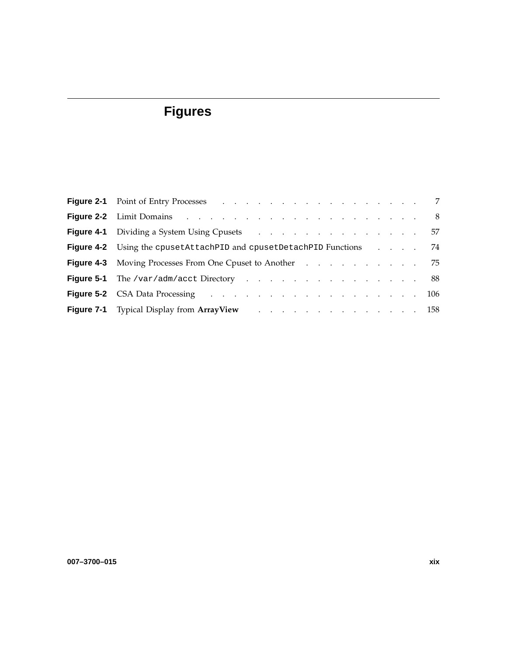# **Figures**

| <b>Figure 4-1</b> Dividing a System Using Cpusets 57                                                                                                                                                                                |  |
|-------------------------------------------------------------------------------------------------------------------------------------------------------------------------------------------------------------------------------------|--|
| <b>Figure 4-2</b> Using the cpusetAttachPID and cpusetDetachPID Functions 74                                                                                                                                                        |  |
| <b>Figure 4-3</b> Moving Processes From One Cpuset to Another Albert And Albert Albert Albert Albert Albert And Albert Albert Albert Albert Albert Albert Albert Albert Albert Albert Albert Albert Albert Albert Albert Albert Alb |  |
| <b>Figure 5-1</b> The /var/adm/acct Directory 88                                                                                                                                                                                    |  |
| <b>Figure 5-2</b> CSA Data Processing resources and resources and resources and resources and resources and resources and resources and resources and resources and resources and resources and resources and resources and resourc |  |
| Figure 7-1 Typical Display from ArrayView 158                                                                                                                                                                                       |  |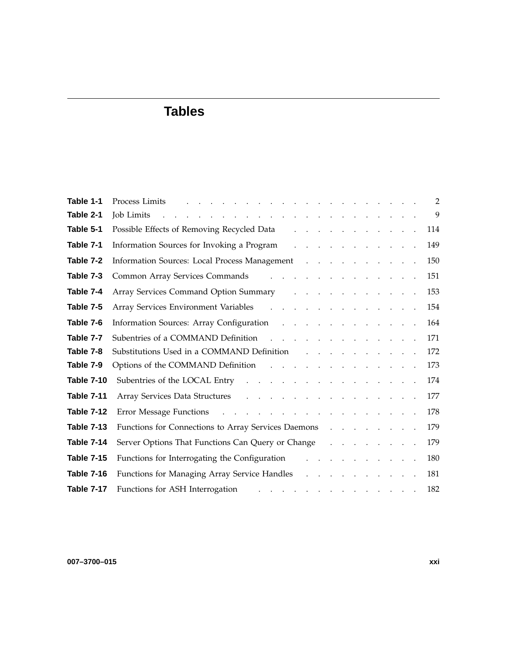# **Tables**

| Table 1-1         | Process Limits <b>Example 2</b> is a contract to contract the contract of the contract of the contract of the contract of the contract of the contract of the contract of the contract of the contract of the contract of the contr                 |  |  | $\overline{2}$ |
|-------------------|-----------------------------------------------------------------------------------------------------------------------------------------------------------------------------------------------------------------------------------------------------|--|--|----------------|
| Table 2-1         | and the contract of the contract of the contract of the contract of the contract of the contract of the contract of the contract of the contract of the contract of the contract of the contract of the contract of the contra<br><b>Job Limits</b> |  |  | 9              |
| Table 5-1         | Possible Effects of Removing Recycled Data<br>$\mathcal{L}^{\mathcal{A}}$ . The set of the set of the set of the set of $\mathcal{A}$                                                                                                               |  |  | 114            |
| Table 7-1         | Information Sources for Invoking a Program (Fig. 1, Fig. 1, Fig. 1, Fig. 1, Fig. 1, Fig. 1, Fig. 1, Fig. 1, Fig. 1, Fig. 1, Fig. 1, Fig. 1, Fig. 1, Fig. 1, Fig. 1, Fig. 1, Fig. 1, Fig. 1, Fig. 1, Fig. 1, Fig. 1, Fig. 1, Fi                      |  |  | 149            |
| Table 7-2         | Information Sources: Local Process Management                                                                                                                                                                                                       |  |  | 150            |
| Table 7-3         | Common Array Services Commands                                                                                                                                                                                                                      |  |  | 151            |
| Table 7-4         | Array Services Command Option Summary Array Array Services Command Option Summary                                                                                                                                                                   |  |  | 153            |
| Table 7-5         | Array Services Environment Variables (Changel Array Services Environment Variables (Changel Array Array Array A                                                                                                                                     |  |  | 154            |
| Table 7-6         | Information Sources: Array Configuration                                                                                                                                                                                                            |  |  | 164            |
| Table 7-7         | Subentries of a COMMAND Definition                                                                                                                                                                                                                  |  |  | 171            |
| Table 7-8         | Substitutions Used in a COMMAND Definition results and substitutions Used in a COMMAND Definition                                                                                                                                                   |  |  | 172            |
| Table 7-9         | Options of the COMMAND Definition                                                                                                                                                                                                                   |  |  | 173            |
| <b>Table 7-10</b> | Subentries of the LOCAL Entry resources and contact the LOCAL Entry resources and contact the contact of the LOCAL Entry resources and contact the contact of the LOCAL Entry resources and contact the contact of the LOCAL E                      |  |  | 174            |
| <b>Table 7-11</b> | Array Services Data Structures                                                                                                                                                                                                                      |  |  | 177            |
| <b>Table 7-12</b> | Error Message Functions                                                                                                                                                                                                                             |  |  | 178            |
| <b>Table 7-13</b> | Functions for Connections to Array Services Daemons                                                                                                                                                                                                 |  |  | 179            |
| Table 7-14        | Server Options That Functions Can Query or Change (Change Contains) and Allen Change (Change Contains) and Allen                                                                                                                                    |  |  | 179            |
| <b>Table 7-15</b> | Functions for Interrogating the Configuration<br>and a straightful contract and a                                                                                                                                                                   |  |  | 180            |
| <b>Table 7-16</b> | Functions for Managing Array Service Handles<br>and a strong contract of the                                                                                                                                                                        |  |  | 181            |
| Table 7-17        | Functions for ASH Interrogation<br>المتناول والمتناول والمتناول والمتناول والمتناول والمناو                                                                                                                                                         |  |  | 182            |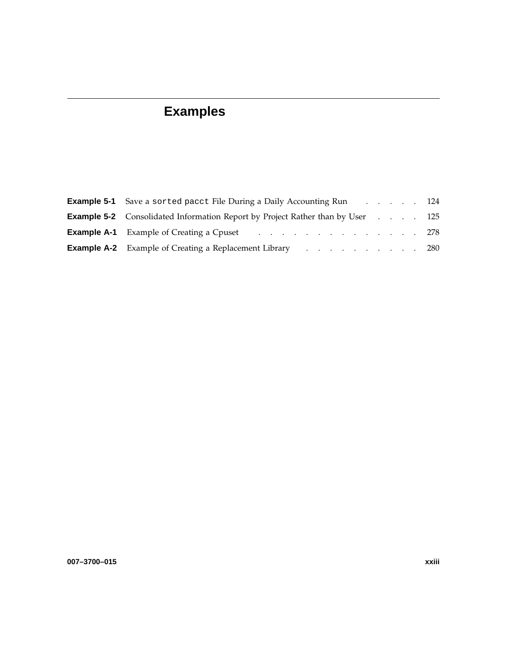# **Examples**

| <b>Example 5-1</b> Save a sorted pacct File During a Daily Accounting Run 124           |  |
|-----------------------------------------------------------------------------------------|--|
| <b>Example 5-2</b> Consolidated Information Report by Project Rather than by User 125   |  |
| <b>Example A-1</b> Example of Creating a Cpuset 278                                     |  |
| <b>Example A-2</b> Example of Creating a Replacement Library enters and the case of 280 |  |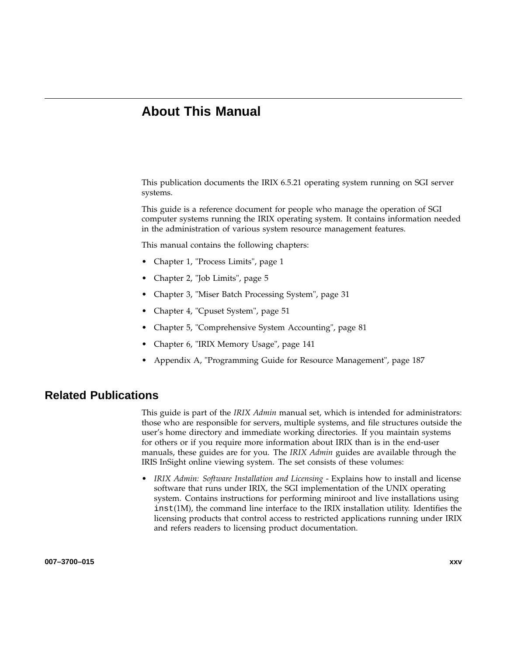## **About This Manual**

This publication documents the IRIX 6.5.21 operating system running on SGI server systems.

This guide is a reference document for people who manage the operation of SGI computer systems running the IRIX operating system. It contains information needed in the administration of various system resource management features.

This manual contains the following chapters:

- Chapter 1, "Process Limits", page 1
- Chapter 2, "Job Limits", page 5
- Chapter 3, "Miser Batch Processing System", page 31
- Chapter 4, "Cpuset System", page 51
- Chapter 5, "Comprehensive System Accounting", page 81
- Chapter 6, "IRIX Memory Usage", page 141
- Appendix A, "Programming Guide for Resource Management", page 187

### **Related Publications**

This guide is part of the *IRIX Admin* manual set, which is intended for administrators: those who are responsible for servers, multiple systems, and file structures outside the user's home directory and immediate working directories. If you maintain systems for others or if you require more information about IRIX than is in the end-user manuals, these guides are for you. The *IRIX Admin* guides are available through the IRIS InSight online viewing system. The set consists of these volumes:

• *IRIX Admin: Software Installation and Licensing* - Explains how to install and license software that runs under IRIX, the SGI implementation of the UNIX operating system. Contains instructions for performing miniroot and live installations using inst(1M), the command line interface to the IRIX installation utility. Identifies the licensing products that control access to restricted applications running under IRIX and refers readers to licensing product documentation.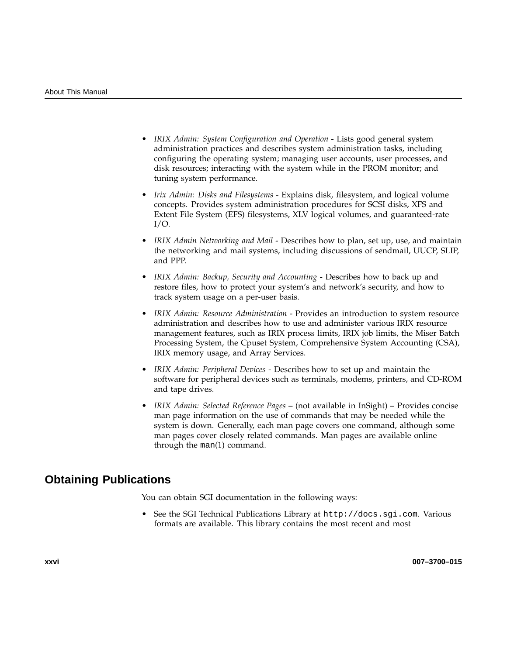- *IRIX Admin: System Configuration and Operation* Lists good general system administration practices and describes system administration tasks, including configuring the operating system; managing user accounts, user processes, and disk resources; interacting with the system while in the PROM monitor; and tuning system performance.
- *Irix Admin: Disks and Filesystems* Explains disk, filesystem, and logical volume concepts. Provides system administration procedures for SCSI disks, XFS and Extent File System (EFS) filesystems, XLV logical volumes, and guaranteed-rate  $I/O$ .
- *IRIX Admin Networking and Mail* Describes how to plan, set up, use, and maintain the networking and mail systems, including discussions of sendmail, UUCP, SLIP, and PPP.
- *IRIX Admin: Backup, Security and Accounting* Describes how to back up and restore files, how to protect your system's and network's security, and how to track system usage on a per-user basis.
- *IRIX Admin: Resource Administration* Provides an introduction to system resource administration and describes how to use and administer various IRIX resource management features, such as IRIX process limits, IRIX job limits, the Miser Batch Processing System, the Cpuset System, Comprehensive System Accounting (CSA), IRIX memory usage, and Array Services.
- *IRIX Admin: Peripheral Devices* Describes how to set up and maintain the software for peripheral devices such as terminals, modems, printers, and CD-ROM and tape drives.
- *IRIX Admin: Selected Reference Pages* (not available in InSight) Provides concise man page information on the use of commands that may be needed while the system is down. Generally, each man page covers one command, although some man pages cover closely related commands. Man pages are available online through the man(1) command.

## **Obtaining Publications**

You can obtain SGI documentation in the following ways:

• See the SGI Technical Publications Library at http://docs.sgi.com. Various formats are available. This library contains the most recent and most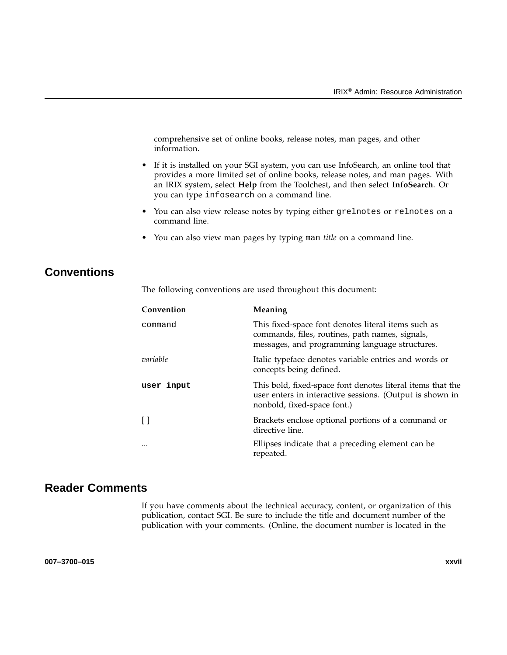comprehensive set of online books, release notes, man pages, and other information.

- If it is installed on your SGI system, you can use InfoSearch, an online tool that provides a more limited set of online books, release notes, and man pages. With an IRIX system, select **Help** from the Toolchest, and then select **InfoSearch**. Or you can type infosearch on a command line.
- You can also view release notes by typing either grelnotes or relnotes on a command line.
- You can also view man pages by typing man *title* on a command line.

## **Conventions**

The following conventions are used throughout this document:

| Convention | Meaning                                                                                                                                                  |
|------------|----------------------------------------------------------------------------------------------------------------------------------------------------------|
| command    | This fixed-space font denotes literal items such as<br>commands, files, routines, path names, signals,<br>messages, and programming language structures. |
| variable   | Italic typeface denotes variable entries and words or<br>concepts being defined.                                                                         |
| user input | This bold, fixed-space font denotes literal items that the<br>user enters in interactive sessions. (Output is shown in<br>nonbold, fixed-space font.)    |
| $\Box$     | Brackets enclose optional portions of a command or<br>directive line.                                                                                    |
| $\cdots$   | Ellipses indicate that a preceding element can be<br>repeated.                                                                                           |

## **Reader Comments**

If you have comments about the technical accuracy, content, or organization of this publication, contact SGI. Be sure to include the title and document number of the publication with your comments. (Online, the document number is located in the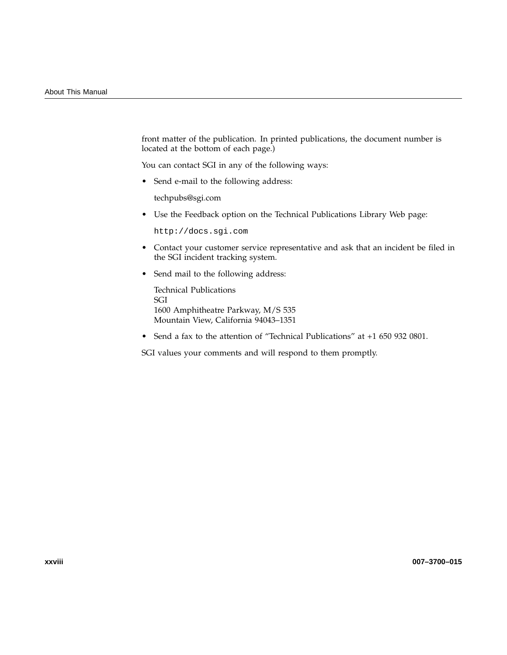front matter of the publication. In printed publications, the document number is located at the bottom of each page.)

You can contact SGI in any of the following ways:

• Send e-mail to the following address:

techpubs@sgi.com

• Use the Feedback option on the Technical Publications Library Web page:

http://docs.sgi.com

- Contact your customer service representative and ask that an incident be filed in the SGI incident tracking system.
- Send mail to the following address:

Technical Publications SGI 1600 Amphitheatre Parkway, M/S 535 Mountain View, California 94043–1351

• Send a fax to the attention of "Technical Publications" at +1 650 932 0801.

SGI values your comments and will respond to them promptly.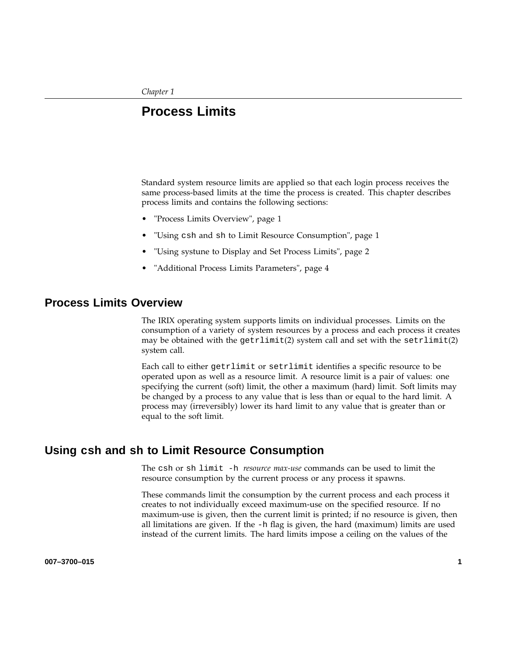*Chapter 1*

## **Process Limits**

Standard system resource limits are applied so that each login process receives the same process-based limits at the time the process is created. This chapter describes process limits and contains the following sections:

- "Process Limits Overview", page 1
- "Using csh and sh to Limit Resource Consumption", page 1
- "Using systune to Display and Set Process Limits", page 2
- "Additional Process Limits Parameters", page 4

### **Process Limits Overview**

The IRIX operating system supports limits on individual processes. Limits on the consumption of a variety of system resources by a process and each process it creates may be obtained with the  $getrlimit(2)$  system call and set with the  $setrilimit(2)$ system call.

Each call to either getrlimit or setrlimit identifies a specific resource to be operated upon as well as a resource limit. A resource limit is a pair of values: one specifying the current (soft) limit, the other a maximum (hard) limit. Soft limits may be changed by a process to any value that is less than or equal to the hard limit. A process may (irreversibly) lower its hard limit to any value that is greater than or equal to the soft limit.

### **Using csh and sh to Limit Resource Consumption**

The csh or sh limit -h *resource max-use* commands can be used to limit the resource consumption by the current process or any process it spawns.

These commands limit the consumption by the current process and each process it creates to not individually exceed maximum-use on the specified resource. If no maximum-use is given, then the current limit is printed; if no resource is given, then all limitations are given. If the -h flag is given, the hard (maximum) limits are used instead of the current limits. The hard limits impose a ceiling on the values of the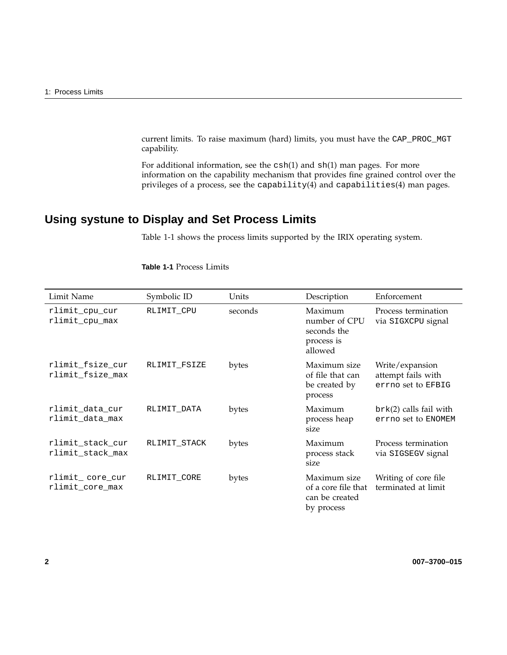current limits. To raise maximum (hard) limits, you must have the CAP\_PROC\_MGT capability.

For additional information, see the csh(1) and sh(1) man pages. For more information on the capability mechanism that provides fine grained control over the privileges of a process, see the capability(4) and capabilities(4) man pages.

## **Using systune to Display and Set Process Limits**

Table 1-1 shows the process limits supported by the IRIX operating system.

| Limit Name                           | Symbolic ID  | Units   | Description                                                         | Enforcement                                                 |
|--------------------------------------|--------------|---------|---------------------------------------------------------------------|-------------------------------------------------------------|
| rlimit_cpu_cur<br>rlimit_cpu_max     | RLIMIT CPU   | seconds | Maximum<br>number of CPU<br>seconds the<br>process is<br>allowed    | Process termination<br>via SIGXCPU signal                   |
| rlimit_fsize_cur<br>rlimit_fsize_max | RLIMIT FSIZE | bytes   | Maximum size<br>of file that can<br>be created by<br>process        | Write/expansion<br>attempt fails with<br>errno set to EFBIG |
| rlimit_data_cur<br>rlimit_data_max   | RLIMIT DATA  | bytes   | Maximum<br>process heap<br>size                                     | $brk(2)$ calls fail with<br>errno set to ENOMEM             |
| rlimit_stack_cur<br>rlimit_stack_max | RLIMIT STACK | bytes   | Maximum<br>process stack<br>size                                    | Process termination<br>via SIGSEGV signal                   |
| rlimit_core_cur<br>rlimit core max   | RLIMIT_CORE  | bytes   | Maximum size<br>of a core file that<br>can be created<br>by process | Writing of core file<br>terminated at limit                 |

**Table 1-1** Process Limits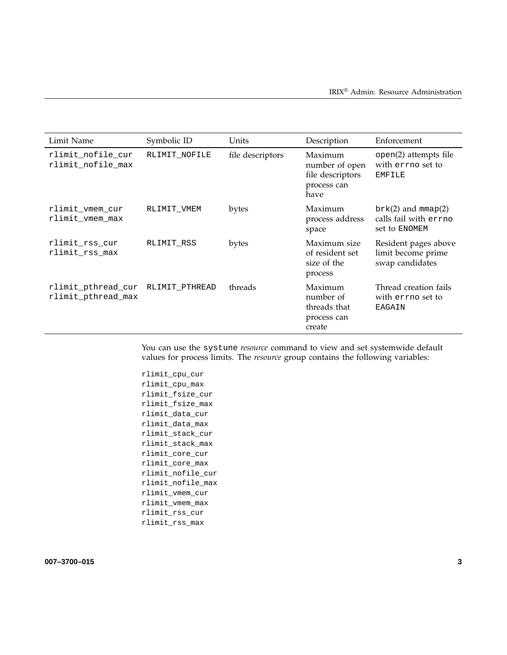| Limit Name                               | Symbolic ID    | Units            | Description                                                          | Enforcement                                                    |
|------------------------------------------|----------------|------------------|----------------------------------------------------------------------|----------------------------------------------------------------|
| rlimit_nofile_cur<br>rlimit_nofile_max   | RLIMIT NOFILE  | file descriptors | Maximum<br>number of open<br>file descriptors<br>process can<br>have | open(2) attempts file<br>with errno set to<br><b>EMFILE</b>    |
| rlimit vmem cur<br>rlimit vmem max       | RLIMIT VMEM    | bytes            | Maximum<br>process address<br>space                                  | $brk(2)$ and mmap(2)<br>calls fail with errno<br>set to ENOMEM |
| rlimit rss cur<br>rlimit rss max         | RLIMIT RSS     | bytes            | Maximum size<br>of resident set<br>size of the<br>process            | Resident pages above<br>limit become prime<br>swap candidates  |
| rlimit_pthread_cur<br>rlimit_pthread_max | RLIMIT PTHREAD | threads          | Maximum<br>number of<br>threads that<br>process can<br>create        | Thread creation fails<br>with errno set to<br>EAGAIN           |

You can use the systune *resource* command to view and set systemwide default values for process limits. The *resource* group contains the following variables:

```
rlimit_cpu_cur
rlimit_cpu_max
rlimit_fsize_cur
rlimit_fsize_max
rlimit_data_cur
rlimit_data_max
rlimit_stack_cur
rlimit_stack_max
rlimit_core_cur
rlimit_core_max
rlimit_nofile_cur
rlimit_nofile_max
rlimit_vmem_cur
rlimit_vmem_max
rlimit_rss_cur
rlimit_rss_max
```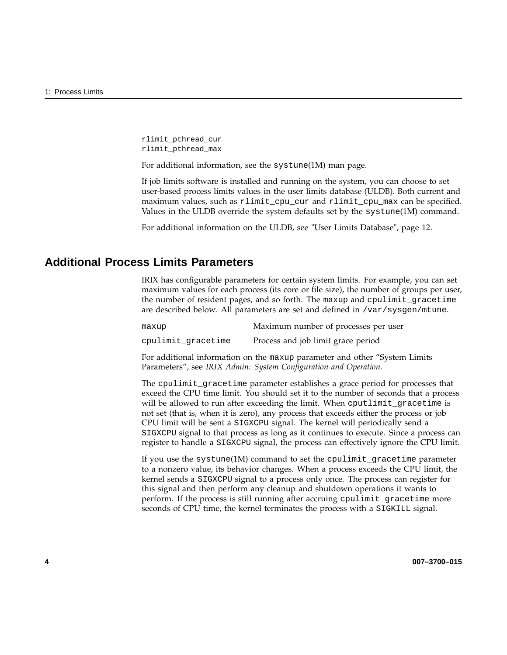rlimit\_pthread\_cur rlimit\_pthread\_max

For additional information, see the systune(1M) man page.

If job limits software is installed and running on the system, you can choose to set user-based process limits values in the user limits database (ULDB). Both current and maximum values, such as rlimit\_cpu\_cur and rlimit\_cpu\_max can be specified. Values in the ULDB override the system defaults set by the systune(1M) command.

For additional information on the ULDB, see "User Limits Database", page 12.

## **Additional Process Limits Parameters**

IRIX has configurable parameters for certain system limits. For example, you can set maximum values for each process (its core or file size), the number of groups per user, the number of resident pages, and so forth. The maxup and cpulimit\_gracetime are described below. All parameters are set and defined in /var/sysgen/mtune.

| maxup              | Maximum number of processes per user |
|--------------------|--------------------------------------|
| cpulimit gracetime | Process and job limit grace period   |

For additional information on the maxup parameter and other "System Limits Parameters", see *IRIX Admin: System Configuration and Operation*.

The cpulimit\_gracetime parameter establishes a grace period for processes that exceed the CPU time limit. You should set it to the number of seconds that a process will be allowed to run after exceeding the limit. When cputlimit\_gracetime is not set (that is, when it is zero), any process that exceeds either the process or job CPU limit will be sent a SIGXCPU signal. The kernel will periodically send a SIGXCPU signal to that process as long as it continues to execute. Since a process can register to handle a SIGXCPU signal, the process can effectively ignore the CPU limit.

If you use the systune(1M) command to set the cpulimit\_gracetime parameter to a nonzero value, its behavior changes. When a process exceeds the CPU limit, the kernel sends a SIGXCPU signal to a process only once. The process can register for this signal and then perform any cleanup and shutdown operations it wants to perform. If the process is still running after accruing cpulimit\_gracetime more seconds of CPU time, the kernel terminates the process with a SIGKILL signal.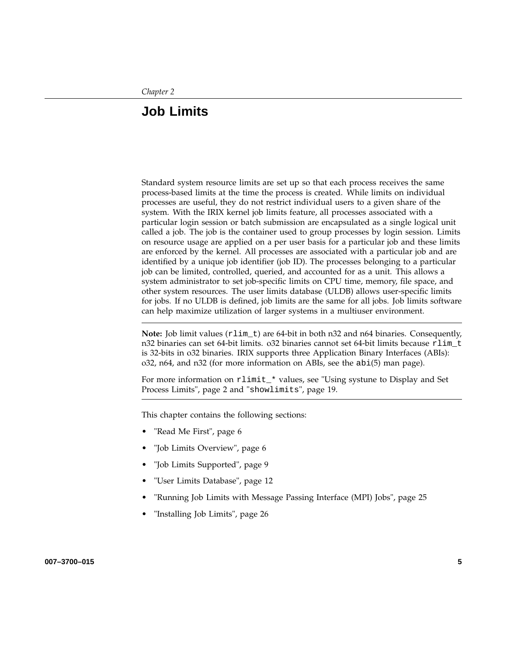## **Job Limits**

Standard system resource limits are set up so that each process receives the same process-based limits at the time the process is created. While limits on individual processes are useful, they do not restrict individual users to a given share of the system. With the IRIX kernel job limits feature, all processes associated with a particular login session or batch submission are encapsulated as a single logical unit called a job. The job is the container used to group processes by login session. Limits on resource usage are applied on a per user basis for a particular job and these limits are enforced by the kernel. All processes are associated with a particular job and are identified by a unique job identifier (job ID). The processes belonging to a particular job can be limited, controlled, queried, and accounted for as a unit. This allows a system administrator to set job-specific limits on CPU time, memory, file space, and other system resources. The user limits database (ULDB) allows user-specific limits for jobs. If no ULDB is defined, job limits are the same for all jobs. Job limits software can help maximize utilization of larger systems in a multiuser environment.

**Note:** Job limit values (rlim\_t) are 64-bit in both n32 and n64 binaries. Consequently, n32 binaries can set 64-bit limits. o32 binaries cannot set 64-bit limits because rlim\_t is 32-bits in o32 binaries. IRIX supports three Application Binary Interfaces (ABIs): o32, n64, and n32 (for more information on ABIs, see the abi(5) man page).

For more information on rlimit\_\* values, see "Using systune to Display and Set Process Limits", page 2 and "showlimits", page 19.

This chapter contains the following sections:

- "Read Me First", page 6
- "Job Limits Overview", page 6
- "Job Limits Supported", page 9
- "User Limits Database", page 12
- "Running Job Limits with Message Passing Interface (MPI) Jobs", page 25
- "Installing Job Limits", page 26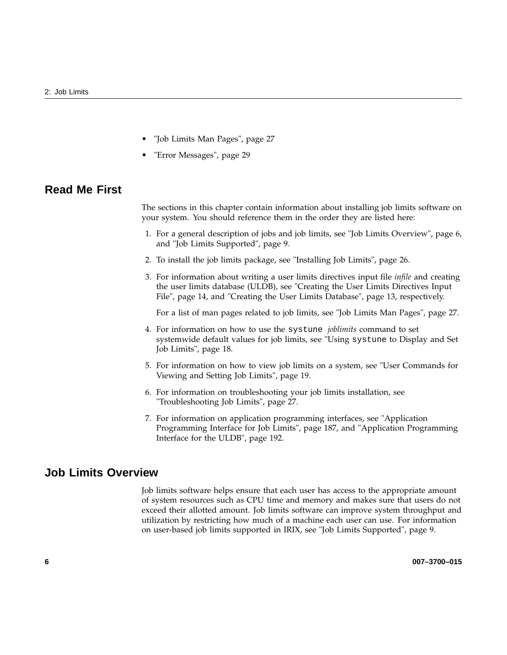- "Job Limits Man Pages", page 27
- "Error Messages", page 29

### **Read Me First**

The sections in this chapter contain information about installing job limits software on your system. You should reference them in the order they are listed here:

- 1. For a general description of jobs and job limits, see "Job Limits Overview", page 6, and "Job Limits Supported", page 9.
- 2. To install the job limits package, see "Installing Job Limits", page 26.
- 3. For information about writing a user limits directives input file *infile* and creating the user limits database (ULDB), see "Creating the User Limits Directives Input File", page 14, and "Creating the User Limits Database", page 13, respectively.

For a list of man pages related to job limits, see "Job Limits Man Pages", page 27.

- 4. For information on how to use the systune *joblimits* command to set systemwide default values for job limits, see "Using systune to Display and Set Job Limits", page 18.
- 5. For information on how to view job limits on a system, see "User Commands for Viewing and Setting Job Limits", page 19.
- 6. For information on troubleshooting your job limits installation, see "Troubleshooting Job Limits", page 27.
- 7. For information on application programming interfaces, see "Application Programming Interface for Job Limits", page 187, and "Application Programming Interface for the ULDB", page 192.

### **Job Limits Overview**

Job limits software helps ensure that each user has access to the appropriate amount of system resources such as CPU time and memory and makes sure that users do not exceed their allotted amount. Job limits software can improve system throughput and utilization by restricting how much of a machine each user can use. For information on user-based job limits supported in IRIX, see "Job Limits Supported", page 9.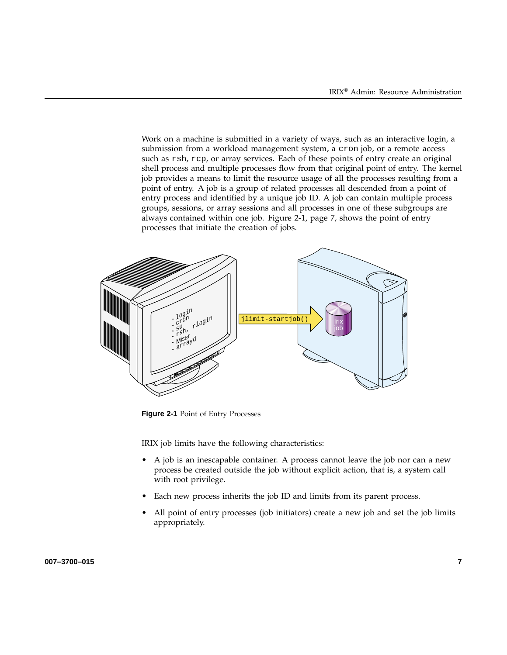Work on a machine is submitted in a variety of ways, such as an interactive login, a submission from a workload management system, a cron job, or a remote access such as rsh, rcp, or array services. Each of these points of entry create an original shell process and multiple processes flow from that original point of entry. The kernel job provides a means to limit the resource usage of all the processes resulting from a point of entry. A job is a group of related processes all descended from a point of entry process and identified by a unique job ID. A job can contain multiple process groups, sessions, or array sessions and all processes in one of these subgroups are always contained within one job. Figure 2-1, page 7, shows the point of entry processes that initiate the creation of jobs.



**Figure 2-1** Point of Entry Processes

IRIX job limits have the following characteristics:

- A job is an inescapable container. A process cannot leave the job nor can a new process be created outside the job without explicit action, that is, a system call with root privilege.
- Each new process inherits the job ID and limits from its parent process.
- All point of entry processes (job initiators) create a new job and set the job limits appropriately.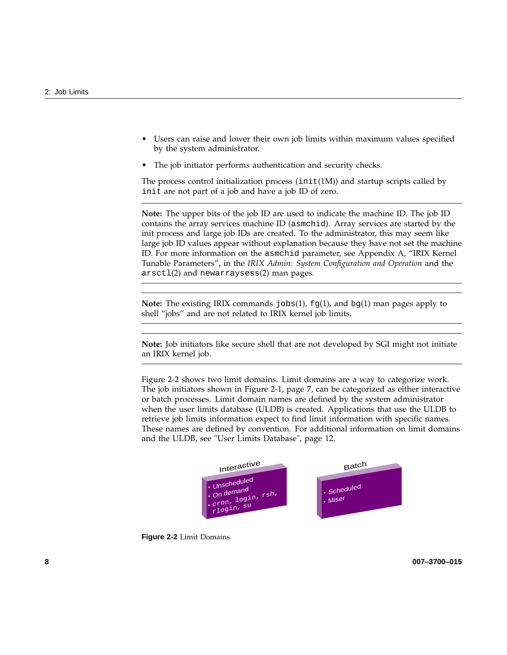- Users can raise and lower their own job limits within maximum values specified by the system administrator.
- The job initiator performs authentication and security checks.

The process control initialization process  $(int(1M))$  and startup scripts called by init are not part of a job and have a job ID of zero.

**Note:** The upper bits of the job ID are used to indicate the machine ID. The job ID contains the array services machine ID (asmchid). Array services are started by the init process and large job IDs are created. To the administrator, this may seem like large job ID values appear without explanation because they have not set the machine ID. For more information on the asmchid parameter, see Appendix A, "IRIX Kernel Tunable Parameters", in the *IRIX Admin: System Configuration and Operation* and the arsctl(2) and newarraysess(2) man pages.

**Note:** The existing IRIX commands jobs(1), fg(1), and bg(1) man pages apply to shell "jobs" and are not related to IRIX kernel job limits.

**Note:** Job initiators like secure shell that are not developed by SGI might not initiate an IRIX kernel job.

Figure 2-2 shows two limit domains. Limit domains are a way to categorize work. The job initiators shown in Figure 2-1, page 7, can be categorized as either interactive or batch processes. Limit domain names are defined by the system administrator when the user limits database (ULDB) is created. Applications that use the ULDB to retrieve job limits information expect to find limit information with specific names. These names are defined by convention. For additional information on limit domains and the ULDB, see "User Limits Database", page 12.



**Figure 2-2** Limit Domains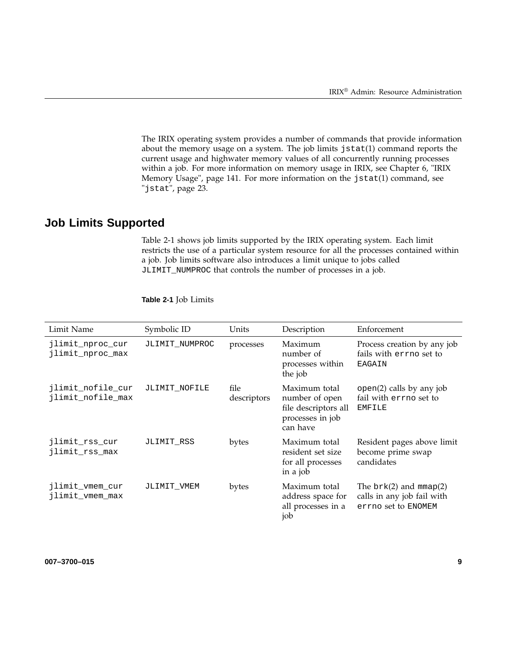The IRIX operating system provides a number of commands that provide information about the memory usage on a system. The job limits jstat(1) command reports the current usage and highwater memory values of all concurrently running processes within a job. For more information on memory usage in IRIX, see Chapter 6, "IRIX Memory Usage", page 141. For more information on the jstat(1) command, see "jstat", page 23.

# **Job Limits Supported**

Table 2-1 shows job limits supported by the IRIX operating system. Each limit restricts the use of a particular system resource for all the processes contained within a job. Job limits software also introduces a limit unique to jobs called JLIMIT\_NUMPROC that controls the number of processes in a job.

| Limit Name                             | Symbolic ID    | Units               | Description                                                                             | Enforcement                                                                     |
|----------------------------------------|----------------|---------------------|-----------------------------------------------------------------------------------------|---------------------------------------------------------------------------------|
| jlimit_nproc_cur<br>jlimit_nproc_max   | JLIMIT NUMPROC | processes           | Maximum<br>number of<br>processes within<br>the job                                     | Process creation by any job<br>fails with errno set to<br>EAGAIN                |
| jlimit_nofile_cur<br>jlimit_nofile_max | JLIMIT NOFILE  | file<br>descriptors | Maximum total<br>number of open<br>file descriptors all<br>processes in job<br>can have | $open(2)$ calls by any job<br>fail with errno set to<br><b>EMFILE</b>           |
| jlimit_rss_cur<br>jlimit_rss_max       | JLIMIT RSS     | bytes               | Maximum total<br>resident set size<br>for all processes<br>in a job                     | Resident pages above limit<br>become prime swap<br>candidates                   |
| jlimit_vmem_cur<br>jlimit_vmem_max     | JLIMIT VMEM    | bytes               | Maximum total<br>address space for<br>all processes in a<br>job                         | The $brk(2)$ and $mmap(2)$<br>calls in any job fail with<br>errno set to ENOMEM |

#### **Table 2-1** Job Limits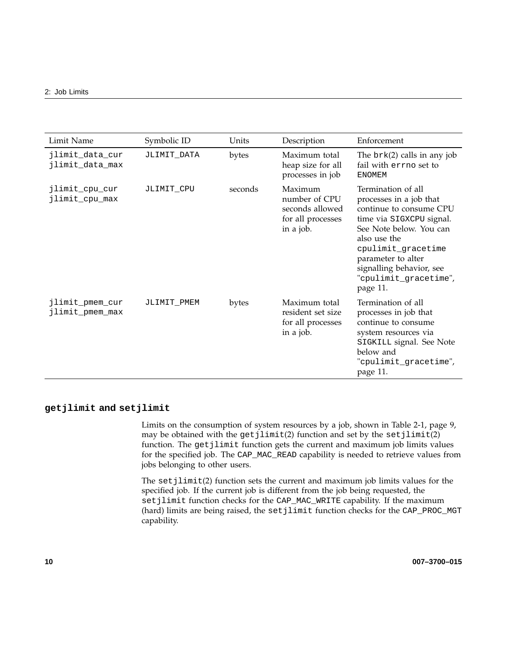| Limit Name                         | Symbolic ID | Units   | Description                                                                   | Enforcement                                                                                                                                                                                                                                                  |
|------------------------------------|-------------|---------|-------------------------------------------------------------------------------|--------------------------------------------------------------------------------------------------------------------------------------------------------------------------------------------------------------------------------------------------------------|
| jlimit_data_cur<br>jlimit_data_max | JLIMIT_DATA | bytes   | Maximum total<br>heap size for all<br>processes in job                        | The $brk(2)$ calls in any job<br>fail with errno set to<br><b>ENOMEM</b>                                                                                                                                                                                     |
| jlimit_cpu_cur<br>jlimit_cpu_max   | JLIMIT CPU  | seconds | Maximum<br>number of CPU<br>seconds allowed<br>for all processes<br>in a job. | Termination of all<br>processes in a job that<br>continue to consume CPU<br>time via SIGXCPU signal.<br>See Note below. You can<br>also use the<br>cpulimit_gracetime<br>parameter to alter<br>signalling behavior, see<br>"cpulimit_gracetime",<br>page 11. |
| jlimit_pmem_cur<br>jlimit_pmem_max | JLIMIT_PMEM | bytes   | Maximum total<br>resident set size<br>for all processes<br>in a job.          | Termination of all<br>processes in job that<br>continue to consume<br>system resources via<br>SIGKILL signal. See Note<br>below and<br>"cpulimit_gracetime",<br>page 11.                                                                                     |

#### **getjlimit and setjlimit**

Limits on the consumption of system resources by a job, shown in Table 2-1, page 9, may be obtained with the  $getjlimit(2)$  function and set by the  $setjlimit(2)$ function. The getjlimit function gets the current and maximum job limits values for the specified job. The CAP\_MAC\_READ capability is needed to retrieve values from jobs belonging to other users.

The  $setjlimit(2)$  function sets the current and maximum job limits values for the specified job. If the current job is different from the job being requested, the setjlimit function checks for the CAP\_MAC\_WRITE capability. If the maximum (hard) limits are being raised, the setjlimit function checks for the CAP\_PROC\_MGT capability.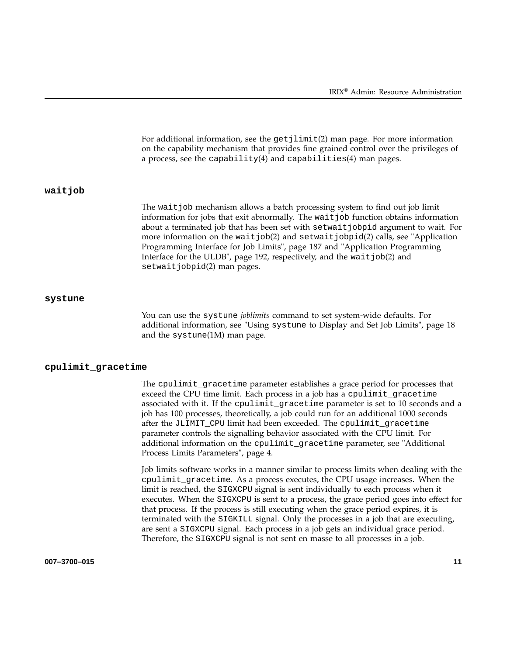For additional information, see the get jlimit(2) man page. For more information on the capability mechanism that provides fine grained control over the privileges of a process, see the capability(4) and capabilities(4) man pages. **waitjob** The wait job mechanism allows a batch processing system to find out job limit information for jobs that exit abnormally. The waitjob function obtains information about a terminated job that has been set with setwaitjobpid argument to wait. For more information on the wait job(2) and setwait jobpid(2) calls, see "Application Programming Interface for Job Limits", page 187 and "Application Programming Interface for the ULDB", page 192, respectively, and the waitjob(2) and setwaitjobpid(2) man pages.

#### **systune**

You can use the systune *joblimits* command to set system-wide defaults. For additional information, see "Using systune to Display and Set Job Limits", page 18 and the systune(1M) man page.

#### **cpulimit\_gracetime**

The cpulimit\_gracetime parameter establishes a grace period for processes that exceed the CPU time limit. Each process in a job has a cpulimit\_gracetime associated with it. If the cpulimit\_gracetime parameter is set to 10 seconds and a job has 100 processes, theoretically, a job could run for an additional 1000 seconds after the JLIMIT\_CPU limit had been exceeded. The cpulimit\_gracetime parameter controls the signalling behavior associated with the CPU limit. For additional information on the cpulimit\_gracetime parameter, see "Additional Process Limits Parameters", page 4.

Job limits software works in a manner similar to process limits when dealing with the cpulimit\_gracetime. As a process executes, the CPU usage increases. When the limit is reached, the SIGXCPU signal is sent individually to each process when it executes. When the SIGXCPU is sent to a process, the grace period goes into effect for that process. If the process is still executing when the grace period expires, it is terminated with the SIGKILL signal. Only the processes in a job that are executing, are sent a SIGXCPU signal. Each process in a job gets an individual grace period. Therefore, the SIGXCPU signal is not sent en masse to all processes in a job.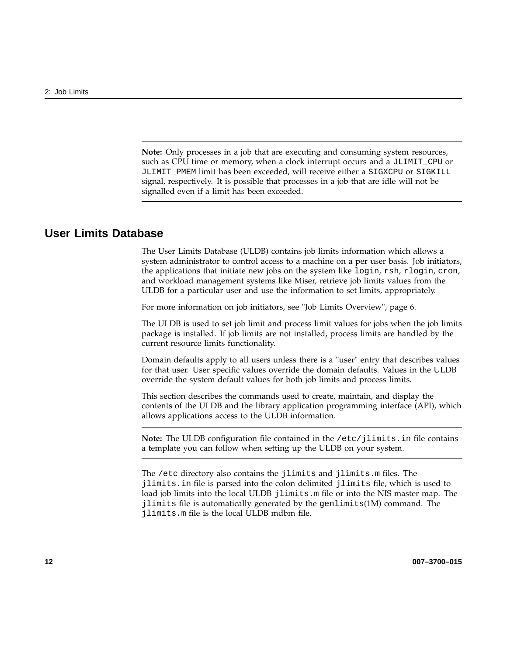**Note:** Only processes in a job that are executing and consuming system resources, such as CPU time or memory, when a clock interrupt occurs and a JLIMIT\_CPU or JLIMIT\_PMEM limit has been exceeded, will receive either a SIGXCPU or SIGKILL signal, respectively. It is possible that processes in a job that are idle will not be signalled even if a limit has been exceeded.

# **User Limits Database**

The User Limits Database (ULDB) contains job limits information which allows a system administrator to control access to a machine on a per user basis. Job initiators, the applications that initiate new jobs on the system like login, rsh, rlogin, cron, and workload management systems like Miser, retrieve job limits values from the ULDB for a particular user and use the information to set limits, appropriately.

For more information on job initiators, see "Job Limits Overview", page 6.

The ULDB is used to set job limit and process limit values for jobs when the job limits package is installed. If job limits are not installed, process limits are handled by the current resource limits functionality.

Domain defaults apply to all users unless there is a "user" entry that describes values for that user. User specific values override the domain defaults. Values in the ULDB override the system default values for both job limits and process limits.

This section describes the commands used to create, maintain, and display the contents of the ULDB and the library application programming interface (API), which allows applications access to the ULDB information.

**Note:** The ULDB configuration file contained in the /etc/jlimits.in file contains a template you can follow when setting up the ULDB on your system.

The /etc directory also contains the jlimits and jlimits.m files. The jlimits.in file is parsed into the colon delimited jlimits file, which is used to load job limits into the local ULDB jlimits.m file or into the NIS master map. The jlimits file is automatically generated by the genlimits(1M) command. The jlimits.m file is the local ULDB mdbm file.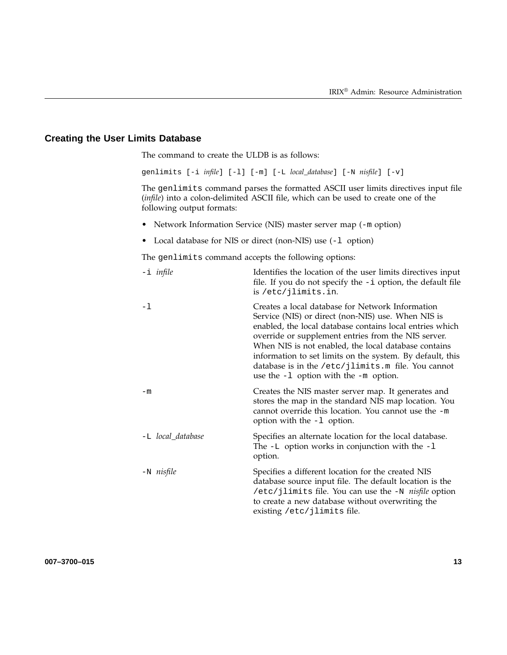### **Creating the User Limits Database**

The command to create the ULDB is as follows:

genlimits [-i *infile*] [-l] [-m] [-L *local\_database*] [-N *nisfile*] [-v]

The genlimits command parses the formatted ASCII user limits directives input file (*infile*) into a colon-delimited ASCII file, which can be used to create one of the following output formats:

- Network Information Service (NIS) master server map (-m option)
- Local database for NIS or direct (non-NIS) use (-l option)

The genlimits command accepts the following options:

| $-i$ <i>infile</i> | Identifies the location of the user limits directives input<br>file. If you do not specify the $-i$ option, the default file<br>is /etc/jlimits.in.                                                                                                                                                                                                                                                                                               |
|--------------------|---------------------------------------------------------------------------------------------------------------------------------------------------------------------------------------------------------------------------------------------------------------------------------------------------------------------------------------------------------------------------------------------------------------------------------------------------|
| $-1$               | Creates a local database for Network Information<br>Service (NIS) or direct (non-NIS) use. When NIS is<br>enabled, the local database contains local entries which<br>override or supplement entries from the NIS server.<br>When NIS is not enabled, the local database contains<br>information to set limits on the system. By default, this<br>database is in the /etc/jlimits.m file. You cannot<br>use the $-1$ option with the $-m$ option. |
| $-m$               | Creates the NIS master server map. It generates and<br>stores the map in the standard NIS map location. You<br>cannot override this location. You cannot use the -m<br>option with the -1 option.                                                                                                                                                                                                                                                 |
| -L local_database  | Specifies an alternate location for the local database.<br>The $-L$ option works in conjunction with the $-L$<br>option.                                                                                                                                                                                                                                                                                                                          |
| $-N$ nisfile       | Specifies a different location for the created NIS<br>database source input file. The default location is the<br>/etc/jlimits file. You can use the -N <i>nisfile</i> option<br>to create a new database without overwriting the<br>existing /etc/jlimits file.                                                                                                                                                                                   |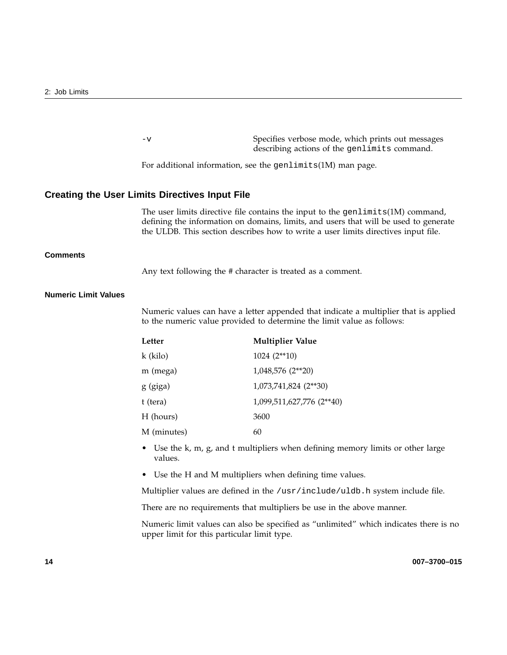|                             | $-v$                                                                                                                                                                                                                                                          | Specifies verbose mode, which prints out messages<br>describing actions of the genlimits command. |  |
|-----------------------------|---------------------------------------------------------------------------------------------------------------------------------------------------------------------------------------------------------------------------------------------------------------|---------------------------------------------------------------------------------------------------|--|
|                             |                                                                                                                                                                                                                                                               | For additional information, see the genlimits(1M) man page.                                       |  |
|                             | <b>Creating the User Limits Directives Input File</b>                                                                                                                                                                                                         |                                                                                                   |  |
|                             | The user limits directive file contains the input to the genlimits(1M) command,<br>defining the information on domains, limits, and users that will be used to generate<br>the ULDB. This section describes how to write a user limits directives input file. |                                                                                                   |  |
| <b>Comments</b>             |                                                                                                                                                                                                                                                               |                                                                                                   |  |
|                             |                                                                                                                                                                                                                                                               | Any text following the # character is treated as a comment.                                       |  |
| <b>Numeric Limit Values</b> |                                                                                                                                                                                                                                                               |                                                                                                   |  |
|                             |                                                                                                                                                                                                                                                               |                                                                                                   |  |
|                             | Numeric values can have a letter appended that indicate a multiplier that is applied<br>to the numeric value provided to determine the limit value as follows:                                                                                                |                                                                                                   |  |
|                             | Letter<br><b>Multiplier Value</b>                                                                                                                                                                                                                             |                                                                                                   |  |
|                             | k (kilo)                                                                                                                                                                                                                                                      | $1024(2**10)$                                                                                     |  |
|                             | m (mega)                                                                                                                                                                                                                                                      | 1,048,576 (2**20)                                                                                 |  |
|                             | g (giga)                                                                                                                                                                                                                                                      | 1,073,741,824 (2**30)                                                                             |  |
|                             | t (tera)                                                                                                                                                                                                                                                      | 1,099,511,627,776 (2**40)                                                                         |  |
|                             | H (hours)                                                                                                                                                                                                                                                     | 3600                                                                                              |  |
|                             | M (minutes)                                                                                                                                                                                                                                                   | 60                                                                                                |  |
|                             | values.                                                                                                                                                                                                                                                       | • Use the k, m, g, and t multipliers when defining memory limits or other large                   |  |
|                             |                                                                                                                                                                                                                                                               | • Use the H and M multipliers when defining time values.                                          |  |
|                             |                                                                                                                                                                                                                                                               | Multiplier values are defined in the /usr/include/uldb.h system include file.                     |  |
|                             |                                                                                                                                                                                                                                                               | There are no requirements that multipliers be use in the above manner.                            |  |
|                             | upper limit for this particular limit type.                                                                                                                                                                                                                   | Numeric limit values can also be specified as "unlimited" which indicates there is no             |  |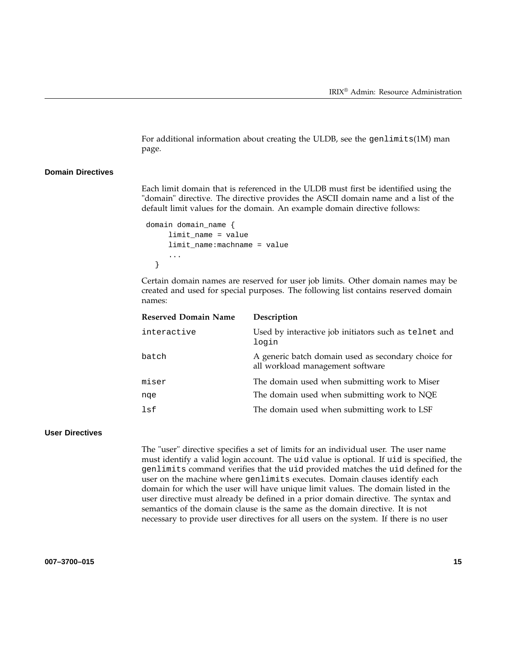For additional information about creating the ULDB, see the genlimits(1M) man page.

#### **Domain Directives**

Each limit domain that is referenced in the ULDB must first be identified using the "domain" directive. The directive provides the ASCII domain name and a list of the default limit values for the domain. An example domain directive follows:

```
domain domain_name {
     limit_name = value
     limit_name:machname = value
     ...
  }
```
Certain domain names are reserved for user job limits. Other domain names may be created and used for special purposes. The following list contains reserved domain names:

| <b>Reserved Domain Name</b> | Description                                                                             |
|-----------------------------|-----------------------------------------------------------------------------------------|
| interactive                 | Used by interactive job initiators such as telnet and<br>login                          |
| batch                       | A generic batch domain used as secondary choice for<br>all workload management software |
| miser                       | The domain used when submitting work to Miser                                           |
| nge                         | The domain used when submitting work to NQE                                             |
| lsf                         | The domain used when submitting work to LSF                                             |
|                             |                                                                                         |

#### **User Directives**

The "user" directive specifies a set of limits for an individual user. The user name must identify a valid login account. The uid value is optional. If uid is specified, the genlimits command verifies that the uid provided matches the uid defined for the user on the machine where genlimits executes. Domain clauses identify each domain for which the user will have unique limit values. The domain listed in the user directive must already be defined in a prior domain directive. The syntax and semantics of the domain clause is the same as the domain directive. It is not necessary to provide user directives for all users on the system. If there is no user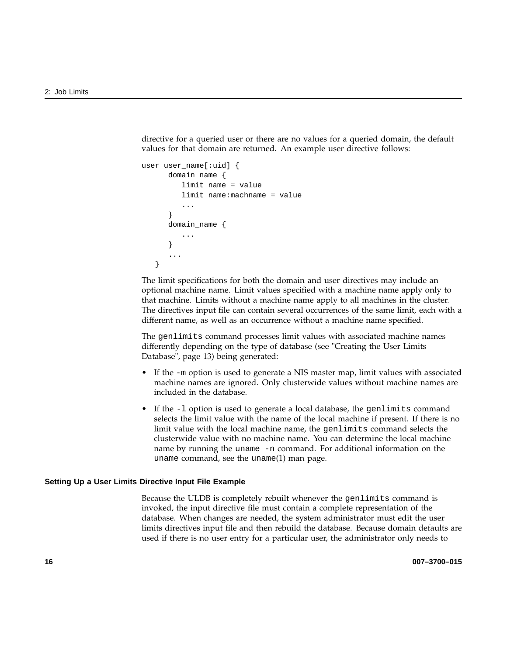directive for a queried user or there are no values for a queried domain, the default values for that domain are returned. An example user directive follows:

```
user user name[:uid] {
      domain_name {
         limit_name = value
         limit_name:machname = value
          ...
      }
      domain_name {
         ...
      }
      ...
   }
```
The limit specifications for both the domain and user directives may include an optional machine name. Limit values specified with a machine name apply only to that machine. Limits without a machine name apply to all machines in the cluster. The directives input file can contain several occurrences of the same limit, each with a different name, as well as an occurrence without a machine name specified.

The genlimits command processes limit values with associated machine names differently depending on the type of database (see "Creating the User Limits Database", page 13) being generated:

- If the -m option is used to generate a NIS master map, limit values with associated machine names are ignored. Only clusterwide values without machine names are included in the database.
- If the -1 option is used to generate a local database, the genlimits command selects the limit value with the name of the local machine if present. If there is no limit value with the local machine name, the genlimits command selects the clusterwide value with no machine name. You can determine the local machine name by running the uname -n command. For additional information on the uname command, see the uname(1) man page.

#### **Setting Up a User Limits Directive Input File Example**

Because the ULDB is completely rebuilt whenever the genlimits command is invoked, the input directive file must contain a complete representation of the database. When changes are needed, the system administrator must edit the user limits directives input file and then rebuild the database. Because domain defaults are used if there is no user entry for a particular user, the administrator only needs to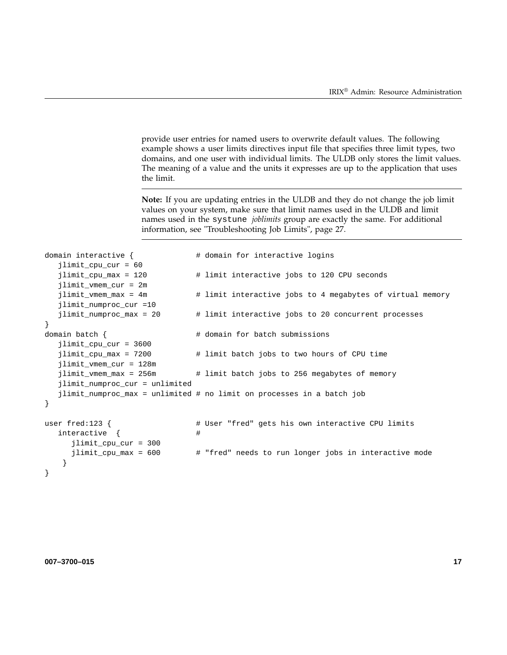provide user entries for named users to overwrite default values. The following example shows a user limits directives input file that specifies three limit types, two domains, and one user with individual limits. The ULDB only stores the limit values. The meaning of a value and the units it expresses are up to the application that uses the limit.

**Note:** If you are updating entries in the ULDB and they do not change the job limit values on your system, make sure that limit names used in the ULDB and limit names used in the systune *joblimits* group are exactly the same. For additional information, see "Troubleshooting Job Limits", page 27.

```
domain interactive { \qquad # domain for interactive logins
  jlimit_cpu_cur = 60
  jlimit cpu max = 120 # limit interactive jobs to 120 CPU seconds
  jlimit_vmem_cur = 2m
  jlimit_vmem_max = 4m # limit interactive jobs to 4 megabytes of virtual memory
  jlimit_numproc_cur =10
  jlimit_numproc_max = 20 # limit interactive jobs to 20 concurrent processes
}
domain batch { \qquad # domain for batch submissions
  jlimit_cpu_cur = 3600
  jlimit_cpu_max = 7200 # limit batch jobs to two hours of CPU time
  jlimit_vmem_cur = 128m
  jlimit_vmem_max = 256m \qquad # limit batch jobs to 256 megabytes of memory
  jlimit_numproc_cur = unlimited
  jlimit_numproc_max = unlimited # no limit on processes in a batch job
}
user fred:123 { # User "fred" gets his own interactive CPU limits
  interactive \{ #
     jlimit cpu cur = 300
     jlimit_cpu_max = 600 # "fred" needs to run longer jobs in interactive mode
   }
}
```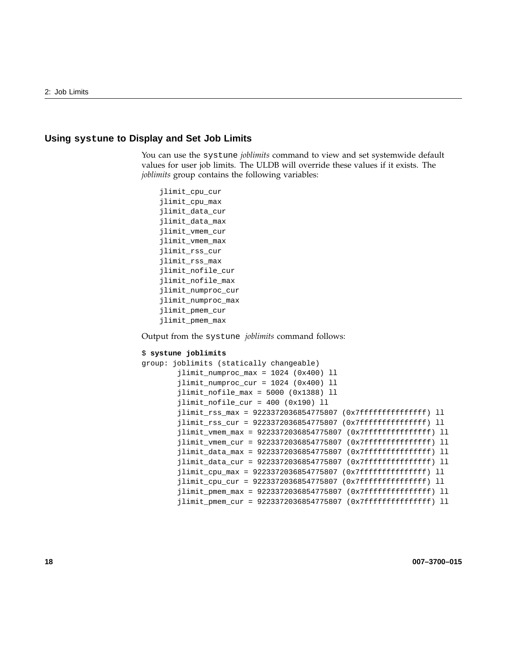#### **Using systune to Display and Set Job Limits**

You can use the systune *joblimits* command to view and set systemwide default values for user job limits. The ULDB will override these values if it exists. The *joblimits* group contains the following variables:

```
jlimit_cpu_cur
jlimit_cpu_max
jlimit_data_cur
jlimit_data_max
jlimit_vmem_cur
jlimit_vmem_max
jlimit_rss_cur
jlimit_rss_max
jlimit_nofile_cur
jlimit_nofile_max
jlimit_numproc_cur
jlimit_numproc_max
jlimit_pmem_cur
jlimit_pmem_max
```
Output from the systune *joblimits* command follows:

#### \$ **systune joblimits**

```
group: joblimits (statically changeable)
        jlimit_numproc_max = 1024 (0x400) ll
        jlimit_numproc_cur = 1024 (0x400) ll
        jlimit_nofile_max = 5000 (0x1388) ll
        jlimit_nofile_cur = 400 (0x190) ll
        jlimit_rss_max = 9223372036854775807 (0x7fffffffffffffff) ll
        jlimit_rss_cur = 9223372036854775807 (0x7fffffffffffffff) ll
        jlimit_vmem_max = 9223372036854775807 (0x7fffffffffffffff) ll
        jlimit_vmem_cur = 9223372036854775807 (0x7fffffffffffffff) ll
        jlimit_data_max = 9223372036854775807 (0x7ffffffffffffffffff) ll
        jlimit_data_cur = 9223372036854775807 (0x7fffffffffffffff) ll
        jlimit_cpu_max = 9223372036854775807 (0x7fffffffffffffffff;) ll
        jlimit\_cpu\_cur = 9223372036854775807 (0x7fffffffffffffff) ll
        jlimit_pmem_max = 9223372036854775807 (0x7fffffffffffffff) ll
        jlimit_pmem_cur = 9223372036854775807 (0x7fffffffffffffff) ll
```
**18 007–3700–015**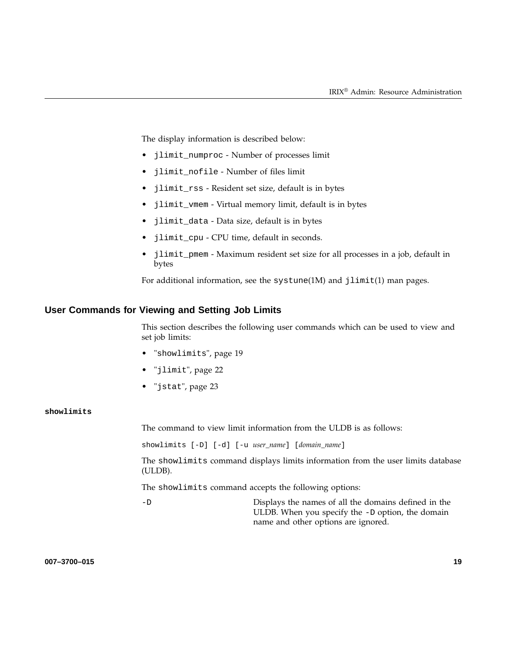The display information is described below:

- jlimit\_numproc Number of processes limit
- jlimit\_nofile Number of files limit
- jlimit\_rss Resident set size, default is in bytes
- jlimit\_vmem Virtual memory limit, default is in bytes
- jlimit\_data Data size, default is in bytes
- jlimit\_cpu CPU time, default in seconds.
- jlimit\_pmem Maximum resident set size for all processes in a job, default in bytes

For additional information, see the systune(1M) and jlimit(1) man pages.

#### **User Commands for Viewing and Setting Job Limits**

This section describes the following user commands which can be used to view and set job limits:

- "showlimits", page 19
- "jlimit", page 22
- "jstat", page 23

#### **showlimits**

The command to view limit information from the ULDB is as follows:

showlimits [-D] [-d] [-u *user\_name*] [*domain\_name*]

The showlimits command displays limits information from the user limits database (ULDB).

The showlimits command accepts the following options:

-D Displays the names of all the domains defined in the ULDB. When you specify the -D option, the domain name and other options are ignored.

**007–3700–015 19**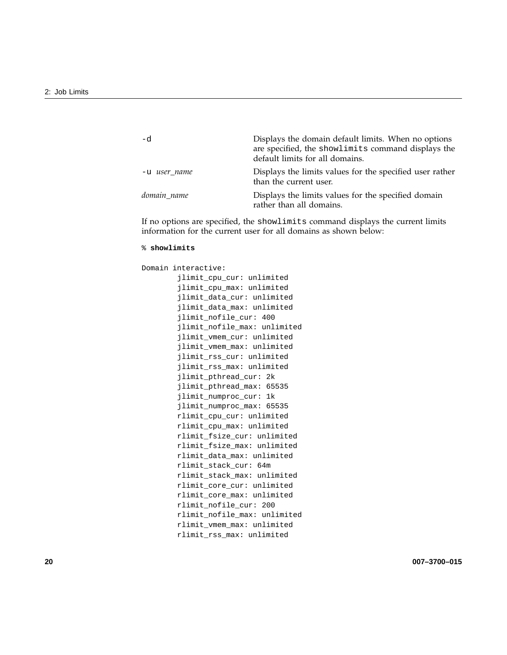| -d           | Displays the domain default limits. When no options<br>are specified, the showlimits command displays the<br>default limits for all domains. |
|--------------|----------------------------------------------------------------------------------------------------------------------------------------------|
| -u user name | Displays the limits values for the specified user rather<br>than the current user.                                                           |
| domain name  | Displays the limits values for the specified domain<br>rather than all domains.                                                              |

If no options are specified, the showlimits command displays the current limits information for the current user for all domains as shown below:

```
% showlimits
Domain interactive:
        jlimit_cpu_cur: unlimited
        jlimit_cpu_max: unlimited
        jlimit_data_cur: unlimited
        jlimit_data_max: unlimited
        jlimit_nofile_cur: 400
        jlimit_nofile_max: unlimited
        jlimit_vmem_cur: unlimited
        jlimit_vmem_max: unlimited
        jlimit_rss_cur: unlimited
        jlimit_rss_max: unlimited
        jlimit_pthread_cur: 2k
        jlimit_pthread_max: 65535
        jlimit_numproc_cur: 1k
        jlimit_numproc_max: 65535
        rlimit_cpu_cur: unlimited
       rlimit_cpu_max: unlimited
        rlimit_fsize_cur: unlimited
        rlimit_fsize_max: unlimited
        rlimit_data_max: unlimited
       rlimit_stack_cur: 64m
        rlimit_stack_max: unlimited
        rlimit_core_cur: unlimited
       rlimit_core_max: unlimited
       rlimit_nofile_cur: 200
        rlimit_nofile_max: unlimited
        rlimit_vmem_max: unlimited
        rlimit_rss_max: unlimited
```
**20 007–3700–015**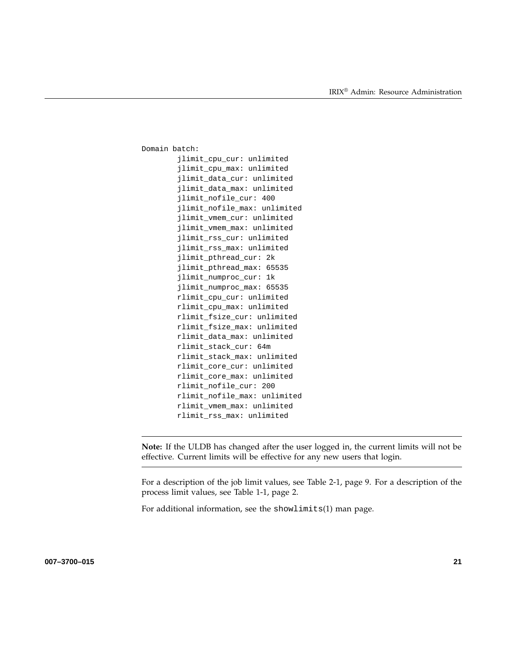```
Domain batch:
        jlimit_cpu_cur: unlimited
        jlimit_cpu_max: unlimited
        jlimit_data_cur: unlimited
        jlimit_data_max: unlimited
        jlimit_nofile_cur: 400
        jlimit_nofile_max: unlimited
        jlimit_vmem_cur: unlimited
        jlimit_vmem_max: unlimited
        jlimit_rss_cur: unlimited
        jlimit_rss_max: unlimited
        jlimit_pthread_cur: 2k
        jlimit_pthread_max: 65535
        jlimit_numproc_cur: 1k
        jlimit_numproc_max: 65535
        rlimit_cpu_cur: unlimited
        rlimit_cpu_max: unlimited
        rlimit_fsize_cur: unlimited
        rlimit_fsize_max: unlimited
        rlimit_data_max: unlimited
        rlimit_stack_cur: 64m
        rlimit_stack_max: unlimited
        rlimit_core_cur: unlimited
        rlimit_core_max: unlimited
        rlimit_nofile_cur: 200
        rlimit_nofile_max: unlimited
        rlimit_vmem_max: unlimited
        rlimit_rss_max: unlimited
```
**Note:** If the ULDB has changed after the user logged in, the current limits will not be effective. Current limits will be effective for any new users that login.

For a description of the job limit values, see Table 2-1, page 9. For a description of the process limit values, see Table 1-1, page 2.

For additional information, see the showlimits(1) man page.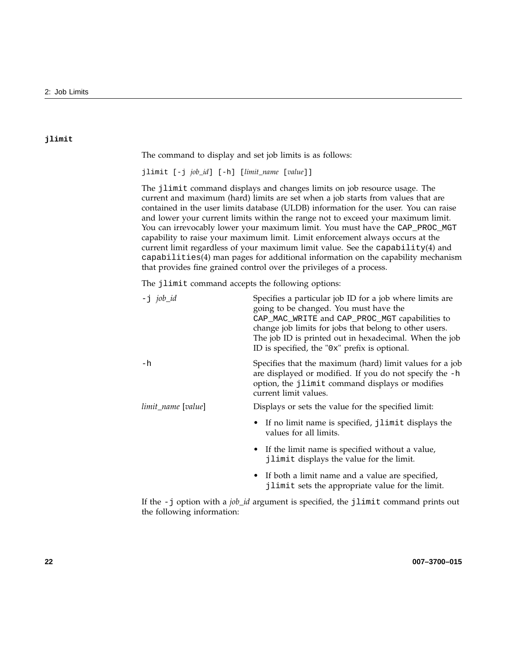#### **jlimit**

The command to display and set job limits is as follows:

jlimit [-j *job\_id*] [-h] [*limit\_name* [*value*]]

The jlimit command displays and changes limits on job resource usage. The current and maximum (hard) limits are set when a job starts from values that are contained in the user limits database (ULDB) information for the user. You can raise and lower your current limits within the range not to exceed your maximum limit. You can irrevocably lower your maximum limit. You must have the CAP\_PROC\_MGT capability to raise your maximum limit. Limit enforcement always occurs at the current limit regardless of your maximum limit value. See the capability $(4)$  and capabilities(4) man pages for additional information on the capability mechanism that provides fine grained control over the privileges of a process.

The jlimit command accepts the following options:

| $-j$ job_id        | Specifies a particular job ID for a job where limits are<br>going to be changed. You must have the<br>CAP_MAC_WRITE and CAP_PROC_MGT capabilities to<br>change job limits for jobs that belong to other users.<br>The job ID is printed out in hexadecimal. When the job<br>ID is specified, the "0x" prefix is optional. |
|--------------------|---------------------------------------------------------------------------------------------------------------------------------------------------------------------------------------------------------------------------------------------------------------------------------------------------------------------------|
| $-h$               | Specifies that the maximum (hard) limit values for a job<br>are displayed or modified. If you do not specify the -h<br>option, the jlimit command displays or modifies<br>current limit values.                                                                                                                           |
| limit_name [value] | Displays or sets the value for the specified limit:                                                                                                                                                                                                                                                                       |
|                    | • If no limit name is specified, jlimit displays the<br>values for all limits.                                                                                                                                                                                                                                            |
|                    | • If the limit name is specified without a value,<br>jlimit displays the value for the limit.                                                                                                                                                                                                                             |
|                    | • If both a limit name and a value are specified,<br>jlimit sets the appropriate value for the limit.                                                                                                                                                                                                                     |

If the -j option with a *job\_id* argument is specified, the jlimit command prints out the following information: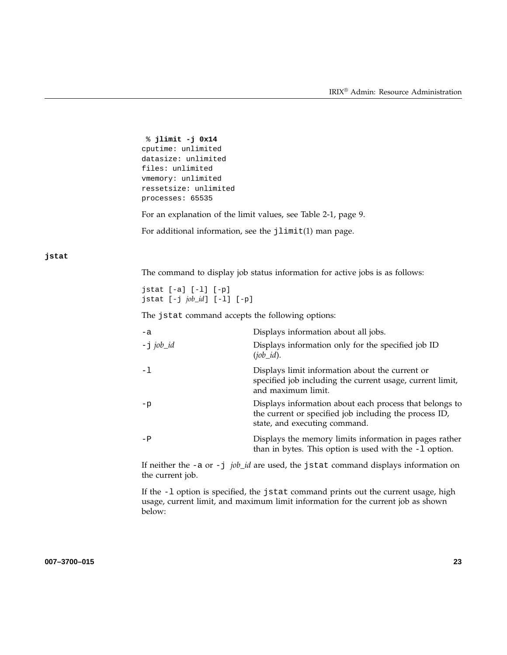```
% jlimit -j 0x14
cputime: unlimited
datasize: unlimited
files: unlimited
vmemory: unlimited
ressetsize: unlimited
processes: 65535
```
For an explanation of the limit values, see Table 2-1, page 9.

For additional information, see the jlimit(1) man page.

#### **jstat**

The command to display job status information for active jobs is as follows:

jstat [-a] [-l] [-p] jstat [-j *job\_id*] [-l] [-p]

The jstat command accepts the following options:

| $-a$         | Displays information about all jobs.                                                                                                               |
|--------------|----------------------------------------------------------------------------------------------------------------------------------------------------|
| $-$ j job_id | Displays information only for the specified job ID<br>$(job \textit{id})$ .                                                                        |
| $-1$         | Displays limit information about the current or<br>specified job including the current usage, current limit,<br>and maximum limit.                 |
| $-p$         | Displays information about each process that belongs to<br>the current or specified job including the process ID,<br>state, and executing command. |
| $-P$         | Displays the memory limits information in pages rather<br>than in bytes. This option is used with the $-1$ option.                                 |

If neither the -a or -j *job\_id* are used, the jstat command displays information on the current job.

If the -l option is specified, the jstat command prints out the current usage, high usage, current limit, and maximum limit information for the current job as shown below: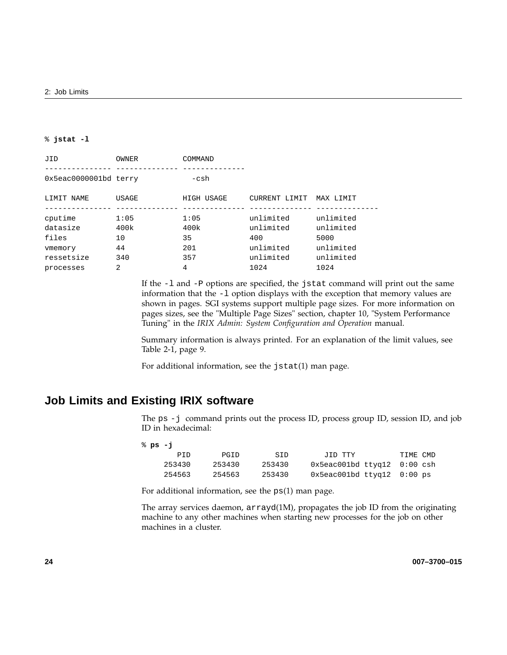#### % **jstat -l**

| JID                                | <b>OWNER</b>       | COMMAND            |                                |                                |
|------------------------------------|--------------------|--------------------|--------------------------------|--------------------------------|
| 0x5eac0000001bd terry              |                    | $-csh$             |                                |                                |
| LIMIT NAME                         | <b>USAGE</b>       | HIGH USAGE         | CURRENT LIMIT                  | MAX LIMIT                      |
| cputime<br>datasize<br>files       | 1:05<br>400k<br>10 | 1:05<br>400k<br>35 | unlimited<br>unlimited<br>400  | unlimited<br>unlimited<br>5000 |
| vmemory<br>ressetsize<br>processes | 44<br>340<br>2     | 201<br>357<br>4    | unlimited<br>unlimited<br>1024 | unlimited<br>unlimited<br>1024 |
|                                    |                    |                    |                                |                                |

If the -l and -P options are specified, the jstat command will print out the same information that the -l option displays with the exception that memory values are shown in pages. SGI systems support multiple page sizes. For more information on pages sizes, see the "Multiple Page Sizes" section, chapter 10, "System Performance Tuning" in the *IRIX Admin: System Configuration and Operation* manual.

Summary information is always printed. For an explanation of the limit values, see Table 2-1, page 9.

For additional information, see the jstat(1) man page.

# **Job Limits and Existing IRIX software**

The ps -j command prints out the process ID, process group ID, session ID, and job ID in hexadecimal:

| °ະ ps: −i |        |        |        |                                    |          |  |
|-----------|--------|--------|--------|------------------------------------|----------|--|
|           | PTD    | PGID   | SID    | JID TTY                            | TIME CMD |  |
|           | 253430 | 253430 | 253430 | $0x5eacl01bd$ ttyq $12$ $0:00$ csh |          |  |
|           | 254563 | 254563 | 253430 | 0x5eacl01bd ttyq12 0:00 ps         |          |  |

For additional information, see the ps(1) man page.

The array services daemon,  $arrayd(1M)$ , propagates the job ID from the originating machine to any other machines when starting new processes for the job on other machines in a cluster.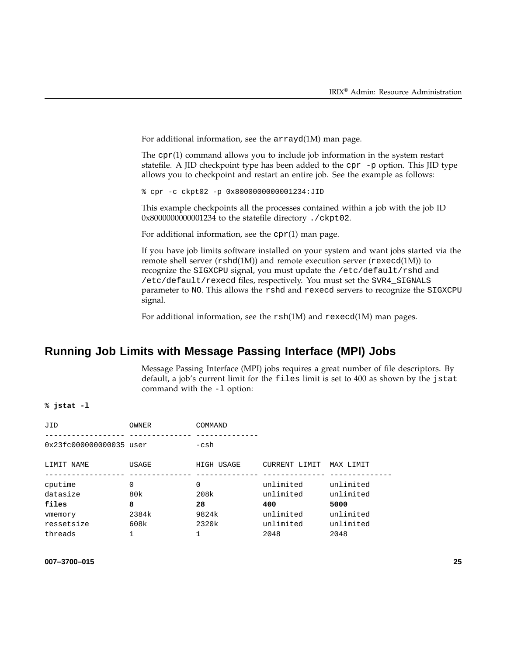For additional information, see the arrayd(1M) man page.

The cpr(1) command allows you to include job information in the system restart statefile. A JID checkpoint type has been added to the cpr  $-p$  option. This JID type allows you to checkpoint and restart an entire job. See the example as follows:

% cpr -c ckpt02 -p 0x8000000000001234:JID

This example checkpoints all the processes contained within a job with the job ID 0x8000000000001234 to the statefile directory ./ckpt02.

For additional information, see the  $cpr(1)$  man page.

If you have job limits software installed on your system and want jobs started via the remote shell server ( $rshd(1M)$ ) and remote execution server ( $r$ execd(1M)) to recognize the SIGXCPU signal, you must update the /etc/default/rshd and /etc/default/rexecd files, respectively. You must set the SVR4\_SIGNALS parameter to NO. This allows the rshd and rexecd servers to recognize the SIGXCPU signal.

For additional information, see the rsh(1M) and rexecd(1M) man pages.

# **Running Job Limits with Message Passing Interface (MPI) Jobs**

Message Passing Interface (MPI) jobs requires a great number of file descriptors. By default, a job's current limit for the files limit is set to 400 as shown by the jstat command with the -l option:

% **jstat -l**

| JID                       | <b>OWNER</b>    | COMMAND    |                        |                        |
|---------------------------|-----------------|------------|------------------------|------------------------|
| $0x23fc000000000035$ user |                 | $-csh$     |                        |                        |
| LIMIT NAME                | USAGE           | HIGH USAGE | CURRENT LIMIT          | MAX LIMIT              |
| cputime<br>datasize       | $\Omega$<br>80k | 0<br>208k  | unlimited<br>unlimited | unlimited<br>unlimited |
| files                     | 8               | 28         | 400                    | 5000                   |
| vmemory                   | 2384k           | 9824k      | unlimited              | unlimited              |
| ressetsize                | 608k            | 2320k      | unlimited              | unlimited              |
| threads                   |                 |            | 2048                   | 2048                   |

#### **007–3700–015 25**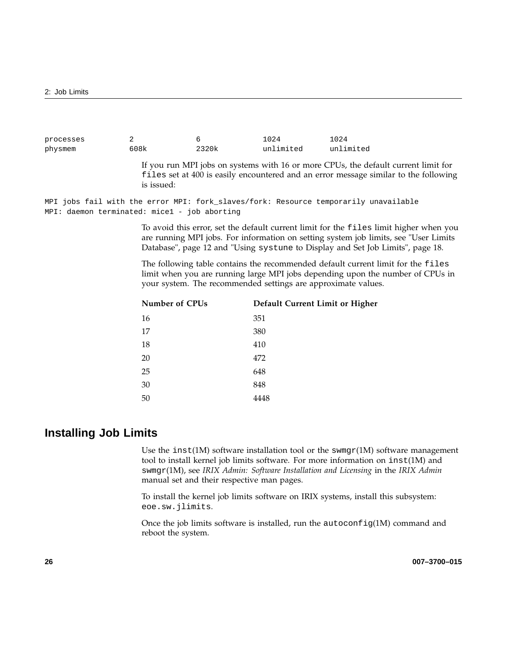| processes |      |       | 1024      | 1024      |
|-----------|------|-------|-----------|-----------|
| physmem   | 608k | 2320k | unlimited | unlimited |

If you run MPI jobs on systems with 16 or more CPUs, the default current limit for files set at 400 is easily encountered and an error message similar to the following is issued:

MPI jobs fail with the error MPI: fork\_slaves/fork: Resource temporarily unavailable MPI: daemon terminated: mice1 - job aborting

> To avoid this error, set the default current limit for the files limit higher when you are running MPI jobs. For information on setting system job limits, see "User Limits Database", page 12 and "Using systune to Display and Set Job Limits", page 18.

> The following table contains the recommended default current limit for the files limit when you are running large MPI jobs depending upon the number of CPUs in your system. The recommended settings are approximate values.

| <b>Number of CPUs</b> | Default Current Limit or Higher |
|-----------------------|---------------------------------|
| 16                    | 351                             |
| 17                    | 380                             |
| 18                    | 410                             |
| 20                    | 472                             |
| 25                    | 648                             |
| 30                    | 848                             |
| 50                    | 4448                            |

# **Installing Job Limits**

Use the inst(1M) software installation tool or the swmgr(1M) software management tool to install kernel job limits software. For more information on inst(1M) and swmgr(1M), see *IRIX Admin: Software Installation and Licensing* in the *IRIX Admin* manual set and their respective man pages.

To install the kernel job limits software on IRIX systems, install this subsystem: eoe.sw.jlimits.

Once the job limits software is installed, run the  $autoconfig(1M)$  command and reboot the system.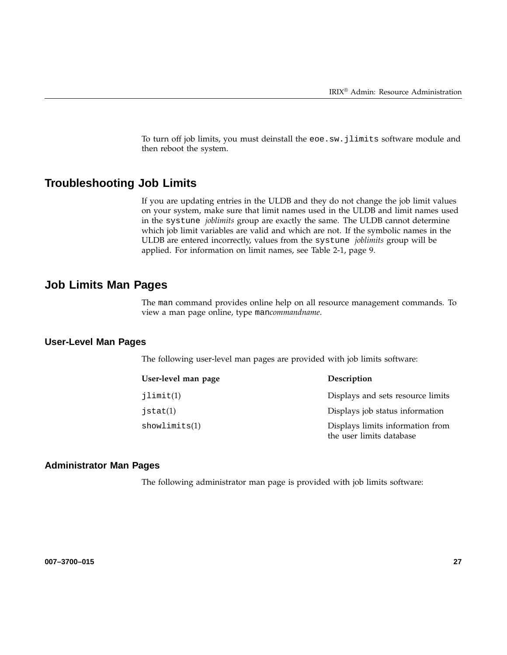To turn off job limits, you must deinstall the eoe.sw.jlimits software module and then reboot the system.

# **Troubleshooting Job Limits**

If you are updating entries in the ULDB and they do not change the job limit values on your system, make sure that limit names used in the ULDB and limit names used in the systune *joblimits* group are exactly the same. The ULDB cannot determine which job limit variables are valid and which are not. If the symbolic names in the ULDB are entered incorrectly, values from the systune *joblimits* group will be applied. For information on limit names, see Table 2-1, page 9.

# **Job Limits Man Pages**

The man command provides online help on all resource management commands. To view a man page online, type man*commandname*.

### **User-Level Man Pages**

The following user-level man pages are provided with job limits software:

| User-level man page | Description                                                  |
|---------------------|--------------------------------------------------------------|
| jlimit(1)           | Displays and sets resource limits                            |
| j $stat(1)$         | Displays job status information                              |
| showlimits(1)       | Displays limits information from<br>the user limits database |

#### **Administrator Man Pages**

The following administrator man page is provided with job limits software: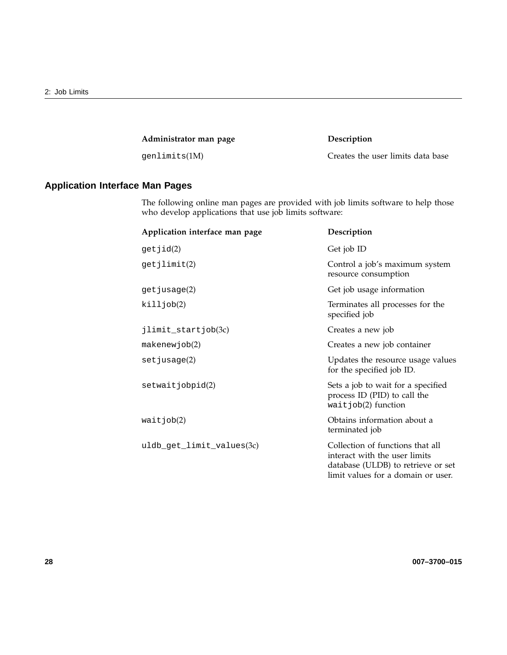**Administrator man page Description**

genlimits(1M) Creates the user limits data base

# **Application Interface Man Pages**

The following online man pages are provided with job limits software to help those who develop applications that use job limits software:

| Application interface man page | Description                                                                                                                                   |
|--------------------------------|-----------------------------------------------------------------------------------------------------------------------------------------------|
| getjid(2)                      | Get job ID                                                                                                                                    |
| getjlimit(2)                   | Control a job's maximum system<br>resource consumption                                                                                        |
| get jusage(2)                  | Get job usage information                                                                                                                     |
| killjob(2)                     | Terminates all processes for the<br>specified job                                                                                             |
| jlimit_startjob(3c)            | Creates a new job                                                                                                                             |
| makenewjob(2)                  | Creates a new job container                                                                                                                   |
| set jusage(2)                  | Updates the resource usage values<br>for the specified job ID.                                                                                |
| setwaitjobpid(2)               | Sets a job to wait for a specified<br>process ID (PID) to call the<br>$waitjob(2)$ function                                                   |
| waitjob(2)                     | Obtains information about a<br>terminated job                                                                                                 |
| uldb_get_limit_values(3c)      | Collection of functions that all<br>interact with the user limits<br>database (ULDB) to retrieve or set<br>limit values for a domain or user. |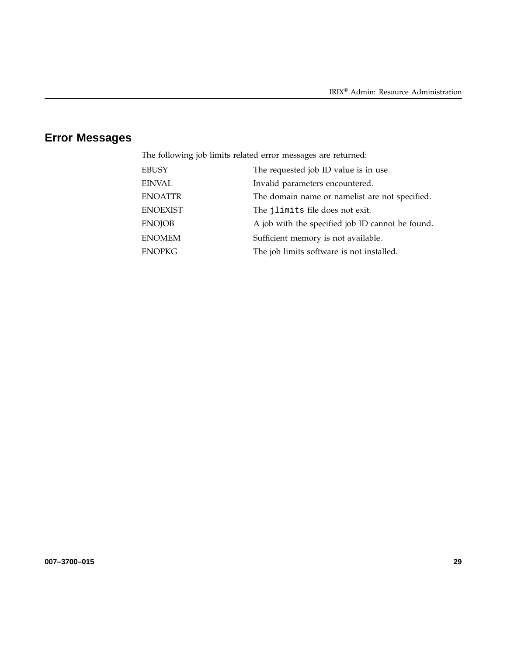# **Error Messages**

The following job limits related error messages are returned:

| EINVAL<br>Invalid parameters encountered.                         |  |
|-------------------------------------------------------------------|--|
|                                                                   |  |
| <b>ENOATTR</b><br>The domain name or namelist are not specified.  |  |
| <b>ENOEXIST</b><br>The jlimits file does not exit.                |  |
| <b>ENOJOB</b><br>A job with the specified job ID cannot be found. |  |
| <b>ENOMEM</b><br>Sufficient memory is not available.              |  |
| <b>ENOPKG</b><br>The job limits software is not installed.        |  |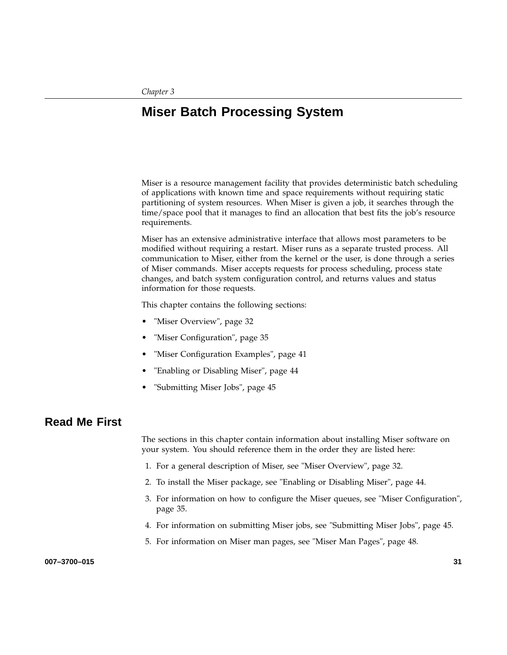# **Miser Batch Processing System**

Miser is a resource management facility that provides deterministic batch scheduling of applications with known time and space requirements without requiring static partitioning of system resources. When Miser is given a job, it searches through the time/space pool that it manages to find an allocation that best fits the job's resource requirements.

Miser has an extensive administrative interface that allows most parameters to be modified without requiring a restart. Miser runs as a separate trusted process. All communication to Miser, either from the kernel or the user, is done through a series of Miser commands. Miser accepts requests for process scheduling, process state changes, and batch system configuration control, and returns values and status information for those requests.

This chapter contains the following sections:

- "Miser Overview", page 32
- "Miser Configuration", page 35
- "Miser Configuration Examples", page 41
- "Enabling or Disabling Miser", page 44
- "Submitting Miser Jobs", page 45

# **Read Me First**

The sections in this chapter contain information about installing Miser software on your system. You should reference them in the order they are listed here:

- 1. For a general description of Miser, see "Miser Overview", page 32.
- 2. To install the Miser package, see "Enabling or Disabling Miser", page 44.
- 3. For information on how to configure the Miser queues, see "Miser Configuration", page 35.
- 4. For information on submitting Miser jobs, see "Submitting Miser Jobs", page 45.
- 5. For information on Miser man pages, see "Miser Man Pages", page 48.

**007–3700–015 31**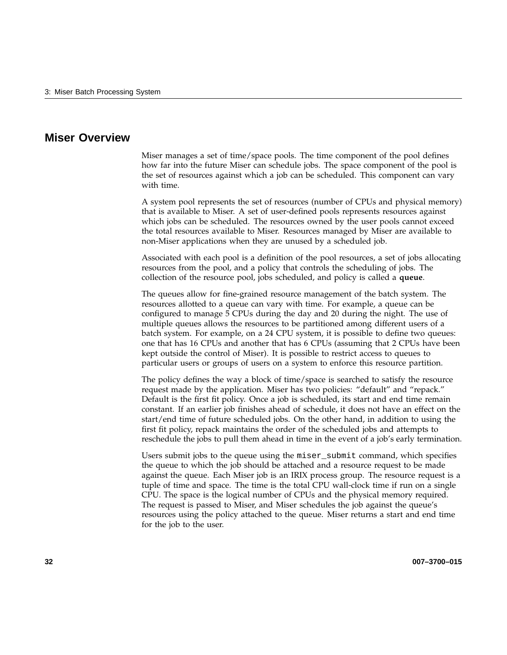# **Miser Overview**

Miser manages a set of time/space pools. The time component of the pool defines how far into the future Miser can schedule jobs. The space component of the pool is the set of resources against which a job can be scheduled. This component can vary with time.

A system pool represents the set of resources (number of CPUs and physical memory) that is available to Miser. A set of user-defined pools represents resources against which jobs can be scheduled. The resources owned by the user pools cannot exceed the total resources available to Miser. Resources managed by Miser are available to non-Miser applications when they are unused by a scheduled job.

Associated with each pool is a definition of the pool resources, a set of jobs allocating resources from the pool, and a policy that controls the scheduling of jobs. The collection of the resource pool, jobs scheduled, and policy is called a **queue**.

The queues allow for fine-grained resource management of the batch system. The resources allotted to a queue can vary with time. For example, a queue can be configured to manage 5 CPUs during the day and 20 during the night. The use of multiple queues allows the resources to be partitioned among different users of a batch system. For example, on a 24 CPU system, it is possible to define two queues: one that has 16 CPUs and another that has 6 CPUs (assuming that 2 CPUs have been kept outside the control of Miser). It is possible to restrict access to queues to particular users or groups of users on a system to enforce this resource partition.

The policy defines the way a block of time/space is searched to satisfy the resource request made by the application. Miser has two policies: "default" and "repack." Default is the first fit policy. Once a job is scheduled, its start and end time remain constant. If an earlier job finishes ahead of schedule, it does not have an effect on the start/end time of future scheduled jobs. On the other hand, in addition to using the first fit policy, repack maintains the order of the scheduled jobs and attempts to reschedule the jobs to pull them ahead in time in the event of a job's early termination.

Users submit jobs to the queue using the miser\_submit command, which specifies the queue to which the job should be attached and a resource request to be made against the queue. Each Miser job is an IRIX process group. The resource request is a tuple of time and space. The time is the total CPU wall-clock time if run on a single CPU. The space is the logical number of CPUs and the physical memory required. The request is passed to Miser, and Miser schedules the job against the queue's resources using the policy attached to the queue. Miser returns a start and end time for the job to the user.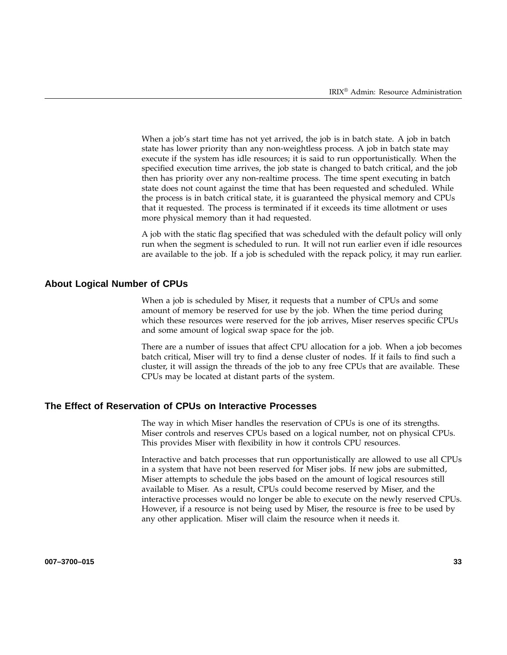When a job's start time has not yet arrived, the job is in batch state. A job in batch state has lower priority than any non-weightless process. A job in batch state may execute if the system has idle resources; it is said to run opportunistically. When the specified execution time arrives, the job state is changed to batch critical, and the job then has priority over any non-realtime process. The time spent executing in batch state does not count against the time that has been requested and scheduled. While the process is in batch critical state, it is guaranteed the physical memory and CPUs that it requested. The process is terminated if it exceeds its time allotment or uses more physical memory than it had requested.

A job with the static flag specified that was scheduled with the default policy will only run when the segment is scheduled to run. It will not run earlier even if idle resources are available to the job. If a job is scheduled with the repack policy, it may run earlier.

#### **About Logical Number of CPUs**

When a job is scheduled by Miser, it requests that a number of CPUs and some amount of memory be reserved for use by the job. When the time period during which these resources were reserved for the job arrives, Miser reserves specific CPUs and some amount of logical swap space for the job.

There are a number of issues that affect CPU allocation for a job. When a job becomes batch critical, Miser will try to find a dense cluster of nodes. If it fails to find such a cluster, it will assign the threads of the job to any free CPUs that are available. These CPUs may be located at distant parts of the system.

#### **The Effect of Reservation of CPUs on Interactive Processes**

The way in which Miser handles the reservation of CPUs is one of its strengths. Miser controls and reserves CPUs based on a logical number, not on physical CPUs. This provides Miser with flexibility in how it controls CPU resources.

Interactive and batch processes that run opportunistically are allowed to use all CPUs in a system that have not been reserved for Miser jobs. If new jobs are submitted, Miser attempts to schedule the jobs based on the amount of logical resources still available to Miser. As a result, CPUs could become reserved by Miser, and the interactive processes would no longer be able to execute on the newly reserved CPUs. However, if a resource is not being used by Miser, the resource is free to be used by any other application. Miser will claim the resource when it needs it.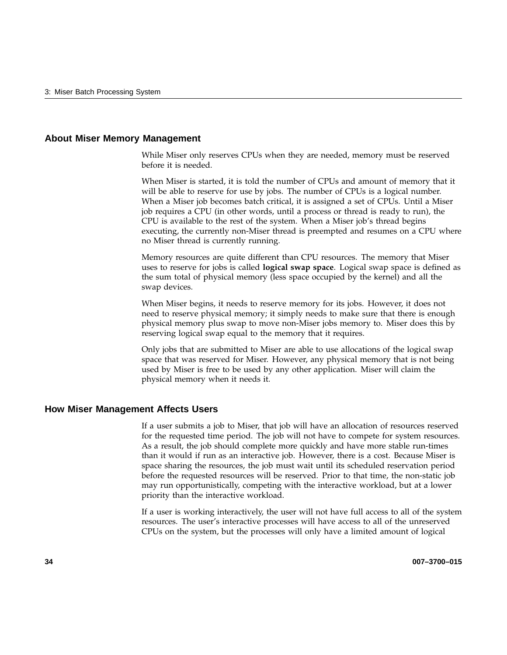#### **About Miser Memory Management**

While Miser only reserves CPUs when they are needed, memory must be reserved before it is needed.

When Miser is started, it is told the number of CPUs and amount of memory that it will be able to reserve for use by jobs. The number of CPUs is a logical number. When a Miser job becomes batch critical, it is assigned a set of CPUs. Until a Miser job requires a CPU (in other words, until a process or thread is ready to run), the CPU is available to the rest of the system. When a Miser job's thread begins executing, the currently non-Miser thread is preempted and resumes on a CPU where no Miser thread is currently running.

Memory resources are quite different than CPU resources. The memory that Miser uses to reserve for jobs is called **logical swap space**. Logical swap space is defined as the sum total of physical memory (less space occupied by the kernel) and all the swap devices.

When Miser begins, it needs to reserve memory for its jobs. However, it does not need to reserve physical memory; it simply needs to make sure that there is enough physical memory plus swap to move non-Miser jobs memory to. Miser does this by reserving logical swap equal to the memory that it requires.

Only jobs that are submitted to Miser are able to use allocations of the logical swap space that was reserved for Miser. However, any physical memory that is not being used by Miser is free to be used by any other application. Miser will claim the physical memory when it needs it.

#### **How Miser Management Affects Users**

If a user submits a job to Miser, that job will have an allocation of resources reserved for the requested time period. The job will not have to compete for system resources. As a result, the job should complete more quickly and have more stable run-times than it would if run as an interactive job. However, there is a cost. Because Miser is space sharing the resources, the job must wait until its scheduled reservation period before the requested resources will be reserved. Prior to that time, the non-static job may run opportunistically, competing with the interactive workload, but at a lower priority than the interactive workload.

If a user is working interactively, the user will not have full access to all of the system resources. The user's interactive processes will have access to all of the unreserved CPUs on the system, but the processes will only have a limited amount of logical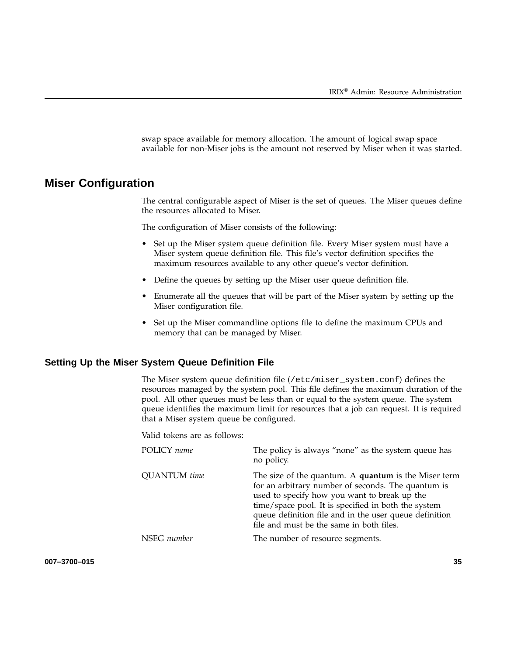swap space available for memory allocation. The amount of logical swap space available for non-Miser jobs is the amount not reserved by Miser when it was started.

# **Miser Configuration**

The central configurable aspect of Miser is the set of queues. The Miser queues define the resources allocated to Miser.

The configuration of Miser consists of the following:

- Set up the Miser system queue definition file. Every Miser system must have a Miser system queue definition file. This file's vector definition specifies the maximum resources available to any other queue's vector definition.
- Define the queues by setting up the Miser user queue definition file.
- Enumerate all the queues that will be part of the Miser system by setting up the Miser configuration file.
- Set up the Miser commandline options file to define the maximum CPUs and memory that can be managed by Miser.

#### **Setting Up the Miser System Queue Definition File**

The Miser system queue definition file (/etc/miser\_system.conf) defines the resources managed by the system pool. This file defines the maximum duration of the pool. All other queues must be less than or equal to the system queue. The system queue identifies the maximum limit for resources that a job can request. It is required that a Miser system queue be configured.

Valid tokens are as follows:

| POLICY name         | The policy is always "none" as the system queue has<br>no policy.                                                                                                                                                                                                                                                       |
|---------------------|-------------------------------------------------------------------------------------------------------------------------------------------------------------------------------------------------------------------------------------------------------------------------------------------------------------------------|
| <b>QUANTUM</b> time | The size of the quantum. A quantum is the Miser term<br>for an arbitrary number of seconds. The quantum is<br>used to specify how you want to break up the<br>time/space pool. It is specified in both the system<br>queue definition file and in the user queue definition<br>file and must be the same in both files. |
| NSEG number         | The number of resource segments.                                                                                                                                                                                                                                                                                        |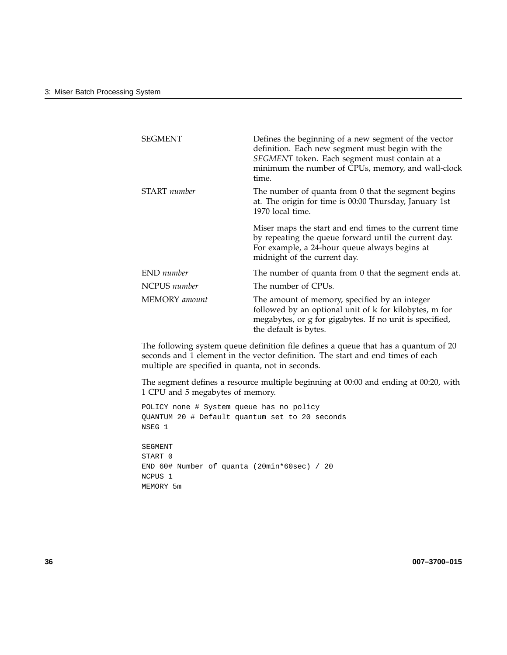| <b>SEGMENT</b> | Defines the beginning of a new segment of the vector<br>definition. Each new segment must begin with the<br>SEGMENT token. Each segment must contain at a<br>minimum the number of CPUs, memory, and wall-clock<br>time. |
|----------------|--------------------------------------------------------------------------------------------------------------------------------------------------------------------------------------------------------------------------|
| START number   | The number of quanta from 0 that the segment begins<br>at. The origin for time is 00:00 Thursday, January 1st<br>1970 local time.                                                                                        |
|                | Miser maps the start and end times to the current time<br>by repeating the queue forward until the current day.<br>For example, a 24-hour queue always begins at<br>midnight of the current day.                         |
| END number     | The number of quanta from 0 that the segment ends at.                                                                                                                                                                    |
| NCPUS number   | The number of CPUs.                                                                                                                                                                                                      |
| MEMORY amount  | The amount of memory, specified by an integer<br>followed by an optional unit of k for kilobytes, m for<br>megabytes, or g for gigabytes. If no unit is specified,<br>the default is bytes.                              |

The following system queue definition file defines a queue that has a quantum of 20 seconds and 1 element in the vector definition. The start and end times of each multiple are specified in quanta, not in seconds.

The segment defines a resource multiple beginning at 00:00 and ending at 00:20, with 1 CPU and 5 megabytes of memory.

POLICY none # System queue has no policy QUANTUM 20 # Default quantum set to 20 seconds NSEG 1

SEGMENT START 0 END 60# Number of quanta (20min\*60sec) / 20 NCPUS 1 MEMORY 5m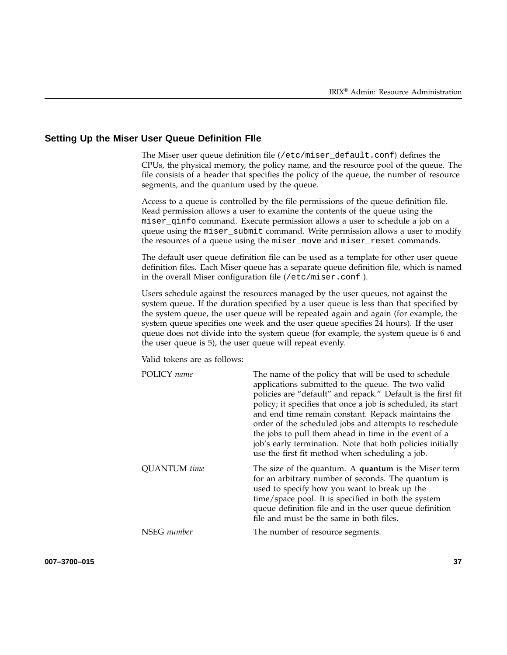#### **Setting Up the Miser User Queue Definition FIle**

The Miser user queue definition file (/etc/miser\_default.conf) defines the CPUs, the physical memory, the policy name, and the resource pool of the queue. The file consists of a header that specifies the policy of the queue, the number of resource segments, and the quantum used by the queue.

Access to a queue is controlled by the file permissions of the queue definition file. Read permission allows a user to examine the contents of the queue using the miser\_qinfo command. Execute permission allows a user to schedule a job on a queue using the miser\_submit command. Write permission allows a user to modify the resources of a queue using the miser\_move and miser\_reset commands.

The default user queue definition file can be used as a template for other user queue definition files. Each Miser queue has a separate queue definition file, which is named in the overall Miser configuration file (/etc/miser.conf ).

Users schedule against the resources managed by the user queues, not against the system queue. If the duration specified by a user queue is less than that specified by the system queue, the user queue will be repeated again and again (for example, the system queue specifies one week and the user queue specifies 24 hours). If the user queue does not divide into the system queue (for example, the system queue is 6 and the user queue is 5), the user queue will repeat evenly.

Valid tokens are as follows:

| POLICY name         | The name of the policy that will be used to schedule<br>applications submitted to the queue. The two valid<br>policies are "default" and repack." Default is the first fit<br>policy; it specifies that once a job is scheduled, its start<br>and end time remain constant. Repack maintains the<br>order of the scheduled jobs and attempts to reschedule<br>the jobs to pull them ahead in time in the event of a<br>job's early termination. Note that both policies initially<br>use the first fit method when scheduling a job. |
|---------------------|--------------------------------------------------------------------------------------------------------------------------------------------------------------------------------------------------------------------------------------------------------------------------------------------------------------------------------------------------------------------------------------------------------------------------------------------------------------------------------------------------------------------------------------|
| <b>QUANTUM</b> time | The size of the quantum. A <b>quantum</b> is the Miser term<br>for an arbitrary number of seconds. The quantum is<br>used to specify how you want to break up the<br>time/space pool. It is specified in both the system<br>queue definition file and in the user queue definition<br>file and must be the same in both files.                                                                                                                                                                                                       |
| NSEG number         | The number of resource segments.                                                                                                                                                                                                                                                                                                                                                                                                                                                                                                     |

**007–3700–015 37**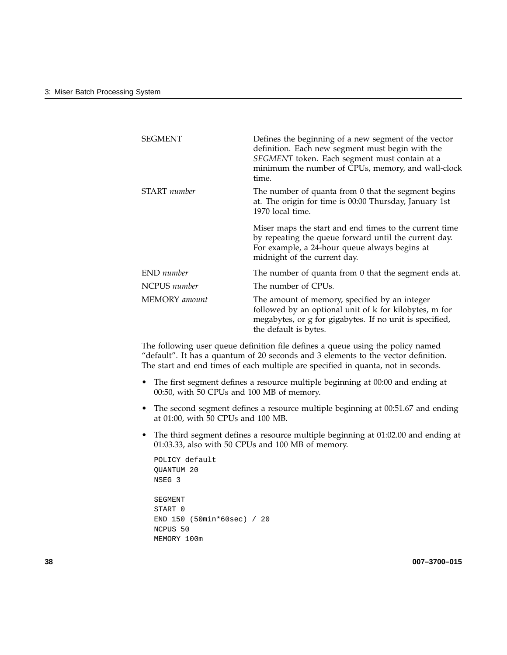| <b>SEGMENT</b> | Defines the beginning of a new segment of the vector<br>definition. Each new segment must begin with the<br>SEGMENT token. Each segment must contain at a<br>minimum the number of CPUs, memory, and wall-clock<br>time. |
|----------------|--------------------------------------------------------------------------------------------------------------------------------------------------------------------------------------------------------------------------|
| START number   | The number of quanta from 0 that the segment begins<br>at. The origin for time is 00:00 Thursday, January 1st<br>1970 local time.                                                                                        |
|                | Miser maps the start and end times to the current time<br>by repeating the queue forward until the current day.<br>For example, a 24-hour queue always begins at<br>midnight of the current day.                         |
| END number     | The number of quanta from 0 that the segment ends at.                                                                                                                                                                    |
| NCPUS number   | The number of CPUs.                                                                                                                                                                                                      |
| MEMORY amount  | The amount of memory, specified by an integer<br>followed by an optional unit of k for kilobytes, m for<br>megabytes, or g for gigabytes. If no unit is specified,<br>the default is bytes.                              |

The following user queue definition file defines a queue using the policy named "default". It has a quantum of 20 seconds and 3 elements to the vector definition. The start and end times of each multiple are specified in quanta, not in seconds.

- The first segment defines a resource multiple beginning at 00:00 and ending at 00:50, with 50 CPUs and 100 MB of memory.
- The second segment defines a resource multiple beginning at 00:51.67 and ending at 01:00, with 50 CPUs and 100 MB.
- The third segment defines a resource multiple beginning at 01:02.00 and ending at 01:03.33, also with 50 CPUs and 100 MB of memory.

```
POLICY default
QUANTUM 20
NSEG 3
SEGMENT
START 0
END 150 (50min*60sec) / 20
NCPUS 50
MEMORY 100m
```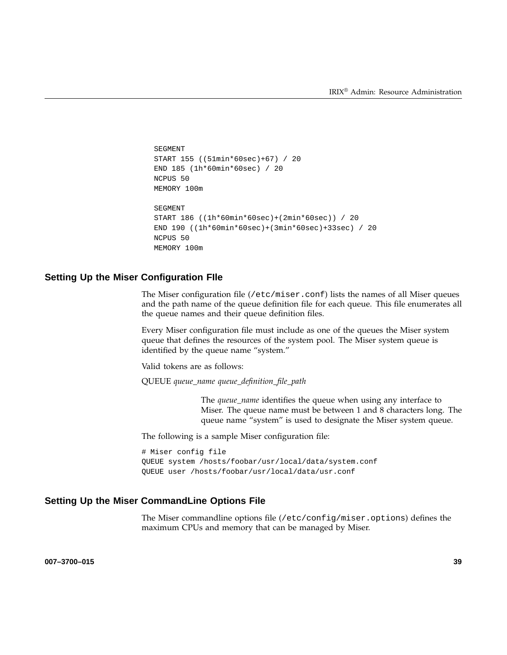```
SEGMENT
START 155 ((51min*60sec)+67) / 20
END 185 (1h*60min*60sec) / 20
NCPUS 50
MEMORY 100m
SEGMENT
START 186 ((1h*60min*60sec)+(2min*60sec)) / 20
END 190 ((1h*60min*60sec)+(3min*60sec)+33sec) / 20
NCPUS 50
MEMORY 100m
```
#### **Setting Up the Miser Configuration FIle**

The Miser configuration file (/etc/miser.conf) lists the names of all Miser queues and the path name of the queue definition file for each queue. This file enumerates all the queue names and their queue definition files.

Every Miser configuration file must include as one of the queues the Miser system queue that defines the resources of the system pool. The Miser system queue is identified by the queue name "system."

Valid tokens are as follows:

QUEUE *queue\_name queue\_definition\_file\_path*

The *queue\_name* identifies the queue when using any interface to Miser. The queue name must be between 1 and 8 characters long. The queue name "system" is used to designate the Miser system queue.

The following is a sample Miser configuration file:

```
# Miser config file
QUEUE system /hosts/foobar/usr/local/data/system.conf
QUEUE user /hosts/foobar/usr/local/data/usr.conf
```
### **Setting Up the Miser CommandLine Options File**

The Miser commandline options file (/etc/config/miser.options) defines the maximum CPUs and memory that can be managed by Miser.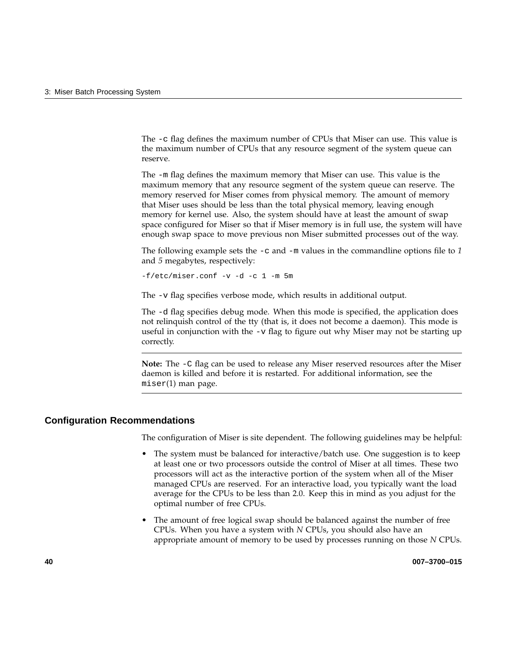The -c flag defines the maximum number of CPUs that Miser can use. This value is the maximum number of CPUs that any resource segment of the system queue can reserve.

The -m flag defines the maximum memory that Miser can use. This value is the maximum memory that any resource segment of the system queue can reserve. The memory reserved for Miser comes from physical memory. The amount of memory that Miser uses should be less than the total physical memory, leaving enough memory for kernel use. Also, the system should have at least the amount of swap space configured for Miser so that if Miser memory is in full use, the system will have enough swap space to move previous non Miser submitted processes out of the way.

The following example sets the -c and -m values in the commandline options file to *1* and *5* megabytes, respectively:

-f/etc/miser.conf -v -d -c 1 -m 5m

The -v flag specifies verbose mode, which results in additional output.

The -d flag specifies debug mode. When this mode is specified, the application does not relinquish control of the tty (that is, it does not become a daemon). This mode is useful in conjunction with the  $-v$  flag to figure out why Miser may not be starting up correctly.

**Note:** The -C flag can be used to release any Miser reserved resources after the Miser daemon is killed and before it is restarted. For additional information, see the miser(1) man page.

#### **Configuration Recommendations**

The configuration of Miser is site dependent. The following guidelines may be helpful:

- The system must be balanced for interactive/batch use. One suggestion is to keep at least one or two processors outside the control of Miser at all times. These two processors will act as the interactive portion of the system when all of the Miser managed CPUs are reserved. For an interactive load, you typically want the load average for the CPUs to be less than 2.0. Keep this in mind as you adjust for the optimal number of free CPUs.
- The amount of free logical swap should be balanced against the number of free CPUs. When you have a system with *N* CPUs, you should also have an appropriate amount of memory to be used by processes running on those *N* CPUs.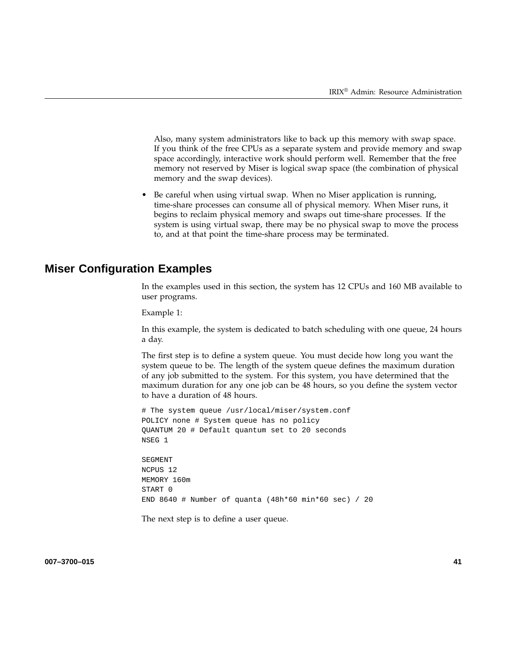Also, many system administrators like to back up this memory with swap space. If you think of the free CPUs as a separate system and provide memory and swap space accordingly, interactive work should perform well. Remember that the free memory not reserved by Miser is logical swap space (the combination of physical memory and the swap devices).

• Be careful when using virtual swap. When no Miser application is running, time-share processes can consume all of physical memory. When Miser runs, it begins to reclaim physical memory and swaps out time-share processes. If the system is using virtual swap, there may be no physical swap to move the process to, and at that point the time-share process may be terminated.

# **Miser Configuration Examples**

In the examples used in this section, the system has 12 CPUs and 160 MB available to user programs.

Example 1:

In this example, the system is dedicated to batch scheduling with one queue, 24 hours a day.

The first step is to define a system queue. You must decide how long you want the system queue to be. The length of the system queue defines the maximum duration of any job submitted to the system. For this system, you have determined that the maximum duration for any one job can be 48 hours, so you define the system vector to have a duration of 48 hours.

# The system queue /usr/local/miser/system.conf POLICY none # System queue has no policy QUANTUM 20 # Default quantum set to 20 seconds NSEG 1

SEGMENT NCPUS 12 MEMORY 160m START 0 END 8640 # Number of quanta (48h\*60 min\*60 sec) / 20

The next step is to define a user queue.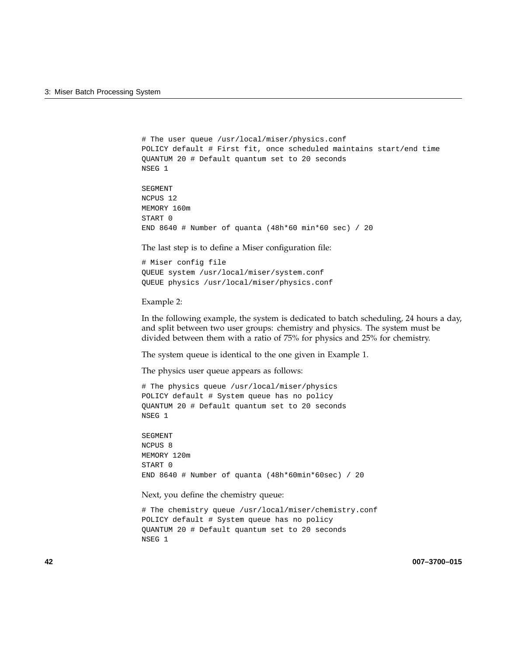```
# The user queue /usr/local/miser/physics.conf
POLICY default # First fit, once scheduled maintains start/end time
QUANTUM 20 # Default quantum set to 20 seconds
NSEG 1
```
SEGMENT NCPUS 12 MEMORY 160m START 0 END 8640 # Number of quanta (48h\*60 min\*60 sec) / 20

The last step is to define a Miser configuration file:

# Miser config file QUEUE system /usr/local/miser/system.conf QUEUE physics /usr/local/miser/physics.conf

#### Example 2:

In the following example, the system is dedicated to batch scheduling, 24 hours a day, and split between two user groups: chemistry and physics. The system must be divided between them with a ratio of 75% for physics and 25% for chemistry.

The system queue is identical to the one given in Example 1.

The physics user queue appears as follows:

# The physics queue /usr/local/miser/physics POLICY default # System queue has no policy QUANTUM 20 # Default quantum set to 20 seconds NSEG 1

SEGMENT NCPUS 8 MEMORY 120m START 0 END 8640 # Number of quanta (48h\*60min\*60sec) / 20

Next, you define the chemistry queue:

# The chemistry queue /usr/local/miser/chemistry.conf POLICY default # System queue has no policy QUANTUM 20 # Default quantum set to 20 seconds NSEG 1

**42 007–3700–015**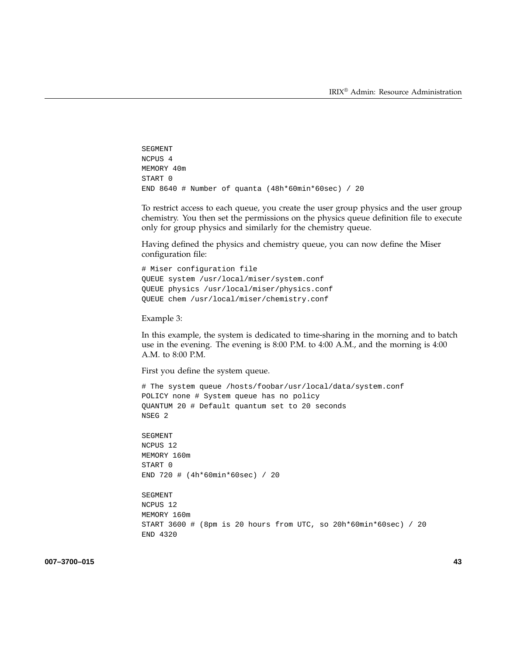```
SEGMENT
NCPUS 4
MEMORY 40m
START 0
END 8640 # Number of quanta (48h*60min*60sec) / 20
```
To restrict access to each queue, you create the user group physics and the user group chemistry. You then set the permissions on the physics queue definition file to execute only for group physics and similarly for the chemistry queue.

Having defined the physics and chemistry queue, you can now define the Miser configuration file:

```
# Miser configuration file
QUEUE system /usr/local/miser/system.conf
QUEUE physics /usr/local/miser/physics.conf
QUEUE chem /usr/local/miser/chemistry.conf
```
#### Example 3:

In this example, the system is dedicated to time-sharing in the morning and to batch use in the evening. The evening is 8:00 P.M. to 4:00 A.M., and the morning is 4:00 A.M. to 8:00 P.M.

First you define the system queue.

```
# The system queue /hosts/foobar/usr/local/data/system.conf
POLICY none # System queue has no policy
QUANTUM 20 # Default quantum set to 20 seconds
NSEG 2
SEGMENT
NCPUS 12
MEMORY 160m
START 0
END 720 # (4h*60min*60sec) / 20
SEGMENT
NCPUS 12
MEMORY 160m
START 3600 # (8pm is 20 hours from UTC, so 20h*60min*60sec) / 20
END 4320
```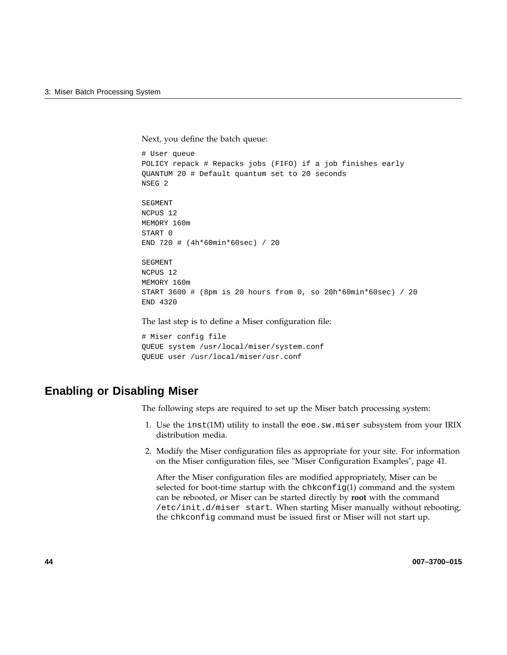Next, you define the batch queue:

```
# User queue
POLICY repack # Repacks jobs (FIFO) if a job finishes early
QUANTUM 20 # Default quantum set to 20 seconds
NSEG 2
SEGMENT
NCPUS 12
MEMORY 160m
START 0
END 720 # (4h*60min*60sec) / 20
SEGMENT
NCPUS 12
MEMORY 160m
START 3600 # (8pm is 20 hours from 0, so 20h*60min*60sec) / 20
END 4320
```
The last step is to define a Miser configuration file:

```
# Miser config file
QUEUE system /usr/local/miser/system.conf
QUEUE user /usr/local/miser/usr.conf
```
## **Enabling or Disabling Miser**

The following steps are required to set up the Miser batch processing system:

- 1. Use the inst(1M) utility to install the eoe.sw.miser subsystem from your IRIX distribution media.
- 2. Modify the Miser configuration files as appropriate for your site. For information on the Miser configuration files, see "Miser Configuration Examples", page 41.

After the Miser configuration files are modified appropriately, Miser can be selected for boot-time startup with the chkconfig(1) command and the system can be rebooted, or Miser can be started directly by **root** with the command /etc/init.d/miser start. When starting Miser manually without rebooting, the chkconfig command must be issued first or Miser will not start up.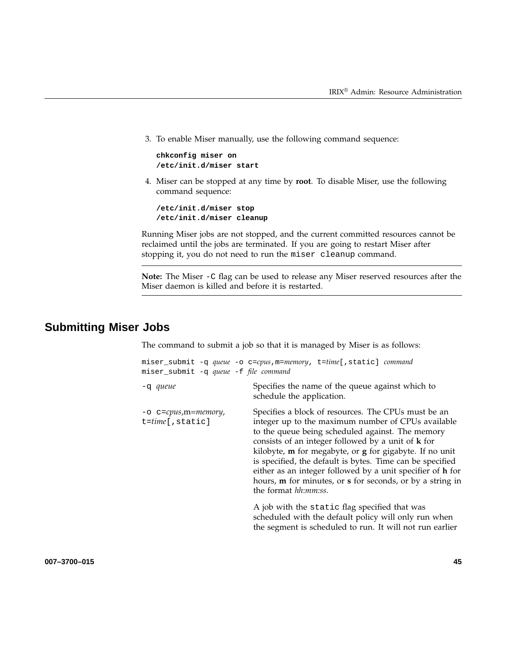3. To enable Miser manually, use the following command sequence:

**chkconfig miser on /etc/init.d/miser start**

4. Miser can be stopped at any time by **root**. To disable Miser, use the following command sequence:

**/etc/init.d/miser stop /etc/init.d/miser cleanup**

Running Miser jobs are not stopped, and the current committed resources cannot be reclaimed until the jobs are terminated. If you are going to restart Miser after stopping it, you do not need to run the miser cleanup command.

**Note:** The Miser -C flag can be used to release any Miser reserved resources after the Miser daemon is killed and before it is restarted.

# **Submitting Miser Jobs**

The command to submit a job so that it is managed by Miser is as follows:

| miser_submit -q queue -f file command        | miser_submit -q queue -o c=cpus, m=memory, t=time[, static] command                                                                                                                                                                                                                                                                                                                                                                                                                                                 |
|----------------------------------------------|---------------------------------------------------------------------------------------------------------------------------------------------------------------------------------------------------------------------------------------------------------------------------------------------------------------------------------------------------------------------------------------------------------------------------------------------------------------------------------------------------------------------|
| -q queue                                     | Specifies the name of the queue against which to<br>schedule the application.                                                                                                                                                                                                                                                                                                                                                                                                                                       |
| -o c=cpus,m=memory,<br>$t = time$ [, static] | Specifies a block of resources. The CPUs must be an<br>integer up to the maximum number of CPUs available<br>to the queue being scheduled against. The memory<br>consists of an integer followed by a unit of <b>k</b> for<br>kilobyte, m for megabyte, or g for gigabyte. If no unit<br>is specified, the default is bytes. Time can be specified<br>either as an integer followed by a unit specifier of h for<br>hours, <b>m</b> for minutes, or <b>s</b> for seconds, or by a string in<br>the format hh:mm:ss. |
|                                              | A job with the static flag specified that was<br>scheduled with the default policy will only run when<br>the segment is scheduled to run. It will not run earlier                                                                                                                                                                                                                                                                                                                                                   |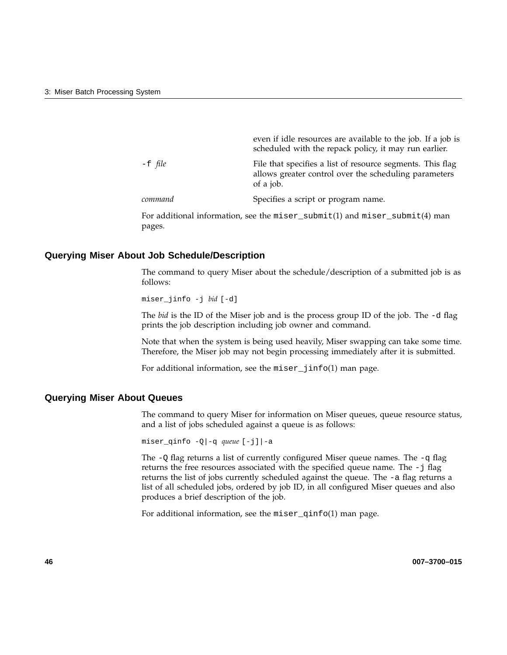|           | even if idle resources are available to the job. If a job is<br>scheduled with the repack policy, it may run earlier.            |
|-----------|----------------------------------------------------------------------------------------------------------------------------------|
| $-E$ file | File that specifies a list of resource segments. This flag<br>allows greater control over the scheduling parameters<br>of a job. |
| command   | Specifies a script or program name.                                                                                              |

For additional information, see the miser\_submit(1) and miser\_submit(4) man pages.

#### **Querying Miser About Job Schedule/Description**

The command to query Miser about the schedule/description of a submitted job is as follows:

miser\_jinfo -j *bid* [-d]

The *bid* is the ID of the Miser job and is the process group ID of the job. The -d flag prints the job description including job owner and command.

Note that when the system is being used heavily, Miser swapping can take some time. Therefore, the Miser job may not begin processing immediately after it is submitted.

For additional information, see the miser\_jinfo(1) man page.

#### **Querying Miser About Queues**

The command to query Miser for information on Miser queues, queue resource status, and a list of jobs scheduled against a queue is as follows:

miser\_qinfo -Q|-q *queue* [-j]|-a

The  $-Q$  flag returns a list of currently configured Miser queue names. The  $-q$  flag returns the free resources associated with the specified queue name. The -j flag returns the list of jobs currently scheduled against the queue. The -a flag returns a list of all scheduled jobs, ordered by job ID, in all configured Miser queues and also produces a brief description of the job.

For additional information, see the miser\_qinfo(1) man page.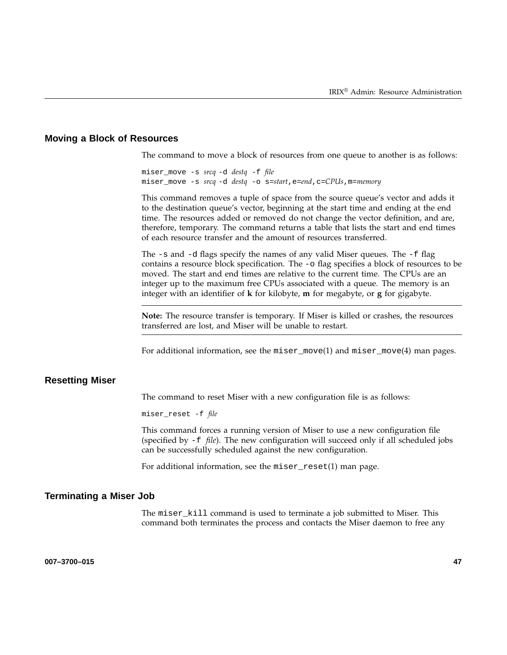#### **Moving a Block of Resources**

The command to move a block of resources from one queue to another is as follows:

miser\_move -s *srcq* -d *destq* -f *file* miser\_move -s *srcq* -d *destq* -o s=*start*,e=*end*,c=*CPUs*,m=*memory*

This command removes a tuple of space from the source queue's vector and adds it to the destination queue's vector, beginning at the start time and ending at the end time. The resources added or removed do not change the vector definition, and are, therefore, temporary. The command returns a table that lists the start and end times of each resource transfer and the amount of resources transferred.

The  $-s$  and  $-d$  flags specify the names of any valid Miser queues. The  $-f$  flag contains a resource block specification. The -o flag specifies a block of resources to be moved. The start and end times are relative to the current time. The CPUs are an integer up to the maximum free CPUs associated with a queue. The memory is an integer with an identifier of **k** for kilobyte, **m** for megabyte, or **g** for gigabyte.

**Note:** The resource transfer is temporary. If Miser is killed or crashes, the resources transferred are lost, and Miser will be unable to restart.

For additional information, see the miser\_move(1) and miser\_move(4) man pages.

### **Resetting Miser**

The command to reset Miser with a new configuration file is as follows:

miser\_reset -f *file*

This command forces a running version of Miser to use a new configuration file (specified by -f *file*). The new configuration will succeed only if all scheduled jobs can be successfully scheduled against the new configuration.

For additional information, see the miser\_reset(1) man page.

#### **Terminating a Miser Job**

The miser\_kill command is used to terminate a job submitted to Miser. This command both terminates the process and contacts the Miser daemon to free any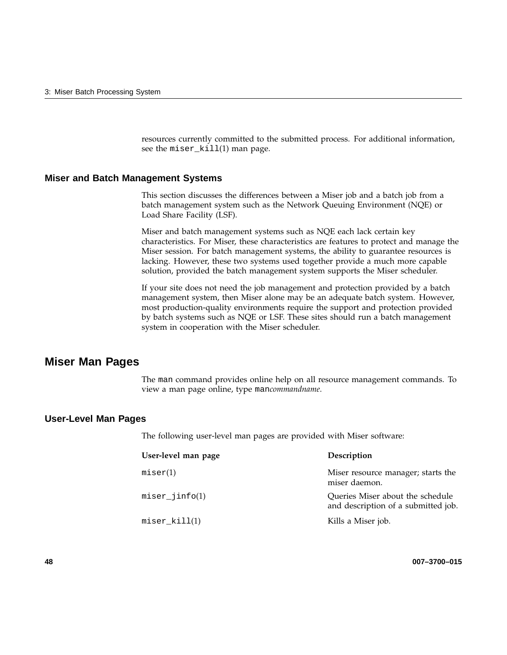resources currently committed to the submitted process. For additional information, see the miser\_kill(1) man page.

#### **Miser and Batch Management Systems**

This section discusses the differences between a Miser job and a batch job from a batch management system such as the Network Queuing Environment (NQE) or Load Share Facility (LSF).

Miser and batch management systems such as NQE each lack certain key characteristics. For Miser, these characteristics are features to protect and manage the Miser session. For batch management systems, the ability to guarantee resources is lacking. However, these two systems used together provide a much more capable solution, provided the batch management system supports the Miser scheduler.

If your site does not need the job management and protection provided by a batch management system, then Miser alone may be an adequate batch system. However, most production-quality environments require the support and protection provided by batch systems such as NQE or LSF. These sites should run a batch management system in cooperation with the Miser scheduler.

### **Miser Man Pages**

The man command provides online help on all resource management commands. To view a man page online, type man*commandname*.

#### **User-Level Man Pages**

The following user-level man pages are provided with Miser software:

| User-level man page | Description                                                             |
|---------------------|-------------------------------------------------------------------------|
| miser(1)            | Miser resource manager; starts the<br>miser daemon.                     |
| $miser\_jinfo(1)$   | Queries Miser about the schedule<br>and description of a submitted job. |
| $miser_kill(1)$     | Kills a Miser job.                                                      |

**48 007–3700–015**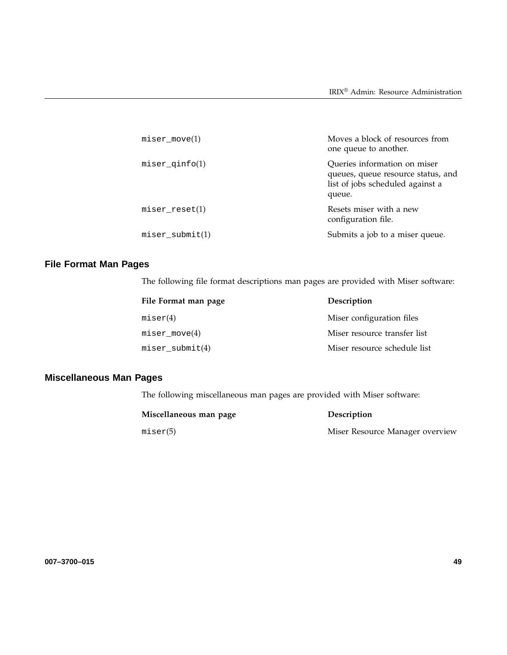| $miser_move(1)$      | Moves a block of resources from<br>one queue to another.                                                         |
|----------------------|------------------------------------------------------------------------------------------------------------------|
| $miser_qinfo(1)$     | Queries information on miser<br>queues, queue resource status, and<br>list of jobs scheduled against a<br>queue. |
| $miser\_reset(1)$    | Resets miser with a new<br>configuration file.                                                                   |
| $miser$ submit $(1)$ | Submits a job to a miser queue.                                                                                  |

# **File Format Man Pages**

The following file format descriptions man pages are provided with Miser software:

| File Format man page | Description                  |
|----------------------|------------------------------|
| miser(4)             | Miser configuration files    |
| $miser_move(4)$      | Miser resource transfer list |
| $miser\_submit(4)$   | Miser resource schedule list |

# **Miscellaneous Man Pages**

The following miscellaneous man pages are provided with Miser software:

| Miscellaneous man page | <b>Description</b>              |
|------------------------|---------------------------------|
| miser(5)               | Miser Resource Manager overview |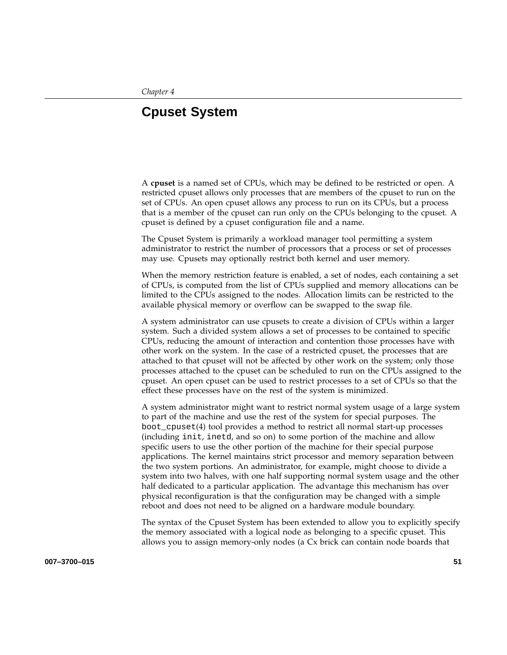# **Cpuset System**

A **cpuset** is a named set of CPUs, which may be defined to be restricted or open. A restricted cpuset allows only processes that are members of the cpuset to run on the set of CPUs. An open cpuset allows any process to run on its CPUs, but a process that is a member of the cpuset can run only on the CPUs belonging to the cpuset. A cpuset is defined by a cpuset configuration file and a name.

The Cpuset System is primarily a workload manager tool permitting a system administrator to restrict the number of processors that a process or set of processes may use. Cpusets may optionally restrict both kernel and user memory.

When the memory restriction feature is enabled, a set of nodes, each containing a set of CPUs, is computed from the list of CPUs supplied and memory allocations can be limited to the CPUs assigned to the nodes. Allocation limits can be restricted to the available physical memory or overflow can be swapped to the swap file.

A system administrator can use cpusets to create a division of CPUs within a larger system. Such a divided system allows a set of processes to be contained to specific CPUs, reducing the amount of interaction and contention those processes have with other work on the system. In the case of a restricted cpuset, the processes that are attached to that cpuset will not be affected by other work on the system; only those processes attached to the cpuset can be scheduled to run on the CPUs assigned to the cpuset. An open cpuset can be used to restrict processes to a set of CPUs so that the effect these processes have on the rest of the system is minimized.

A system administrator might want to restrict normal system usage of a large system to part of the machine and use the rest of the system for special purposes. The boot\_cpuset(4) tool provides a method to restrict all normal start-up processes (including init, inetd, and so on) to some portion of the machine and allow specific users to use the other portion of the machine for their special purpose applications. The kernel maintains strict processor and memory separation between the two system portions. An administrator, for example, might choose to divide a system into two halves, with one half supporting normal system usage and the other half dedicated to a particular application. The advantage this mechanism has over physical reconfiguration is that the configuration may be changed with a simple reboot and does not need to be aligned on a hardware module boundary.

The syntax of the Cpuset System has been extended to allow you to explicitly specify the memory associated with a logical node as belonging to a specific cpuset. This allows you to assign memory-only nodes (a Cx brick can contain node boards that

**007–3700–015 51**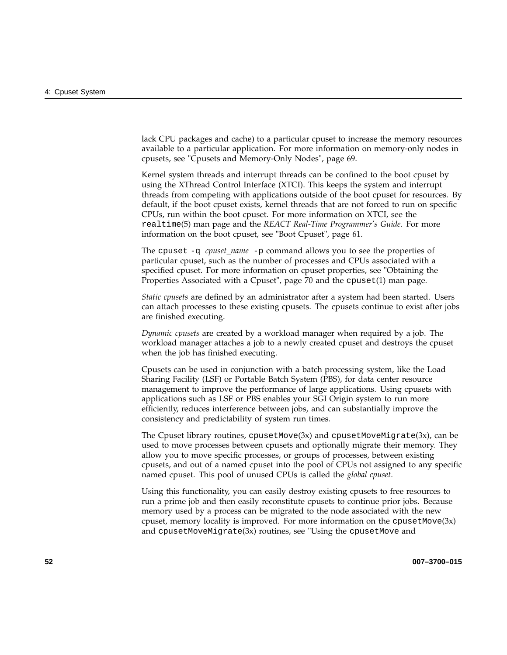lack CPU packages and cache) to a particular cpuset to increase the memory resources available to a particular application. For more information on memory-only nodes in cpusets, see "Cpusets and Memory-Only Nodes", page 69.

Kernel system threads and interrupt threads can be confined to the boot cpuset by using the XThread Control Interface (XTCI). This keeps the system and interrupt threads from competing with applications outside of the boot cpuset for resources. By default, if the boot cpuset exists, kernel threads that are not forced to run on specific CPUs, run within the boot cpuset. For more information on XTCI, see the realtime(5) man page and the *REACT Real-Time Programmer's Guide*. For more information on the boot cpuset, see "Boot Cpuset", page 61.

The cpuset -q *cpuset\_name* -p command allows you to see the properties of particular cpuset, such as the number of processes and CPUs associated with a specified cpuset. For more information on cpuset properties, see "Obtaining the Properties Associated with a Cpuset", page 70 and the cpuset(1) man page.

*Static cpusets* are defined by an administrator after a system had been started. Users can attach processes to these existing cpusets. The cpusets continue to exist after jobs are finished executing.

*Dynamic cpusets* are created by a workload manager when required by a job. The workload manager attaches a job to a newly created cpuset and destroys the cpuset when the job has finished executing.

Cpusets can be used in conjunction with a batch processing system, like the Load Sharing Facility (LSF) or Portable Batch System (PBS), for data center resource management to improve the performance of large applications. Using cpusets with applications such as LSF or PBS enables your SGI Origin system to run more efficiently, reduces interference between jobs, and can substantially improve the consistency and predictability of system run times.

The Cpuset library routines,  $c$ pusetMove $(3x)$  and  $c$ pusetMoveMigrate $(3x)$ , can be used to move processes between cpusets and optionally migrate their memory. They allow you to move specific processes, or groups of processes, between existing cpusets, and out of a named cpuset into the pool of CPUs not assigned to any specific named cpuset. This pool of unused CPUs is called the *global cpuset*.

Using this functionality, you can easily destroy existing cpusets to free resources to run a prime job and then easily reconstitute cpusets to continue prior jobs. Because memory used by a process can be migrated to the node associated with the new cpuset, memory locality is improved. For more information on the  $c$  pusetMove $(3x)$ and cpusetMoveMigrate(3x) routines, see "Using the cpusetMove and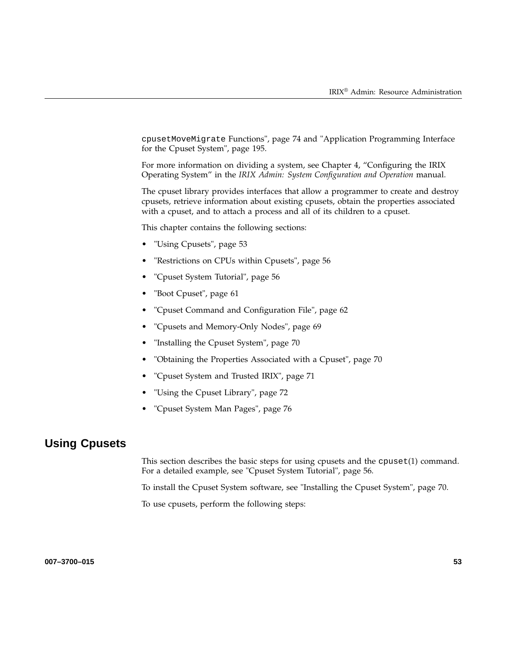cpusetMoveMigrate Functions", page 74 and "Application Programming Interface for the Cpuset System", page 195.

For more information on dividing a system, see Chapter 4, "Configuring the IRIX Operating System" in the *IRIX Admin: System Configuration and Operation* manual.

The cpuset library provides interfaces that allow a programmer to create and destroy cpusets, retrieve information about existing cpusets, obtain the properties associated with a cpuset, and to attach a process and all of its children to a cpuset.

This chapter contains the following sections:

- "Using Cpusets", page 53
- "Restrictions on CPUs within Cpusets", page 56
- "Cpuset System Tutorial", page 56
- "Boot Cpuset", page 61
- "Cpuset Command and Configuration File", page 62
- "Cpusets and Memory-Only Nodes", page 69
- "Installing the Cpuset System", page 70
- "Obtaining the Properties Associated with a Cpuset", page 70
- "Cpuset System and Trusted IRIX", page 71
- "Using the Cpuset Library", page 72
- "Cpuset System Man Pages", page 76

# **Using Cpusets**

This section describes the basic steps for using cpusets and the cpuset(1) command. For a detailed example, see "Cpuset System Tutorial", page 56.

To install the Cpuset System software, see "Installing the Cpuset System", page 70.

To use cpusets, perform the following steps: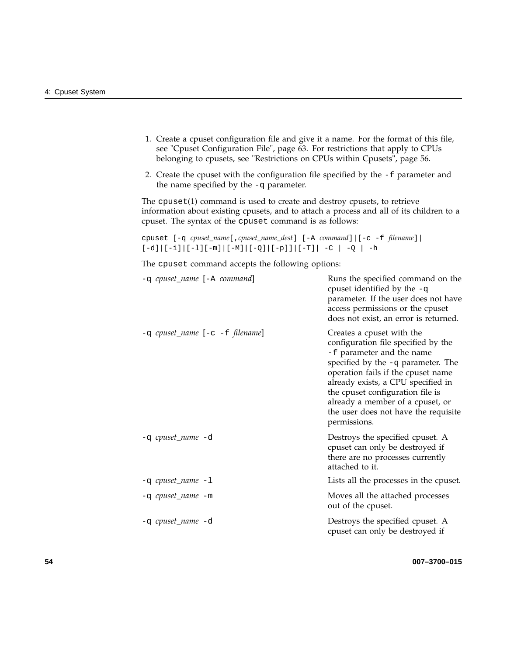- 1. Create a cpuset configuration file and give it a name. For the format of this file, see "Cpuset Configuration File", page 63. For restrictions that apply to CPUs belonging to cpusets, see "Restrictions on CPUs within Cpusets", page 56.
- 2. Create the cpuset with the configuration file specified by the -f parameter and the name specified by the -q parameter.

The cpuset(1) command is used to create and destroy cpusets, to retrieve information about existing cpusets, and to attach a process and all of its children to a cpuset. The syntax of the cpuset command is as follows:

```
cpuset [-q cpuset_name[,cpuset_name_dest] [-A command]|[-c -f filename]|
[-d]|[-i]|[-l][-m]|[-M]|[-Q]|[-p]]|[-T]| -C | -Q | -h
```
The cpuset command accepts the following options:

| -q cpuset_name [-A command]         | Runs the specified command on the<br>cpuset identified by the $-q$<br>parameter. If the user does not have<br>access permissions or the cpuset<br>does not exist, an error is returned.                                                                                                                                                         |
|-------------------------------------|-------------------------------------------------------------------------------------------------------------------------------------------------------------------------------------------------------------------------------------------------------------------------------------------------------------------------------------------------|
| $-q$ cpuset_name $[-c -f$ filename] | Creates a cpuset with the<br>configuration file specified by the<br>-f parameter and the name<br>specified by the -q parameter. The<br>operation fails if the cpuset name<br>already exists, a CPU specified in<br>the cpuset configuration file is<br>already a member of a cpuset, or<br>the user does not have the requisite<br>permissions. |
| -q cpuset_name -d                   | Destroys the specified cpuset. A<br>cpuset can only be destroyed if<br>there are no processes currently<br>attached to it.                                                                                                                                                                                                                      |
| $-q$ cpuset_name $-1$               | Lists all the processes in the cpuset.                                                                                                                                                                                                                                                                                                          |
| -q <i>cpuset_name</i> -m            | Moves all the attached processes<br>out of the cpuset.                                                                                                                                                                                                                                                                                          |
| -q cpuset_name -d                   | Destroys the specified cpuset. A<br>cpuset can only be destroyed if                                                                                                                                                                                                                                                                             |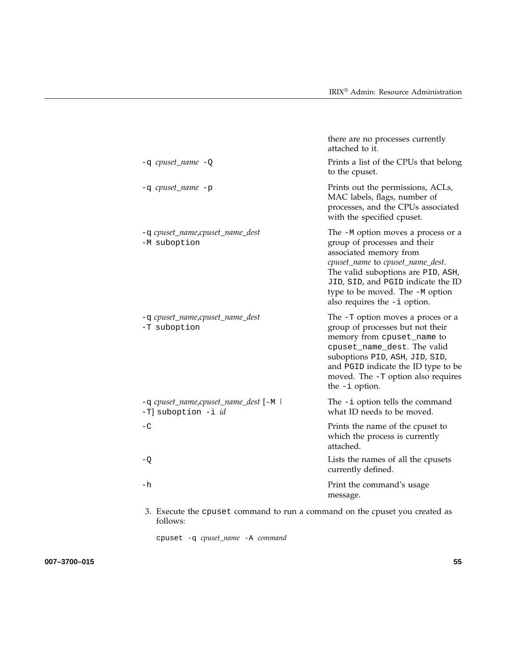|                                                              | there are no processes currently<br>attached to it.                                                                                                                                                                                                                               |
|--------------------------------------------------------------|-----------------------------------------------------------------------------------------------------------------------------------------------------------------------------------------------------------------------------------------------------------------------------------|
| $-q$ cpuset_name $-Q$                                        | Prints a list of the CPUs that belong<br>to the cpuset.                                                                                                                                                                                                                           |
| -q cpuset_name -p                                            | Prints out the permissions, ACLs,<br>MAC labels, flags, number of<br>processes, and the CPUs associated<br>with the specified cpuset.                                                                                                                                             |
| -q cpuset_name,cpuset_name_dest<br>-M suboption              | The -M option moves a process or a<br>group of processes and their<br>associated memory from<br>cpuset_name to cpuset_name_dest.<br>The valid suboptions are PID, ASH,<br>JID, SID, and PGID indicate the ID<br>type to be moved. The -M option<br>also requires the $-i$ option. |
| -q cpuset_name,cpuset_name_dest<br>-T suboption              | The -T option moves a proces or a<br>group of processes but not their<br>memory from cpuset_name to<br>cpuset_name_dest. The valid<br>suboptions PID, ASH, JID, SID,<br>and PGID indicate the ID type to be<br>moved. The -T option also requires<br>the $-i$ option.             |
| -q cpuset_name,cpuset_name_dest [-M  <br>-T] suboption -i id | The $-i$ option tells the command<br>what ID needs to be moved.                                                                                                                                                                                                                   |
| $-C$                                                         | Prints the name of the cpuset to<br>which the process is currently<br>attached.                                                                                                                                                                                                   |
| $-Q$                                                         | Lists the names of all the cpusets<br>currently defined.                                                                                                                                                                                                                          |
| $-h$                                                         | Print the command's usage<br>message.                                                                                                                                                                                                                                             |
|                                                              |                                                                                                                                                                                                                                                                                   |

3. Execute the cpuset command to run a command on the cpuset you created as follows:

cpuset -q *cpuset\_name* -A *command*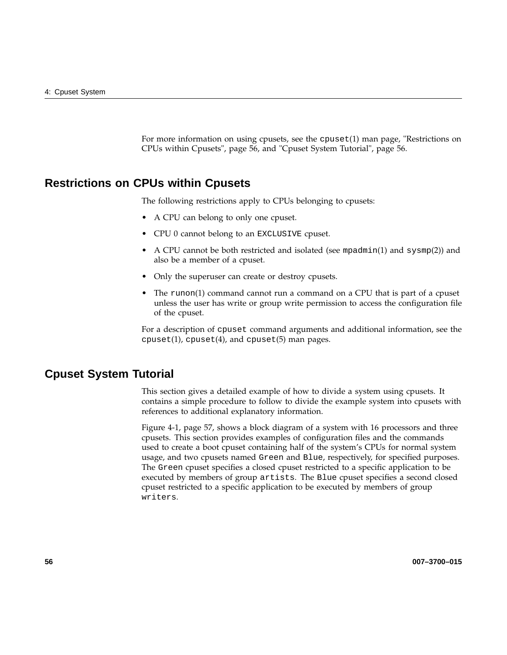For more information on using cpusets, see the cpuset(1) man page, "Restrictions on CPUs within Cpusets", page 56, and "Cpuset System Tutorial", page 56.

# **Restrictions on CPUs within Cpusets**

The following restrictions apply to CPUs belonging to cpusets:

- A CPU can belong to only one cpuset.
- CPU 0 cannot belong to an EXCLUSIVE cpuset.
- A CPU cannot be both restricted and isolated (see mpadmin(1) and sysmp(2)) and also be a member of a cpuset.
- Only the superuser can create or destroy cpusets.
- The runon(1) command cannot run a command on a CPU that is part of a cpuset unless the user has write or group write permission to access the configuration file of the cpuset.

For a description of cpuset command arguments and additional information, see the  $c$  cpuset(1),  $c$  puset(4), and  $c$  puset(5) man pages.

# **Cpuset System Tutorial**

This section gives a detailed example of how to divide a system using cpusets. It contains a simple procedure to follow to divide the example system into cpusets with references to additional explanatory information.

Figure 4-1, page 57, shows a block diagram of a system with 16 processors and three cpusets. This section provides examples of configuration files and the commands used to create a boot cpuset containing half of the system's CPUs for normal system usage, and two cpusets named Green and Blue, respectively, for specified purposes. The Green cpuset specifies a closed cpuset restricted to a specific application to be executed by members of group artists. The Blue cpuset specifies a second closed cpuset restricted to a specific application to be executed by members of group writers.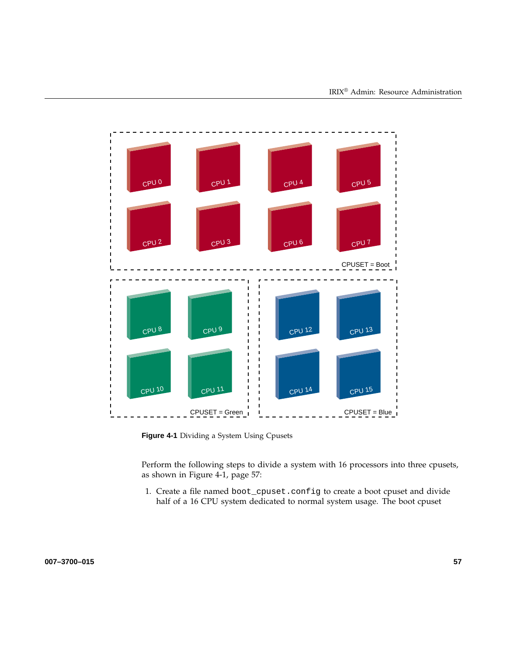

**Figure 4-1** Dividing a System Using Cpusets

Perform the following steps to divide a system with 16 processors into three cpusets, as shown in Figure 4-1, page 57:

1. Create a file named boot\_cpuset.config to create a boot cpuset and divide half of a 16 CPU system dedicated to normal system usage. The boot cpuset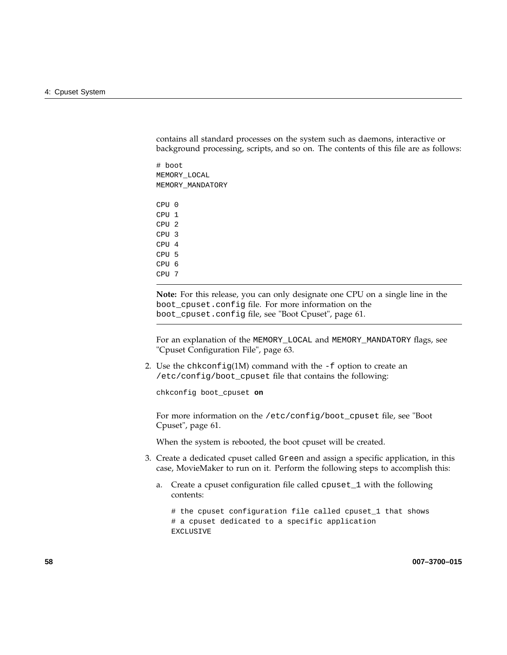contains all standard processes on the system such as daemons, interactive or background processing, scripts, and so on. The contents of this file are as follows:

# boot MEMORY\_LOCAL MEMORY\_MANDATORY

CPU 0  $CPII$  1 CPU 2 CPU 3 CPU 4 CPU 5 CPU 6 CPU 7

**Note:** For this release, you can only designate one CPU on a single line in the boot\_cpuset.config file. For more information on the boot\_cpuset.config file, see "Boot Cpuset", page 61.

For an explanation of the MEMORY\_LOCAL and MEMORY\_MANDATORY flags, see "Cpuset Configuration File", page 63.

2. Use the chkconfig(1M) command with the -f option to create an /etc/config/boot\_cpuset file that contains the following:

chkconfig boot\_cpuset **on**

For more information on the /etc/config/boot\_cpuset file, see "Boot Cpuset", page 61.

When the system is rebooted, the boot cpuset will be created.

- 3. Create a dedicated cpuset called Green and assign a specific application, in this case, MovieMaker to run on it. Perform the following steps to accomplish this:
	- a. Create a cpuset configuration file called cpuset\_1 with the following contents:

# the cpuset configuration file called cpuset\_1 that shows # a cpuset dedicated to a specific application EXCLUSIVE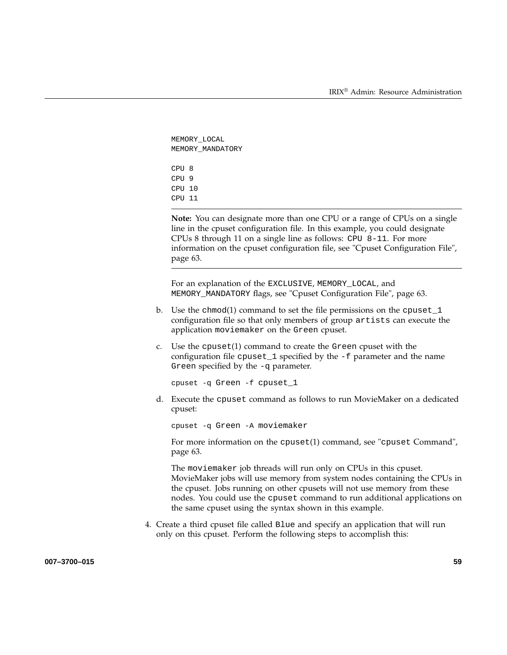```
MEMORY_LOCAL
MEMORY_MANDATORY
CPU 8
CPU 9
CPU 10
CPU 11
```
**Note:** You can designate more than one CPU or a range of CPUs on a single line in the cpuset configuration file. In this example, you could designate CPUs 8 through 11 on a single line as follows: CPU 8-11. For more information on the cpuset configuration file, see "Cpuset Configuration File", page 63.

For an explanation of the EXCLUSIVE, MEMORY\_LOCAL, and MEMORY\_MANDATORY flags, see "Cpuset Configuration File", page 63.

- b. Use the chmod(1) command to set the file permissions on the cpuset\_1 configuration file so that only members of group artists can execute the application moviemaker on the Green cpuset.
- c. Use the cpuset(1) command to create the Green cpuset with the configuration file cpuset\_1 specified by the -f parameter and the name Green specified by the -q parameter.

cpuset -q Green -f cpuset\_1

d. Execute the cpuset command as follows to run MovieMaker on a dedicated cpuset:

cpuset -q Green -A moviemaker

For more information on the cpuset(1) command, see "cpuset Command", page 63.

The moviemaker job threads will run only on CPUs in this cpuset. MovieMaker jobs will use memory from system nodes containing the CPUs in the cpuset. Jobs running on other cpusets will not use memory from these nodes. You could use the cpuset command to run additional applications on the same cpuset using the syntax shown in this example.

4. Create a third cpuset file called Blue and specify an application that will run only on this cpuset. Perform the following steps to accomplish this:

**007–3700–015 59**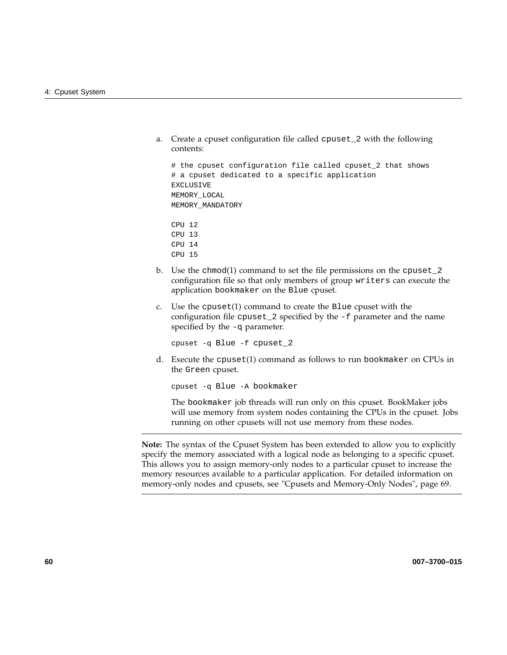a. Create a cpuset configuration file called cpuset\_2 with the following contents:

```
# the cpuset configuration file called cpuset_2 that shows
# a cpuset dedicated to a specific application
EXCLUSIVE
MEMORY_LOCAL
MEMORY_MANDATORY
```
CPU 12 CPU 13 CPU 14 CPU 15

- b. Use the chmod(1) command to set the file permissions on the cpuset\_2 configuration file so that only members of group writers can execute the application bookmaker on the Blue cpuset.
- c. Use the cpuset(1) command to create the Blue cpuset with the configuration file cpuset\_2 specified by the -f parameter and the name specified by the -q parameter.

cpuset -q Blue -f cpuset\_2

d. Execute the cpuset(1) command as follows to run bookmaker on CPUs in the Green cpuset.

cpuset -q Blue -A bookmaker

The bookmaker job threads will run only on this cpuset. BookMaker jobs will use memory from system nodes containing the CPUs in the cpuset. Jobs running on other cpusets will not use memory from these nodes.

**Note:** The syntax of the Cpuset System has been extended to allow you to explicitly specify the memory associated with a logical node as belonging to a specific cpuset. This allows you to assign memory-only nodes to a particular cpuset to increase the memory resources available to a particular application. For detailed information on memory-only nodes and cpusets, see "Cpusets and Memory-Only Nodes", page 69.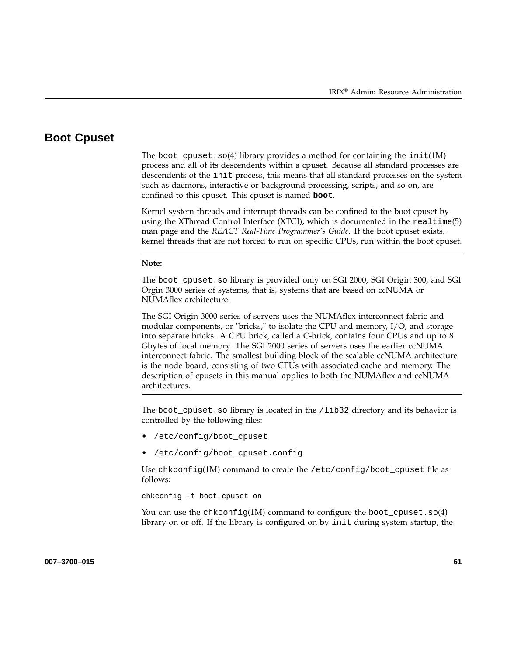# **Boot Cpuset**

The boot\_cpuset.so(4) library provides a method for containing the init(1M) process and all of its descendents within a cpuset. Because all standard processes are descendents of the init process, this means that all standard processes on the system such as daemons, interactive or background processing, scripts, and so on, are confined to this cpuset. This cpuset is named **boot**.

Kernel system threads and interrupt threads can be confined to the boot cpuset by using the XThread Control Interface (XTCI), which is documented in the realtime(5) man page and the *REACT Real-Time Programmer's Guide*. If the boot cpuset exists, kernel threads that are not forced to run on specific CPUs, run within the boot cpuset.

#### **Note:**

The boot\_cpuset.so library is provided only on SGI 2000, SGI Origin 300, and SGI Orgin 3000 series of systems, that is, systems that are based on ccNUMA or NUMAflex architecture.

The SGI Origin 3000 series of servers uses the NUMAflex interconnect fabric and modular components, or "bricks," to isolate the CPU and memory, I/O, and storage into separate bricks. A CPU brick, called a C-brick, contains four CPUs and up to 8 Gbytes of local memory. The SGI 2000 series of servers uses the earlier ccNUMA interconnect fabric. The smallest building block of the scalable ccNUMA architecture is the node board, consisting of two CPUs with associated cache and memory. The description of cpusets in this manual applies to both the NUMAflex and ccNUMA architectures.

The boot\_cpuset.so library is located in the /lib32 directory and its behavior is controlled by the following files:

- /etc/config/boot\_cpuset
- /etc/config/boot\_cpuset.config

Use chkconfig(1M) command to create the /etc/config/boot cpuset file as follows:

chkconfig -f boot\_cpuset on

You can use the chkconfig(1M) command to configure the boot\_cpuset.so(4) library on or off. If the library is configured on by init during system startup, the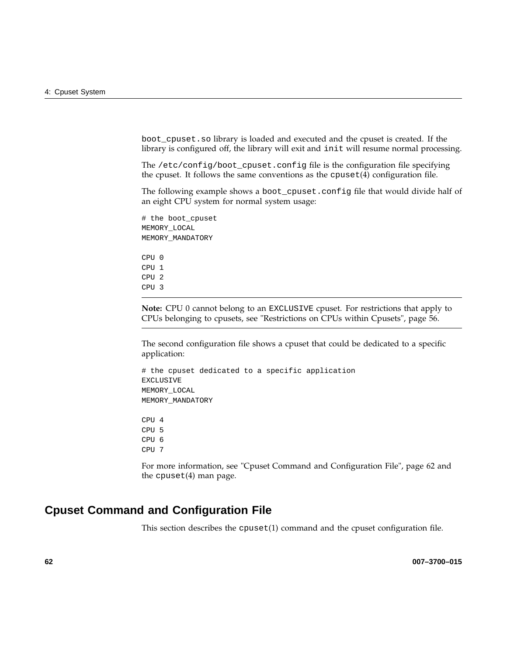boot\_cpuset.so library is loaded and executed and the cpuset is created. If the library is configured off, the library will exit and init will resume normal processing.

The /etc/config/boot\_cpuset.config file is the configuration file specifying the cpuset. It follows the same conventions as the  $c$  puset $(4)$  configuration file.

The following example shows a boot\_cpuset.config file that would divide half of an eight CPU system for normal system usage:

```
# the boot_cpuset
MEMORY_LOCAL
MEMORY_MANDATORY
CPU 0
CPU 1
CPU 2
CPU 3
```
**Note:** CPU 0 cannot belong to an EXCLUSIVE cpuset. For restrictions that apply to CPUs belonging to cpusets, see "Restrictions on CPUs within Cpusets", page 56.

The second configuration file shows a cpuset that could be dedicated to a specific application:

```
# the cpuset dedicated to a specific application
EXCLUSIVE
MEMORY_LOCAL
MEMORY_MANDATORY
CPU 4
CPU 5
CPU 6
CPU 7
```
For more information, see "Cpuset Command and Configuration File", page 62 and the cpuset(4) man page.

# **Cpuset Command and Configuration File**

This section describes the cpuset(1) command and the cpuset configuration file.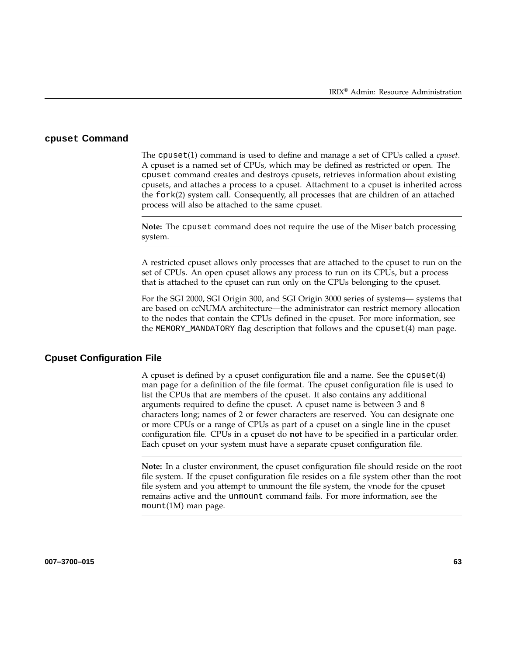#### **cpuset Command**

The cpuset(1) command is used to define and manage a set of CPUs called a *cpuset*. A cpuset is a named set of CPUs, which may be defined as restricted or open. The cpuset command creates and destroys cpusets, retrieves information about existing cpusets, and attaches a process to a cpuset. Attachment to a cpuset is inherited across the fork(2) system call. Consequently, all processes that are children of an attached process will also be attached to the same cpuset.

**Note:** The cpuset command does not require the use of the Miser batch processing system.

A restricted cpuset allows only processes that are attached to the cpuset to run on the set of CPUs. An open cpuset allows any process to run on its CPUs, but a process that is attached to the cpuset can run only on the CPUs belonging to the cpuset.

For the SGI 2000, SGI Origin 300, and SGI Origin 3000 series of systems— systems that are based on ccNUMA architecture—the administrator can restrict memory allocation to the nodes that contain the CPUs defined in the cpuset. For more information, see the MEMORY\_MANDATORY flag description that follows and the cpuset(4) man page.

#### **Cpuset Configuration File**

A cpuset is defined by a cpuset configuration file and a name. See the cpuset(4) man page for a definition of the file format. The cpuset configuration file is used to list the CPUs that are members of the cpuset. It also contains any additional arguments required to define the cpuset. A cpuset name is between 3 and 8 characters long; names of 2 or fewer characters are reserved. You can designate one or more CPUs or a range of CPUs as part of a cpuset on a single line in the cpuset configuration file. CPUs in a cpuset do **not** have to be specified in a particular order. Each cpuset on your system must have a separate cpuset configuration file.

**Note:** In a cluster environment, the cpuset configuration file should reside on the root file system. If the cpuset configuration file resides on a file system other than the root file system and you attempt to unmount the file system, the vnode for the cpuset remains active and the unmount command fails. For more information, see the mount(1M) man page.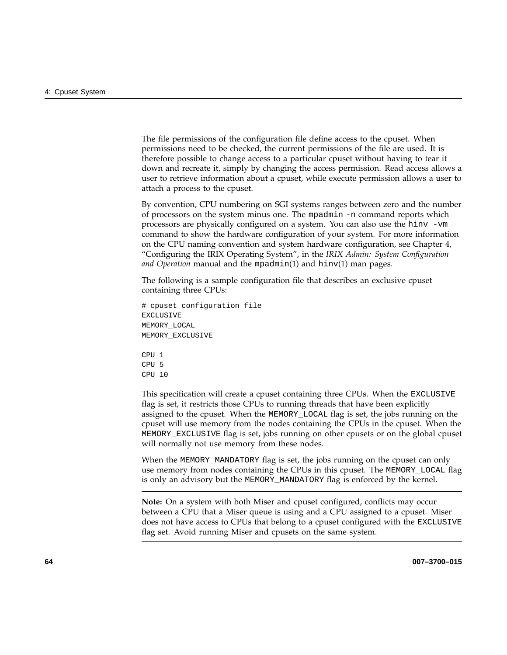The file permissions of the configuration file define access to the cpuset. When permissions need to be checked, the current permissions of the file are used. It is therefore possible to change access to a particular cpuset without having to tear it down and recreate it, simply by changing the access permission. Read access allows a user to retrieve information about a cpuset, while execute permission allows a user to attach a process to the cpuset.

By convention, CPU numbering on SGI systems ranges between zero and the number of processors on the system minus one. The mpadmin -n command reports which processors are physically configured on a system. You can also use the hinv -vm command to show the hardware configuration of your system. For more information on the CPU naming convention and system hardware configuration, see Chapter 4, "Configuring the IRIX Operating System", in the *IRIX Admin: System Configuration and Operation* manual and the mpadmin(1) and hinv(1) man pages.

The following is a sample configuration file that describes an exclusive cpuset containing three CPUs:

```
# cpuset configuration file
EXCLUSIVE
MEMORY_LOCAL
MEMORY_EXCLUSIVE
CPU<sub>1</sub>
CPU 5
```
CPU 10

This specification will create a cpuset containing three CPUs. When the EXCLUSIVE flag is set, it restricts those CPUs to running threads that have been explicitly assigned to the cpuset. When the MEMORY\_LOCAL flag is set, the jobs running on the cpuset will use memory from the nodes containing the CPUs in the cpuset. When the MEMORY\_EXCLUSIVE flag is set, jobs running on other cpusets or on the global cpuset will normally not use memory from these nodes.

When the MEMORY\_MANDATORY flag is set, the jobs running on the cpuset can only use memory from nodes containing the CPUs in this cpuset. The MEMORY\_LOCAL flag is only an advisory but the MEMORY\_MANDATORY flag is enforced by the kernel.

**Note:** On a system with both Miser and cpuset configured, conflicts may occur between a CPU that a Miser queue is using and a CPU assigned to a cpuset. Miser does not have access to CPUs that belong to a cpuset configured with the EXCLUSIVE flag set. Avoid running Miser and cpusets on the same system.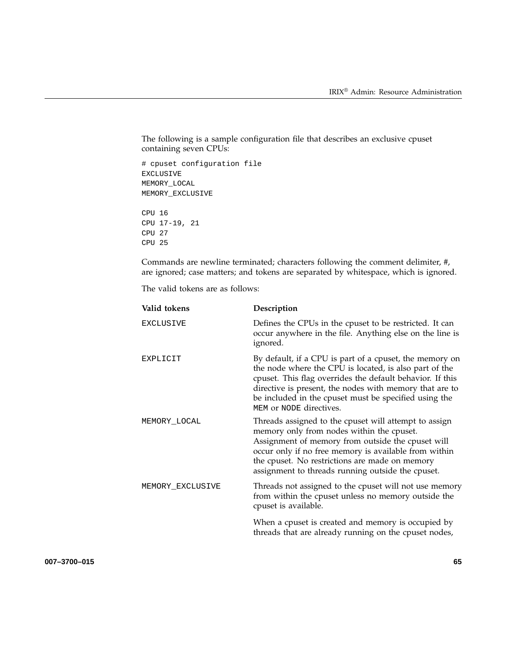The following is a sample configuration file that describes an exclusive cpuset containing seven CPUs:

# cpuset configuration file EXCLUSIVE MEMORY\_LOCAL MEMORY\_EXCLUSIVE CPU 16 CPU 17-19, 21 CPU 27 CPU 25

Commands are newline terminated; characters following the comment delimiter, #, are ignored; case matters; and tokens are separated by whitespace, which is ignored.

The valid tokens are as follows:

| Valid tokens     | Description                                                                                                                                                                                                                                                                                                                   |
|------------------|-------------------------------------------------------------------------------------------------------------------------------------------------------------------------------------------------------------------------------------------------------------------------------------------------------------------------------|
| <b>EXCLUSIVE</b> | Defines the CPUs in the cpuset to be restricted. It can<br>occur anywhere in the file. Anything else on the line is<br>ignored.                                                                                                                                                                                               |
| EXPLICIT         | By default, if a CPU is part of a cpuset, the memory on<br>the node where the CPU is located, is also part of the<br>cpuset. This flag overrides the default behavior. If this<br>directive is present, the nodes with memory that are to<br>be included in the cpuset must be specified using the<br>MEM or NODE directives. |
| MEMORY_LOCAL     | Threads assigned to the cpuset will attempt to assign<br>memory only from nodes within the cpuset.<br>Assignment of memory from outside the cpuset will<br>occur only if no free memory is available from within<br>the cpuset. No restrictions are made on memory<br>assignment to threads running outside the cpuset.       |
| MEMORY_EXCLUSIVE | Threads not assigned to the cpuset will not use memory<br>from within the cpuset unless no memory outside the<br>cpuset is available.                                                                                                                                                                                         |
|                  | When a cpuset is created and memory is occupied by<br>threads that are already running on the cpuset nodes,                                                                                                                                                                                                                   |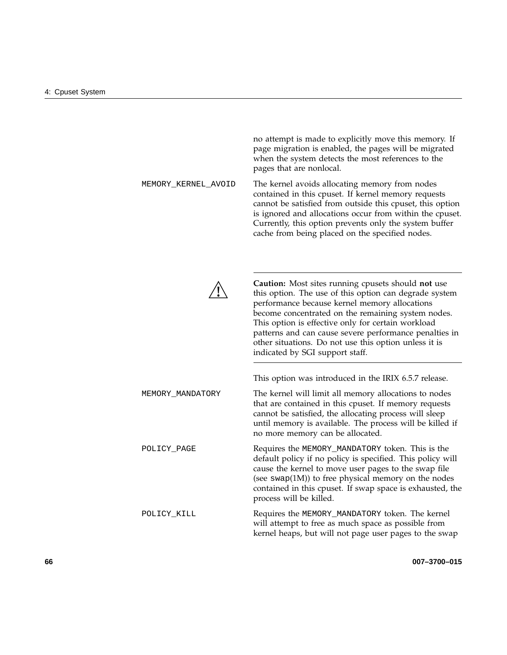no attempt is made to explicitly move this memory. If page migration is enabled, the pages will be migrated when the system detects the most references to the pages that are nonlocal. MEMORY\_KERNEL\_AVOID The kernel avoids allocating memory from nodes contained in this cpuset. If kernel memory requests cannot be satisfied from outside this cpuset, this option is ignored and allocations occur from within the cpuset. Currently, this option prevents only the system buffer cache from being placed on the specified nodes. **! Caution:** Most sites running cpusets should **not** use this option. The use of this option can degrade system performance because kernel memory allocations become concentrated on the remaining system nodes. This option is effective only for certain workload patterns and can cause severe performance penalties in other situations. Do not use this option unless it is indicated by SGI support staff. This option was introduced in the IRIX 6.5.7 release. MEMORY\_MANDATORY The kernel will limit all memory allocations to nodes that are contained in this cpuset. If memory requests cannot be satisfied, the allocating process will sleep until memory is available. The process will be killed if no more memory can be allocated. POLICY\_PAGE Requires the MEMORY\_MANDATORY token. This is the default policy if no policy is specified. This policy will cause the kernel to move user pages to the swap file (see  $swap(1M)$ ) to free physical memory on the nodes contained in this cpuset. If swap space is exhausted, the process will be killed. POLICY\_KILL Requires the MEMORY\_MANDATORY token. The kernel will attempt to free as much space as possible from kernel heaps, but will not page user pages to the swap

**66 007–3700–015**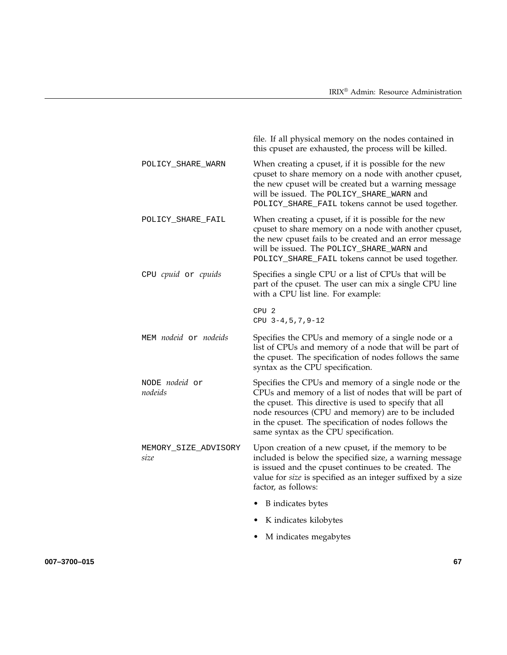|                                  | file. If all physical memory on the nodes contained in<br>this cpuset are exhausted, the process will be killed.                                                                                                                                                                                                                   |
|----------------------------------|------------------------------------------------------------------------------------------------------------------------------------------------------------------------------------------------------------------------------------------------------------------------------------------------------------------------------------|
| POLICY_SHARE_WARN                | When creating a cpuset, if it is possible for the new<br>cpuset to share memory on a node with another cpuset,<br>the new cpuset will be created but a warning message<br>will be issued. The POLICY_SHARE_WARN and<br>POLICY_SHARE_FAIL tokens cannot be used together.                                                           |
| POLICY_SHARE_FAIL                | When creating a cpuset, if it is possible for the new<br>cpuset to share memory on a node with another cpuset,<br>the new cpuset fails to be created and an error message<br>will be issued. The POLICY_SHARE_WARN and<br>POLICY_SHARE_FAIL tokens cannot be used together.                                                        |
| CPU cpuid or cpuids              | Specifies a single CPU or a list of CPUs that will be<br>part of the cpuset. The user can mix a single CPU line<br>with a CPU list line. For example:                                                                                                                                                                              |
|                                  | CPU <sub>2</sub><br>$CPU 3-4, 5, 7, 9-12$                                                                                                                                                                                                                                                                                          |
| MEM nodeid or nodeids            | Specifies the CPUs and memory of a single node or a<br>list of CPUs and memory of a node that will be part of<br>the cpuset. The specification of nodes follows the same<br>syntax as the CPU specification.                                                                                                                       |
| NODE <i>nodeid</i> or<br>nodeids | Specifies the CPUs and memory of a single node or the<br>CPUs and memory of a list of nodes that will be part of<br>the cpuset. This directive is used to specify that all<br>node resources (CPU and memory) are to be included<br>in the cpuset. The specification of nodes follows the<br>same syntax as the CPU specification. |
| MEMORY_SIZE_ADVISORY<br>size     | Upon creation of a new cpuset, if the memory to be<br>included is below the specified size, a warning message<br>is issued and the cpuset continues to be created. The<br>value for size is specified as an integer suffixed by a size<br>factor, as follows:                                                                      |
|                                  | B indicates bytes                                                                                                                                                                                                                                                                                                                  |
|                                  | K indicates kilobytes<br>$\bullet$                                                                                                                                                                                                                                                                                                 |
|                                  | M indicates megabytes                                                                                                                                                                                                                                                                                                              |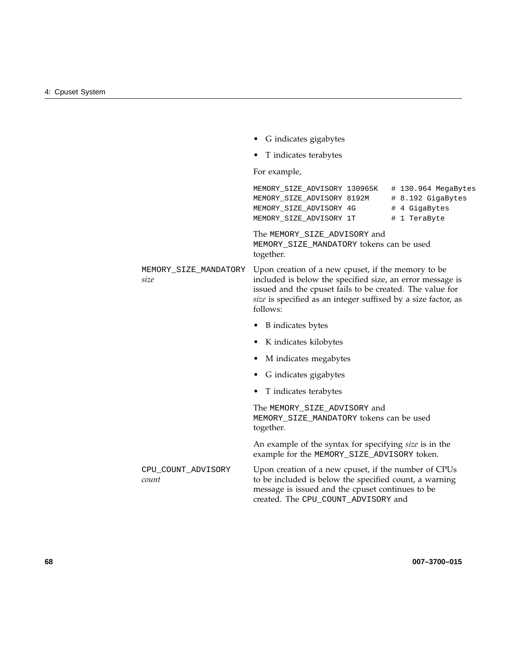|                               | G indicates gigabytes                                                                                                                                                                                                                                    |
|-------------------------------|----------------------------------------------------------------------------------------------------------------------------------------------------------------------------------------------------------------------------------------------------------|
|                               | T indicates terabytes                                                                                                                                                                                                                                    |
|                               | For example,                                                                                                                                                                                                                                             |
|                               | MEMORY_SIZE_ADVISORY 130965K # 130.964 MegaBytes<br>MEMORY_SIZE_ADVISORY 8192M # 8.192 GigaBytes<br># 4 GigaBytes<br>MEMORY_SIZE_ADVISORY 4G<br>MEMORY_SIZE_ADVISORY 1T<br># 1 TeraByte                                                                  |
|                               | The MEMORY_SIZE_ADVISORY and<br>MEMORY_SIZE_MANDATORY tokens can be used<br>together.                                                                                                                                                                    |
| MEMORY_SIZE_MANDATORY<br>size | Upon creation of a new cpuset, if the memory to be<br>included is below the specified size, an error message is<br>issued and the cpuset fails to be created. The value for<br>size is specified as an integer suffixed by a size factor, as<br>follows: |
|                               | B indicates bytes                                                                                                                                                                                                                                        |
|                               | K indicates kilobytes                                                                                                                                                                                                                                    |
|                               | M indicates megabytes                                                                                                                                                                                                                                    |
|                               | G indicates gigabytes<br>$\bullet$                                                                                                                                                                                                                       |
|                               | T indicates terabytes                                                                                                                                                                                                                                    |
|                               | The MEMORY_SIZE_ADVISORY and<br>MEMORY_SIZE_MANDATORY tokens can be used<br>together.                                                                                                                                                                    |
|                               | An example of the syntax for specifying size is in the<br>example for the MEMORY_SIZE_ADVISORY token.                                                                                                                                                    |
| CPU_COUNT_ADVISORY<br>count   | Upon creation of a new cpuset, if the number of CPUs<br>to be included is below the specified count, a warning<br>message is issued and the cpuset continues to be<br>created. The CPU_COUNT_ADVISORY and                                                |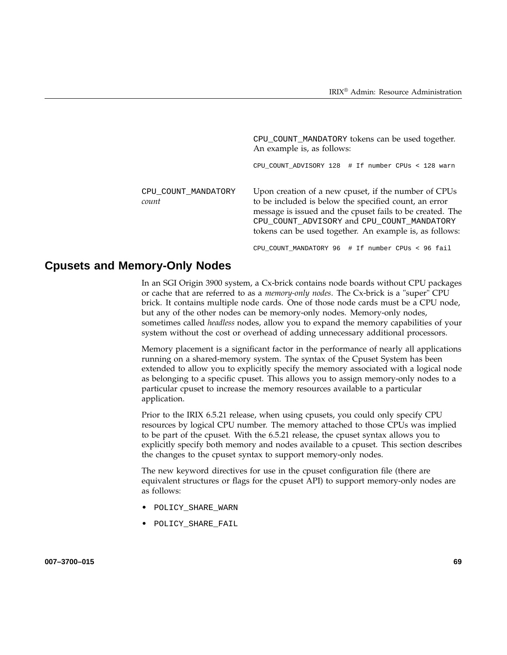|                              | CPU_COUNT_MANDATORY tokens can be used together.<br>An example is, as follows:                                                                                                                                                                                                      |
|------------------------------|-------------------------------------------------------------------------------------------------------------------------------------------------------------------------------------------------------------------------------------------------------------------------------------|
|                              | CPU_COUNT_ADVISORY 128 # If number CPUs < 128 warn                                                                                                                                                                                                                                  |
| CPU COUNT MANDATORY<br>count | Upon creation of a new cpuset, if the number of CPUs<br>to be included is below the specified count, an error<br>message is issued and the cpuset fails to be created. The<br>CPU_COUNT_ADVISORY and CPU_COUNT_MANDATORY<br>tokens can be used together. An example is, as follows: |

CPU\_COUNT\_MANDATORY 96 # If number CPUs < 96 fail

# **Cpusets and Memory-Only Nodes**

In an SGI Origin 3900 system, a Cx-brick contains node boards without CPU packages or cache that are referred to as a *memory-only nodes*. The Cx-brick is a "super" CPU brick. It contains multiple node cards. One of those node cards must be a CPU node, but any of the other nodes can be memory-only nodes. Memory-only nodes, sometimes called *headless* nodes, allow you to expand the memory capabilities of your system without the cost or overhead of adding unnecessary additional processors.

Memory placement is a significant factor in the performance of nearly all applications running on a shared-memory system. The syntax of the Cpuset System has been extended to allow you to explicitly specify the memory associated with a logical node as belonging to a specific cpuset. This allows you to assign memory-only nodes to a particular cpuset to increase the memory resources available to a particular application.

Prior to the IRIX 6.5.21 release, when using cpusets, you could only specify CPU resources by logical CPU number. The memory attached to those CPUs was implied to be part of the cpuset. With the 6.5.21 release, the cpuset syntax allows you to explicitly specify both memory and nodes available to a cpuset. This section describes the changes to the cpuset syntax to support memory-only nodes.

The new keyword directives for use in the cpuset configuration file (there are equivalent structures or flags for the cpuset API) to support memory-only nodes are as follows:

- POLICY\_SHARE\_WARN
- POLICY SHARE FAIL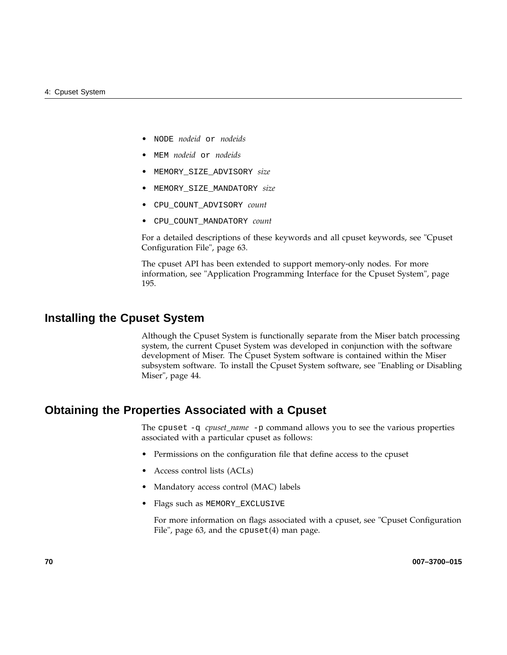- NODE *nodeid* or *nodeids*
- MEM *nodeid* or *nodeids*
- MEMORY\_SIZE\_ADVISORY *size*
- MEMORY\_SIZE\_MANDATORY *size*
- CPU\_COUNT\_ADVISORY *count*
- CPU\_COUNT\_MANDATORY *count*

For a detailed descriptions of these keywords and all cpuset keywords, see "Cpuset Configuration File", page 63.

The cpuset API has been extended to support memory-only nodes. For more information, see "Application Programming Interface for the Cpuset System", page 195.

## **Installing the Cpuset System**

Although the Cpuset System is functionally separate from the Miser batch processing system, the current Cpuset System was developed in conjunction with the software development of Miser. The Cpuset System software is contained within the Miser subsystem software. To install the Cpuset System software, see "Enabling or Disabling Miser", page 44.

## **Obtaining the Properties Associated with a Cpuset**

The cpuset -q *cpuset\_name* -p command allows you to see the various properties associated with a particular cpuset as follows:

- Permissions on the configuration file that define access to the cpuset
- Access control lists (ACLs)
- Mandatory access control (MAC) labels
- Flags such as MEMORY\_EXCLUSIVE

For more information on flags associated with a cpuset, see "Cpuset Configuration File", page 63, and the cpuset(4) man page.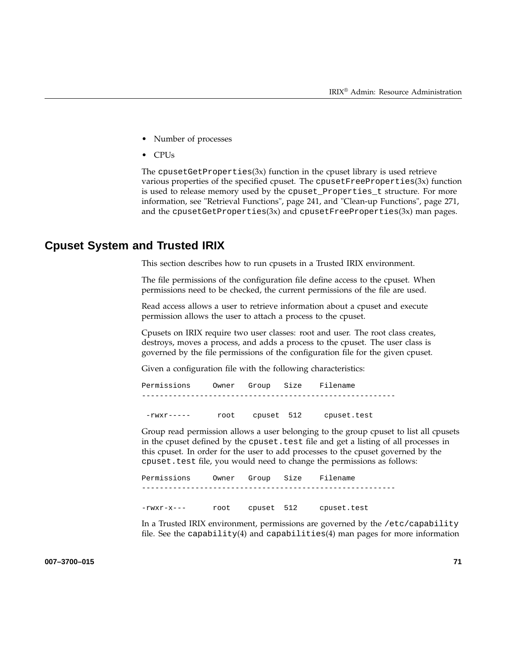- Number of processes
- CPUs

The cpuset Get Properties $(3x)$  function in the cpuset library is used retrieve various properties of the specified cpuset. The cpusetFreeProperties(3x) function is used to release memory used by the cpuset\_Properties\_t structure. For more information, see "Retrieval Functions", page 241, and "Clean-up Functions", page 271, and the cpusetGetProperties $(3x)$  and cpusetFreeProperties $(3x)$  man pages.

### **Cpuset System and Trusted IRIX**

This section describes how to run cpusets in a Trusted IRIX environment.

The file permissions of the configuration file define access to the cpuset. When permissions need to be checked, the current permissions of the file are used.

Read access allows a user to retrieve information about a cpuset and execute permission allows the user to attach a process to the cpuset.

Cpusets on IRIX require two user classes: root and user. The root class creates, destroys, moves a process, and adds a process to the cpuset. The user class is governed by the file permissions of the configuration file for the given cpuset.

Given a configuration file with the following characteristics:

Permissions Owner Group Size Filename ---------------------------------------------------------

-rwxr----- root cpuset 512 cpuset.test

Group read permission allows a user belonging to the group cpuset to list all cpusets in the cpuset defined by the cpuset.test file and get a listing of all processes in this cpuset. In order for the user to add processes to the cpuset governed by the cpuset.test file, you would need to change the permissions as follows:

Permissions Owner Group Size Filename --------------------------------------------------------- -rwxr-x--- root cpuset 512 cpuset.test

In a Trusted IRIX environment, permissions are governed by the /etc/capability file. See the capability(4) and capabilities(4) man pages for more information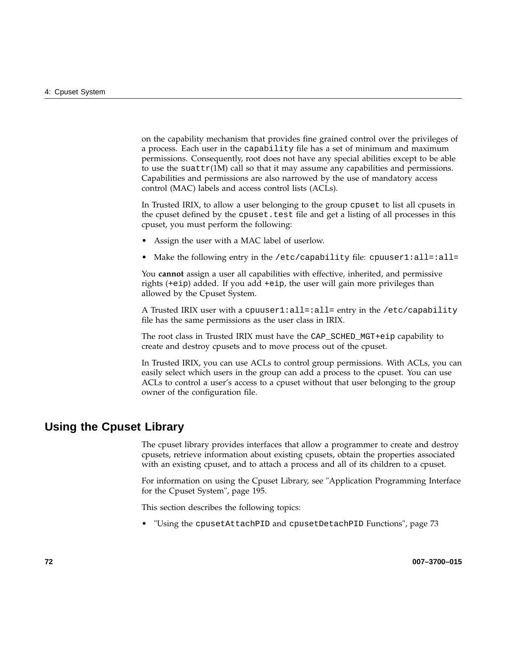on the capability mechanism that provides fine grained control over the privileges of a process. Each user in the capability file has a set of minimum and maximum permissions. Consequently, root does not have any special abilities except to be able to use the suattr $(1M)$  call so that it may assume any capabilities and permissions. Capabilities and permissions are also narrowed by the use of mandatory access control (MAC) labels and access control lists (ACLs).

In Trusted IRIX, to allow a user belonging to the group cpuset to list all cpusets in the cpuset defined by the cpuset.test file and get a listing of all processes in this cpuset, you must perform the following:

- Assign the user with a MAC label of userlow.
- Make the following entry in the /etc/capability file: cpuuser1:all=:all=

You **cannot** assign a user all capabilities with effective, inherited, and permissive rights (+eip) added. If you add +eip, the user will gain more privileges than allowed by the Cpuset System.

A Trusted IRIX user with a cpuuser1:all=:all= entry in the /etc/capability file has the same permissions as the user class in IRIX.

The root class in Trusted IRIX must have the CAP\_SCHED\_MGT+eip capability to create and destroy cpusets and to move process out of the cpuset.

In Trusted IRIX, you can use ACLs to control group permissions. With ACLs, you can easily select which users in the group can add a process to the cpuset. You can use ACLs to control a user's access to a cpuset without that user belonging to the group owner of the configuration file.

# **Using the Cpuset Library**

The cpuset library provides interfaces that allow a programmer to create and destroy cpusets, retrieve information about existing cpusets, obtain the properties associated with an existing cpuset, and to attach a process and all of its children to a cpuset.

For information on using the Cpuset Library, see "Application Programming Interface for the Cpuset System", page 195.

This section describes the following topics:

• "Using the cpusetAttachPID and cpusetDetachPID Functions", page 73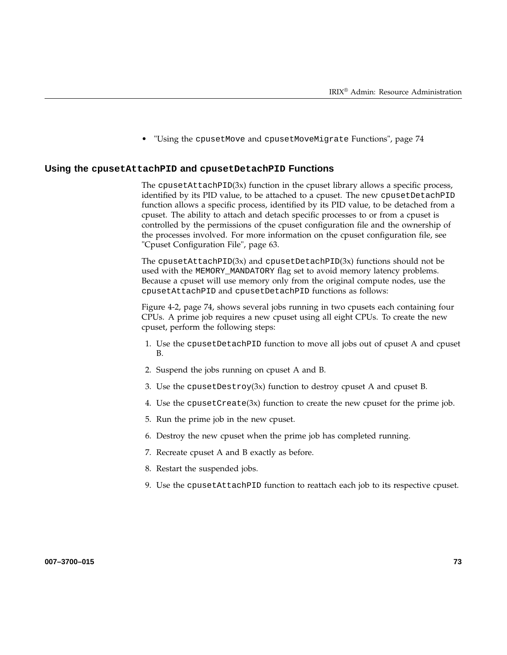• "Using the cpusetMove and cpusetMoveMigrate Functions", page 74

#### **Using the cpusetAttachPID and cpusetDetachPID Functions**

The cpusetAttachPID $(3x)$  function in the cpuset library allows a specific process, identified by its PID value, to be attached to a cpuset. The new cpusetDetachPID function allows a specific process, identified by its PID value, to be detached from a cpuset. The ability to attach and detach specific processes to or from a cpuset is controlled by the permissions of the cpuset configuration file and the ownership of the processes involved. For more information on the cpuset configuration file, see "Cpuset Configuration File", page 63.

The cpusetAttachPID $(3x)$  and cpusetDetachPID $(3x)$  functions should not be used with the MEMORY\_MANDATORY flag set to avoid memory latency problems. Because a cpuset will use memory only from the original compute nodes, use the cpusetAttachPID and cpusetDetachPID functions as follows:

Figure 4-2, page 74, shows several jobs running in two cpusets each containing four CPUs. A prime job requires a new cpuset using all eight CPUs. To create the new cpuset, perform the following steps:

- 1. Use the cpusetDetachPID function to move all jobs out of cpuset A and cpuset B.
- 2. Suspend the jobs running on cpuset A and B.
- 3. Use the cpusetDestroy(3x) function to destroy cpuset A and cpuset B.
- 4. Use the cpuset  $Create(3x)$  function to create the new cpuset for the prime job.
- 5. Run the prime job in the new cpuset.
- 6. Destroy the new cpuset when the prime job has completed running.
- 7. Recreate cpuset A and B exactly as before.
- 8. Restart the suspended jobs.
- 9. Use the cpusetAttachPID function to reattach each job to its respective cpuset.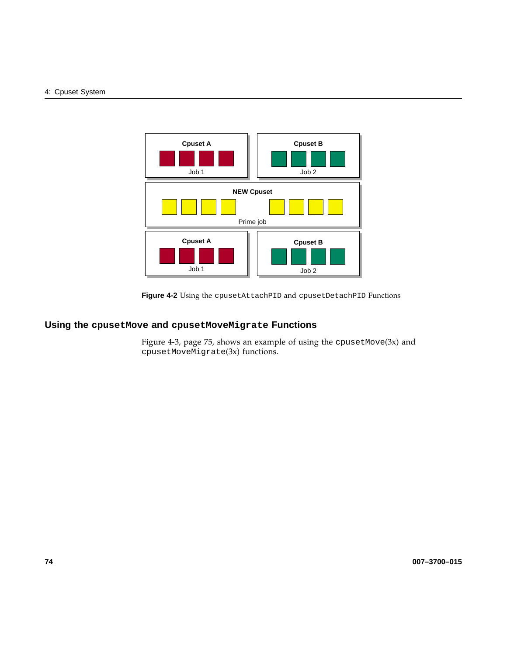#### 4: Cpuset System



**Figure 4-2** Using the cpusetAttachPID and cpusetDetachPID Functions

# **Using the cpusetMove and cpusetMoveMigrate Functions**

Figure 4-3, page 75, shows an example of using the cpusetMove(3x) and cpusetMoveMigrate(3x) functions.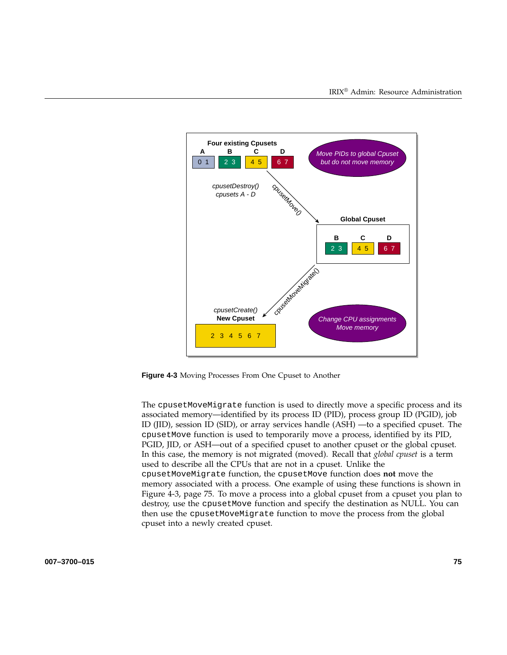

**Figure 4-3** Moving Processes From One Cpuset to Another

The cpusetMoveMigrate function is used to directly move a specific process and its associated memory—identified by its process ID (PID), process group ID (PGID), job ID (JID), session ID (SID), or array services handle (ASH) —to a specified cpuset. The cpusetMove function is used to temporarily move a process, identified by its PID, PGID, JID, or ASH—out of a specified cpuset to another cpuset or the global cpuset. In this case, the memory is not migrated (moved). Recall that *global cpuset* is a term used to describe all the CPUs that are not in a cpuset. Unlike the cpusetMoveMigrate function, the cpusetMove function does **not** move the memory associated with a process. One example of using these functions is shown in Figure 4-3, page 75. To move a process into a global cpuset from a cpuset you plan to destroy, use the cpusetMove function and specify the destination as NULL. You can then use the cpusetMoveMigrate function to move the process from the global cpuset into a newly created cpuset.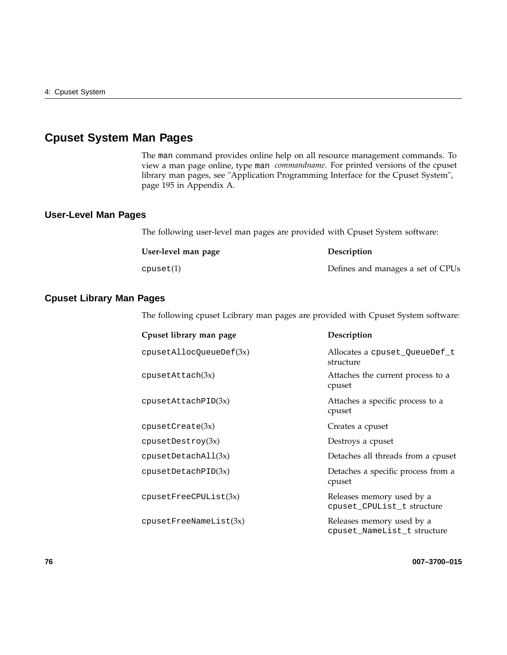# **Cpuset System Man Pages**

The man command provides online help on all resource management commands. To view a man page online, type man *commandname*. For printed versions of the cpuset library man pages, see "Application Programming Interface for the Cpuset System", page 195 in Appendix A.

### **User-Level Man Pages**

The following user-level man pages are provided with Cpuset System software:

| User-level man page | Description                       |
|---------------------|-----------------------------------|
| cpuset(1)           | Defines and manages a set of CPUs |

### **Cpuset Library Man Pages**

The following cpuset Lcibrary man pages are provided with Cpuset System software:

| Cpuset library man page          | Description                                              |
|----------------------------------|----------------------------------------------------------|
| $cpuset$ AllocQueueDef $(3x)$    | Allocates a cpuset QueueDef t<br>structure               |
| cpusetAttach(3x)                 | Attaches the current process to a<br>cpuset              |
| cpusetAttachPID(3x)              | Attaches a specific process to a<br>cpuset               |
| cpusetCreate(3x)                 | Creates a cpuset                                         |
| cpusetDestroy(3x)                | Destroys a cpuset                                        |
| cpusetDetachAl <sub>1</sub> (3x) | Detaches all threads from a cpuset                       |
| cpusetDetachPID(3x)              | Detaches a specific process from a<br>cpuset             |
| cpusetFreeCPUList(3x)            | Releases memory used by a<br>cpuset CPUList t structure  |
| cpusetFreeNameList(3x)           | Releases memory used by a<br>cpuset NameList t structure |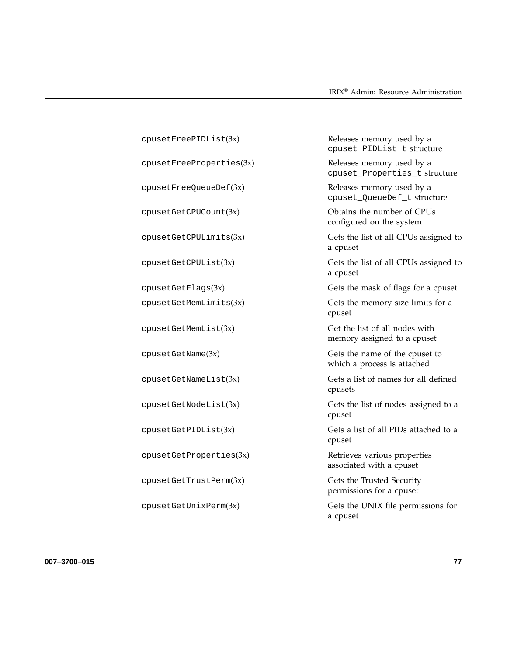| cpusetFreePIDList(3x)         | Releases memory used by a<br>cpuset_PIDList_t structure       |
|-------------------------------|---------------------------------------------------------------|
| cpusetFreePropertyeerties(3x) | Releases memory used by a<br>cpuset_Properties_t structure    |
| cpusetFreeQueueDef(3x)        | Releases memory used by a<br>cpuset_QueueDef_t structure      |
| cpusetGetCPUCount(3x)         | Obtains the number of CPUs<br>configured on the system        |
| cpusetGetCPULimits(3x)        | Gets the list of all CPUs assigned to<br>a cpuset             |
| cpusetGetCPUList(3x)          | Gets the list of all CPUs assigned to<br>a cpuset             |
| cpusetGetFlags(3x)            | Gets the mask of flags for a cpuset                           |
| cpusetGetMemLimits(3x)        | Gets the memory size limits for a<br>cpuset                   |
| cpusetGetMemList(3x)          | Get the list of all nodes with<br>memory assigned to a cpuset |
| cpusetGetName(3x)             | Gets the name of the cpuset to<br>which a process is attached |
| cpusetGetNameList(3x)         | Gets a list of names for all defined<br>cpusets               |
| cpusetGetNodeList(3x)         | Gets the list of nodes assigned to a<br>cpuset                |
| cpusetGetPIDList(3x)          | Gets a list of all PIDs attached to a<br>cpuset               |
| cpusetGetProperties(3x)       | Retrieves various properties<br>associated with a cpuset      |
| cpusetGetTrustPerm(3x)        | Gets the Trusted Security<br>permissions for a cpuset         |
| cpusetGetUnitxPerm(3x)        | Gets the UNIX file permissions for<br>a cpuset                |

**007–3700–015 77**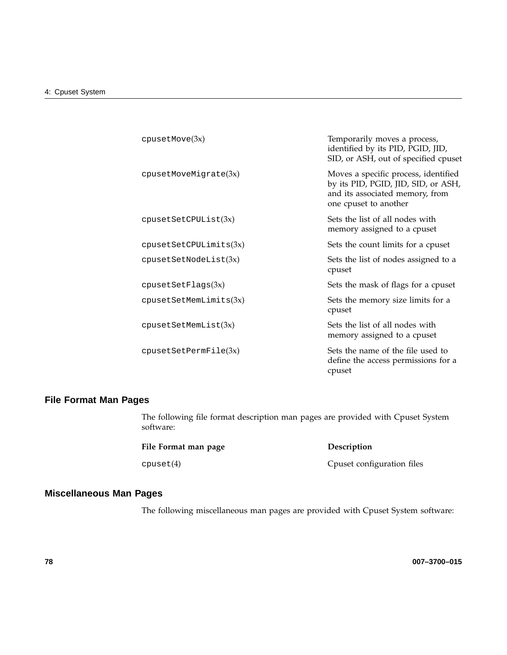| cpusetMove(3x)         | Temporarily moves a process,<br>identified by its PID, PGID, JID,<br>SID, or ASH, out of specified cpuset                               |
|------------------------|-----------------------------------------------------------------------------------------------------------------------------------------|
| cpusetMoveMigrate(3x)  | Moves a specific process, identified<br>by its PID, PGID, JID, SID, or ASH,<br>and its associated memory, from<br>one cpuset to another |
| cpusetSetCPUList(3x)   | Sets the list of all nodes with<br>memory assigned to a cpuset                                                                          |
| cpusetSetCPULimits(3x) | Sets the count limits for a cpuset                                                                                                      |
| cpusetsetNodeList(3x)  | Sets the list of nodes assigned to a<br>cpuset                                                                                          |
| cpusetSetFlags(3x)     | Sets the mask of flags for a cpuset                                                                                                     |
| cpusetSetMemLimits(3x) | Sets the memory size limits for a<br>cpuset                                                                                             |
| cpusetSetMemList(3x)   | Sets the list of all nodes with<br>memory assigned to a cpuset                                                                          |
| cpusetsetPermFile(3x)  | Sets the name of the file used to<br>define the access permissions for a<br>cpuset                                                      |

### **File Format Man Pages**

The following file format description man pages are provided with Cpuset System software:

| File Format man page | Description                |
|----------------------|----------------------------|
| cpuset(4)            | Cpuset configuration files |

# **Miscellaneous Man Pages**

The following miscellaneous man pages are provided with Cpuset System software: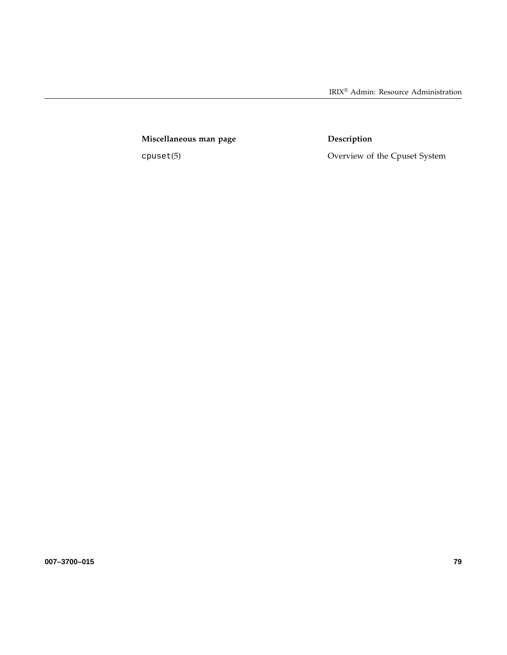IRIX® Admin: Resource Administration

Miscellaneous man page **Description** 

cpuset(5) Overview of the Cpuset System

**007–3700–015 79**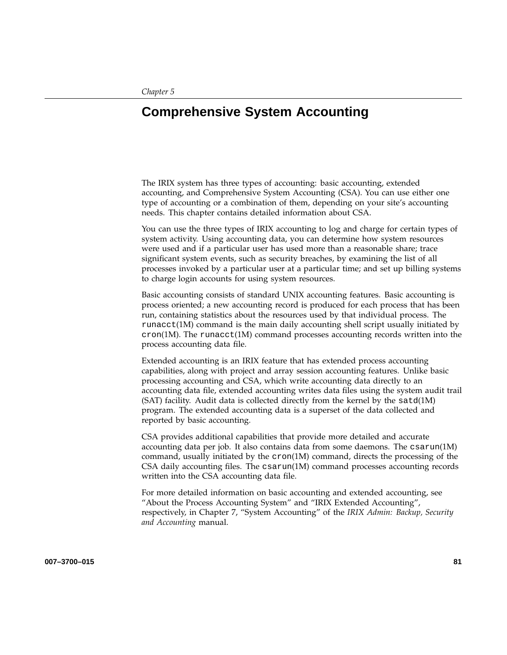# **Comprehensive System Accounting**

The IRIX system has three types of accounting: basic accounting, extended accounting, and Comprehensive System Accounting (CSA). You can use either one type of accounting or a combination of them, depending on your site's accounting needs. This chapter contains detailed information about CSA.

You can use the three types of IRIX accounting to log and charge for certain types of system activity. Using accounting data, you can determine how system resources were used and if a particular user has used more than a reasonable share; trace significant system events, such as security breaches, by examining the list of all processes invoked by a particular user at a particular time; and set up billing systems to charge login accounts for using system resources.

Basic accounting consists of standard UNIX accounting features. Basic accounting is process oriented; a new accounting record is produced for each process that has been run, containing statistics about the resources used by that individual process. The runacct(1M) command is the main daily accounting shell script usually initiated by  $cron(1M)$ . The runacct(1M) command processes accounting records written into the process accounting data file.

Extended accounting is an IRIX feature that has extended process accounting capabilities, along with project and array session accounting features. Unlike basic processing accounting and CSA, which write accounting data directly to an accounting data file, extended accounting writes data files using the system audit trail (SAT) facility. Audit data is collected directly from the kernel by the satd(1M) program. The extended accounting data is a superset of the data collected and reported by basic accounting.

CSA provides additional capabilities that provide more detailed and accurate accounting data per job. It also contains data from some daemons. The csarun(1M) command, usually initiated by the cron(1M) command, directs the processing of the CSA daily accounting files. The csarun(1M) command processes accounting records written into the CSA accounting data file.

For more detailed information on basic accounting and extended accounting, see "About the Process Accounting System" and "IRIX Extended Accounting", respectively, in Chapter 7, "System Accounting" of the *IRIX Admin: Backup, Security and Accounting* manual.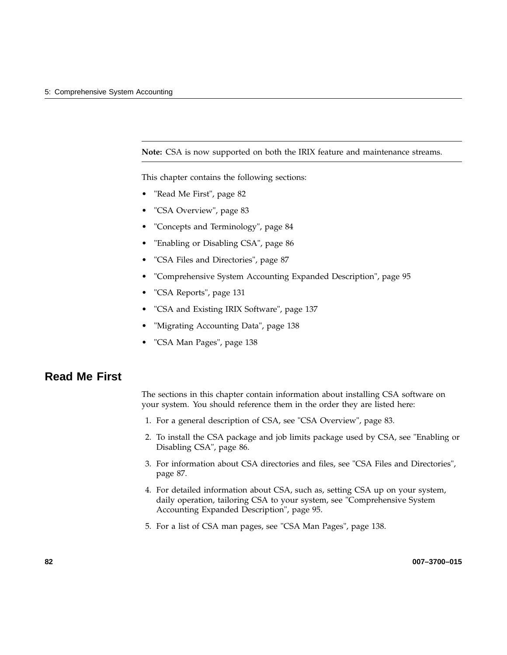**Note:** CSA is now supported on both the IRIX feature and maintenance streams.

This chapter contains the following sections:

- "Read Me First", page 82
- "CSA Overview", page 83
- "Concepts and Terminology", page 84
- "Enabling or Disabling CSA", page 86
- "CSA Files and Directories", page 87
- "Comprehensive System Accounting Expanded Description", page 95
- "CSA Reports", page 131
- "CSA and Existing IRIX Software", page 137
- "Migrating Accounting Data", page 138
- "CSA Man Pages", page 138

# **Read Me First**

The sections in this chapter contain information about installing CSA software on your system. You should reference them in the order they are listed here:

- 1. For a general description of CSA, see "CSA Overview", page 83.
- 2. To install the CSA package and job limits package used by CSA, see "Enabling or Disabling CSA", page 86.
- 3. For information about CSA directories and files, see "CSA Files and Directories", page 87.
- 4. For detailed information about CSA, such as, setting CSA up on your system, daily operation, tailoring CSA to your system, see "Comprehensive System Accounting Expanded Description", page 95.
- 5. For a list of CSA man pages, see "CSA Man Pages", page 138.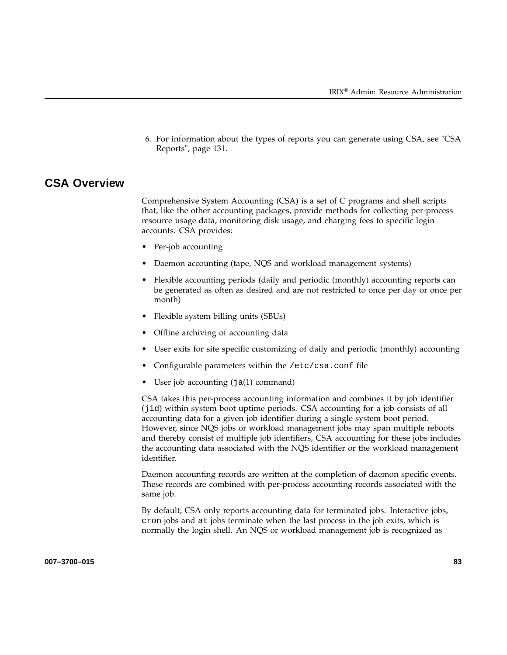6. For information about the types of reports you can generate using CSA, see "CSA Reports", page 131.

# **CSA Overview**

Comprehensive System Accounting (CSA) is a set of C programs and shell scripts that, like the other accounting packages, provide methods for collecting per-process resource usage data, monitoring disk usage, and charging fees to specific login accounts. CSA provides:

- Per-job accounting
- Daemon accounting (tape, NQS and workload management systems)
- Flexible accounting periods (daily and periodic (monthly) accounting reports can be generated as often as desired and are not restricted to once per day or once per month)
- Flexible system billing units (SBUs)
- Offline archiving of accounting data
- User exits for site specific customizing of daily and periodic (monthly) accounting
- Configurable parameters within the /etc/csa.conf file
- User job accounting (ja(1) command)

CSA takes this per-process accounting information and combines it by job identifier (jid) within system boot uptime periods. CSA accounting for a job consists of all accounting data for a given job identifier during a single system boot period. However, since NQS jobs or workload management jobs may span multiple reboots and thereby consist of multiple job identifiers, CSA accounting for these jobs includes the accounting data associated with the NQS identifier or the workload management identifier.

Daemon accounting records are written at the completion of daemon specific events. These records are combined with per-process accounting records associated with the same job.

By default, CSA only reports accounting data for terminated jobs. Interactive jobs, cron jobs and at jobs terminate when the last process in the job exits, which is normally the login shell. An NQS or workload management job is recognized as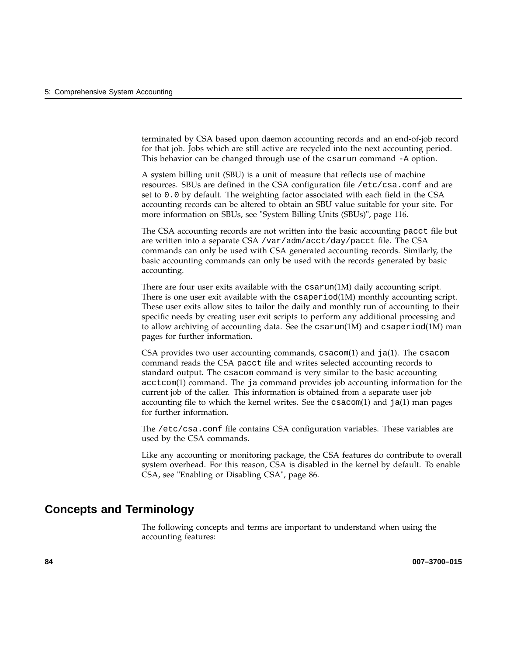terminated by CSA based upon daemon accounting records and an end-of-job record for that job. Jobs which are still active are recycled into the next accounting period. This behavior can be changed through use of the csarun command -A option.

A system billing unit (SBU) is a unit of measure that reflects use of machine resources. SBUs are defined in the CSA configuration file /etc/csa.conf and are set to 0.0 by default. The weighting factor associated with each field in the CSA accounting records can be altered to obtain an SBU value suitable for your site. For more information on SBUs, see "System Billing Units (SBUs)", page 116.

The CSA accounting records are not written into the basic accounting pacct file but are written into a separate CSA /var/adm/acct/day/pacct file. The CSA commands can only be used with CSA generated accounting records. Similarly, the basic accounting commands can only be used with the records generated by basic accounting.

There are four user exits available with the csarun(1M) daily accounting script. There is one user exit available with the  $\sigma$ saperiod $(1M)$  monthly accounting script. These user exits allow sites to tailor the daily and monthly run of accounting to their specific needs by creating user exit scripts to perform any additional processing and to allow archiving of accounting data. See the csarun(1M) and csaperiod(1M) man pages for further information.

CSA provides two user accounting commands,  $c$ sacom $(1)$  and  $j$ a $(1)$ . The csacom command reads the CSA pacct file and writes selected accounting records to standard output. The csacom command is very similar to the basic accounting acctcom(1) command. The ja command provides job accounting information for the current job of the caller. This information is obtained from a separate user job accounting file to which the kernel writes. See the  $c \cdot \text{vacum}(1)$  and  $j \cdot a(1)$  man pages for further information.

The /etc/csa.conf file contains CSA configuration variables. These variables are used by the CSA commands.

Like any accounting or monitoring package, the CSA features do contribute to overall system overhead. For this reason, CSA is disabled in the kernel by default. To enable CSA, see "Enabling or Disabling CSA", page 86.

# **Concepts and Terminology**

The following concepts and terms are important to understand when using the accounting features: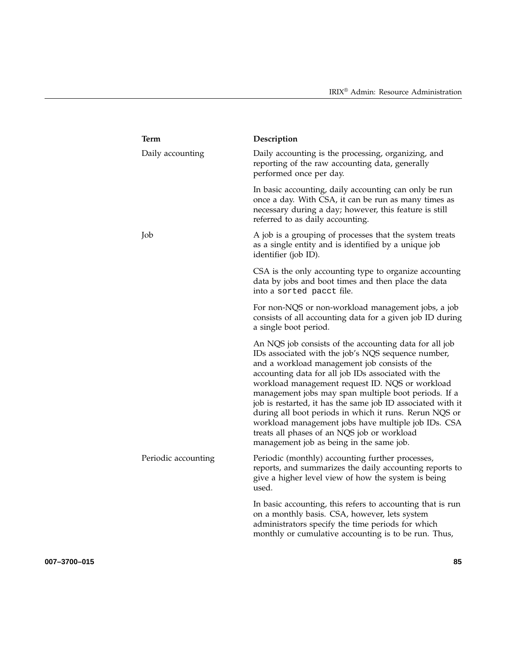| <b>Term</b>         | Description                                                                                                                                                                                                                                                                                                                                                                                                                                                                                                                                                                                                |
|---------------------|------------------------------------------------------------------------------------------------------------------------------------------------------------------------------------------------------------------------------------------------------------------------------------------------------------------------------------------------------------------------------------------------------------------------------------------------------------------------------------------------------------------------------------------------------------------------------------------------------------|
| Daily accounting    | Daily accounting is the processing, organizing, and<br>reporting of the raw accounting data, generally<br>performed once per day.                                                                                                                                                                                                                                                                                                                                                                                                                                                                          |
|                     | In basic accounting, daily accounting can only be run<br>once a day. With CSA, it can be run as many times as<br>necessary during a day; however, this feature is still<br>referred to as daily accounting.                                                                                                                                                                                                                                                                                                                                                                                                |
| Job                 | A job is a grouping of processes that the system treats<br>as a single entity and is identified by a unique job<br>identifier (job ID).                                                                                                                                                                                                                                                                                                                                                                                                                                                                    |
|                     | CSA is the only accounting type to organize accounting<br>data by jobs and boot times and then place the data<br>into a sorted pacct file.                                                                                                                                                                                                                                                                                                                                                                                                                                                                 |
|                     | For non-NQS or non-workload management jobs, a job<br>consists of all accounting data for a given job ID during<br>a single boot period.                                                                                                                                                                                                                                                                                                                                                                                                                                                                   |
|                     | An NQS job consists of the accounting data for all job<br>IDs associated with the job's NQS sequence number,<br>and a workload management job consists of the<br>accounting data for all job IDs associated with the<br>workload management request ID. NQS or workload<br>management jobs may span multiple boot periods. If a<br>job is restarted, it has the same job ID associated with it<br>during all boot periods in which it runs. Rerun NQS or<br>workload management jobs have multiple job IDs. CSA<br>treats all phases of an NQS job or workload<br>management job as being in the same job. |
| Periodic accounting | Periodic (monthly) accounting further processes,<br>reports, and summarizes the daily accounting reports to<br>give a higher level view of how the system is being<br>used.                                                                                                                                                                                                                                                                                                                                                                                                                                |
|                     | In basic accounting, this refers to accounting that is run<br>on a monthly basis. CSA, however, lets system<br>administrators specify the time periods for which<br>monthly or cumulative accounting is to be run. Thus,                                                                                                                                                                                                                                                                                                                                                                                   |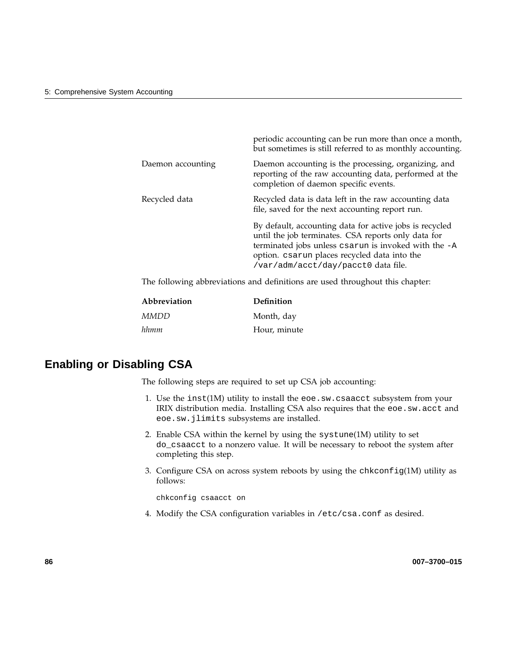|                                                                               | periodic accounting can be run more than once a month,<br>but sometimes is still referred to as monthly accounting.                                                                                                                                           |
|-------------------------------------------------------------------------------|---------------------------------------------------------------------------------------------------------------------------------------------------------------------------------------------------------------------------------------------------------------|
| Daemon accounting                                                             | Daemon accounting is the processing, organizing, and<br>reporting of the raw accounting data, performed at the<br>completion of daemon specific events.                                                                                                       |
| Recycled data                                                                 | Recycled data is data left in the raw accounting data<br>file, saved for the next accounting report run.                                                                                                                                                      |
|                                                                               | By default, accounting data for active jobs is recycled<br>until the job terminates. CSA reports only data for<br>terminated jobs unless csarun is invoked with the -A<br>option. csarun places recycled data into the<br>/var/adm/acct/day/pacct0 data file. |
| The following abbreviations and definitions are used throughout this chapter: |                                                                                                                                                                                                                                                               |

| Abbreviation | Definition |
|--------------|------------|
| MMDD         | Month, day |

*hhmm* Hour, minute

# **Enabling or Disabling CSA**

The following steps are required to set up CSA job accounting:

- 1. Use the inst(1M) utility to install the eoe.sw.csaacct subsystem from your IRIX distribution media. Installing CSA also requires that the eoe.sw.acct and eoe.sw.jlimits subsystems are installed.
- 2. Enable CSA within the kernel by using the systune(1M) utility to set do\_csaacct to a nonzero value. It will be necessary to reboot the system after completing this step.
- 3. Configure CSA on across system reboots by using the chkconfig(1M) utility as follows:

chkconfig csaacct on

4. Modify the CSA configuration variables in /etc/csa.conf as desired.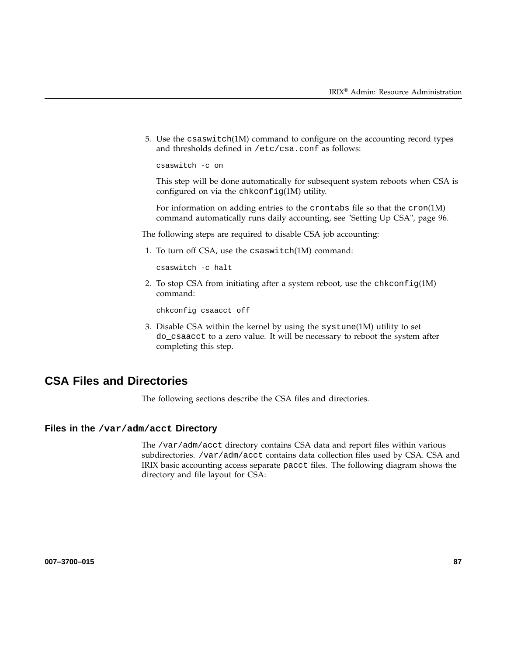5. Use the csaswitch(1M) command to configure on the accounting record types and thresholds defined in /etc/csa.conf as follows:

csaswitch -c on

This step will be done automatically for subsequent system reboots when CSA is configured on via the chkconfig(1M) utility.

For information on adding entries to the crontabs file so that the cron(1M) command automatically runs daily accounting, see "Setting Up CSA", page 96.

The following steps are required to disable CSA job accounting:

1. To turn off CSA, use the csaswitch(1M) command:

csaswitch -c halt

2. To stop CSA from initiating after a system reboot, use the chkconfig $(1M)$ command:

chkconfig csaacct off

3. Disable CSA within the kernel by using the systune(1M) utility to set do\_csaacct to a zero value. It will be necessary to reboot the system after completing this step.

# **CSA Files and Directories**

The following sections describe the CSA files and directories.

### **Files in the /var/adm/acct Directory**

The /var/adm/acct directory contains CSA data and report files within various subdirectories. /var/adm/acct contains data collection files used by CSA. CSA and IRIX basic accounting access separate pacct files. The following diagram shows the directory and file layout for CSA: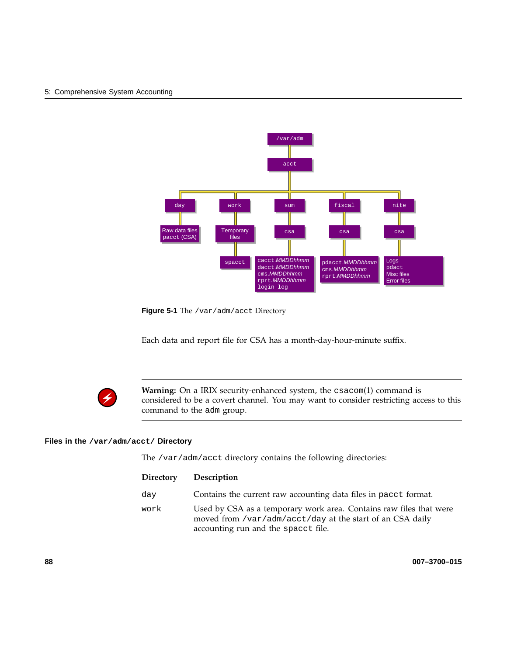#### 5: Comprehensive System Accounting



**Figure 5-1** The /var/adm/acct Directory

Each data and report file for CSA has a month-day-hour-minute suffix.



**Warning:** On a IRIX security-enhanced system, the csacom(1) command is considered to be a covert channel. You may want to consider restricting access to this command to the adm group.

#### **Files in the /var/adm/acct/ Directory**

The /var/adm/acct directory contains the following directories:

| <b>Directory</b> | Description                                                                                                                                                            |
|------------------|------------------------------------------------------------------------------------------------------------------------------------------------------------------------|
| day              | Contains the current raw accounting data files in pacct format.                                                                                                        |
| work             | Used by CSA as a temporary work area. Contains raw files that were<br>moved from /var/adm/acct/day at the start of an CSA daily<br>accounting run and the spacet file. |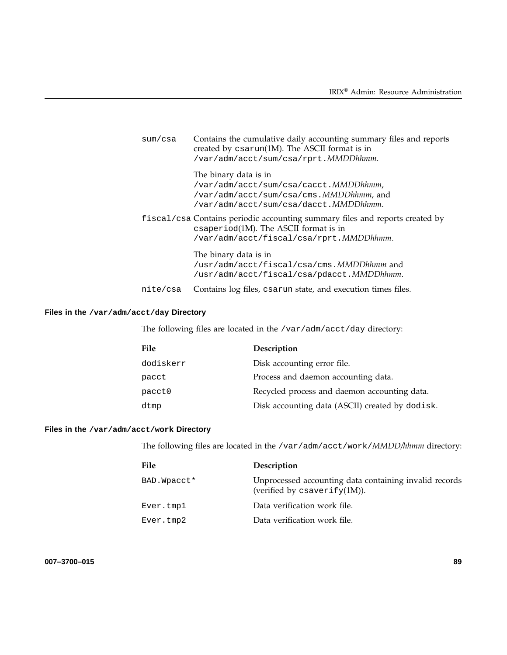| sum/csa  | Contains the cumulative daily accounting summary files and reports<br>created by csarun(1M). The ASCII format is in<br>/var/adm/acct/sum/csa/rprt.MMDDhhmm.               |
|----------|---------------------------------------------------------------------------------------------------------------------------------------------------------------------------|
|          | The binary data is in<br>/var/adm/acct/sum/csa/cacct.MMDDhhmm,<br>/var/adm/acct/sum/csa/cms.MMDDhhmm,and<br>/var/adm/acct/sum/csa/dacct.MMDDhhmm.                         |
|          | fiscal/csa Contains periodic accounting summary files and reports created by<br>$\alpha$ csaperiod(1M). The ASCII format is in<br>/var/adm/acct/fiscal/csa/rprt.MMDDhhmm. |
|          | The binary data is in<br>/usr/adm/acct/fiscal/csa/cms. MMDDhhmm and<br>/usr/adm/acct/fiscal/csa/pdacct.MMDDhhmm.                                                          |
| nite/csa | Contains log files, csarun state, and execution times files.                                                                                                              |

## **Files in the /var/adm/acct/day Directory**

The following files are located in the /var/adm/acct/day directory:

| File      | Description                                     |
|-----------|-------------------------------------------------|
| dodiskerr | Disk accounting error file.                     |
| pacct     | Process and daemon accounting data.             |
| pacct0    | Recycled process and daemon accounting data.    |
| dtmp      | Disk accounting data (ASCII) created by dodisk. |
|           |                                                 |

## **Files in the /var/adm/acct/work Directory**

The following files are located in the /var/adm/acct/work/*MMDD/hhmm* directory:

| File         | Description                                                                                |
|--------------|--------------------------------------------------------------------------------------------|
| BAD. Wpacct* | Unprocessed accounting data containing invalid records<br>(verified by csaverify $(1M)$ ). |
| Ever.tmp1    | Data verification work file.                                                               |
| Ever.tmp2    | Data verification work file.                                                               |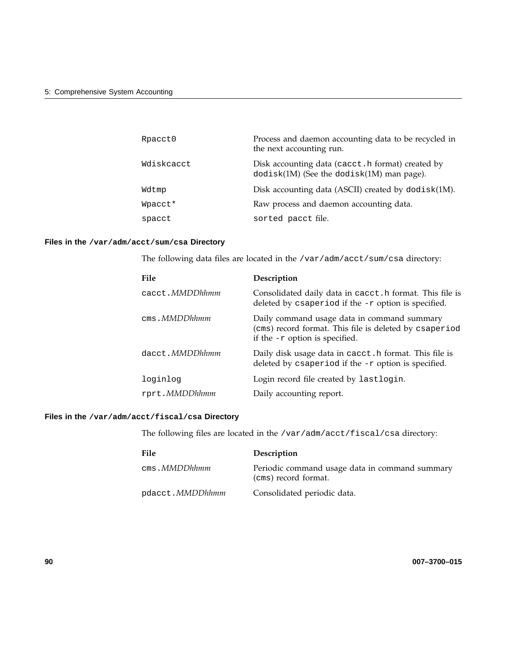| Rpacct0    | Process and daemon accounting data to be recycled in<br>the next accounting run.                   |
|------------|----------------------------------------------------------------------------------------------------|
| Wdiskcacct | Disk accounting data (cacct. h format) created by<br>$dodisk(1M)$ (See the $dodisk(1M)$ man page). |
| Wdtmp      | Disk accounting data (ASCII) created by dodisk(1M).                                                |
| Wpacct*    | Raw process and daemon accounting data.                                                            |
| spacct     | sorted pacct file.                                                                                 |

#### **Files in the /var/adm/acct/sum/csa Directory**

The following data files are located in the /var/adm/acct/sum/csa directory:

| File                   | Description                                                                                                                               |
|------------------------|-------------------------------------------------------------------------------------------------------------------------------------------|
| cacct. <i>MMDDhhmm</i> | Consolidated daily data in cacct. h format. This file is<br>deleted by csaperiod if the -r option is specified.                           |
| $cms$ . MMDD $h$ hmm   | Daily command usage data in command summary<br>(cms) record format. This file is deleted by csaperiod<br>if the $-r$ option is specified. |
| dacct. <i>MMDDhhmm</i> | Daily disk usage data in cacct. h format. This file is<br>deleted by csaperiod if the -r option is specified.                             |
| loginlog               | Login record file created by lastlogin.                                                                                                   |
| rprt.MMDDhhmm          | Daily accounting report.                                                                                                                  |

## **Files in the /var/adm/acct/fiscal/csa Directory**

The following files are located in the /var/adm/acct/fiscal/csa directory:

| <b>File</b>             | Description                                                            |
|-------------------------|------------------------------------------------------------------------|
| cms. <i>MMDDhhmm</i>    | Periodic command usage data in command summary<br>(cms) record format. |
| pdacct. <i>MMDDhhmm</i> | Consolidated periodic data.                                            |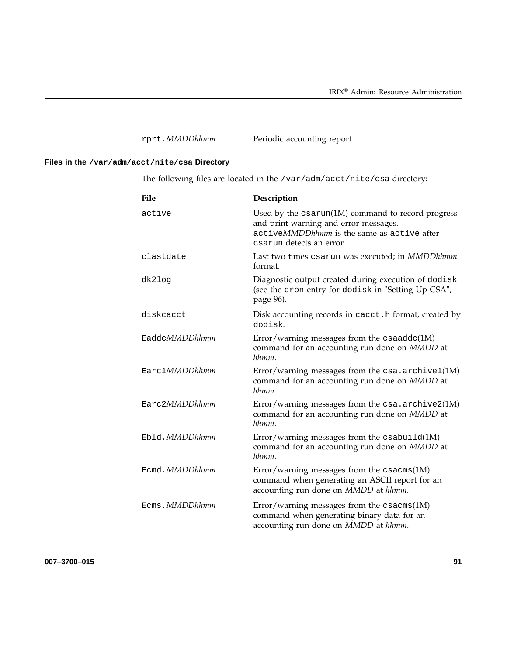# **Files in the /var/adm/acct/nite/csa Directory**

The following files are located in the /var/adm/acct/nite/csa directory:

| File          | Description                                                                                                                                                                    |
|---------------|--------------------------------------------------------------------------------------------------------------------------------------------------------------------------------|
| active        | Used by the $\text{cssarun}(1M)$ command to record progress<br>and print warning and error messages.<br>activeMMDDhhmm is the same as active after<br>csarun detects an error. |
| clastdate     | Last two times csarun was executed; in MMDDhhmm<br>format.                                                                                                                     |
| dk2log        | Diagnostic output created during execution of dodisk<br>(see the cron entry for dodisk in "Setting Up CSA",<br>page 96).                                                       |
| diskcacct     | Disk accounting records in cacct. h format, created by<br>dodisk.                                                                                                              |
| EaddcMMDDhhmm | Error/warning messages from the $csaaddc(1M)$<br>command for an accounting run done on MMDD at<br>hhmm.                                                                        |
| Earc1MMDDhhmm | Error/warning messages from the $csa$ . $archivel(M)$<br>command for an accounting run done on MMDD at<br>hhmm.                                                                |
| Earc2MMDDhhmm | Error/warning messages from the csa.archive2(1M)<br>command for an accounting run done on MMDD at<br>hhmm.                                                                     |
| Ebld.MMDDhhmm | Error/warning messages from the $csabuid(1M)$<br>command for an accounting run done on MMDD at<br>hhmm.                                                                        |
| Ecmd.MMDDhhmm | Error/warning messages from the $csacms(1M)$<br>command when generating an ASCII report for an<br>accounting run done on MMDD at hhmm.                                         |
| Ecms.MMDDhhmm | Error/warning messages from the $csacms(1M)$<br>command when generating binary data for an<br>accounting run done on MMDD at hhmm.                                             |

**007–3700–015 91**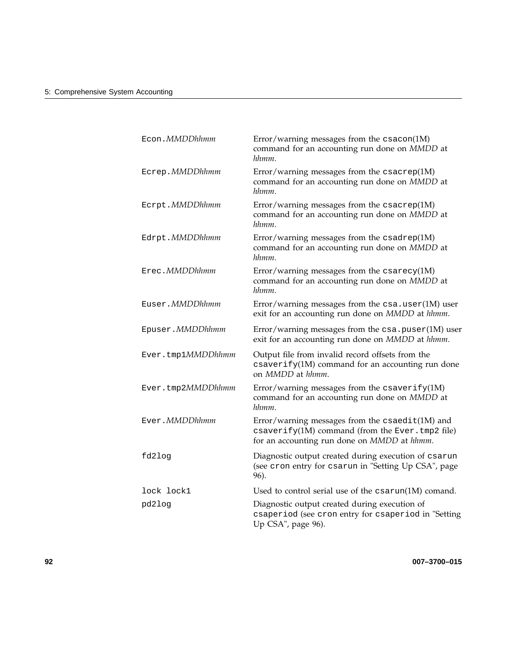| Econ.MMDDhhmm    |                   | Error/warning messages from the $c$ sacon(1M)<br>command for an accounting run done on MMDD at<br>hhmm.                                           |
|------------------|-------------------|---------------------------------------------------------------------------------------------------------------------------------------------------|
| Ecrep.MMDDhhmm   |                   | Error/warning messages from the $\text{csacrep}(1\text{M})$<br>command for an accounting run done on MMDD at<br>hhmm.                             |
| Ecrpt.MMDDhhmm   |                   | Error/warning messages from the $\text{csacrep}(1\text{M})$<br>command for an accounting run done on MMDD at<br>hhmm.                             |
| Edrpt.MMDDhhmm   |                   | Error/warning messages from the $csadrep(M)$<br>command for an accounting run done on MMDD at<br>hhmm.                                            |
| Erec.MMDDhhmm    |                   | Error/warning messages from the $\text{c}\text{s}$ arecy(1M)<br>command for an accounting run done on MMDD at<br>hhmm.                            |
| Euser.MMDDhhmm   |                   | Error/warning messages from the $csa$ . user $(1M)$ user<br>exit for an accounting run done on MMDD at hhmm.                                      |
| Epuser. MMDDhhmm |                   | Error/warning messages from the $csa$ . $puser(1M)$ user<br>exit for an accounting run done on MMDD at hhmm.                                      |
|                  | Ever.tmp1MMDDhhmm | Output file from invalid record offsets from the<br>csaverify(1M) command for an accounting run done<br>on MMDD at hhmm.                          |
|                  | Ever.tmp2MMDDhhmm | Error/warning messages from the $\text{csaverify}(1M)$<br>command for an accounting run done on MMDD at<br>hhmm.                                  |
| Ever.MMDDhhmm    |                   | Error/warning messages from the csaedit(1M) and<br>csaverify(1M) command (from the Ever.tmp2 file)<br>for an accounting run done on MMDD at hhmm. |
| fd2log           |                   | Diagnostic output created during execution of csarun<br>(see cron entry for csarun in "Setting Up CSA", page<br>96).                              |
| lock lock1       |                   | Used to control serial use of the csarun(1M) comand.                                                                                              |
| pd2log           |                   | Diagnostic output created during execution of<br>csaperiod (see cron entry for csaperiod in "Setting<br>Up CSA", page 96).                        |
|                  |                   |                                                                                                                                                   |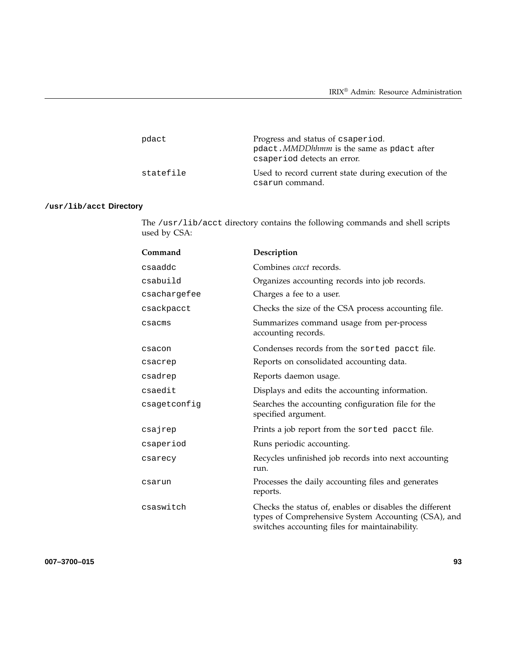| pdact     | Progress and status of csaperiod.<br>pdact. MMDDhhmm is the same as pdact after<br>esaperiod detects an error. |
|-----------|----------------------------------------------------------------------------------------------------------------|
| statefile | Used to record current state during execution of the<br>csarun command.                                        |

## **/usr/lib/acct Directory**

The /usr/lib/acct directory contains the following commands and shell scripts used by CSA:

| Command      | Description                                                                                                                                                      |
|--------------|------------------------------------------------------------------------------------------------------------------------------------------------------------------|
| csaaddc      | Combines <i>cacct</i> records.                                                                                                                                   |
| csabuild     | Organizes accounting records into job records.                                                                                                                   |
| csachargefee | Charges a fee to a user.                                                                                                                                         |
| csackpacct   | Checks the size of the CSA process accounting file.                                                                                                              |
| csacms       | Summarizes command usage from per-process<br>accounting records.                                                                                                 |
| csacon       | Condenses records from the sorted pacct file.                                                                                                                    |
| csacrep      | Reports on consolidated accounting data.                                                                                                                         |
| csadrep      | Reports daemon usage.                                                                                                                                            |
| csaedit      | Displays and edits the accounting information.                                                                                                                   |
| csagetconfig | Searches the accounting configuration file for the<br>specified argument.                                                                                        |
| csajrep      | Prints a job report from the sorted pacct file.                                                                                                                  |
| csaperiod    | Runs periodic accounting.                                                                                                                                        |
| csarecy      | Recycles unfinished job records into next accounting<br>run.                                                                                                     |
| csarun       | Processes the daily accounting files and generates<br>reports.                                                                                                   |
| csaswitch    | Checks the status of, enables or disables the different<br>types of Comprehensive System Accounting (CSA), and<br>switches accounting files for maintainability. |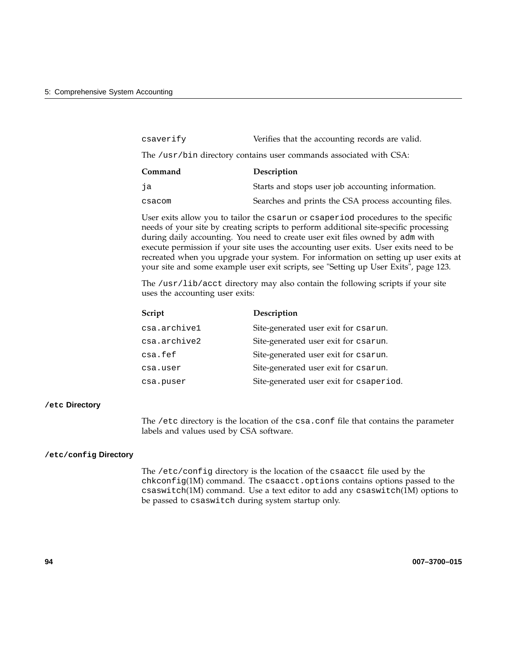| csaverify                                                          | Verifies that the accounting records are valid.       |  |
|--------------------------------------------------------------------|-------------------------------------------------------|--|
| The /usr/bin directory contains user commands associated with CSA: |                                                       |  |
| Command                                                            | Description                                           |  |
| ja                                                                 | Starts and stops user job accounting information.     |  |
| csacom                                                             | Searches and prints the CSA process accounting files. |  |

User exits allow you to tailor the csarun or csaperiod procedures to the specific needs of your site by creating scripts to perform additional site-specific processing during daily accounting. You need to create user exit files owned by adm with execute permission if your site uses the accounting user exits. User exits need to be recreated when you upgrade your system. For information on setting up user exits at your site and some example user exit scripts, see "Setting up User Exits", page 123.

The /usr/lib/acct directory may also contain the following scripts if your site uses the accounting user exits:

| Script       | Description                             |
|--------------|-----------------------------------------|
| csa.archivel | Site-generated user exit for csarun.    |
| csa.archive2 | Site-generated user exit for csarun.    |
| csa.fef      | Site-generated user exit for csarun.    |
| csa.user     | Site-generated user exit for csarun.    |
| csa.puser    | Site-generated user exit for csaperiod. |

#### **/etc Directory**

The /etc directory is the location of the csa.conf file that contains the parameter labels and values used by CSA software.

#### **/etc/config Directory**

The /etc/config directory is the location of the csaacct file used by the chkconfig(1M) command. The csaacct.options contains options passed to the csaswitch(1M) command. Use a text editor to add any csaswitch(1M) options to be passed to csaswitch during system startup only.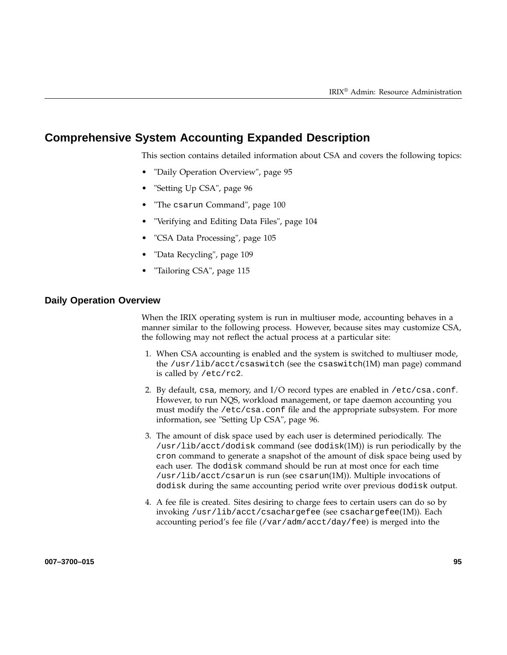# **Comprehensive System Accounting Expanded Description**

This section contains detailed information about CSA and covers the following topics:

- "Daily Operation Overview", page 95
- "Setting Up CSA", page 96
- "The csarun Command", page 100
- "Verifying and Editing Data Files", page 104
- "CSA Data Processing", page 105
- "Data Recycling", page 109
- "Tailoring CSA", page 115

#### **Daily Operation Overview**

When the IRIX operating system is run in multiuser mode, accounting behaves in a manner similar to the following process. However, because sites may customize CSA, the following may not reflect the actual process at a particular site:

- 1. When CSA accounting is enabled and the system is switched to multiuser mode, the /usr/lib/acct/csaswitch (see the csaswitch(1M) man page) command is called by /etc/rc2.
- 2. By default, csa, memory, and  $I/O$  record types are enabled in /etc/csa.conf. However, to run NQS, workload management, or tape daemon accounting you must modify the /etc/csa.conf file and the appropriate subsystem. For more information, see "Setting Up CSA", page 96.
- 3. The amount of disk space used by each user is determined periodically. The /usr/lib/acct/dodisk command (see dodisk(1M)) is run periodically by the cron command to generate a snapshot of the amount of disk space being used by each user. The dodisk command should be run at most once for each time /usr/lib/acct/csarun is run (see csarun(1M)). Multiple invocations of dodisk during the same accounting period write over previous dodisk output.
- 4. A fee file is created. Sites desiring to charge fees to certain users can do so by invoking /usr/lib/acct/csachargefee (see csachargefee(1M)). Each accounting period's fee file (/var/adm/acct/day/fee) is merged into the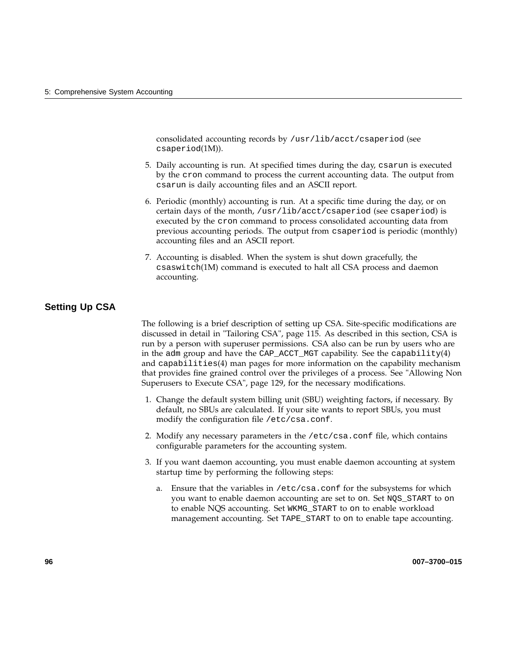consolidated accounting records by /usr/lib/acct/csaperiod (see csaperiod(1M)).

- 5. Daily accounting is run. At specified times during the day, csarun is executed by the cron command to process the current accounting data. The output from csarun is daily accounting files and an ASCII report.
- 6. Periodic (monthly) accounting is run. At a specific time during the day, or on certain days of the month, /usr/lib/acct/csaperiod (see csaperiod) is executed by the cron command to process consolidated accounting data from previous accounting periods. The output from csaperiod is periodic (monthly) accounting files and an ASCII report.
- 7. Accounting is disabled. When the system is shut down gracefully, the csaswitch(1M) command is executed to halt all CSA process and daemon accounting.

## **Setting Up CSA**

The following is a brief description of setting up CSA. Site-specific modifications are discussed in detail in "Tailoring CSA", page 115. As described in this section, CSA is run by a person with superuser permissions. CSA also can be run by users who are in the adm group and have the CAP\_ACCT\_MGT capability. See the capability(4) and capabilities(4) man pages for more information on the capability mechanism that provides fine grained control over the privileges of a process. See "Allowing Non Superusers to Execute CSA", page 129, for the necessary modifications.

- 1. Change the default system billing unit (SBU) weighting factors, if necessary. By default, no SBUs are calculated. If your site wants to report SBUs, you must modify the configuration file /etc/csa.conf.
- 2. Modify any necessary parameters in the /etc/csa.conf file, which contains configurable parameters for the accounting system.
- 3. If you want daemon accounting, you must enable daemon accounting at system startup time by performing the following steps:
	- a. Ensure that the variables in /etc/csa.conf for the subsystems for which you want to enable daemon accounting are set to on. Set NQS\_START to on to enable NQS accounting. Set WKMG\_START to on to enable workload management accounting. Set TAPE\_START to on to enable tape accounting.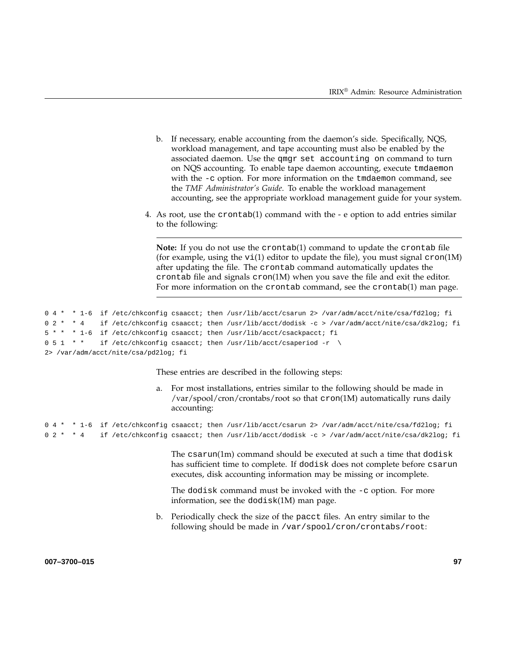- b. If necessary, enable accounting from the daemon's side. Specifically, NQS, workload management, and tape accounting must also be enabled by the associated daemon. Use the qmgr set accounting on command to turn on NQS accounting. To enable tape daemon accounting, execute tmdaemon with the -c option. For more information on the tmdaemon command, see the *TMF Administrator's Guide*. To enable the workload management accounting, see the appropriate workload management guide for your system.
- 4. As root, use the crontab(1) command with the  $-$  e option to add entries similar to the following:

**Note:** If you do not use the crontab(1) command to update the crontab file (for example, using the  $vi(1)$  editor to update the file), you must signal  $cron(1M)$ after updating the file. The crontab command automatically updates the crontab file and signals cron(1M) when you save the file and exit the editor. For more information on the crontab command, see the crontab(1) man page.

```
0 4 * * 1-6 if /etc/chkconfig csaacct; then /usr/lib/acct/csarun 2> /var/adm/acct/nite/csa/fd2log; fi
0 2 * * 4 if /etc/chkconfig csaacct; then /usr/lib/acct/dodisk -c > /var/adm/acct/nite/csa/dk2log; fi
5 * * * 1-6 if /etc/chkconfig csaacct; then /usr/lib/acct/csackpacct; fi
0 5 1 * * if /etc/chkconfig csaacct; then /usr/lib/acct/csaperiod -r \
2> /var/adm/acct/nite/csa/pd2log; fi
```
These entries are described in the following steps:

a. For most installations, entries similar to the following should be made in /var/spool/cron/crontabs/root so that cron(1M) automatically runs daily accounting:

```
0 4 * * 1-6 if /etc/chkconfig csaacct; then /usr/lib/acct/csarun 2> /var/adm/acct/nite/csa/fd2log; fi
0 2 * * 4 if /etc/chkconfig csaacct; then /usr/lib/acct/dodisk -c > /var/adm/acct/nite/csa/dk2log; fi
```
The csarun(1m) command should be executed at such a time that dodisk has sufficient time to complete. If dodisk does not complete before csarun executes, disk accounting information may be missing or incomplete.

The dodisk command must be invoked with the -c option. For more information, see the dodisk(1M) man page.

b. Periodically check the size of the pacct files. An entry similar to the following should be made in /var/spool/cron/crontabs/root:

**007–3700–015 97**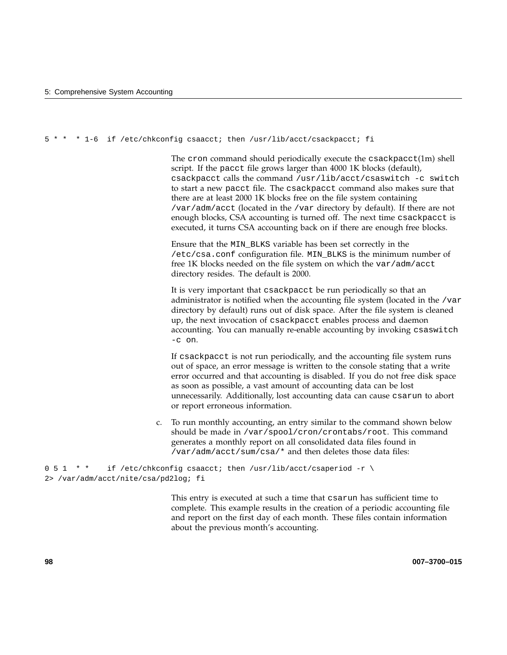5 \* \* \* 1-6 if /etc/chkconfig csaacct; then /usr/lib/acct/csackpacct; fi

The cron command should periodically execute the csackpacct(1m) shell script. If the pacct file grows larger than 4000 1K blocks (default), csackpacct calls the command /usr/lib/acct/csaswitch -c switch to start a new pacct file. The csackpacct command also makes sure that there are at least 2000 1K blocks free on the file system containing /var/adm/acct (located in the /var directory by default). If there are not enough blocks, CSA accounting is turned off. The next time csackpacct is executed, it turns CSA accounting back on if there are enough free blocks.

Ensure that the MIN\_BLKS variable has been set correctly in the /etc/csa.conf configuration file. MIN\_BLKS is the minimum number of free 1K blocks needed on the file system on which the var/adm/acct directory resides. The default is 2000.

It is very important that csackpacct be run periodically so that an administrator is notified when the accounting file system (located in the /var directory by default) runs out of disk space. After the file system is cleaned up, the next invocation of csackpacct enables process and daemon accounting. You can manually re-enable accounting by invoking csaswitch  $-c$  on.

If csackpacct is not run periodically, and the accounting file system runs out of space, an error message is written to the console stating that a write error occurred and that accounting is disabled. If you do not free disk space as soon as possible, a vast amount of accounting data can be lost unnecessarily. Additionally, lost accounting data can cause csarun to abort or report erroneous information.

c. To run monthly accounting, an entry similar to the command shown below should be made in /var/spool/cron/crontabs/root. This command generates a monthly report on all consolidated data files found in /var/adm/acct/sum/csa/\* and then deletes those data files:

```
0 5 1 * * if /etc/chkconfig csaacct; then /usr/lib/acct/csaperiod -r \
2> /var/adm/acct/nite/csa/pd2log; fi
```
This entry is executed at such a time that csarun has sufficient time to complete. This example results in the creation of a periodic accounting file and report on the first day of each month. These files contain information about the previous month's accounting.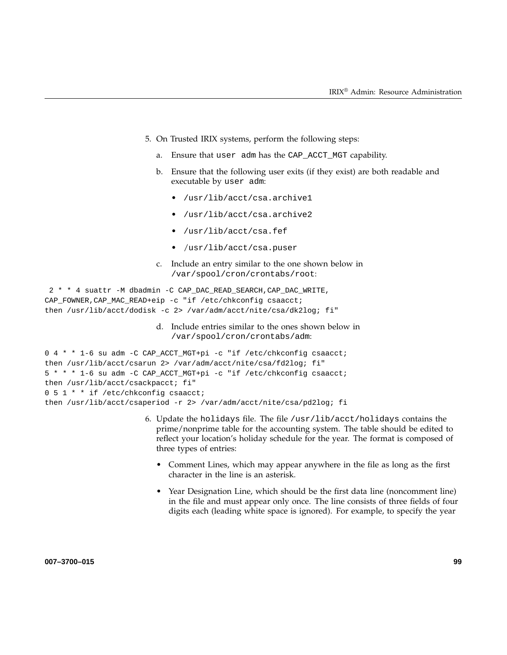- 5. On Trusted IRIX systems, perform the following steps:
	- a. Ensure that user adm has the CAP\_ACCT\_MGT capability.
	- b. Ensure that the following user exits (if they exist) are both readable and executable by user adm:
		- /usr/lib/acct/csa.archive1
		- /usr/lib/acct/csa.archive2
		- /usr/lib/acct/csa.fef
		- /usr/lib/acct/csa.puser
	- c. Include an entry similar to the one shown below in /var/spool/cron/crontabs/root:

```
2**4 suattr -M dbadmin -C CAP_DAC_READ_SEARCH,CAP_DAC_WRITE,
CAP_FOWNER,CAP_MAC_READ+eip -c "if /etc/chkconfig csaacct;
then /usr/lib/acct/dodisk -c 2> /var/adm/acct/nite/csa/dk2log; fi"
```
d. Include entries similar to the ones shown below in /var/spool/cron/crontabs/adm:

```
0 4 * * 1-6 su adm -C CAP_ACCT_MGT+pi -c "if /etc/chkconfig csaacct;
then /usr/lib/acct/csarun 2> /var/adm/acct/nite/csa/fd2log; fi"
5 * * * 1-6 su adm -C CAP_ACCT_MGT+pi -c "if /etc/chkconfig csaacct;
then /usr/lib/acct/csackpacct; fi"
0 5 1 * * if /etc/chkconfig csaacct;
then /usr/lib/acct/csaperiod -r 2> /var/adm/acct/nite/csa/pd2log; fi
```
- 6. Update the holidays file. The file /usr/lib/acct/holidays contains the prime/nonprime table for the accounting system. The table should be edited to reflect your location's holiday schedule for the year. The format is composed of three types of entries:
	- Comment Lines, which may appear anywhere in the file as long as the first character in the line is an asterisk.
	- Year Designation Line, which should be the first data line (noncomment line) in the file and must appear only once. The line consists of three fields of four digits each (leading white space is ignored). For example, to specify the year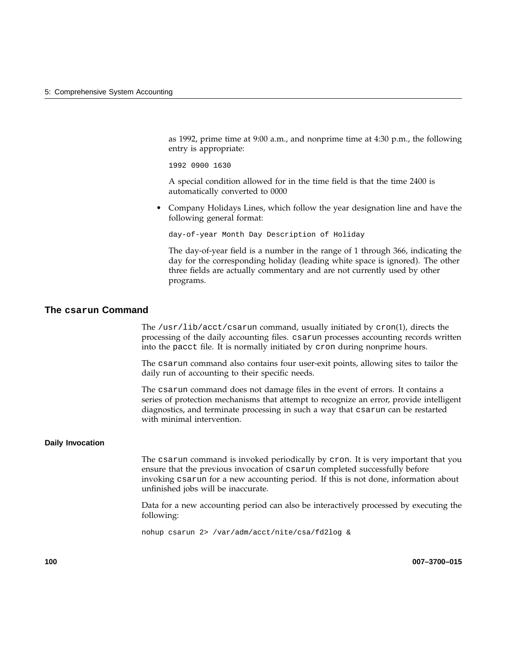as 1992, prime time at 9:00 a.m., and nonprime time at 4:30 p.m., the following entry is appropriate:

1992 0900 1630

A special condition allowed for in the time field is that the time 2400 is automatically converted to 0000

• Company Holidays Lines, which follow the year designation line and have the following general format:

day-of-year Month Day Description of Holiday

The day-of-year field is a number in the range of 1 through 366, indicating the day for the corresponding holiday (leading white space is ignored). The other three fields are actually commentary and are not currently used by other programs.

### **The csarun Command**

The /usr/lib/acct/csarun command, usually initiated by cron(1), directs the processing of the daily accounting files. csarun processes accounting records written into the pacct file. It is normally initiated by cron during nonprime hours.

The csarun command also contains four user-exit points, allowing sites to tailor the daily run of accounting to their specific needs.

The csarun command does not damage files in the event of errors. It contains a series of protection mechanisms that attempt to recognize an error, provide intelligent diagnostics, and terminate processing in such a way that csarun can be restarted with minimal intervention.

#### **Daily Invocation**

The csarun command is invoked periodically by cron. It is very important that you ensure that the previous invocation of csarun completed successfully before invoking csarun for a new accounting period. If this is not done, information about unfinished jobs will be inaccurate.

Data for a new accounting period can also be interactively processed by executing the following:

nohup csarun 2> /var/adm/acct/nite/csa/fd2log &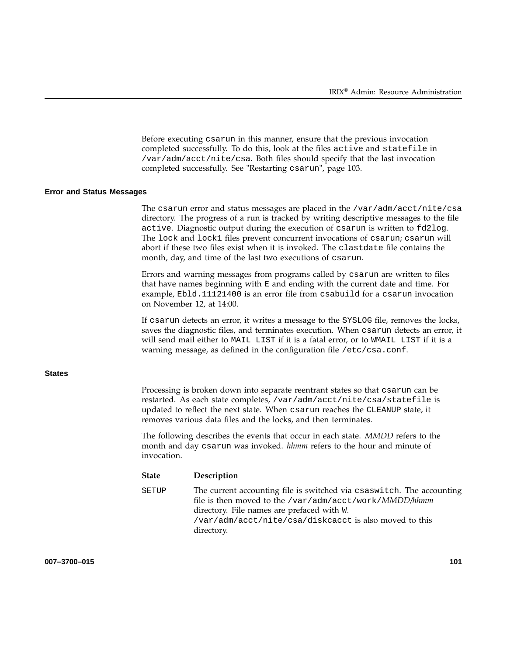Before executing csarun in this manner, ensure that the previous invocation completed successfully. To do this, look at the files active and statefile in /var/adm/acct/nite/csa. Both files should specify that the last invocation completed successfully. See "Restarting csarun", page 103.

#### **Error and Status Messages**

The csarun error and status messages are placed in the /var/adm/acct/nite/csa directory. The progress of a run is tracked by writing descriptive messages to the file active. Diagnostic output during the execution of csarun is written to fd2log. The lock and lock1 files prevent concurrent invocations of csarun; csarun will abort if these two files exist when it is invoked. The clastdate file contains the month, day, and time of the last two executions of csarun.

Errors and warning messages from programs called by csarun are written to files that have names beginning with E and ending with the current date and time. For example, Ebld.11121400 is an error file from csabuild for a csarun invocation on November 12, at 14:00.

If csarun detects an error, it writes a message to the SYSLOG file, removes the locks, saves the diagnostic files, and terminates execution. When csarun detects an error, it will send mail either to MAIL\_LIST if it is a fatal error, or to WMAIL\_LIST if it is a warning message, as defined in the configuration file /etc/csa.conf.

**States**

Processing is broken down into separate reentrant states so that csarun can be restarted. As each state completes, /var/adm/acct/nite/csa/statefile is updated to reflect the next state. When csarun reaches the CLEANUP state, it removes various data files and the locks, and then terminates.

The following describes the events that occur in each state. *MMDD* refers to the month and day csarun was invoked. *hhmm* refers to the hour and minute of invocation.

| <b>State</b> | Description                                                                                                                                                                                                                                           |
|--------------|-------------------------------------------------------------------------------------------------------------------------------------------------------------------------------------------------------------------------------------------------------|
| SETUP        | The current accounting file is switched via csaswitch. The accounting<br>file is then moved to the /var/adm/acct/work/MMDD/hhmm<br>directory. File names are prefaced with W.<br>/var/adm/acct/nite/csa/diskcacct is also moved to this<br>directory. |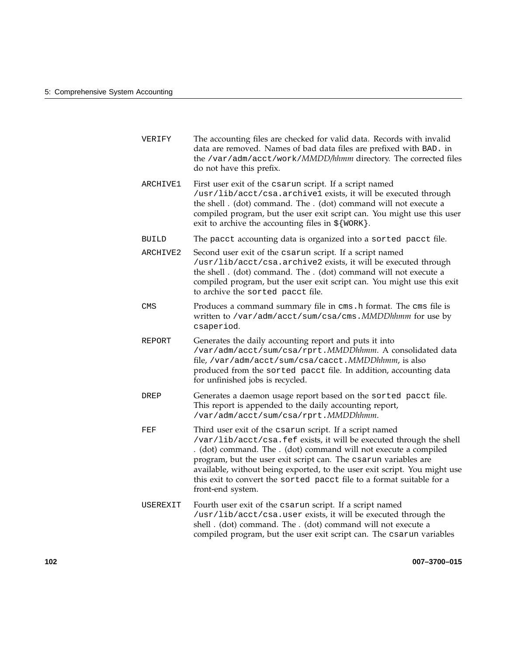| VERIFY       | The accounting files are checked for valid data. Records with invalid<br>data are removed. Names of bad data files are prefixed with BAD. in<br>the /var/adm/acct/work/MMDD/hhmm directory. The corrected files<br>do not have this prefix.                                                                                                                                                                                                      |
|--------------|--------------------------------------------------------------------------------------------------------------------------------------------------------------------------------------------------------------------------------------------------------------------------------------------------------------------------------------------------------------------------------------------------------------------------------------------------|
| ARCHIVE1     | First user exit of the csarun script. If a script named<br>/usr/lib/acct/csa.archive1 exists, it will be executed through<br>the shell. (dot) command. The. (dot) command will not execute a<br>compiled program, but the user exit script can. You might use this user<br>exit to archive the accounting files in $\S$ {WORK }.                                                                                                                 |
| <b>BUILD</b> | The pacct accounting data is organized into a sorted pacct file.                                                                                                                                                                                                                                                                                                                                                                                 |
| ARCHIVE2     | Second user exit of the csarun script. If a script named<br>/usr/lib/acct/csa.archive2 exists, it will be executed through<br>the shell. (dot) command. The. (dot) command will not execute a<br>compiled program, but the user exit script can. You might use this exit<br>to archive the sorted pacct file.                                                                                                                                    |
| <b>CMS</b>   | Produces a command summary file in cms. h format. The cms file is<br>written to /var/adm/acct/sum/csa/cms. MMDDhhmm for use by<br>csaperiod.                                                                                                                                                                                                                                                                                                     |
| REPORT       | Generates the daily accounting report and puts it into<br>/var/adm/acct/sum/csa/rprt.MMDDhhmm. A consolidated data<br>file, /var/adm/acct/sum/csa/cacct. MMDDhhmm, is also<br>produced from the sorted pacct file. In addition, accounting data<br>for unfinished jobs is recycled.                                                                                                                                                              |
| DREP         | Generates a daemon usage report based on the sorted pacct file.<br>This report is appended to the daily accounting report,<br>/var/adm/acct/sum/csa/rprt.MMDDhhmm.                                                                                                                                                                                                                                                                               |
| FEF          | Third user exit of the csarun script. If a script named<br>/var/lib/acct/csa.fef exists, it will be executed through the shell<br>. (dot) command. The . (dot) command will not execute a compiled<br>program, but the user exit script can. The csarun variables are<br>available, without being exported, to the user exit script. You might use<br>this exit to convert the sorted pacct file to a format suitable for a<br>front-end system. |
| USEREXIT     | Fourth user exit of the csarun script. If a script named<br>/usr/lib/acct/csa.user exists, it will be executed through the<br>shell . (dot) command. The . (dot) command will not execute a<br>compiled program, but the user exit script can. The csarun variables                                                                                                                                                                              |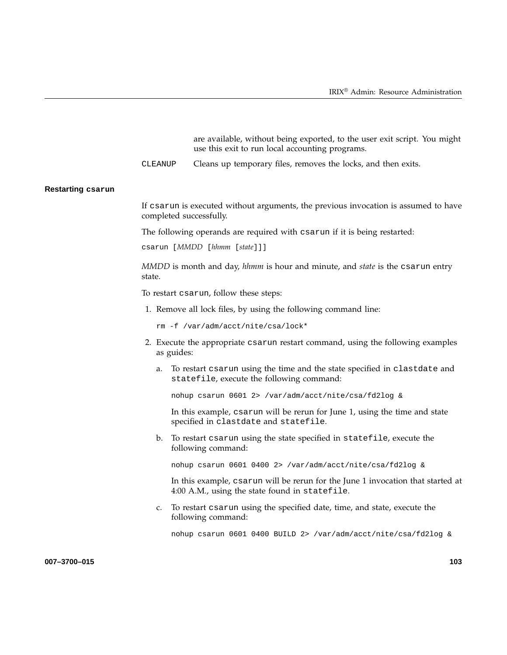are available, without being exported, to the user exit script. You might use this exit to run local accounting programs.

CLEANUP Cleans up temporary files, removes the locks, and then exits.

#### **Restarting csarun**

If csarun is executed without arguments, the previous invocation is assumed to have completed successfully.

The following operands are required with csarun if it is being restarted:

csarun [*MMDD* [*hhmm* [*state*]]]

*MMDD* is month and day, *hhmm* is hour and minute, and *state* is the csarun entry state.

To restart csarun, follow these steps:

1. Remove all lock files, by using the following command line:

rm -f /var/adm/acct/nite/csa/lock\*

- 2. Execute the appropriate csarun restart command, using the following examples as guides:
	- a. To restart csarun using the time and the state specified in clastdate and statefile, execute the following command:

nohup csarun 0601 2> /var/adm/acct/nite/csa/fd2log &

In this example, csarun will be rerun for June 1, using the time and state specified in clastdate and statefile.

b. To restart csarun using the state specified in statefile, execute the following command:

nohup csarun 0601 0400 2> /var/adm/acct/nite/csa/fd2log &

In this example, csarun will be rerun for the June 1 invocation that started at 4:00 A.M., using the state found in statefile.

c. To restart csarun using the specified date, time, and state, execute the following command:

nohup csarun 0601 0400 BUILD 2> /var/adm/acct/nite/csa/fd2log &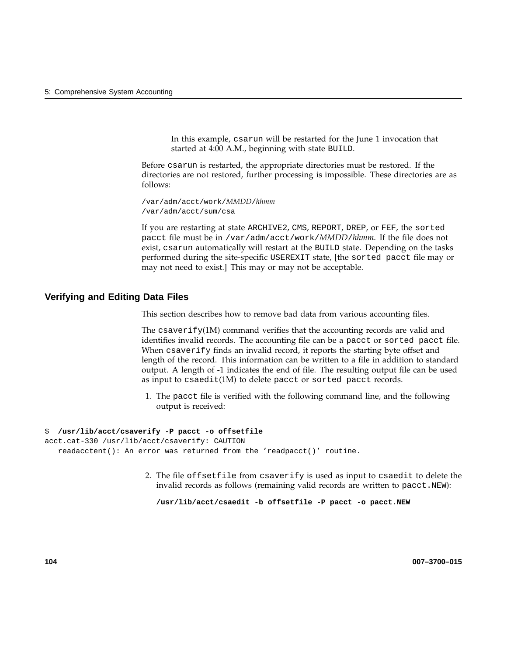In this example, csarun will be restarted for the June 1 invocation that started at 4:00 A.M., beginning with state BUILD.

Before csarun is restarted, the appropriate directories must be restored. If the directories are not restored, further processing is impossible. These directories are as follows:

/var/adm/acct/work/*MMDD*/*hhmm* /var/adm/acct/sum/csa

If you are restarting at state ARCHIVE2, CMS, REPORT, DREP, or FEF, the sorted pacct file must be in /var/adm/acct/work/*MMDD*/*hhmm*. If the file does not exist, csarun automatically will restart at the BUILD state. Depending on the tasks performed during the site-specific USEREXIT state, [the sorted pacct file may or may not need to exist.] This may or may not be acceptable.

#### **Verifying and Editing Data Files**

This section describes how to remove bad data from various accounting files.

The csaverify(1M) command verifies that the accounting records are valid and identifies invalid records. The accounting file can be a pacct or sorted pacct file. When csaverify finds an invalid record, it reports the starting byte offset and length of the record. This information can be written to a file in addition to standard output. A length of -1 indicates the end of file. The resulting output file can be used as input to csaedit(1M) to delete pacct or sorted pacct records.

1. The pacct file is verified with the following command line, and the following output is received:

#### \$ **/usr/lib/acct/csaverify -P pacct -o offsetfile**

```
acct.cat-330 /usr/lib/acct/csaverify: CAUTION
  readacctent(): An error was returned from the 'readpacct()' routine.
```
2. The file offsetfile from csaverify is used as input to csaedit to delete the invalid records as follows (remaining valid records are written to pacct.NEW):

**/usr/lib/acct/csaedit -b offsetfile -P pacct -o pacct.NEW**

**104 007–3700–015**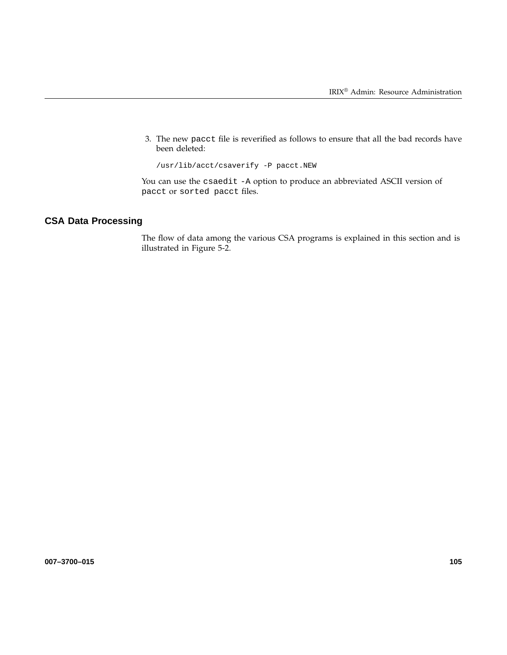3. The new pacct file is reverified as follows to ensure that all the bad records have been deleted:

/usr/lib/acct/csaverify -P pacct.NEW

You can use the csaedit -A option to produce an abbreviated ASCII version of pacct or sorted pacct files.

# **CSA Data Processing**

The flow of data among the various CSA programs is explained in this section and is illustrated in Figure 5-2.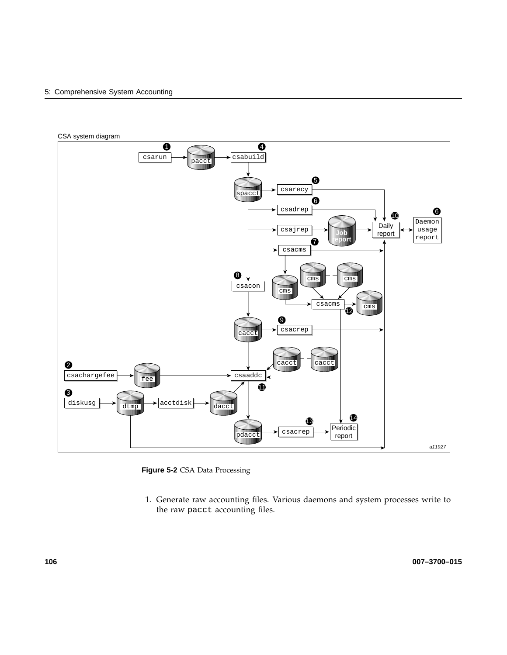#### 5: Comprehensive System Accounting



**Figure 5-2** CSA Data Processing

1. Generate raw accounting files. Various daemons and system processes write to the raw pacct accounting files.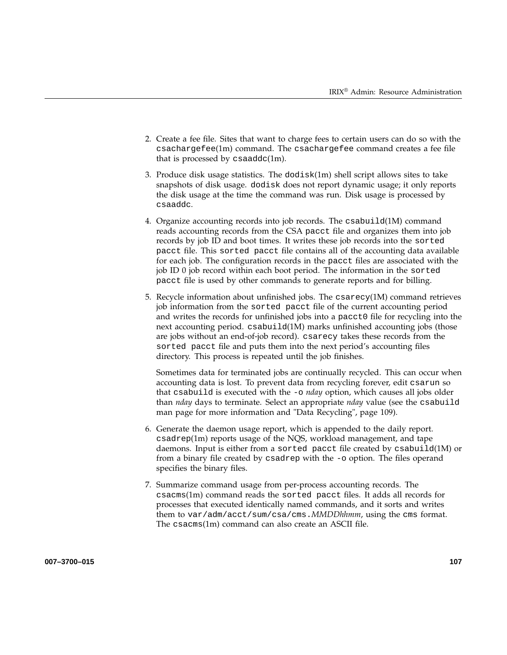- 2. Create a fee file. Sites that want to charge fees to certain users can do so with the csachargefee(1m) command. The csachargefee command creates a fee file that is processed by  $csaaddc(1m)$ .
- 3. Produce disk usage statistics. The  $d$ odisk $(1m)$  shell script allows sites to take snapshots of disk usage. dodisk does not report dynamic usage; it only reports the disk usage at the time the command was run. Disk usage is processed by csaaddc.
- 4. Organize accounting records into job records. The csabuild(1M) command reads accounting records from the CSA pacct file and organizes them into job records by job ID and boot times. It writes these job records into the sorted pacct file. This sorted pacct file contains all of the accounting data available for each job. The configuration records in the pacct files are associated with the job ID 0 job record within each boot period. The information in the sorted pacct file is used by other commands to generate reports and for billing.
- 5. Recycle information about unfinished jobs. The  $\text{c}$ sarecy(1M) command retrieves job information from the sorted pacct file of the current accounting period and writes the records for unfinished jobs into a pacct0 file for recycling into the next accounting period. csabuild(1M) marks unfinished accounting jobs (those are jobs without an end-of-job record). csarecy takes these records from the sorted pacct file and puts them into the next period's accounting files directory. This process is repeated until the job finishes.

Sometimes data for terminated jobs are continually recycled. This can occur when accounting data is lost. To prevent data from recycling forever, edit csarun so that csabuild is executed with the -o *nday* option, which causes all jobs older than *nday* days to terminate. Select an appropriate *nday* value (see the csabuild man page for more information and "Data Recycling", page 109).

- 6. Generate the daemon usage report, which is appended to the daily report. csadrep(1m) reports usage of the NQS, workload management, and tape daemons. Input is either from a sorted pacct file created by csabuild(1M) or from a binary file created by csadrep with the -o option. The files operand specifies the binary files.
- 7. Summarize command usage from per-process accounting records. The csacms(1m) command reads the sorted pacct files. It adds all records for processes that executed identically named commands, and it sorts and writes them to var/adm/acct/sum/csa/cms.*MMDDhhmm*, using the cms format. The csacms(1m) command can also create an ASCII file.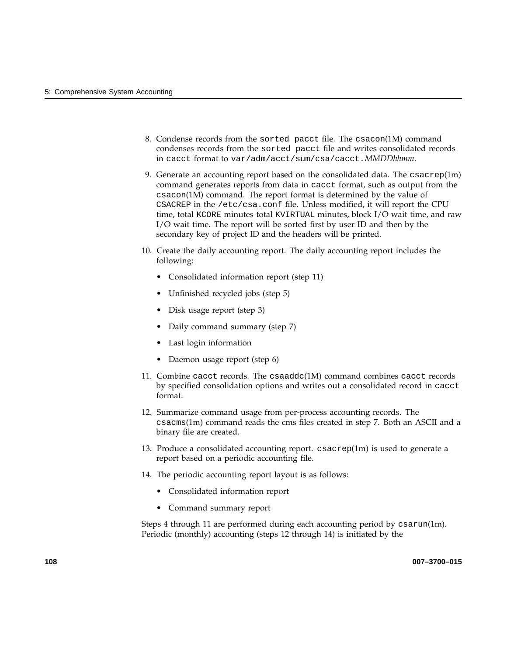- 8. Condense records from the sorted pacct file. The csacon(1M) command condenses records from the sorted pacct file and writes consolidated records in cacct format to var/adm/acct/sum/csa/cacct.*MMDDhhmm*.
- 9. Generate an accounting report based on the consolidated data. The csacrep(1m) command generates reports from data in cacct format, such as output from the csacon(1M) command. The report format is determined by the value of CSACREP in the /etc/csa.conf file. Unless modified, it will report the CPU time, total KCORE minutes total KVIRTUAL minutes, block I/O wait time, and raw I/O wait time. The report will be sorted first by user ID and then by the secondary key of project ID and the headers will be printed.
- 10. Create the daily accounting report. The daily accounting report includes the following:
	- Consolidated information report (step 11)
	- Unfinished recycled jobs (step 5)
	- Disk usage report (step 3)
	- Daily command summary (step 7)
	- Last login information
	- Daemon usage report (step 6)
- 11. Combine cacct records. The csaaddc(1M) command combines cacct records by specified consolidation options and writes out a consolidated record in cacct format.
- 12. Summarize command usage from per-process accounting records. The csacms(1m) command reads the cms files created in step 7. Both an ASCII and a binary file are created.
- 13. Produce a consolidated accounting report. csacrep(1m) is used to generate a report based on a periodic accounting file.
- 14. The periodic accounting report layout is as follows:
	- Consolidated information report
	- Command summary report

Steps 4 through 11 are performed during each accounting period by csarun(1m). Periodic (monthly) accounting (steps 12 through 14) is initiated by the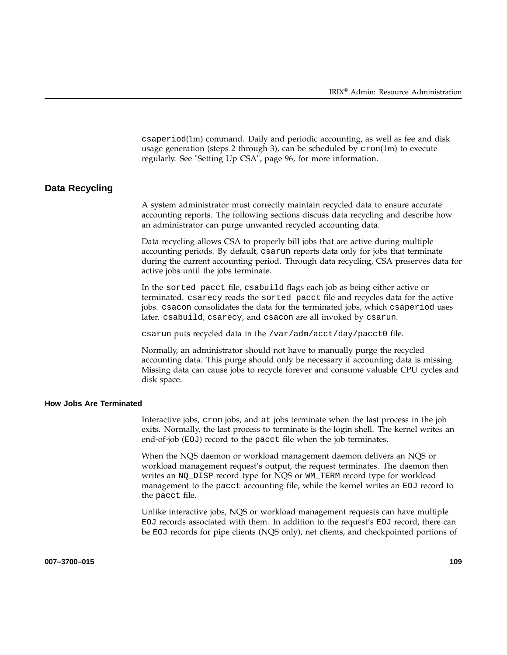csaperiod(1m) command. Daily and periodic accounting, as well as fee and disk usage generation (steps 2 through 3), can be scheduled by  $cron(1m)$  to execute regularly. See "Setting Up CSA", page 96, for more information.

### **Data Recycling**

A system administrator must correctly maintain recycled data to ensure accurate accounting reports. The following sections discuss data recycling and describe how an administrator can purge unwanted recycled accounting data.

Data recycling allows CSA to properly bill jobs that are active during multiple accounting periods. By default, csarun reports data only for jobs that terminate during the current accounting period. Through data recycling, CSA preserves data for active jobs until the jobs terminate.

In the sorted pacct file, csabuild flags each job as being either active or terminated. csarecy reads the sorted pacct file and recycles data for the active jobs. csacon consolidates the data for the terminated jobs, which csaperiod uses later. csabuild, csarecy, and csacon are all invoked by csarun.

csarun puts recycled data in the /var/adm/acct/day/pacct0 file.

Normally, an administrator should not have to manually purge the recycled accounting data. This purge should only be necessary if accounting data is missing. Missing data can cause jobs to recycle forever and consume valuable CPU cycles and disk space.

#### **How Jobs Are Terminated**

Interactive jobs, cron jobs, and at jobs terminate when the last process in the job exits. Normally, the last process to terminate is the login shell. The kernel writes an end-of-job (EOJ) record to the pacct file when the job terminates.

When the NQS daemon or workload management daemon delivers an NQS or workload management request's output, the request terminates. The daemon then writes an NQ\_DISP record type for NQS or WM\_TERM record type for workload management to the pacct accounting file, while the kernel writes an EOJ record to the pacct file.

Unlike interactive jobs, NQS or workload management requests can have multiple EOJ records associated with them. In addition to the request's EOJ record, there can be EOJ records for pipe clients (NQS only), net clients, and checkpointed portions of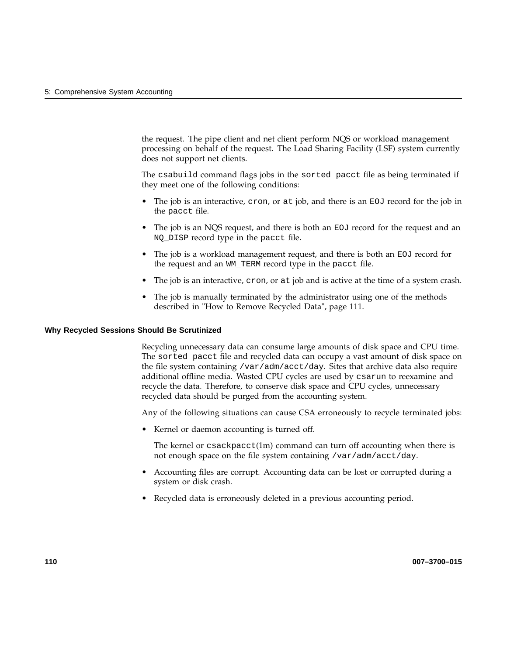the request. The pipe client and net client perform NQS or workload management processing on behalf of the request. The Load Sharing Facility (LSF) system currently does not support net clients.

The csabuild command flags jobs in the sorted pacct file as being terminated if they meet one of the following conditions:

- The job is an interactive,  $cron$ , or at job, and there is an  $EOJ$  record for the job in the pacct file.
- The job is an NQS request, and there is both an EOJ record for the request and an NQ\_DISP record type in the pacct file.
- The job is a workload management request, and there is both an EOJ record for the request and an WM\_TERM record type in the pacct file.
- The job is an interactive, cron, or at job and is active at the time of a system crash.
- The job is manually terminated by the administrator using one of the methods described in "How to Remove Recycled Data", page 111.

#### **Why Recycled Sessions Should Be Scrutinized**

Recycling unnecessary data can consume large amounts of disk space and CPU time. The sorted pacct file and recycled data can occupy a vast amount of disk space on the file system containing /var/adm/acct/day. Sites that archive data also require additional offline media. Wasted CPU cycles are used by csarun to reexamine and recycle the data. Therefore, to conserve disk space and CPU cycles, unnecessary recycled data should be purged from the accounting system.

Any of the following situations can cause CSA erroneously to recycle terminated jobs:

• Kernel or daemon accounting is turned off.

The kernel or csackpacct(1m) command can turn off accounting when there is not enough space on the file system containing /var/adm/acct/day.

- Accounting files are corrupt. Accounting data can be lost or corrupted during a system or disk crash.
- Recycled data is erroneously deleted in a previous accounting period.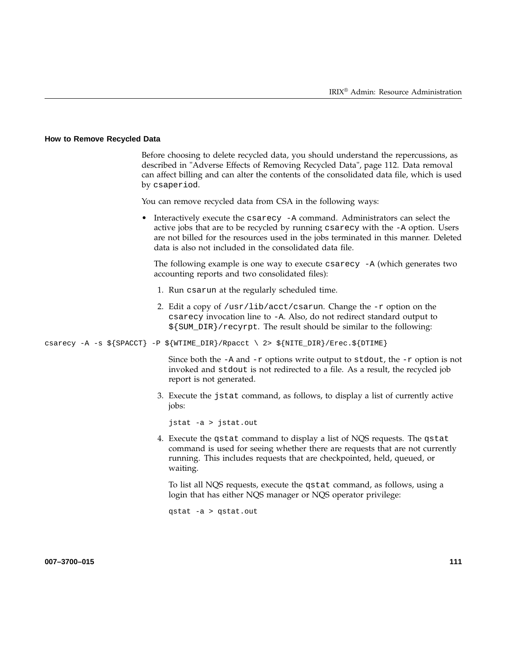#### **How to Remove Recycled Data**

Before choosing to delete recycled data, you should understand the repercussions, as described in "Adverse Effects of Removing Recycled Data", page 112. Data removal can affect billing and can alter the contents of the consolidated data file, which is used by csaperiod. You can remove recycled data from CSA in the following ways: • Interactively execute the csarecy -A command. Administrators can select the active jobs that are to be recycled by running csarecy with the -A option. Users are not billed for the resources used in the jobs terminated in this manner. Deleted data is also not included in the consolidated data file. The following example is one way to execute  $\csc z - A$  (which generates two accounting reports and two consolidated files): 1. Run csarun at the regularly scheduled time. 2. Edit a copy of  $/usr/lib/acct/csarun$ . Change the  $-r$  option on the csarecy invocation line to -A. Also, do not redirect standard output to \${SUM\_DIR}/recyrpt. The result should be similar to the following: csarecy -A -s  $\S$ {SPACCT} -P  $\S$ {WTIME\_DIR}/Rpacct \ 2>  $\S$ {NITE\_DIR}/Erec.\${DTIME} Since both the  $-A$  and  $-r$  options write output to stdout, the  $-r$  option is not invoked and stdout is not redirected to a file. As a result, the recycled job report is not generated. 3. Execute the jstat command, as follows, to display a list of currently active jobs: jstat -a > jstat.out 4. Execute the qstat command to display a list of NQS requests. The qstat command is used for seeing whether there are requests that are not currently running. This includes requests that are checkpointed, held, queued, or waiting. To list all NQS requests, execute the qstat command, as follows, using a login that has either NQS manager or NQS operator privilege:

qstat -a > qstat.out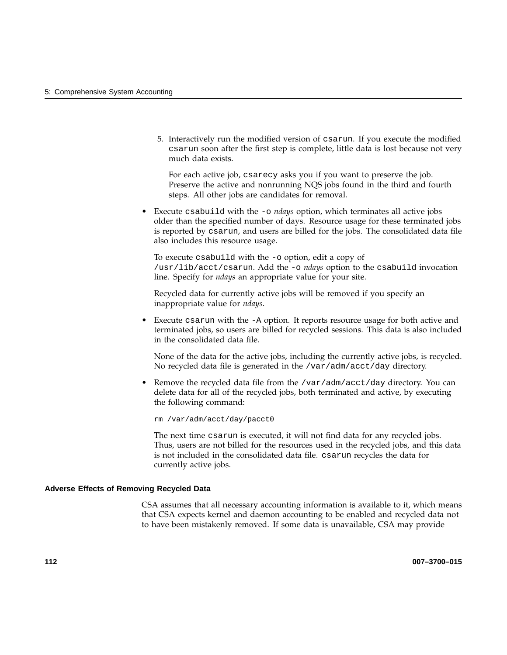5. Interactively run the modified version of csarun. If you execute the modified csarun soon after the first step is complete, little data is lost because not very much data exists.

For each active job, csarecy asks you if you want to preserve the job. Preserve the active and nonrunning NQS jobs found in the third and fourth steps. All other jobs are candidates for removal.

• Execute csabuild with the  $\sim$  *ndays* option, which terminates all active jobs older than the specified number of days. Resource usage for these terminated jobs is reported by csarun, and users are billed for the jobs. The consolidated data file also includes this resource usage.

To execute csabuild with the -o option, edit a copy of /usr/lib/acct/csarun. Add the -o *ndays* option to the csabuild invocation line. Specify for *ndays* an appropriate value for your site.

Recycled data for currently active jobs will be removed if you specify an inappropriate value for *ndays*.

• Execute csarun with the -A option. It reports resource usage for both active and terminated jobs, so users are billed for recycled sessions. This data is also included in the consolidated data file.

None of the data for the active jobs, including the currently active jobs, is recycled. No recycled data file is generated in the /var/adm/acct/day directory.

Remove the recycled data file from the /var/adm/acct/day directory. You can delete data for all of the recycled jobs, both terminated and active, by executing the following command:

rm /var/adm/acct/day/pacct0

The next time csarun is executed, it will not find data for any recycled jobs. Thus, users are not billed for the resources used in the recycled jobs, and this data is not included in the consolidated data file. csarun recycles the data for currently active jobs.

#### **Adverse Effects of Removing Recycled Data**

CSA assumes that all necessary accounting information is available to it, which means that CSA expects kernel and daemon accounting to be enabled and recycled data not to have been mistakenly removed. If some data is unavailable, CSA may provide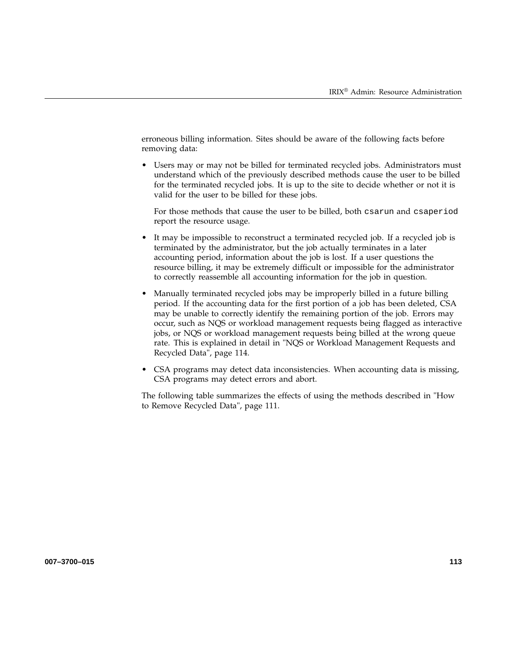erroneous billing information. Sites should be aware of the following facts before removing data:

Users may or may not be billed for terminated recycled jobs. Administrators must understand which of the previously described methods cause the user to be billed for the terminated recycled jobs. It is up to the site to decide whether or not it is valid for the user to be billed for these jobs.

For those methods that cause the user to be billed, both csarun and csaperiod report the resource usage.

- It may be impossible to reconstruct a terminated recycled job. If a recycled job is terminated by the administrator, but the job actually terminates in a later accounting period, information about the job is lost. If a user questions the resource billing, it may be extremely difficult or impossible for the administrator to correctly reassemble all accounting information for the job in question.
- Manually terminated recycled jobs may be improperly billed in a future billing period. If the accounting data for the first portion of a job has been deleted, CSA may be unable to correctly identify the remaining portion of the job. Errors may occur, such as NQS or workload management requests being flagged as interactive jobs, or NQS or workload management requests being billed at the wrong queue rate. This is explained in detail in "NQS or Workload Management Requests and Recycled Data", page 114.
- CSA programs may detect data inconsistencies. When accounting data is missing, CSA programs may detect errors and abort.

The following table summarizes the effects of using the methods described in "How to Remove Recycled Data", page 111.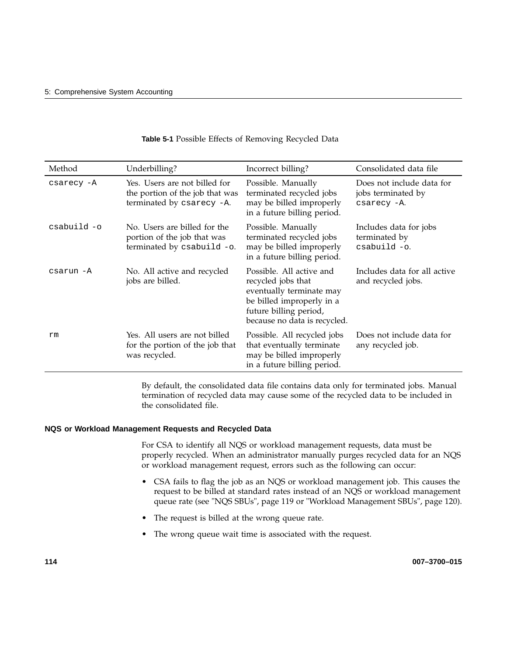| Method       | Underbilling?                                                                                 | Incorrect billing?                                                                                                                                                | Consolidated data file                                         |
|--------------|-----------------------------------------------------------------------------------------------|-------------------------------------------------------------------------------------------------------------------------------------------------------------------|----------------------------------------------------------------|
| csarecy -A   | Yes. Users are not billed for<br>the portion of the job that was<br>terminated by csarecy -A. | Possible. Manually<br>terminated recycled jobs<br>may be billed improperly<br>in a future billing period.                                                         | Does not include data for<br>jobs terminated by<br>csarecy -A. |
| $csabuid -o$ | No. Users are billed for the<br>portion of the job that was<br>terminated by csabuild -o.     | Possible. Manually<br>terminated recycled jobs<br>may be billed improperly<br>in a future billing period.                                                         | Includes data for jobs<br>terminated by<br>csabuild -o.        |
| csarun -A    | No. All active and recycled<br>jobs are billed.                                               | Possible. All active and<br>recycled jobs that<br>eventually terminate may<br>be billed improperly in a<br>future billing period,<br>because no data is recycled. | Includes data for all active<br>and recycled jobs.             |
| rm           | Yes. All users are not billed<br>for the portion of the job that<br>was recycled.             | Possible. All recycled jobs<br>that eventually terminate<br>may be billed improperly<br>in a future billing period.                                               | Does not include data for<br>any recycled job.                 |

### **Table 5-1** Possible Effects of Removing Recycled Data

By default, the consolidated data file contains data only for terminated jobs. Manual termination of recycled data may cause some of the recycled data to be included in the consolidated file.

#### **NQS or Workload Management Requests and Recycled Data**

For CSA to identify all NQS or workload management requests, data must be properly recycled. When an administrator manually purges recycled data for an NQS or workload management request, errors such as the following can occur:

- CSA fails to flag the job as an NQS or workload management job. This causes the request to be billed at standard rates instead of an NQS or workload management queue rate (see "NQS SBUs", page 119 or "Workload Management SBUs", page 120).
- The request is billed at the wrong queue rate.
- The wrong queue wait time is associated with the request.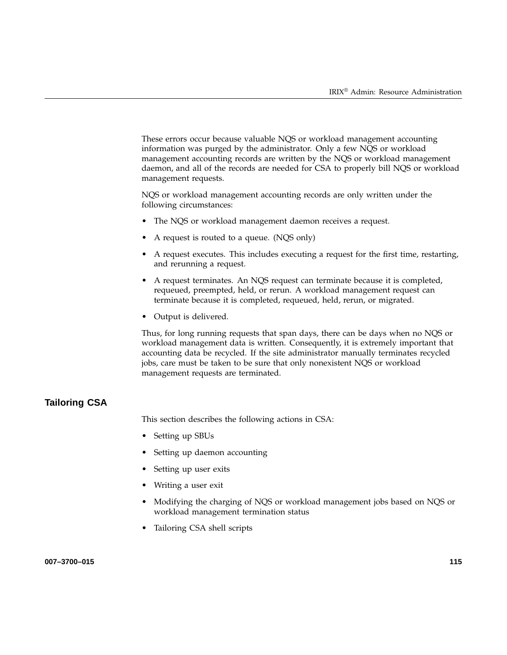These errors occur because valuable NQS or workload management accounting information was purged by the administrator. Only a few NQS or workload management accounting records are written by the NQS or workload management daemon, and all of the records are needed for CSA to properly bill NQS or workload management requests.

NQS or workload management accounting records are only written under the following circumstances:

- The NQS or workload management daemon receives a request.
- A request is routed to a queue. (NQS only)
- A request executes. This includes executing a request for the first time, restarting, and rerunning a request.
- A request terminates. An NQS request can terminate because it is completed, requeued, preempted, held, or rerun. A workload management request can terminate because it is completed, requeued, held, rerun, or migrated.
- Output is delivered.

Thus, for long running requests that span days, there can be days when no NQS or workload management data is written. Consequently, it is extremely important that accounting data be recycled. If the site administrator manually terminates recycled jobs, care must be taken to be sure that only nonexistent NQS or workload management requests are terminated.

### **Tailoring CSA**

This section describes the following actions in CSA:

- Setting up SBUs
- Setting up daemon accounting
- Setting up user exits
- Writing a user exit
- Modifying the charging of NQS or workload management jobs based on NQS or workload management termination status
- Tailoring CSA shell scripts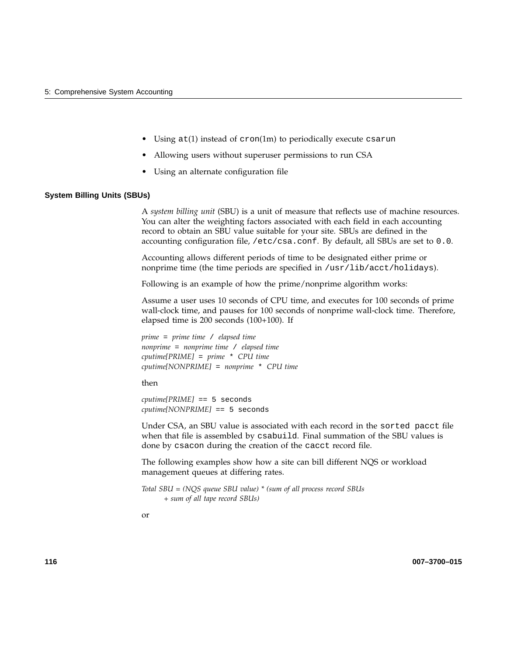- Using  $at(1)$  instead of cron(1m) to periodically execute csarun
- Allowing users without superuser permissions to run CSA
- Using an alternate configuration file

#### **System Billing Units (SBUs)**

A *system billing unit* (SBU) is a unit of measure that reflects use of machine resources. You can alter the weighting factors associated with each field in each accounting record to obtain an SBU value suitable for your site. SBUs are defined in the accounting configuration file, /etc/csa.conf. By default, all SBUs are set to 0.0.

Accounting allows different periods of time to be designated either prime or nonprime time (the time periods are specified in /usr/lib/acct/holidays).

Following is an example of how the prime/nonprime algorithm works:

Assume a user uses 10 seconds of CPU time, and executes for 100 seconds of prime wall-clock time, and pauses for 100 seconds of nonprime wall-clock time. Therefore, elapsed time is 200 seconds (100+100). If

*prime* = *prime time* / *elapsed time nonprime* = *nonprime time* / *elapsed time cputime[PRIME]* = *prime* \* *CPU time cputime[NONPRIME]* = *nonprime* \* *CPU time*

then

*cputime[PRIME]* == 5 seconds *cputime[NONPRIME]* == 5 seconds

Under CSA, an SBU value is associated with each record in the sorted pacct file when that file is assembled by csabuild. Final summation of the SBU values is done by csacon during the creation of the cacct record file.

The following examples show how a site can bill different NQS or workload management queues at differing rates.

*Total SBU = (NQS queue SBU value) \* (sum of all process record SBUs + sum of all tape record SBUs)*

or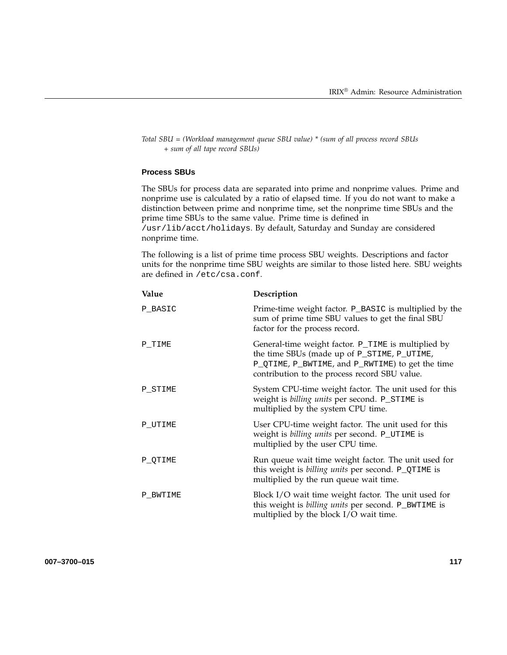*Total SBU = (Workload management queue SBU value) \* (sum of all process record SBUs + sum of all tape record SBUs)*

#### **Process SBUs**

The SBUs for process data are separated into prime and nonprime values. Prime and nonprime use is calculated by a ratio of elapsed time. If you do not want to make a distinction between prime and nonprime time, set the nonprime time SBUs and the prime time SBUs to the same value. Prime time is defined in /usr/lib/acct/holidays. By default, Saturday and Sunday are considered nonprime time.

The following is a list of prime time process SBU weights. Descriptions and factor units for the nonprime time SBU weights are similar to those listed here. SBU weights are defined in /etc/csa.conf.

| Value    | Description                                                                                                                                                                                             |
|----------|---------------------------------------------------------------------------------------------------------------------------------------------------------------------------------------------------------|
| P_BASIC  | Prime-time weight factor. P_BASIC is multiplied by the<br>sum of prime time SBU values to get the final SBU<br>factor for the process record.                                                           |
| P TIME   | General-time weight factor. P_TIME is multiplied by<br>the time SBUs (made up of P_STIME, P_UTIME,<br>P_QTIME, P_BWTIME, and P_RWTIME) to get the time<br>contribution to the process record SBU value. |
| P_STIME  | System CPU-time weight factor. The unit used for this<br>weight is billing units per second. P_STIME is<br>multiplied by the system CPU time.                                                           |
| P UTIME  | User CPU-time weight factor. The unit used for this<br>weight is billing units per second. P_UTIME is<br>multiplied by the user CPU time.                                                               |
| P QTIME  | Run queue wait time weight factor. The unit used for<br>this weight is <i>billing units</i> per second. P_QTIME is<br>multiplied by the run queue wait time.                                            |
| P BWTIME | Block I/O wait time weight factor. The unit used for<br>this weight is <i>billing units</i> per second. P_BWTIME is<br>multiplied by the block I/O wait time.                                           |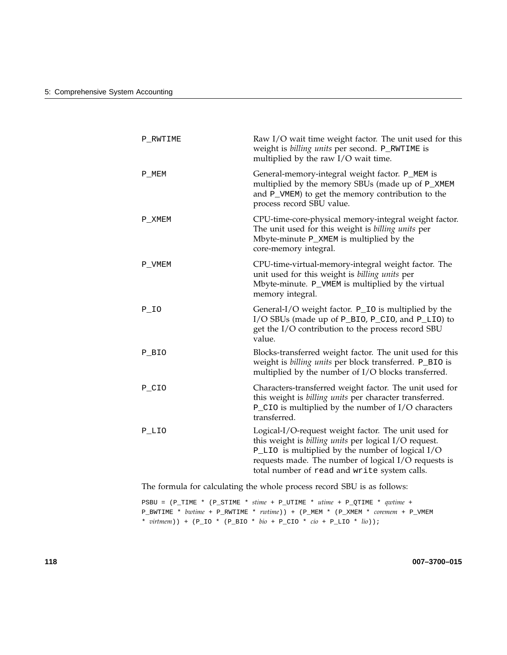| P RWTIME   | Raw I/O wait time weight factor. The unit used for this<br>weight is billing units per second. P_RWTIME is<br>multiplied by the raw I/O wait time.                                                                                                                        |
|------------|---------------------------------------------------------------------------------------------------------------------------------------------------------------------------------------------------------------------------------------------------------------------------|
| P_MEM      | General-memory-integral weight factor. P_MEM is<br>multiplied by the memory SBUs (made up of P_XMEM<br>and P_VMEM) to get the memory contribution to the<br>process record SBU value.                                                                                     |
| P XMEM     | CPU-time-core-physical memory-integral weight factor.<br>The unit used for this weight is billing units per<br>Mbyte-minute P_XMEM is multiplied by the<br>core-memory integral.                                                                                          |
| P_VMEM     | CPU-time-virtual-memory-integral weight factor. The<br>unit used for this weight is billing units per<br>Mbyte-minute. P_VMEM is multiplied by the virtual<br>memory integral.                                                                                            |
| $P_{I}$ IO | General-I/O weight factor. P_IO is multiplied by the<br>I/O SBUs (made up of P_BIO, P_CIO, and P_LIO) to<br>get the I/O contribution to the process record SBU<br>value.                                                                                                  |
| P BIO      | Blocks-transferred weight factor. The unit used for this<br>weight is billing units per block transferred. P_BIO is<br>multiplied by the number of I/O blocks transferred.                                                                                                |
| P CIO      | Characters-transferred weight factor. The unit used for<br>this weight is billing units per character transferred.<br>$P_{C}$ IO is multiplied by the number of I/O characters<br>transferred.                                                                            |
| P LIO      | Logical-I/O-request weight factor. The unit used for<br>this weight is billing units per logical I/O request.<br>P_LIO is multiplied by the number of logical I/O<br>requests made. The number of logical I/O requests is<br>total number of read and write system calls. |

The formula for calculating the whole process record SBU is as follows:

PSBU = (P\_TIME \* (P\_STIME \* *stime* + P\_UTIME \* *utime* + P\_QTIME \* *qwtime* + P\_BWTIME \* *bwtime* + P\_RWTIME \* *rwtime*)) + (P\_MEM \* (P\_XMEM \* *coremem* + P\_VMEM \* *virtmem*)) + (P\_IO \* (P\_BIO \* *bio* + P\_CIO \* *cio* + P\_LIO \* *lio*));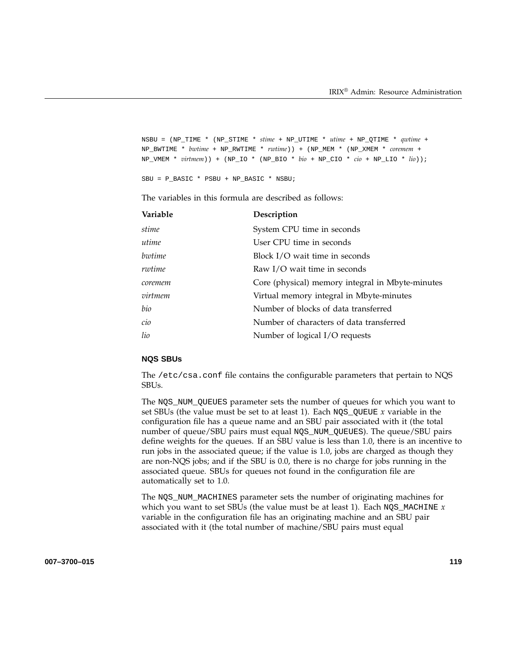```
NSBU = (NP_TIME * (NP_STIME * stime + NP_UTIME * utime + NP_QTIME * qwtime +
NP_BWTIME * bwtime + NP_RWTIME * rwtime)) + (NP_MEM * (NP_XMEM * coremem +
NP_VMEM * virtmem)) + (NP_IO * (NP_BIO * bio + NP_CIO * cio + NP_LIO * lio));
```
SBU = P\_BASIC \* PSBU + NP\_BASIC \* NSBU;

The variables in this formula are described as follows:

| Variable | Description                                      |
|----------|--------------------------------------------------|
| stime    | System CPU time in seconds                       |
| utime    | User CPU time in seconds                         |
| bwtime   | Block I/O wait time in seconds                   |
| rwtime   | Raw I/O wait time in seconds                     |
| coremem  | Core (physical) memory integral in Mbyte-minutes |
| virtmem  | Virtual memory integral in Mbyte-minutes         |
| bio      | Number of blocks of data transferred             |
| cio      | Number of characters of data transferred         |
| lio      | Number of logical I/O requests                   |

#### **NQS SBUs**

The /etc/csa.conf file contains the configurable parameters that pertain to NQS SBUs.

The NQS\_NUM\_QUEUES parameter sets the number of queues for which you want to set SBUs (the value must be set to at least 1). Each NQS\_QUEUE *x* variable in the configuration file has a queue name and an SBU pair associated with it (the total number of queue/SBU pairs must equal NQS\_NUM\_QUEUES). The queue/SBU pairs define weights for the queues. If an SBU value is less than 1.0, there is an incentive to run jobs in the associated queue; if the value is 1.0, jobs are charged as though they are non-NQS jobs; and if the SBU is 0.0, there is no charge for jobs running in the associated queue. SBUs for queues not found in the configuration file are automatically set to 1.0.

The NQS\_NUM\_MACHINES parameter sets the number of originating machines for which you want to set SBUs (the value must be at least 1). Each  $NQS$  MACHINE  $x$ variable in the configuration file has an originating machine and an SBU pair associated with it (the total number of machine/SBU pairs must equal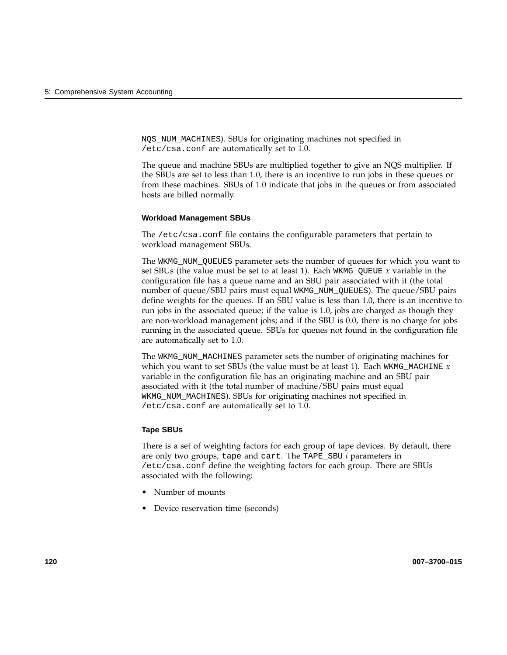NQS\_NUM\_MACHINES). SBUs for originating machines not specified in /etc/csa.conf are automatically set to 1.0.

The queue and machine SBUs are multiplied together to give an NQS multiplier. If the SBUs are set to less than 1.0, there is an incentive to run jobs in these queues or from these machines. SBUs of 1.0 indicate that jobs in the queues or from associated hosts are billed normally.

#### **Workload Management SBUs**

The /etc/csa.conf file contains the configurable parameters that pertain to workload management SBUs.

The WKMG\_NUM\_QUEUES parameter sets the number of queues for which you want to set SBUs (the value must be set to at least 1). Each WKMG\_QUEUE *x* variable in the configuration file has a queue name and an SBU pair associated with it (the total number of queue/SBU pairs must equal WKMG\_NUM\_QUEUES). The queue/SBU pairs define weights for the queues. If an SBU value is less than 1.0, there is an incentive to run jobs in the associated queue; if the value is 1.0, jobs are charged as though they are non-workload management jobs; and if the SBU is 0.0, there is no charge for jobs running in the associated queue. SBUs for queues not found in the configuration file are automatically set to 1.0.

The WKMG\_NUM\_MACHINES parameter sets the number of originating machines for which you want to set SBUs (the value must be at least 1). Each WKMG\_MACHINE *x* variable in the configuration file has an originating machine and an SBU pair associated with it (the total number of machine/SBU pairs must equal WKMG\_NUM\_MACHINES). SBUs for originating machines not specified in /etc/csa.conf are automatically set to 1.0.

#### **Tape SBUs**

There is a set of weighting factors for each group of tape devices. By default, there are only two groups, tape and cart. The TAPE\_SBU *i* parameters in /etc/csa.conf define the weighting factors for each group. There are SBUs associated with the following:

- Number of mounts
- Device reservation time (seconds)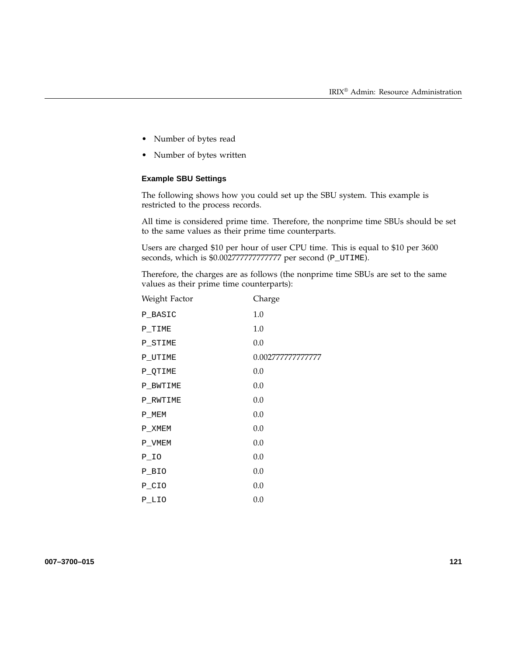- Number of bytes read
- Number of bytes written

#### **Example SBU Settings**

The following shows how you could set up the SBU system. This example is restricted to the process records.

All time is considered prime time. Therefore, the nonprime time SBUs should be set to the same values as their prime time counterparts.

Users are charged \$10 per hour of user CPU time. This is equal to \$10 per 3600 seconds, which is \$0.00277777777777777 per second (P\_UTIME).

Therefore, the charges are as follows (the nonprime time SBUs are set to the same values as their prime time counterparts):

| Weight Factor | Charge            |
|---------------|-------------------|
| P BASIC       | 1.0               |
| P TIME        | 1.0               |
| P STIME       | 0.0               |
| P UTIME       | 0.002777777777777 |
| P QTIME       | 0.0               |
| P BWTIME      | 0.0               |
| P RWTIME      | 0.0               |
| P MEM         | 0.0               |
| P XMEM        | 0.0               |
| P VMEM        | 0.0               |
| $P_IO$        | 0.0               |
| P BIO         | 0.0               |
| P_CIO         | 0.0               |
| P LIO         | 0.0               |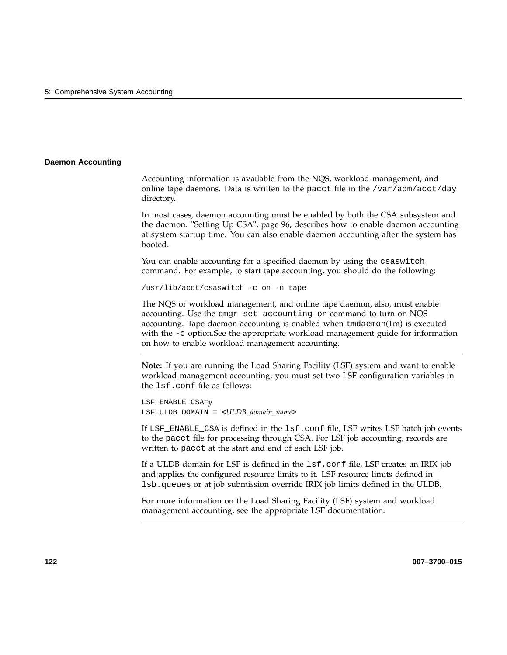#### **Daemon Accounting**

Accounting information is available from the NQS, workload management, and online tape daemons. Data is written to the pacct file in the /var/adm/acct/day directory.

In most cases, daemon accounting must be enabled by both the CSA subsystem and the daemon. "Setting Up CSA", page 96, describes how to enable daemon accounting at system startup time. You can also enable daemon accounting after the system has booted.

You can enable accounting for a specified daemon by using the csaswitch command. For example, to start tape accounting, you should do the following:

/usr/lib/acct/csaswitch -c on -n tape

The NQS or workload management, and online tape daemon, also, must enable accounting. Use the qmgr set accounting on command to turn on NQS accounting. Tape daemon accounting is enabled when tmdaemon(1m) is executed with the -c option.See the appropriate workload management guide for information on how to enable workload management accounting.

**Note:** If you are running the Load Sharing Facility (LSF) system and want to enable workload management accounting, you must set two LSF configuration variables in the lsf.conf file as follows:

LSF\_ENABLE\_CSA=*y* LSF\_ULDB\_DOMAIN = <*ULDB\_domain\_name*>

If LSF\_ENABLE\_CSA is defined in the lsf.conf file, LSF writes LSF batch job events to the pacct file for processing through CSA. For LSF job accounting, records are written to pacct at the start and end of each LSF job.

If a ULDB domain for LSF is defined in the lsf.conf file, LSF creates an IRIX job and applies the configured resource limits to it. LSF resource limits defined in lsb.queues or at job submission override IRIX job limits defined in the ULDB.

For more information on the Load Sharing Facility (LSF) system and workload management accounting, see the appropriate LSF documentation.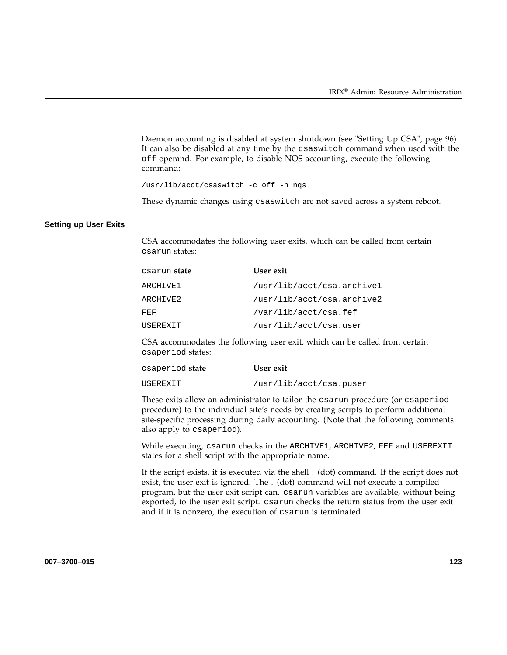Daemon accounting is disabled at system shutdown (see "Setting Up CSA", page 96). It can also be disabled at any time by the csaswitch command when used with the off operand. For example, to disable NQS accounting, execute the following command:

/usr/lib/acct/csaswitch -c off -n nqs

These dynamic changes using csaswitch are not saved across a system reboot.

#### **Setting up User Exits**

CSA accommodates the following user exits, which can be called from certain csarun states:

| csarun <b>state</b> | User exit                  |
|---------------------|----------------------------|
| ARCHIVE1            | /usr/lib/acct/csa.archive1 |
| ARCHIVE2            | /usr/lib/acct/csa.archive2 |
| FEF                 | /var/lib/acct/csa.fef      |
| USEREXIT            | /usr/lib/acct/csa.user     |

CSA accommodates the following user exit, which can be called from certain csaperiod states:

| csaperiod <b>state</b> | User exit               |
|------------------------|-------------------------|
| USEREXIT               | /usr/lib/acct/csa.puser |

These exits allow an administrator to tailor the csarun procedure (or csaperiod procedure) to the individual site's needs by creating scripts to perform additional site-specific processing during daily accounting. (Note that the following comments also apply to csaperiod).

While executing, csarun checks in the ARCHIVE1, ARCHIVE2, FEF and USEREXIT states for a shell script with the appropriate name.

If the script exists, it is executed via the shell . (dot) command. If the script does not exist, the user exit is ignored. The . (dot) command will not execute a compiled program, but the user exit script can. csarun variables are available, without being exported, to the user exit script. csarun checks the return status from the user exit and if it is nonzero, the execution of csarun is terminated.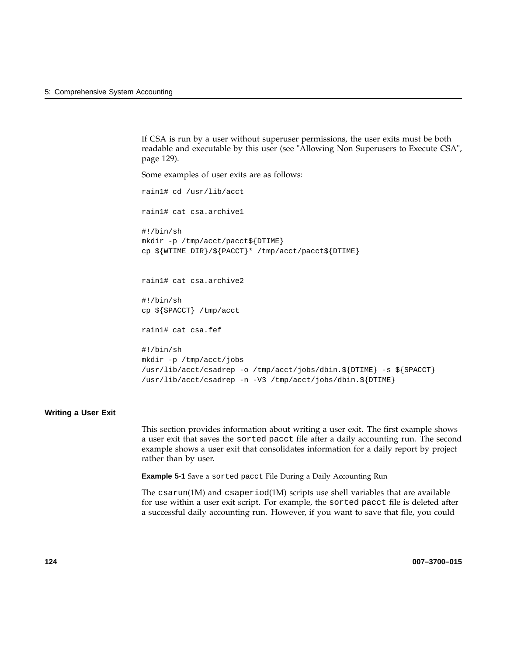If CSA is run by a user without superuser permissions, the user exits must be both readable and executable by this user (see "Allowing Non Superusers to Execute CSA", page 129).

Some examples of user exits are as follows:

```
rain1# cd /usr/lib/acct
rain1# cat csa.archive1
#!/bin/sh
mkdir -p /tmp/acct/pacct${DTIME}
cp ${WTIME_DIR}/${PACCT}* /tmp/acct/pacct${DTIME}
rain1# cat csa.archive2
#!/bin/sh
cp ${SPACCT} /tmp/acct
rain1# cat csa.fef
#!/bin/sh
mkdir -p /tmp/acct/jobs
/usr/lib/acct/csadrep -o /tmp/acct/jobs/dbin.${DTIME} -s ${SPACCT}
/usr/lib/acct/csadrep -n -V3 /tmp/acct/jobs/dbin.${DTIME}
```
#### **Writing a User Exit**

This section provides information about writing a user exit. The first example shows a user exit that saves the sorted pacct file after a daily accounting run. The second example shows a user exit that consolidates information for a daily report by project rather than by user.

**Example 5-1** Save a sorted pacct File During a Daily Accounting Run

The  $csarun(1M)$  and  $csaperiod(1M)$  scripts use shell variables that are available for use within a user exit script. For example, the sorted pacct file is deleted after a successful daily accounting run. However, if you want to save that file, you could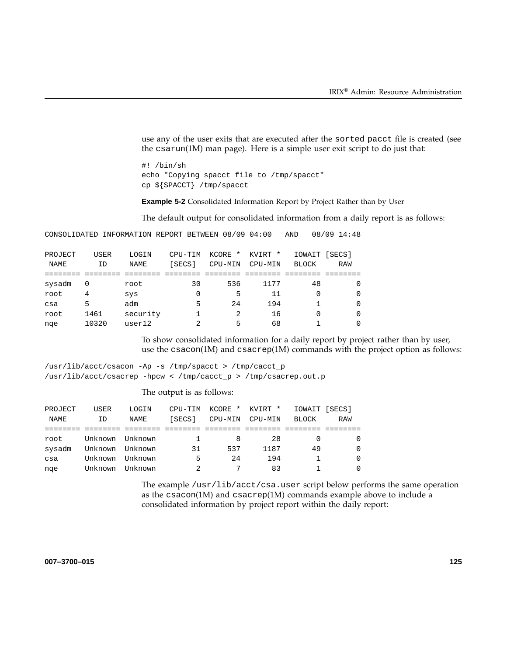use any of the user exits that are executed after the sorted pacct file is created (see the csarun(1M) man page). Here is a simple user exit script to do just that:

#! /bin/sh echo "Copying spacct file to /tmp/spacct" cp \${SPACCT} /tmp/spacct

**Example 5-2** Consolidated Information Report by Project Rather than by User

The default output for consolidated information from a daily report is as follows:

CONSOLIDATED INFORMATION REPORT BETWEEN 08/09 04:00 AND 08/09 14:48

| PROJECT | <b>USER</b> | LOGIN       | CPU-TIM | KCORE<br>$^\star$ | KVIRT * | IOWAIT [SECS] |            |
|---------|-------------|-------------|---------|-------------------|---------|---------------|------------|
| NAME    | ID          | <b>NAME</b> | [SECS]  | CPU-MIN           | CPU-MIN | <b>BLOCK</b>  | <b>RAW</b> |
|         |             |             |         |                   |         |               |            |
| sysadm  | 0           | root        | 30      | 536               | 1177    | 48            | $\Omega$   |
| root    | 4           | sys         | 0       | 5                 | 11      |               | $\Omega$   |
| csa     | 5           | adm         | 5       | 24                | 194     |               | $\Omega$   |
| root    | 1461        | security    |         | 2                 | 16      |               | $\Omega$   |
| nge     | 10320       | user12      | 2       | 5                 | 68      |               | $\Omega$   |

To show consolidated information for a daily report by project rather than by user, use the csacon(1M) and csacrep(1M) commands with the project option as follows:

/usr/lib/acct/csacon -Ap -s /tmp/spacct > /tmp/cacct\_p /usr/lib/acct/csacrep -hpcw < /tmp/cacct\_p > /tmp/csacrep.out.p

#### The output is as follows:

| PROJECT | USER    | LOGIN   | CPU-TIM | KCORE * | KVIRT * | IOWAIT [SECS] |          |
|---------|---------|---------|---------|---------|---------|---------------|----------|
| NAME    | ID      | NAME    | [SECS]  | CPU-MIN | CPU-MIN | BLOCK         | RAW      |
|         |         |         |         |         |         |               |          |
| root    | Unknown | Unknown |         | 8       | 28      |               | $\Omega$ |
| sysadm  | Unknown | Unknown | 31      | 537     | 1187    | 49            | $\Omega$ |
| csa     | Unknown | Unknown | 5       | 2.4     | 194     |               | $\Omega$ |
| nge     | Unknown | Unknown | 2       |         | 83      |               | $\Omega$ |

The example /usr/lib/acct/csa.user script below performs the same operation as the  $c \text{sacon}(1M)$  and  $c \text{sacrep}(1M)$  commands example above to include a consolidated information by project report within the daily report: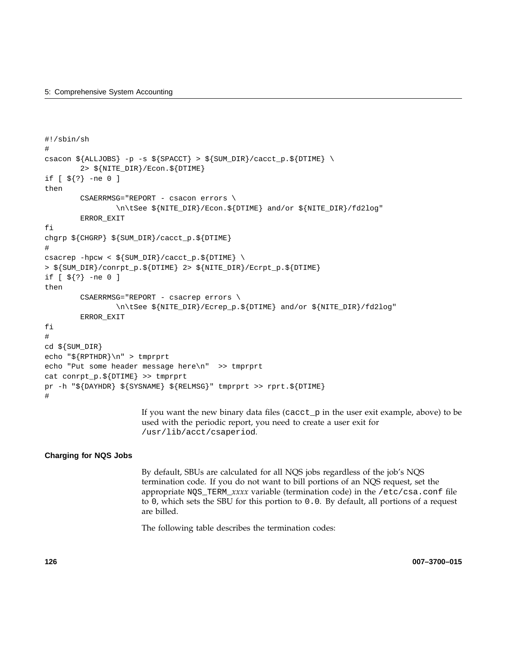```
#!/sbin/sh
#
csacon {\{ALLJOBS\}} -p -s {\{SPACCT\}} > {\{SWM_DIR\}}/cacct_p.S{\{DTIME\}}2> ${NITE_DIR}/Econ.${DTIME}
if [ ${?} -ne 0 ]
then
        CSAERRMSG="REPORT - csacon errors \
                \n\tSee ${NITE_DIR}/Econ.${DTIME} and/or ${NITE_DIR}/fd2log"
        ERROR_EXIT
fi
chgrp ${CHGRP} ${SUM_DIR}/cacct_p.${DTIME}
#
csacrep -hpcw < \frac{1}{2} / Cacct_p. \frac{1}{2} / Cacct_p. \frac{1}{2}> ${SUM_DIR}/conrpt_p.${DTIME} 2> ${NITE_DIR}/Ecrpt_p.${DTIME}
if [ ${?} -ne 0 ]
then
        CSAERRMSG="REPORT - csacrep errors \
                \n\tSee ${NITE_DIR}/Ecrep_p.${DTIME} and/or ${NITE_DIR}/fd2log"
        ERROR_EXIT
fi
#
cd ${SUM_DIR}
echo "${RPTHDR}\n" > tmprprt
echo "Put some header message here\n" >> tmprprt
cat conrpt_p.${DTIME} >> tmprprt
pr -h "${DAYHDR} ${SYSNAME} ${RELMSG}" tmprprt >> rprt.${DTIME}
#
```
If you want the new binary data files (cacct\_p in the user exit example, above) to be used with the periodic report, you need to create a user exit for /usr/lib/acct/csaperiod.

#### **Charging for NQS Jobs**

By default, SBUs are calculated for all NQS jobs regardless of the job's NQS termination code. If you do not want to bill portions of an NQS request, set the appropriate NQS\_TERM\_*xxxx* variable (termination code) in the /etc/csa.conf file to 0, which sets the SBU for this portion to 0.0. By default, all portions of a request are billed.

The following table describes the termination codes: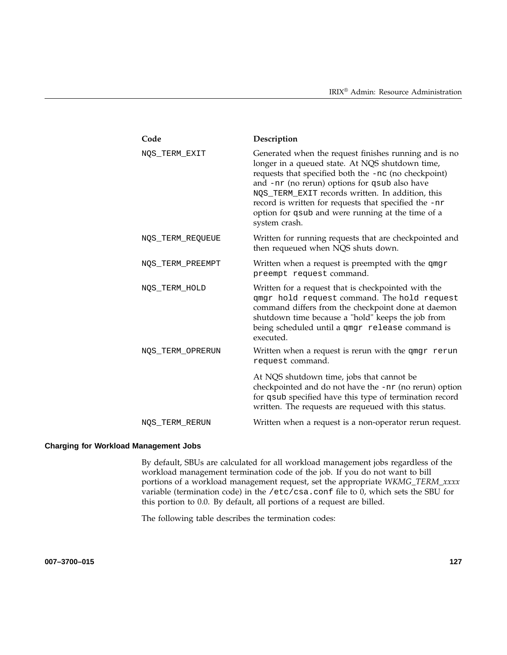| Code             | Description                                                                                                                                                                                                                                                                                                                                                                                          |
|------------------|------------------------------------------------------------------------------------------------------------------------------------------------------------------------------------------------------------------------------------------------------------------------------------------------------------------------------------------------------------------------------------------------------|
| NOS TERM EXIT    | Generated when the request finishes running and is no<br>longer in a queued state. At NQS shutdown time,<br>requests that specified both the -nc (no checkpoint)<br>and -nr (no rerun) options for qsub also have<br>NQS_TERM_EXIT records written. In addition, this<br>record is written for requests that specified the -nr<br>option for qsub and were running at the time of a<br>system crash. |
| NOS_TERM_REQUEUE | Written for running requests that are checkpointed and<br>then requeued when NQS shuts down.                                                                                                                                                                                                                                                                                                         |
| NQS_TERM_PREEMPT | Written when a request is preempted with the qmgr<br>preempt request command.                                                                                                                                                                                                                                                                                                                        |
| NOS_TERM_HOLD    | Written for a request that is checkpointed with the<br>qmgr hold request command. The hold request<br>command differs from the checkpoint done at daemon<br>shutdown time because a "hold" keeps the job from<br>being scheduled until a qmgr release command is<br>executed.                                                                                                                        |
| NOS_TERM_OPRERUN | Written when a request is rerun with the qmgr rerun<br>request command.                                                                                                                                                                                                                                                                                                                              |
|                  | At NQS shutdown time, jobs that cannot be<br>checkpointed and do not have the -nr (no rerun) option<br>for qsub specified have this type of termination record<br>written. The requests are requeued with this status.                                                                                                                                                                               |
| NOS_TERM_RERUN   | Written when a request is a non-operator rerun request.                                                                                                                                                                                                                                                                                                                                              |
|                  |                                                                                                                                                                                                                                                                                                                                                                                                      |

#### **Charging for Workload Management Jobs**

By default, SBUs are calculated for all workload management jobs regardless of the workload management termination code of the job. If you do not want to bill portions of a workload management request, set the appropriate *WKMG\_TERM\_xxxx* variable (termination code) in the /etc/csa.conf file to 0, which sets the SBU for this portion to 0.0. By default, all portions of a request are billed.

The following table describes the termination codes: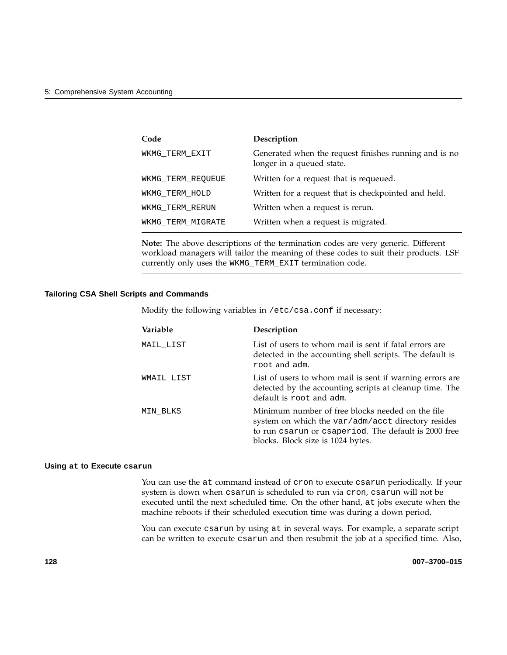| Code              | Description                                                                        |
|-------------------|------------------------------------------------------------------------------------|
| WKMG TERM EXIT    | Generated when the request finishes running and is no<br>longer in a queued state. |
| WKMG TERM REQUEUE | Written for a request that is requeued.                                            |
| WKMG TERM HOLD    | Written for a request that is checkpointed and held.                               |
| WKMG TERM RERUN   | Written when a request is rerun.                                                   |
| WKMG TERM MIGRATE | Written when a request is migrated.                                                |

**Note:** The above descriptions of the termination codes are very generic. Different workload managers will tailor the meaning of these codes to suit their products. LSF currently only uses the WKMG\_TERM\_EXIT termination code.

#### **Tailoring CSA Shell Scripts and Commands**

Modify the following variables in /etc/csa.conf if necessary:

| Variable   | Description                                                                                                                                                                                         |
|------------|-----------------------------------------------------------------------------------------------------------------------------------------------------------------------------------------------------|
| MAIL LIST  | List of users to whom mail is sent if fatal errors are<br>detected in the accounting shell scripts. The default is<br>root and adm.                                                                 |
| WMAIL LIST | List of users to whom mail is sent if warning errors are<br>detected by the accounting scripts at cleanup time. The<br>default is root and adm.                                                     |
| MIN BLKS   | Minimum number of free blocks needed on the file<br>system on which the var/adm/acct directory resides<br>to run csarun or csaperiod. The default is 2000 free<br>blocks. Block size is 1024 bytes. |

#### **Using at to Execute csarun**

You can use the at command instead of cron to execute csarun periodically. If your system is down when csarun is scheduled to run via cron, csarun will not be executed until the next scheduled time. On the other hand, at jobs execute when the machine reboots if their scheduled execution time was during a down period.

You can execute csarun by using at in several ways. For example, a separate script can be written to execute csarun and then resubmit the job at a specified time. Also,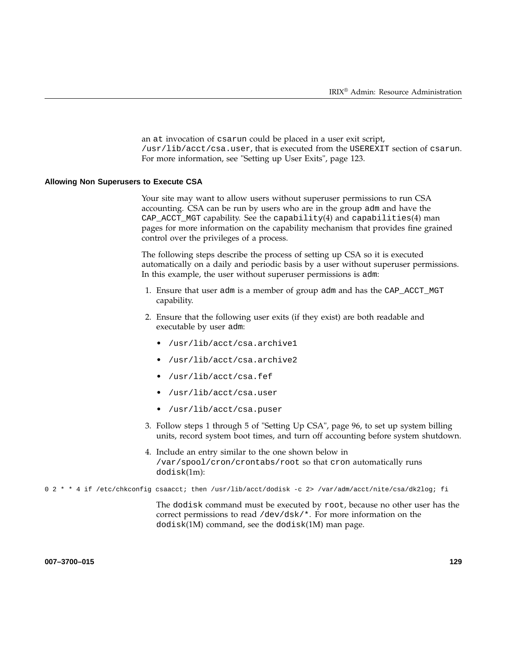an at invocation of csarun could be placed in a user exit script, /usr/lib/acct/csa.user, that is executed from the USEREXIT section of csarun. For more information, see "Setting up User Exits", page 123.

#### **Allowing Non Superusers to Execute CSA**

Your site may want to allow users without superuser permissions to run CSA accounting. CSA can be run by users who are in the group adm and have the  $CAP\_ACCT\_MGT$  capability. See the capability(4) and capabilities(4) man pages for more information on the capability mechanism that provides fine grained control over the privileges of a process.

The following steps describe the process of setting up CSA so it is executed automatically on a daily and periodic basis by a user without superuser permissions. In this example, the user without superuser permissions is adm:

- 1. Ensure that user adm is a member of group adm and has the CAP\_ACCT\_MGT capability.
- 2. Ensure that the following user exits (if they exist) are both readable and executable by user adm:
	- /usr/lib/acct/csa.archive1
	- /usr/lib/acct/csa.archive2
	- /usr/lib/acct/csa.fef
	- /usr/lib/acct/csa.user
	- /usr/lib/acct/csa.puser
- 3. Follow steps 1 through 5 of "Setting Up CSA", page 96, to set up system billing units, record system boot times, and turn off accounting before system shutdown.
- 4. Include an entry similar to the one shown below in /var/spool/cron/crontabs/root so that cron automatically runs dodisk(1m):

0 2 \* \* 4 if /etc/chkconfig csaacct; then /usr/lib/acct/dodisk -c 2> /var/adm/acct/nite/csa/dk2log; fi

The dodisk command must be executed by root, because no other user has the correct permissions to read /dev/dsk/\*. For more information on the dodisk(1M) command, see the dodisk(1M) man page.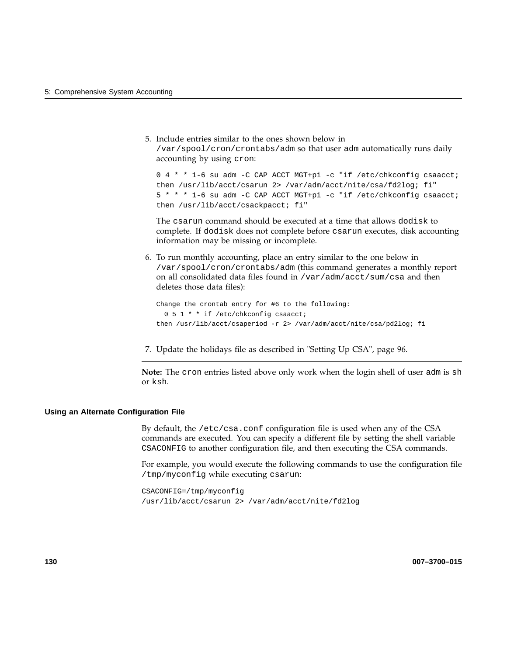5. Include entries similar to the ones shown below in /var/spool/cron/crontabs/adm so that user adm automatically runs daily accounting by using cron:

0 4 \* \* 1-6 su adm -C CAP\_ACCT\_MGT+pi -c "if /etc/chkconfig csaacct; then /usr/lib/acct/csarun 2> /var/adm/acct/nite/csa/fd2log; fi" 5 \* \* \* 1-6 su adm -C CAP\_ACCT\_MGT+pi -c "if /etc/chkconfig csaacct; then /usr/lib/acct/csackpacct; fi"

The csarun command should be executed at a time that allows dodisk to complete. If dodisk does not complete before csarun executes, disk accounting information may be missing or incomplete.

6. To run monthly accounting, place an entry similar to the one below in /var/spool/cron/crontabs/adm (this command generates a monthly report on all consolidated data files found in /var/adm/acct/sum/csa and then deletes those data files):

```
Change the crontab entry for #6 to the following:
  0 5 1 * * if /etc/chkconfig csaacct;
then /usr/lib/acct/csaperiod -r 2> /var/adm/acct/nite/csa/pd2log; fi
```
7. Update the holidays file as described in "Setting Up CSA", page 96.

**Note:** The cron entries listed above only work when the login shell of user adm is sh or ksh.

#### **Using an Alternate Configuration File**

By default, the /etc/csa.conf configuration file is used when any of the CSA commands are executed. You can specify a different file by setting the shell variable CSACONFIG to another configuration file, and then executing the CSA commands.

For example, you would execute the following commands to use the configuration file /tmp/myconfig while executing csarun:

CSACONFIG=/tmp/myconfig /usr/lib/acct/csarun 2> /var/adm/acct/nite/fd2log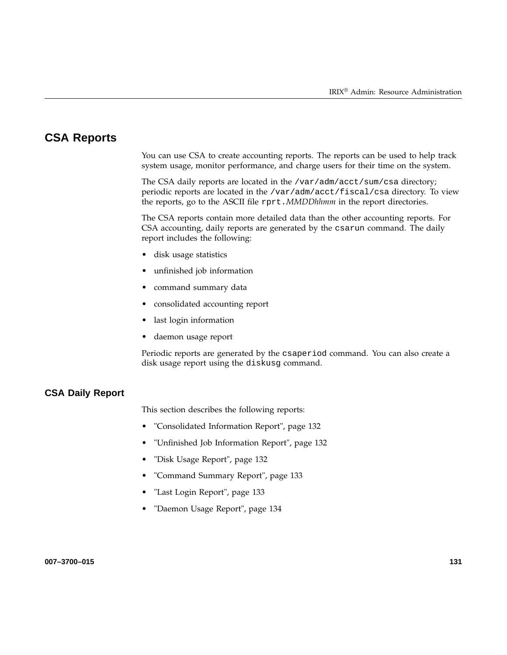# **CSA Reports**

You can use CSA to create accounting reports. The reports can be used to help track system usage, monitor performance, and charge users for their time on the system.

The CSA daily reports are located in the /var/adm/acct/sum/csa directory; periodic reports are located in the /var/adm/acct/fiscal/csa directory. To view the reports, go to the ASCII file rprt.*MMDDhhmm* in the report directories.

The CSA reports contain more detailed data than the other accounting reports. For CSA accounting, daily reports are generated by the csarun command. The daily report includes the following:

- disk usage statistics
- unfinished job information
- command summary data
- consolidated accounting report
- last login information
- daemon usage report

Periodic reports are generated by the csaperiod command. You can also create a disk usage report using the diskusg command.

#### **CSA Daily Report**

This section describes the following reports:

- "Consolidated Information Report", page 132
- "Unfinished Job Information Report", page 132
- "Disk Usage Report", page 132
- "Command Summary Report", page 133
- "Last Login Report", page 133
- "Daemon Usage Report", page 134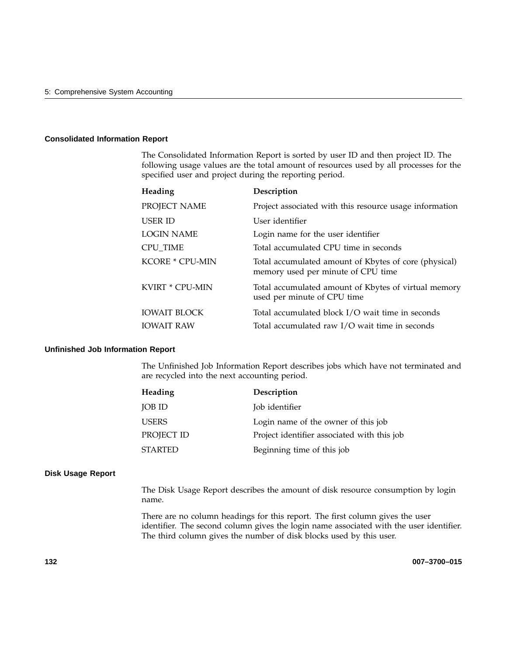#### **Consolidated Information Report**

The Consolidated Information Report is sorted by user ID and then project ID. The following usage values are the total amount of resources used by all processes for the specified user and project during the reporting period.

| Heading                                  | Description                                                                                        |
|------------------------------------------|----------------------------------------------------------------------------------------------------|
| PROJECT NAME                             | Project associated with this resource usage information                                            |
| <b>USER ID</b>                           | User identifier                                                                                    |
| LOGIN NAME                               | Login name for the user identifier                                                                 |
| <b>CPU TIME</b>                          | Total accumulated CPU time in seconds                                                              |
| <b>KCORE * CPU-MIN</b>                   | Total accumulated amount of Kbytes of core (physical)<br>memory used per minute of CPU time        |
| KVIRT * CPU-MIN                          | Total accumulated amount of Kbytes of virtual memory<br>used per minute of CPU time                |
| <b>IOWAIT BLOCK</b><br><b>IOWAIT RAW</b> | Total accumulated block I/O wait time in seconds<br>Total accumulated raw I/O wait time in seconds |

#### **Unfinished Job Information Report**

The Unfinished Job Information Report describes jobs which have not terminated and are recycled into the next accounting period.

| Heading    | Description                                 |
|------------|---------------------------------------------|
| JOB ID     | Job identifier                              |
| USERS      | Login name of the owner of this job         |
| PROJECT ID | Project identifier associated with this job |
| STARTED    | Beginning time of this job                  |

#### **Disk Usage Report**

The Disk Usage Report describes the amount of disk resource consumption by login name.

There are no column headings for this report. The first column gives the user identifier. The second column gives the login name associated with the user identifier. The third column gives the number of disk blocks used by this user.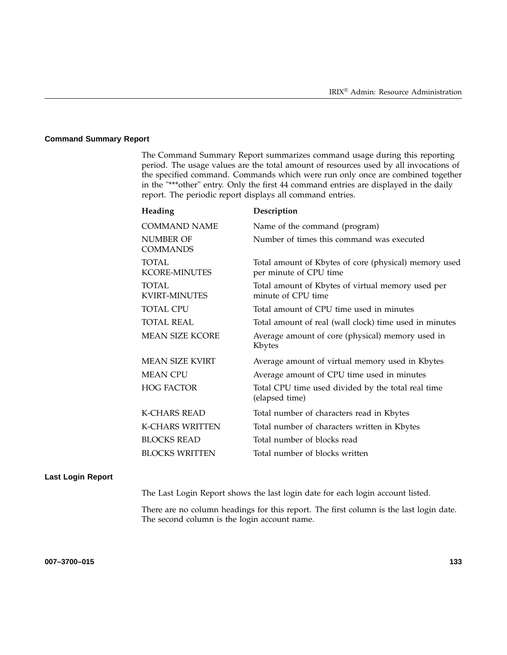#### **Command Summary Report**

The Command Summary Report summarizes command usage during this reporting period. The usage values are the total amount of resources used by all invocations of the specified command. Commands which were run only once are combined together in the "\*\*\*other" entry. Only the first 44 command entries are displayed in the daily report. The periodic report displays all command entries.

| Heading                              | Description                                                                     |
|--------------------------------------|---------------------------------------------------------------------------------|
| <b>COMMAND NAME</b>                  | Name of the command (program)                                                   |
| NUMBER OF<br><b>COMMANDS</b>         | Number of times this command was executed                                       |
| <b>TOTAL</b><br><b>KCORE-MINUTES</b> | Total amount of Kbytes of core (physical) memory used<br>per minute of CPU time |
| <b>TOTAL</b><br><b>KVIRT-MINUTES</b> | Total amount of Kbytes of virtual memory used per<br>minute of CPU time         |
| <b>TOTAL CPU</b>                     | Total amount of CPU time used in minutes                                        |
| <b>TOTAL REAL</b>                    | Total amount of real (wall clock) time used in minutes                          |
| <b>MEAN SIZE KCORE</b>               | Average amount of core (physical) memory used in<br>Kbytes                      |
| <b>MEAN SIZE KVIRT</b>               | Average amount of virtual memory used in Kbytes                                 |
| <b>MEAN CPU</b>                      | Average amount of CPU time used in minutes                                      |
| <b>HOG FACTOR</b>                    | Total CPU time used divided by the total real time<br>(elapsed time)            |
| <b>K-CHARS READ</b>                  | Total number of characters read in Kbytes                                       |
| <b>K-CHARS WRITTEN</b>               | Total number of characters written in Kbytes                                    |
| <b>BLOCKS READ</b>                   | Total number of blocks read                                                     |
| <b>BLOCKS WRITTEN</b>                | Total number of blocks written                                                  |

#### **Last Login Report**

The Last Login Report shows the last login date for each login account listed.

There are no column headings for this report. The first column is the last login date. The second column is the login account name.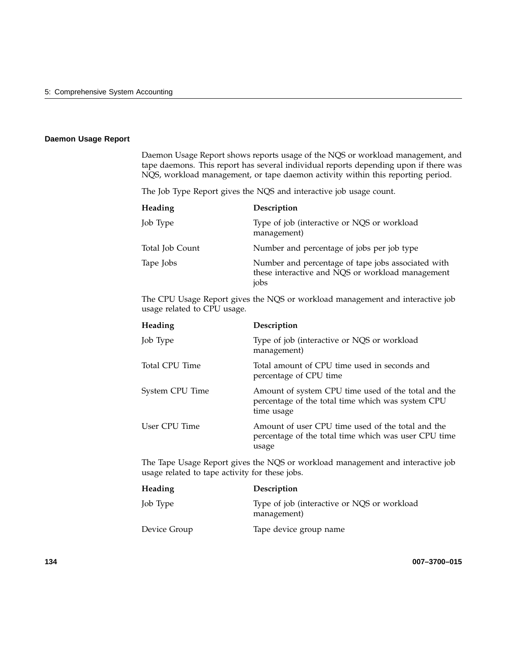#### **Daemon Usage Report**

Daemon Usage Report shows reports usage of the NQS or workload management, and tape daemons. This report has several individual reports depending upon if there was NQS, workload management, or tape daemon activity within this reporting period.

The Job Type Report gives the NQS and interactive job usage count.

| Heading         | Description                                                                                                    |
|-----------------|----------------------------------------------------------------------------------------------------------------|
| Job Type        | Type of job (interactive or NQS or workload<br>management)                                                     |
| Total Job Count | Number and percentage of jobs per job type                                                                     |
| Tape Jobs       | Number and percentage of tape jobs associated with<br>these interactive and NQS or workload management<br>jobs |

The CPU Usage Report gives the NQS or workload management and interactive job usage related to CPU usage.

| Heading         | Description                                                                                                            |
|-----------------|------------------------------------------------------------------------------------------------------------------------|
| Job Type        | Type of job (interactive or NQS or workload)<br>management)                                                            |
| Total CPU Time  | Total amount of CPU time used in seconds and<br>percentage of CPU time                                                 |
| System CPU Time | Amount of system CPU time used of the total and the<br>percentage of the total time which was system CPU<br>time usage |
| User CPU Time   | Amount of user CPU time used of the total and the<br>percentage of the total time which was user CPU time<br>usage     |

The Tape Usage Report gives the NQS or workload management and interactive job usage related to tape activity for these jobs.

| Heading      | Description                                                |
|--------------|------------------------------------------------------------|
| Job Type     | Type of job (interactive or NQS or workload<br>management) |
| Device Group | Tape device group name                                     |

**134 007–3700–015**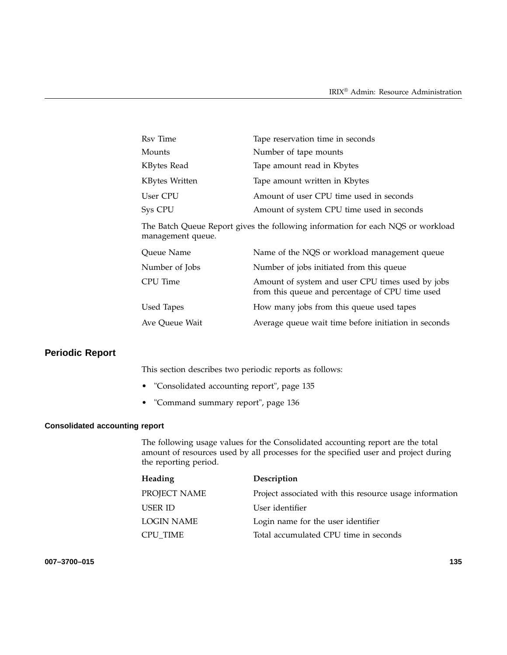| Rsv Time       | Tape reservation time in seconds          |
|----------------|-------------------------------------------|
| Mounts         | Number of tape mounts                     |
| KBytes Read    | Tape amount read in Kbytes                |
| KBytes Written | Tape amount written in Kbytes             |
| User CPU       | Amount of user CPU time used in seconds   |
| Sys CPU        | Amount of system CPU time used in seconds |

The Batch Queue Report gives the following information for each NQS or workload management queue.

| Queue Name     | Name of the NQS or workload management queue                                                        |
|----------------|-----------------------------------------------------------------------------------------------------|
| Number of Jobs | Number of jobs initiated from this queue                                                            |
| CPU Time       | Amount of system and user CPU times used by jobs<br>from this queue and percentage of CPU time used |
| Used Tapes     | How many jobs from this queue used tapes                                                            |
| Ave Queue Wait | Average queue wait time before initiation in seconds                                                |

# **Periodic Report**

This section describes two periodic reports as follows:

- "Consolidated accounting report", page 135
- "Command summary report", page 136

#### **Consolidated accounting report**

The following usage values for the Consolidated accounting report are the total amount of resources used by all processes for the specified user and project during the reporting period.

| Heading      | Description                                             |
|--------------|---------------------------------------------------------|
| PROJECT NAME | Project associated with this resource usage information |
| USER ID      | User identifier                                         |
| LOGIN NAME   | Login name for the user identifier                      |
| CPU TIME     | Total accumulated CPU time in seconds                   |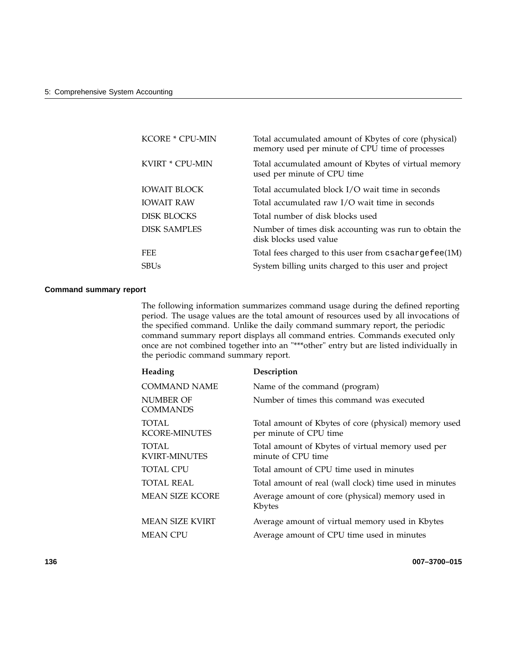| <b>KCORE * CPU-MIN</b> | Total accumulated amount of Kbytes of core (physical)<br>memory used per minute of CPU time of processes |
|------------------------|----------------------------------------------------------------------------------------------------------|
| KVIRT * CPU-MIN        | Total accumulated amount of Kbytes of virtual memory<br>used per minute of CPU time                      |
| <b>IOWAIT BLOCK</b>    | Total accumulated block I/O wait time in seconds                                                         |
| <b>IOWAIT RAW</b>      | Total accumulated raw I/O wait time in seconds                                                           |
| <b>DISK BLOCKS</b>     | Total number of disk blocks used                                                                         |
| <b>DISK SAMPLES</b>    | Number of times disk accounting was run to obtain the<br>disk blocks used value                          |
| <b>FEE</b>             | Total fees charged to this user from csachargefee(1M)                                                    |
| <b>SBUs</b>            | System billing units charged to this user and project                                                    |

#### **Command summary report**

The following information summarizes command usage during the defined reporting period. The usage values are the total amount of resources used by all invocations of the specified command. Unlike the daily command summary report, the periodic command summary report displays all command entries. Commands executed only once are not combined together into an "\*\*\*other" entry but are listed individually in the periodic command summary report.

| Heading                              | Description                                                                     |
|--------------------------------------|---------------------------------------------------------------------------------|
| <b>COMMAND NAME</b>                  | Name of the command (program)                                                   |
| NUMBER OF<br><b>COMMANDS</b>         | Number of times this command was executed                                       |
| <b>TOTAL</b><br><b>KCORE-MINUTES</b> | Total amount of Kbytes of core (physical) memory used<br>per minute of CPU time |
| <b>TOTAL</b><br><b>KVIRT-MINUTES</b> | Total amount of Kbytes of virtual memory used per<br>minute of CPU time         |
| <b>TOTAL CPU</b>                     | Total amount of CPU time used in minutes                                        |
| <b>TOTAL REAL</b>                    | Total amount of real (wall clock) time used in minutes                          |
| <b>MEAN SIZE KCORE</b>               | Average amount of core (physical) memory used in<br>Kbytes                      |
| <b>MEAN SIZE KVIRT</b>               | Average amount of virtual memory used in Kbytes                                 |
| MEAN CPU                             | Average amount of CPU time used in minutes                                      |

**136 007–3700–015**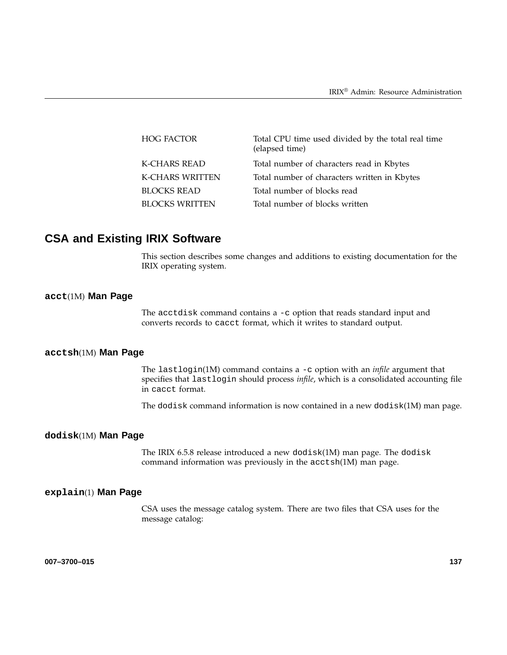| <b>HOG FACTOR</b>      | Total CPU time used divided by the total real time<br>(elapsed time) |
|------------------------|----------------------------------------------------------------------|
| <b>K-CHARS READ</b>    | Total number of characters read in Kbytes                            |
| <b>K-CHARS WRITTEN</b> | Total number of characters written in Kbytes                         |
| <b>BLOCKS READ</b>     | Total number of blocks read                                          |
| <b>BLOCKS WRITTEN</b>  | Total number of blocks written                                       |

# **CSA and Existing IRIX Software**

This section describes some changes and additions to existing documentation for the IRIX operating system.

### **acct**(1M) **Man Page**

The acctdisk command contains a -c option that reads standard input and converts records to cacct format, which it writes to standard output.

#### **acctsh**(1M) **Man Page**

The lastlogin(1M) command contains a -c option with an *infile* argument that specifies that lastlogin should process *infile*, which is a consolidated accounting file in cacct format.

The dodisk command information is now contained in a new dodisk(1M) man page.

#### **dodisk**(1M) **Man Page**

The IRIX 6.5.8 release introduced a new dodisk(1M) man page. The dodisk command information was previously in the acctsh(1M) man page.

#### **explain**(1) **Man Page**

CSA uses the message catalog system. There are two files that CSA uses for the message catalog: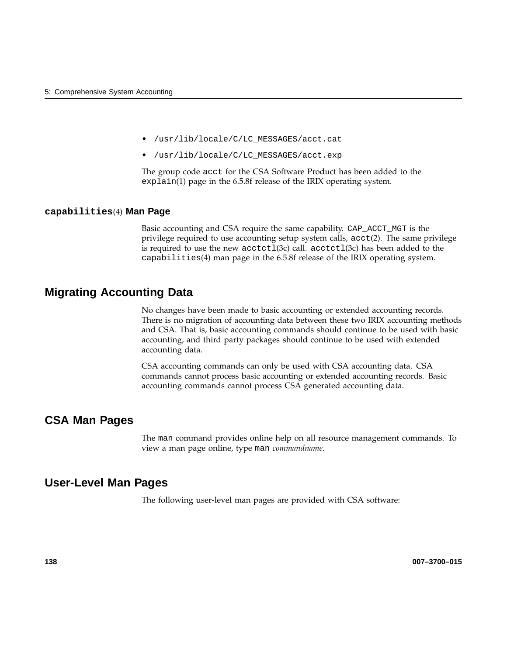- /usr/lib/locale/C/LC\_MESSAGES/acct.cat
- /usr/lib/locale/C/LC\_MESSAGES/acct.exp

The group code acct for the CSA Software Product has been added to the explain(1) page in the 6.5.8f release of the IRIX operating system.

#### **capabilities**(4) **Man Page**

Basic accounting and CSA require the same capability. CAP\_ACCT\_MGT is the privilege required to use accounting setup system calls, acct(2). The same privilege is required to use the new  $\arctan(3c)$  call.  $\arctan(3c)$  has been added to the capabilities(4) man page in the 6.5.8f release of the IRIX operating system.

# **Migrating Accounting Data**

No changes have been made to basic accounting or extended accounting records. There is no migration of accounting data between these two IRIX accounting methods and CSA. That is, basic accounting commands should continue to be used with basic accounting, and third party packages should continue to be used with extended accounting data.

CSA accounting commands can only be used with CSA accounting data. CSA commands cannot process basic accounting or extended accounting records. Basic accounting commands cannot process CSA generated accounting data.

### **CSA Man Pages**

The man command provides online help on all resource management commands. To view a man page online, type man *commandname*.

### **User-Level Man Pages**

The following user-level man pages are provided with CSA software:

**138 007–3700–015**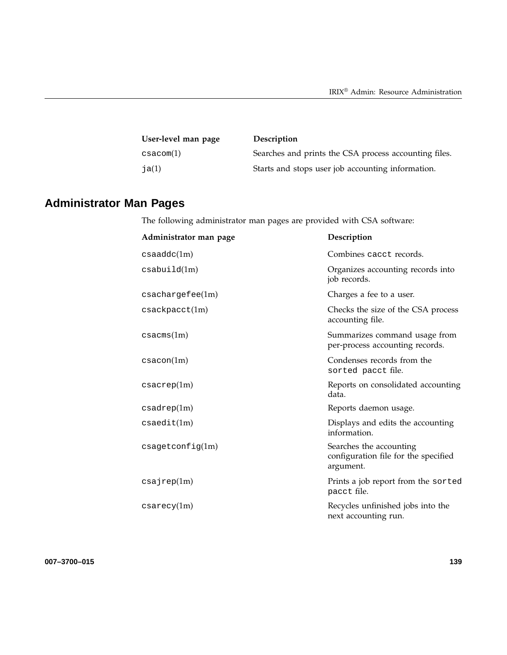| User-level man page  | Description                                           |
|----------------------|-------------------------------------------------------|
| $\mathtt{csacom}(1)$ | Searches and prints the CSA process accounting files. |
| ja $(1)$             | Starts and stops user job accounting information.     |

# **Administrator Man Pages**

The following administrator man pages are provided with CSA software:

| Administrator man page    | Description                                                                  |
|---------------------------|------------------------------------------------------------------------------|
| csaaddc(1m)               | Combines cacct records.                                                      |
| csabuild(1m)              | Organizes accounting records into<br>job records.                            |
| $\csc{hargefee(1m)}$      | Charges a fee to a user.                                                     |
| $\texttt{csackpacct}(1m)$ | Checks the size of the CSA process<br>accounting file.                       |
| csacms(1m)                | Summarizes command usage from<br>per-process accounting records.             |
| $\text{csacon}(1m)$       | Condenses records from the<br>sorted pacct file.                             |
| $\cscrep(1m)$             | Reports on consolidated accounting<br>data.                                  |
| csadrep(1m)               | Reports daemon usage.                                                        |
| $\texttt{csaedit}(1m)$    | Displays and edits the accounting<br>information.                            |
| $c$ sagetconfig $(1m)$    | Searches the accounting<br>configuration file for the specified<br>argument. |
| csajrep(1m)               | Prints a job report from the sorted<br>pacct file.                           |
| $\cscy(1m)$               | Recycles unfinished jobs into the<br>next accounting run.                    |

**007–3700–015 139**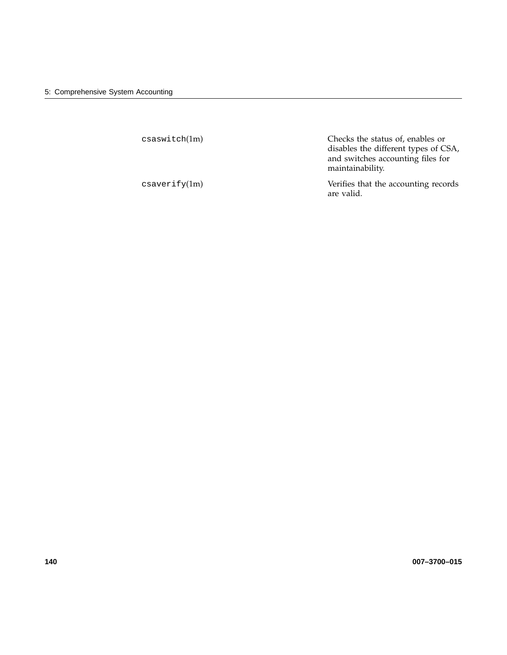| $\texttt{csaswidth}(1\text{m})$ | Checks the status of, enables or<br>disables the different types of CSA,<br>and switches accounting files for<br>maintainability. |
|---------------------------------|-----------------------------------------------------------------------------------------------------------------------------------|
| $\cscaryerify(1m)$              | Verifies that the accounting records<br>are valid.                                                                                |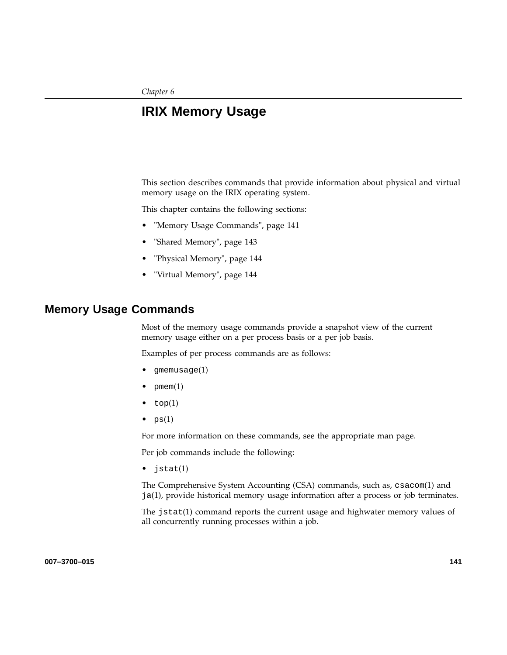*Chapter 6*

# **IRIX Memory Usage**

This section describes commands that provide information about physical and virtual memory usage on the IRIX operating system.

This chapter contains the following sections:

- "Memory Usage Commands", page 141
- "Shared Memory", page 143
- "Physical Memory", page 144
- "Virtual Memory", page 144

### **Memory Usage Commands**

Most of the memory usage commands provide a snapshot view of the current memory usage either on a per process basis or a per job basis.

Examples of per process commands are as follows:

- gmemusage(1)
- $p$ mem $(1)$
- $top(1)$
- $ps(1)$

For more information on these commands, see the appropriate man page.

Per job commands include the following:

• jstat(1)

The Comprehensive System Accounting (CSA) commands, such as, csacom(1) and ja(1), provide historical memory usage information after a process or job terminates.

The jstat(1) command reports the current usage and highwater memory values of all concurrently running processes within a job.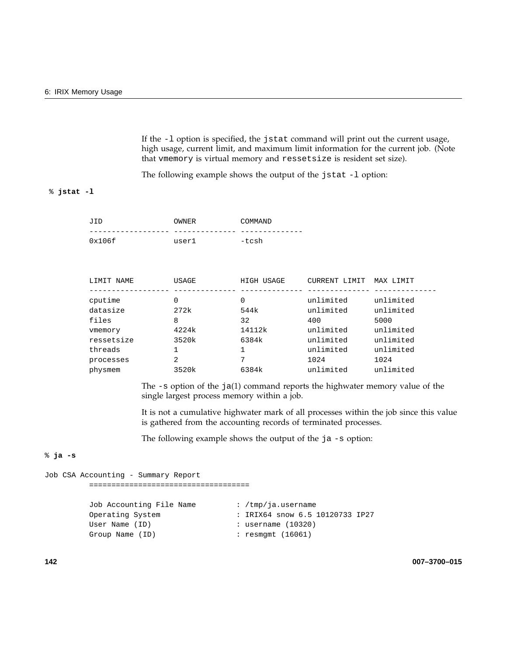If the -l option is specified, the jstat command will print out the current usage, high usage, current limit, and maximum limit information for the current job. (Note that vmemory is virtual memory and ressetsize is resident set size).

The following example shows the output of the jstat -1 option:

#### % **jstat -l**

| JID    | OWNER | COMMAND |
|--------|-------|---------|
|        |       |         |
| 0x106f | user1 | -tcsh   |

| USAGE | HIGH USAGE | CURRENT LIMIT | MAX LIMIT |
|-------|------------|---------------|-----------|
|       |            |               |           |
| 0     | 0          | unlimited     | unlimited |
| 272k  | 544k       | unlimited     | unlimited |
| 8     | 32         | 400           | 5000      |
| 4224k | 14112k     | unlimited     | unlimited |
| 3520k | 6384k      | unlimited     | unlimited |
|       |            | unlimited     | unlimited |
| 2     | 7          | 1024          | 1024      |
| 3520k | 6384k      | unlimited     | unlimited |
|       |            |               |           |

The -s option of the ja(1) command reports the highwater memory value of the single largest process memory within a job.

It is not a cumulative highwater mark of all processes within the job since this value is gathered from the accounting records of terminated processes.

The following example shows the output of the ja -s option:

#### % **ja -s**

```
Job CSA Accounting - Summary Report
        ====================================
       Job Accounting File Name : /tmp/ja.username
       Operating System : IRIX64 snow 6.5 10120733 IP27
       User Name (ID) : username (10320)
       Group Name (ID) : resmgmt (16061)
```
**142 007–3700–015**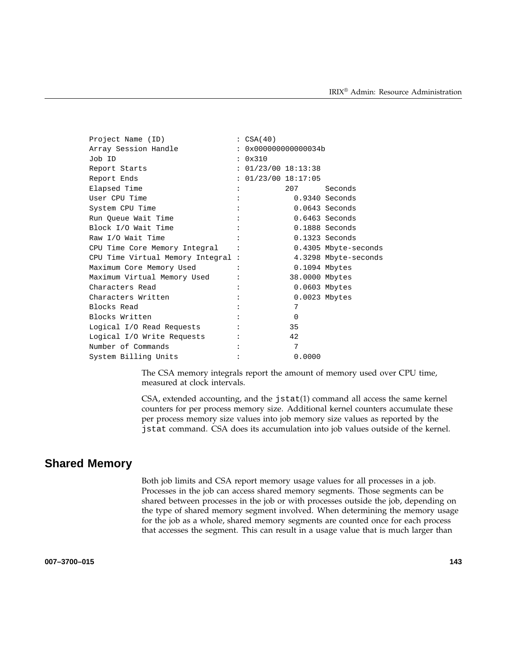| Project Name (ID)                  | : CSA(40)            |                |                      |
|------------------------------------|----------------------|----------------|----------------------|
| Array Session Handle               | : 0x000000000000034b |                |                      |
| Job ID                             | : 0x310              |                |                      |
| Report Starts                      | : 01/23/00 18:13:38  |                |                      |
| Report Ends                        | : 01/23/00 18:17:05  |                |                      |
| Elapsed Time                       |                      | 207            | Seconds              |
| User CPU Time                      |                      |                | $0.9340$ Seconds     |
| System CPU Time                    |                      |                | $0.0643$ Seconds     |
| Run Queue Wait Time                |                      |                | $0.6463$ Seconds     |
| Block I/O Wait Time                |                      |                | $0.1888$ Seconds     |
| Raw I/O Wait Time                  |                      |                | $0.1323$ Seconds     |
| CPU Time Core Memory Integral :    |                      |                | 0.4305 Mbyte-seconds |
| CPU Time Virtual Memory Integral : |                      |                | 4.3298 Mbyte-seconds |
| Maximum Core Memory Used           |                      |                | $0.1094$ Mbytes      |
| Maximum Virtual Memory Used        |                      | 38.0000 Mbytes |                      |
| Characters Read                    |                      |                | 0.0603 Mbytes        |
| Characters Written                 |                      |                | $0.0023$ Mbytes      |
| Blocks Read                        |                      | 7              |                      |
| Blocks Written                     |                      | $\Omega$       |                      |
| Logical I/O Read Requests          |                      | 35             |                      |
| Logical I/O Write Requests         |                      | 42             |                      |
| Number of Commands                 |                      | 7              |                      |
| System Billing Units               |                      | 0.0000         |                      |

The CSA memory integrals report the amount of memory used over CPU time, measured at clock intervals.

CSA, extended accounting, and the jstat(1) command all access the same kernel counters for per process memory size. Additional kernel counters accumulate these per process memory size values into job memory size values as reported by the jstat command. CSA does its accumulation into job values outside of the kernel.

# **Shared Memory**

Both job limits and CSA report memory usage values for all processes in a job. Processes in the job can access shared memory segments. Those segments can be shared between processes in the job or with processes outside the job, depending on the type of shared memory segment involved. When determining the memory usage for the job as a whole, shared memory segments are counted once for each process that accesses the segment. This can result in a usage value that is much larger than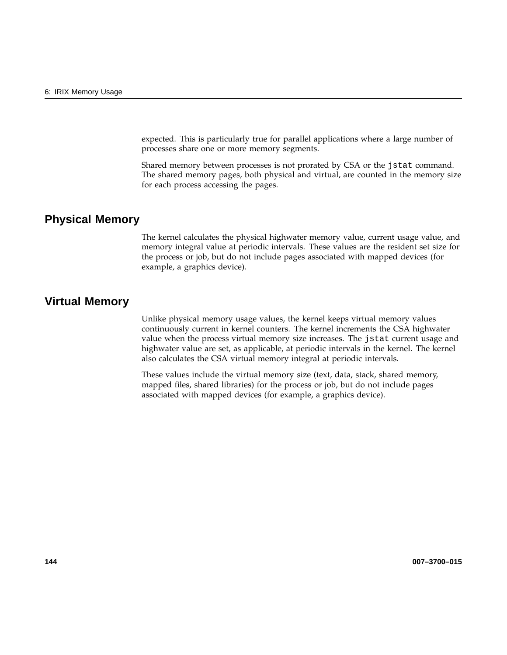expected. This is particularly true for parallel applications where a large number of processes share one or more memory segments.

Shared memory between processes is not prorated by CSA or the jstat command. The shared memory pages, both physical and virtual, are counted in the memory size for each process accessing the pages.

# **Physical Memory**

The kernel calculates the physical highwater memory value, current usage value, and memory integral value at periodic intervals. These values are the resident set size for the process or job, but do not include pages associated with mapped devices (for example, a graphics device).

### **Virtual Memory**

Unlike physical memory usage values, the kernel keeps virtual memory values continuously current in kernel counters. The kernel increments the CSA highwater value when the process virtual memory size increases. The jstat current usage and highwater value are set, as applicable, at periodic intervals in the kernel. The kernel also calculates the CSA virtual memory integral at periodic intervals.

These values include the virtual memory size (text, data, stack, shared memory, mapped files, shared libraries) for the process or job, but do not include pages associated with mapped devices (for example, a graphics device).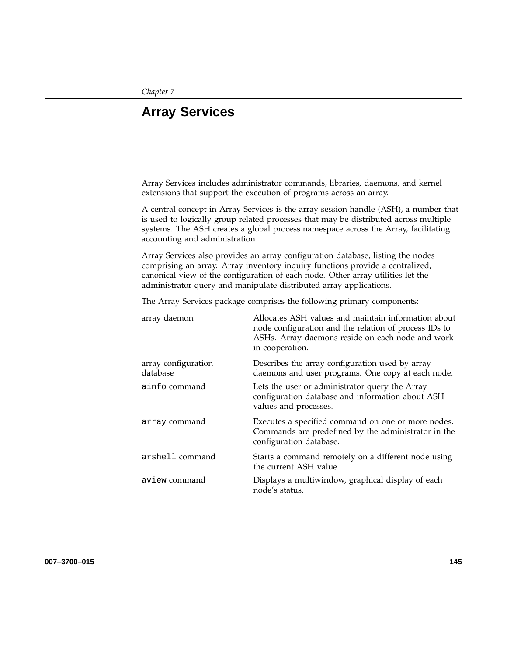# **Array Services**

Array Services includes administrator commands, libraries, daemons, and kernel extensions that support the execution of programs across an array.

A central concept in Array Services is the array session handle (ASH), a number that is used to logically group related processes that may be distributed across multiple systems. The ASH creates a global process namespace across the Array, facilitating accounting and administration

Array Services also provides an array configuration database, listing the nodes comprising an array. Array inventory inquiry functions provide a centralized, canonical view of the configuration of each node. Other array utilities let the administrator query and manipulate distributed array applications.

The Array Services package comprises the following primary components:

| array daemon                    | Allocates ASH values and maintain information about<br>node configuration and the relation of process IDs to<br>ASHs. Array daemons reside on each node and work<br>in cooperation. |
|---------------------------------|-------------------------------------------------------------------------------------------------------------------------------------------------------------------------------------|
| array configuration<br>database | Describes the array configuration used by array<br>daemons and user programs. One copy at each node.                                                                                |
| ainfo command                   | Lets the user or administrator query the Array<br>configuration database and information about ASH<br>values and processes.                                                         |
| array command                   | Executes a specified command on one or more nodes.<br>Commands are predefined by the administrator in the<br>configuration database.                                                |
| arshell command                 | Starts a command remotely on a different node using<br>the current ASH value.                                                                                                       |
| aview command                   | Displays a multiwindow, graphical display of each<br>node's status.                                                                                                                 |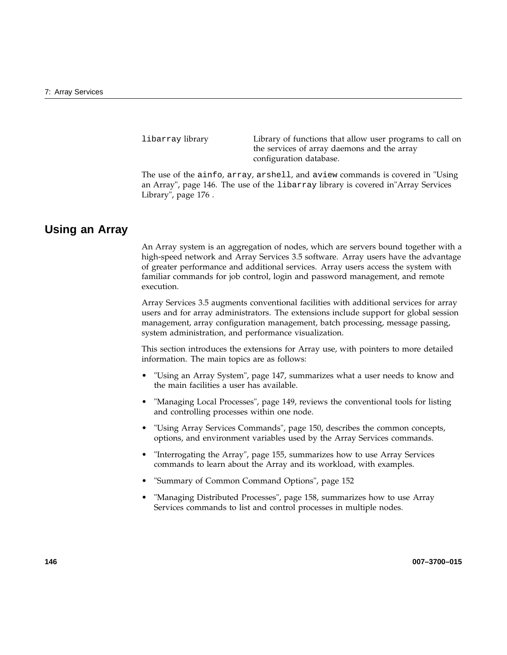libarray library Library of functions that allow user programs to call on the services of array daemons and the array configuration database.

The use of the ainfo, array, arshell, and aview commands is covered in "Using an Array", page 146. The use of the libarray library is covered in"Array Services Library", page 176 .

## **Using an Array**

An Array system is an aggregation of nodes, which are servers bound together with a high-speed network and Array Services 3.5 software. Array users have the advantage of greater performance and additional services. Array users access the system with familiar commands for job control, login and password management, and remote execution.

Array Services 3.5 augments conventional facilities with additional services for array users and for array administrators. The extensions include support for global session management, array configuration management, batch processing, message passing, system administration, and performance visualization.

This section introduces the extensions for Array use, with pointers to more detailed information. The main topics are as follows:

- "Using an Array System", page 147, summarizes what a user needs to know and the main facilities a user has available.
- "Managing Local Processes", page 149, reviews the conventional tools for listing and controlling processes within one node.
- "Using Array Services Commands", page 150, describes the common concepts, options, and environment variables used by the Array Services commands.
- "Interrogating the Array", page 155, summarizes how to use Array Services commands to learn about the Array and its workload, with examples.
- "Summary of Common Command Options", page 152
- "Managing Distributed Processes", page 158, summarizes how to use Array Services commands to list and control processes in multiple nodes.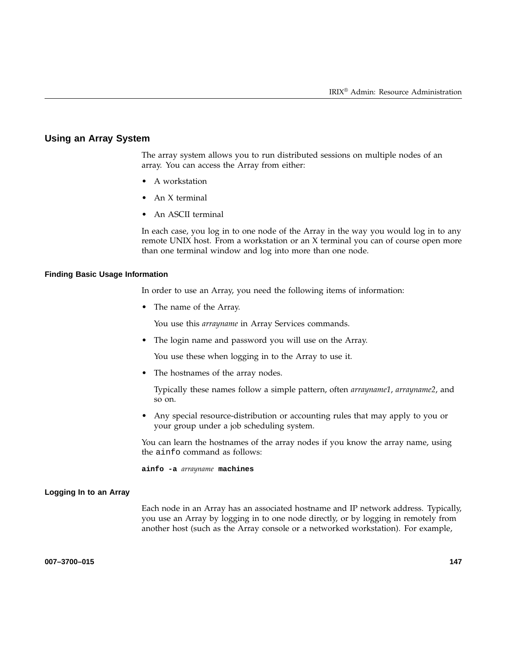#### **Using an Array System**

The array system allows you to run distributed sessions on multiple nodes of an array. You can access the Array from either:

- A workstation
- An X terminal
- An ASCII terminal

In each case, you log in to one node of the Array in the way you would log in to any remote UNIX host. From a workstation or an X terminal you can of course open more than one terminal window and log into more than one node.

#### **Finding Basic Usage Information**

In order to use an Array, you need the following items of information:

• The name of the Array.

You use this *arrayname* in Array Services commands.

• The login name and password you will use on the Array.

You use these when logging in to the Array to use it.

• The hostnames of the array nodes.

Typically these names follow a simple pattern, often *arrayname1*, *arrayname2*, and so on.

• Any special resource-distribution or accounting rules that may apply to you or your group under a job scheduling system.

You can learn the hostnames of the array nodes if you know the array name, using the ainfo command as follows:

**ainfo -a** *arrayname* **machines**

#### **Logging In to an Array**

Each node in an Array has an associated hostname and IP network address. Typically, you use an Array by logging in to one node directly, or by logging in remotely from another host (such as the Array console or a networked workstation). For example,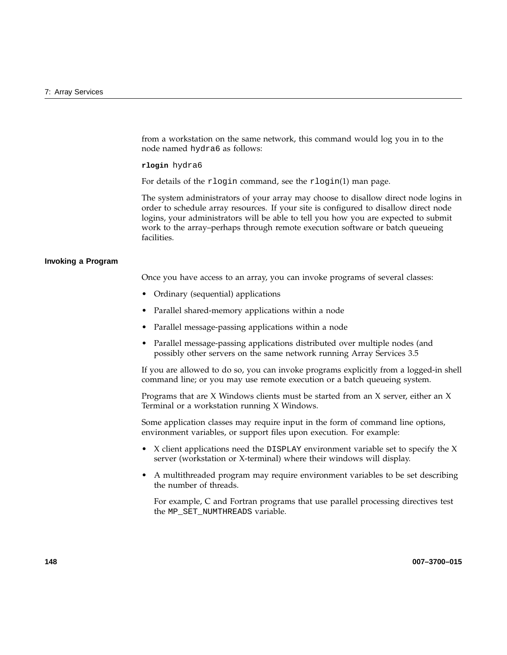from a workstation on the same network, this command would log you in to the node named hydra6 as follows:

**rlogin** hydra6

For details of the rlogin command, see the rlogin(1) man page.

The system administrators of your array may choose to disallow direct node logins in order to schedule array resources. If your site is configured to disallow direct node logins, your administrators will be able to tell you how you are expected to submit work to the array–perhaps through remote execution software or batch queueing facilities.

#### **Invoking a Program**

Once you have access to an array, you can invoke programs of several classes:

- Ordinary (sequential) applications
- Parallel shared-memory applications within a node
- Parallel message-passing applications within a node
- Parallel message-passing applications distributed over multiple nodes (and possibly other servers on the same network running Array Services 3.5

If you are allowed to do so, you can invoke programs explicitly from a logged-in shell command line; or you may use remote execution or a batch queueing system.

Programs that are X Windows clients must be started from an X server, either an X Terminal or a workstation running X Windows.

Some application classes may require input in the form of command line options, environment variables, or support files upon execution. For example:

- X client applications need the DISPLAY environment variable set to specify the X server (workstation or X-terminal) where their windows will display.
- A multithreaded program may require environment variables to be set describing the number of threads.

For example, C and Fortran programs that use parallel processing directives test the MP\_SET\_NUMTHREADS variable.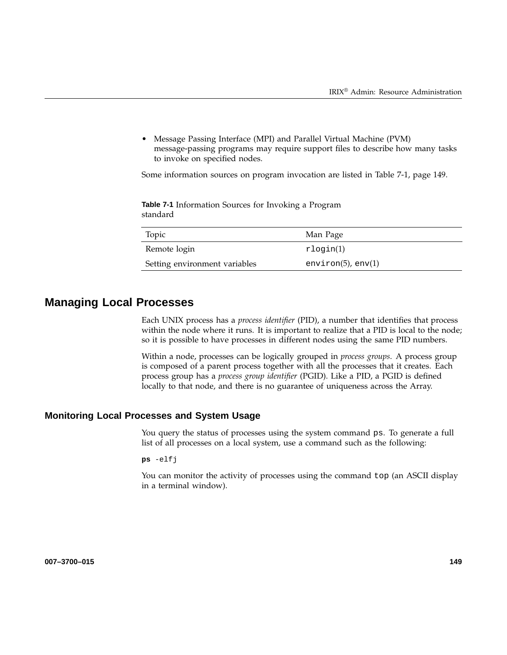• Message Passing Interface (MPI) and Parallel Virtual Machine (PVM) message-passing programs may require support files to describe how many tasks to invoke on specified nodes.

Some information sources on program invocation are listed in Table 7-1, page 149.

**Table 7-1** Information Sources for Invoking a Program standard

| Topic                         | Man Page                  |
|-------------------------------|---------------------------|
| Remote login                  | $r$ login $(1)$           |
| Setting environment variables | environ $(5)$ , env $(1)$ |

# **Managing Local Processes**

Each UNIX process has a *process identifier* (PID), a number that identifies that process within the node where it runs. It is important to realize that a PID is local to the node; so it is possible to have processes in different nodes using the same PID numbers.

Within a node, processes can be logically grouped in *process groups*. A process group is composed of a parent process together with all the processes that it creates. Each process group has a *process group identifier* (PGID). Like a PID, a PGID is defined locally to that node, and there is no guarantee of uniqueness across the Array.

#### **Monitoring Local Processes and System Usage**

You query the status of processes using the system command ps. To generate a full list of all processes on a local system, use a command such as the following:

**ps** -elfj

You can monitor the activity of processes using the command top (an ASCII display in a terminal window).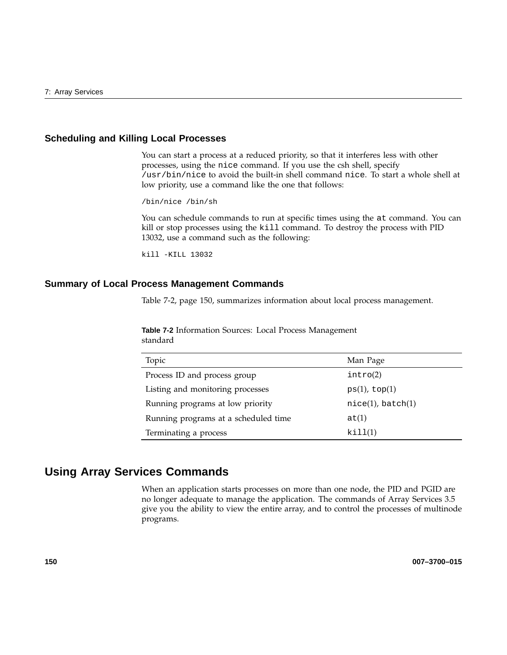# **Scheduling and Killing Local Processes**

You can start a process at a reduced priority, so that it interferes less with other processes, using the nice command. If you use the csh shell, specify /usr/bin/nice to avoid the built-in shell command nice. To start a whole shell at low priority, use a command like the one that follows:

/bin/nice /bin/sh

You can schedule commands to run at specific times using the at command. You can kill or stop processes using the kill command. To destroy the process with PID 13032, use a command such as the following:

kill -KILL 13032

#### **Summary of Local Process Management Commands**

Table 7-2, page 150, summarizes information about local process management.

**Table 7-2** Information Sources: Local Process Management standard

| Topic                                | Man Page                |
|--------------------------------------|-------------------------|
| Process ID and process group         | intro(2)                |
| Listing and monitoring processes     | $ps(1)$ , top $(1)$     |
| Running programs at low priority     | $nice(1)$ , batch $(1)$ |
| Running programs at a scheduled time | at(1)                   |
| Terminating a process                | kill(1)                 |

# **Using Array Services Commands**

When an application starts processes on more than one node, the PID and PGID are no longer adequate to manage the application. The commands of Array Services 3.5 give you the ability to view the entire array, and to control the processes of multinode programs.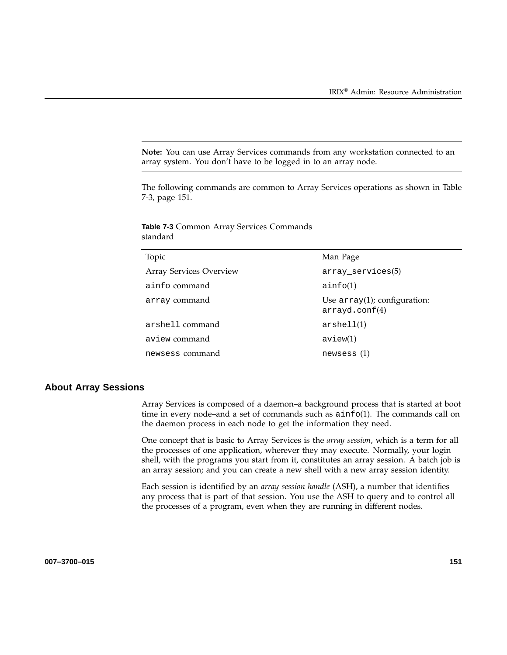**Note:** You can use Array Services commands from any workstation connected to an array system. You don't have to be logged in to an array node.

The following commands are common to Array Services operations as shown in Table 7-3, page 151.

| Topic                   | Man Page                                         |
|-------------------------|--------------------------------------------------|
| Array Services Overview | $array\_serves(5)$                               |
| ainfo command           | ainfo(1)                                         |
| array command           | Use $array(1)$ ; configuration:<br>arrayd.com(4) |
| arshell command         | arshell(1)                                       |
| aview command           | aview(1)                                         |
| newsess command         | newsess(1)                                       |

**Table 7-3** Common Array Services Commands standard

### **About Array Sessions**

Array Services is composed of a daemon–a background process that is started at boot time in every node–and a set of commands such as  $a$ info(1). The commands call on the daemon process in each node to get the information they need.

One concept that is basic to Array Services is the *array session*, which is a term for all the processes of one application, wherever they may execute. Normally, your login shell, with the programs you start from it, constitutes an array session. A batch job is an array session; and you can create a new shell with a new array session identity.

Each session is identified by an *array session handle* (ASH), a number that identifies any process that is part of that session. You use the ASH to query and to control all the processes of a program, even when they are running in different nodes.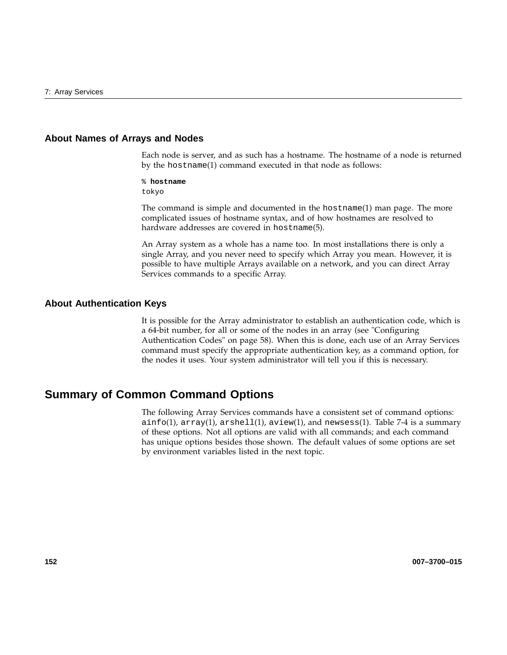#### **About Names of Arrays and Nodes**

Each node is server, and as such has a hostname. The hostname of a node is returned by the hostname(1) command executed in that node as follows:

% **hostname**

tokyo

The command is simple and documented in the hostname(1) man page. The more complicated issues of hostname syntax, and of how hostnames are resolved to hardware addresses are covered in hostname(5).

An Array system as a whole has a name too. In most installations there is only a single Array, and you never need to specify which Array you mean. However, it is possible to have multiple Arrays available on a network, and you can direct Array Services commands to a specific Array.

#### **About Authentication Keys**

It is possible for the Array administrator to establish an authentication code, which is a 64-bit number, for all or some of the nodes in an array (see "Configuring Authentication Codes" on page 58). When this is done, each use of an Array Services command must specify the appropriate authentication key, as a command option, for the nodes it uses. Your system administrator will tell you if this is necessary.

# **Summary of Common Command Options**

The following Array Services commands have a consistent set of command options: ainfo(1), array(1), arshell(1), aview(1), and newsess(1). Table 7-4 is a summary of these options. Not all options are valid with all commands; and each command has unique options besides those shown. The default values of some options are set by environment variables listed in the next topic.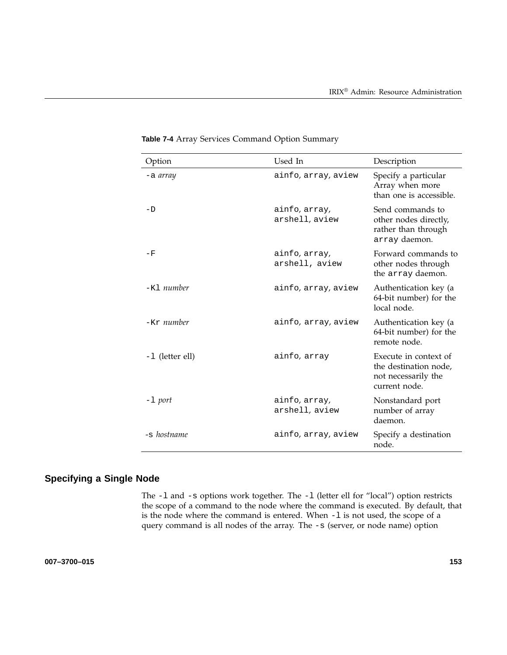| Option          | Used In                         | Description                                                                            |
|-----------------|---------------------------------|----------------------------------------------------------------------------------------|
| -a <i>array</i> | ainfo, array, aview             | Specify a particular<br>Array when more<br>than one is accessible.                     |
| -D              | ainfo, array,<br>arshell, aview | Send commands to<br>other nodes directly,<br>rather than through<br>array daemon.      |
| – F             | ainfo, array,<br>arshell, aview | Forward commands to<br>other nodes through<br>the array daemon.                        |
| $-K1$ number    | ainfo, array, aview             | Authentication key (a<br>64-bit number) for the<br>local node.                         |
| $-Kr$ number    | ainfo, array, aview             | Authentication key (a<br>64-bit number) for the<br>remote node.                        |
| -1 (letter ell) | ainfo, array                    | Execute in context of<br>the destination node,<br>not necessarily the<br>current node. |
| -1 port         | ainfo, array,<br>arshell, aview | Nonstandard port<br>number of array<br>daemon.                                         |
| -s hostname     | ainfo, array, aview             | Specify a destination<br>node.                                                         |

**Table 7-4** Array Services Command Option Summary

# **Specifying a Single Node**

The -l and -s options work together. The -l (letter ell for "local") option restricts the scope of a command to the node where the command is executed. By default, that is the node where the command is entered. When -1 is not used, the scope of a query command is all nodes of the array. The -s (server, or node name) option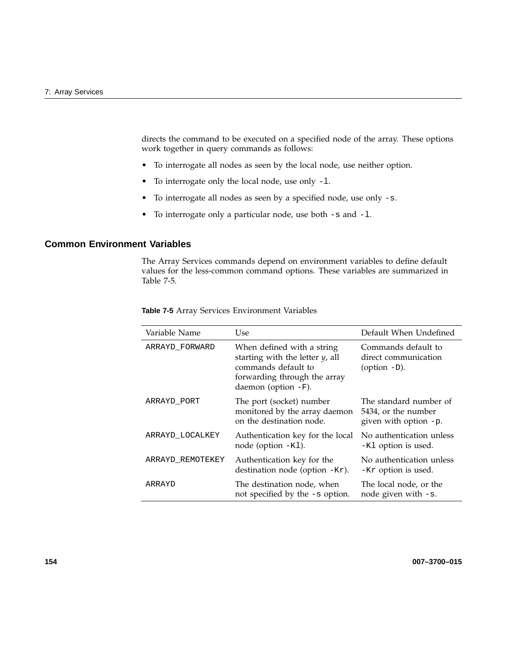directs the command to be executed on a specified node of the array. These options work together in query commands as follows:

- To interrogate all nodes as seen by the local node, use neither option.
- To interrogate only the local node, use only -l.
- To interrogate all nodes as seen by a specified node, use only -s.
- To interrogate only a particular node, use both -s and -l.

## **Common Environment Variables**

The Array Services commands depend on environment variables to define default values for the less-common command options. These variables are summarized in Table 7-5.

| Variable Name    | Use                                                                                                                                               | Default When Undefined                                                 |
|------------------|---------------------------------------------------------------------------------------------------------------------------------------------------|------------------------------------------------------------------------|
| ARRAYD FORWARD   | When defined with a string<br>starting with the letter $y$ , all<br>commands default to<br>forwarding through the array<br>daemon (option $-F$ ). | Commands default to<br>direct communication<br>(option $-D$ ).         |
| ARRAYD PORT      | The port (socket) number<br>monitored by the array daemon<br>on the destination node.                                                             | The standard number of<br>5434, or the number<br>given with option -p. |
| ARRAYD_LOCALKEY  | Authentication key for the local<br>node (option $-K1$ ).                                                                                         | No authentication unless<br>-K1 option is used.                        |
| ARRAYD_REMOTEKEY | Authentication key for the<br>destination node (option -Kr).                                                                                      | No authentication unless<br>-Kr option is used.                        |
| ARRAYD           | The destination node, when<br>not specified by the -s option.                                                                                     | The local node, or the<br>node given with $-s$ .                       |

**Table 7-5** Array Services Environment Variables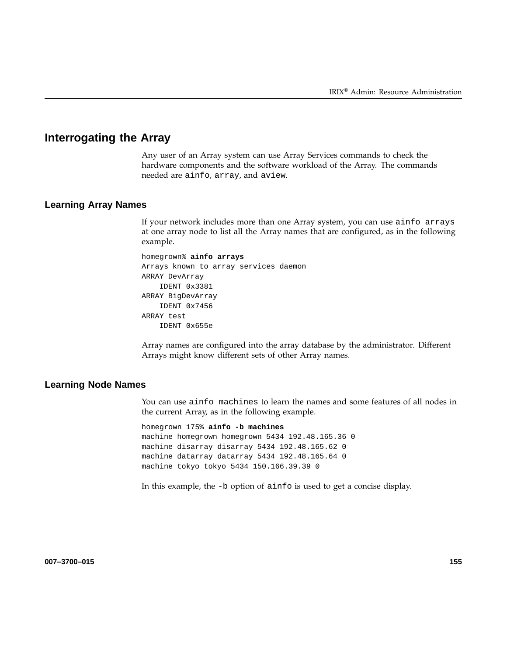# **Interrogating the Array**

Any user of an Array system can use Array Services commands to check the hardware components and the software workload of the Array. The commands needed are ainfo, array, and aview.

## **Learning Array Names**

If your network includes more than one Array system, you can use ainfo arrays at one array node to list all the Array names that are configured, as in the following example.

```
homegrown% ainfo arrays
Arrays known to array services daemon
ARRAY DevArray
   IDENT 0x3381
ARRAY BigDevArray
    IDENT 0x7456
ARRAY test
    IDENT 0x655e
```
Array names are configured into the array database by the administrator. Different Arrays might know different sets of other Array names.

## **Learning Node Names**

You can use ainfo machines to learn the names and some features of all nodes in the current Array, as in the following example.

```
homegrown 175% ainfo -b machines
machine homegrown homegrown 5434 192.48.165.36 0
machine disarray disarray 5434 192.48.165.62 0
machine datarray datarray 5434 192.48.165.64 0
machine tokyo tokyo 5434 150.166.39.39 0
```
In this example, the -b option of ainfo is used to get a concise display.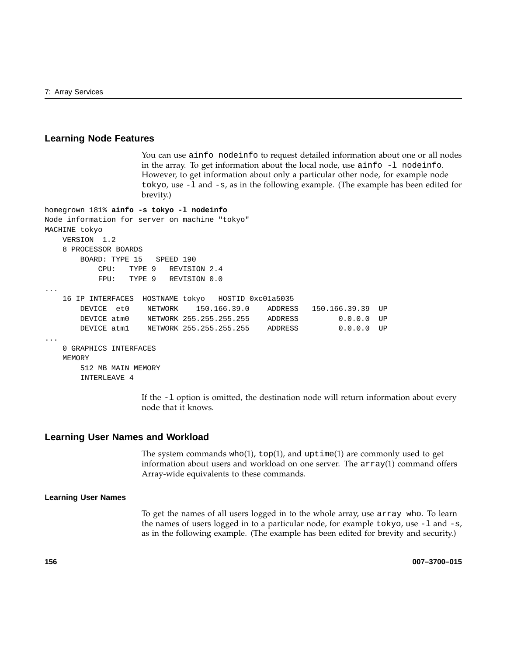### **Learning Node Features**

You can use ainfo nodeinfo to request detailed information about one or all nodes in the array. To get information about the local node, use  $a$  info  $-1$  nodeinfo. However, to get information about only a particular other node, for example node tokyo, use -l and -s, as in the following example. (The example has been edited for brevity.)

```
homegrown 181% ainfo -s tokyo -l nodeinfo
Node information for server on machine "tokyo"
MACHINE tokyo
   VERSION 1.2
   8 PROCESSOR BOARDS
       BOARD: TYPE 15 SPEED 190
          CPU: TYPE 9 REVISION 2.4
          FPU: TYPE 9 REVISION 0.0
...
   16 IP INTERFACES HOSTNAME tokyo HOSTID 0xc01a5035
       DEVICE et0 NETWORK 150.166.39.0 ADDRESS 150.166.39.39 UP
       DEVICE atm0 NETWORK 255.255.255.255 ADDRESS 0.0.0.0 UP
       DEVICE atm1 NETWORK 255.255.255.255 ADDRESS 0.0.0.0 UP
...
   0 GRAPHICS INTERFACES
   MEMORY
       512 MB MAIN MEMORY
       INTERLEAVE 4
```
If the -l option is omitted, the destination node will return information about every node that it knows.

### **Learning User Names and Workload**

The system commands  $who(1)$ ,  $top(1)$ , and  $uptime(1)$  are commonly used to get information about users and workload on one server. The array(1) command offers Array-wide equivalents to these commands.

#### **Learning User Names**

To get the names of all users logged in to the whole array, use array who. To learn the names of users logged in to a particular node, for example  $\text{tokyo}$ , use  $-1$  and  $-s$ , as in the following example. (The example has been edited for brevity and security.)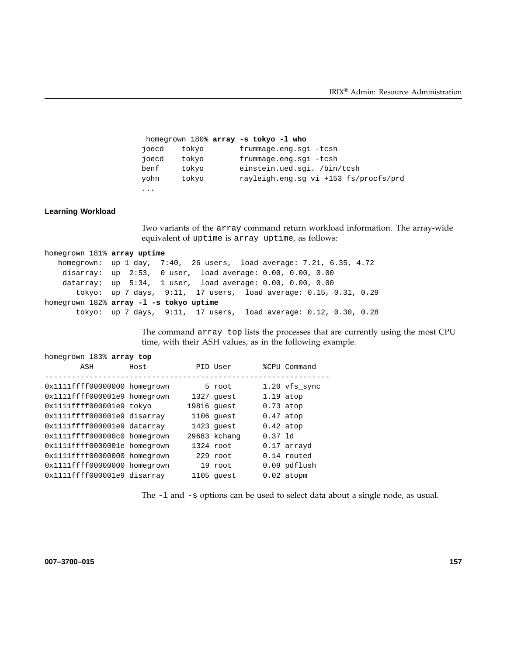```
homegrown 180% array -s tokyo -l who
joecd tokyo frummage.eng.sgi -tcsh
joecd tokyo frummage.eng.sgi -tcsh
benf tokyo einstein.ued.sgi. /bin/tcsh
yohn tokyo rayleigh.eng.sg vi +153 fs/procfs/prd
...
```
#### **Learning Workload**

Two variants of the array command return workload information. The array-wide equivalent of uptime is array uptime, as follows:

```
homegrown 181% array uptime
  homegrown: up 1 day, 7:40, 26 users, load average: 7.21, 6.35, 4.72
   disarray: up 2:53, 0 user, load average: 0.00, 0.00, 0.00
   datarray: up 5:34, 1 user, load average: 0.00, 0.00, 0.00
      tokyo: up 7 days, 9:11, 17 users, load average: 0.15, 0.31, 0.29
homegrown 182% array -l -s tokyo uptime
      tokyo: up 7 days, 9:11, 17 users, load average: 0.12, 0.30, 0.28
```
The command array top lists the processes that are currently using the most CPU time, with their ASH values, as in the following example.

| homegrown 183% array top |  |  |  |
|--------------------------|--|--|--|
|--------------------------|--|--|--|

| ASH                                                          | Host | PID User                  |             | %CPU Command                |
|--------------------------------------------------------------|------|---------------------------|-------------|-----------------------------|
| 0x1111ffff00000000 homegrown                                 |      | 5 root                    |             | $1.20$ vfs_sync             |
| 0x1111ffff000001e9 homegrown<br>0x1111ffff000001e9 tokyo     |      | 1327 quest<br>19816 quest | $0.73$ atop | $1.19$ atop                 |
| 0x1111ffff000001e9 disarray                                  |      | 1106 quest                | $0.47$ atop |                             |
| 0x1111ffff000001e9 datarray                                  |      | 1423 quest                | $0.42$ atop |                             |
| 0x1111ffff000000c0 homegrown                                 |      | 29683 kchang              | $0.37$ 1d   |                             |
| 0x1111ffff0000001e homegrown                                 |      | 1324 root                 |             | 0.17 arrayd                 |
| 0x1111ffff00000000 homegrown<br>0x1111ffff00000000 homegrown |      | 229 root<br>19 root       |             | 0.14 routed<br>0.09 pdflush |
| 0x1111ffff000001e9 disarray                                  |      | 1105 quest                |             | $0.02$ atopm                |

The -l and -s options can be used to select data about a single node, as usual.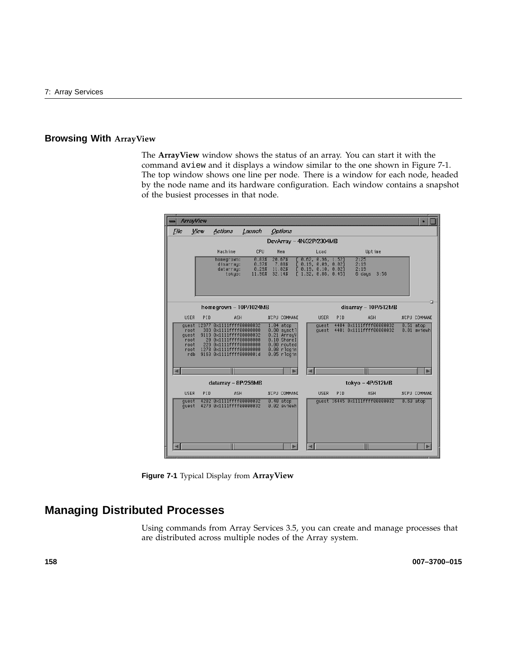# **Browsing With ArrayView**

The **ArrayView** window shows the status of an array. You can start it with the command aview and it displays a window similar to the one shown in Figure 7-1. The top window shows one line per node. There is a window for each node, headed by the node name and its hardware configuration. Each window contains a snapshot of the busiest processes in that node.

|                                              | <b>ArrayView</b> |                                                                                                                                                                                             |                                   |                                     |                                                                                          |                                                                                                |     |                                                    |  | $\bullet$                  |
|----------------------------------------------|------------------|---------------------------------------------------------------------------------------------------------------------------------------------------------------------------------------------|-----------------------------------|-------------------------------------|------------------------------------------------------------------------------------------|------------------------------------------------------------------------------------------------|-----|----------------------------------------------------|--|----------------------------|
| File                                         | View             | Actions                                                                                                                                                                                     | Launch                            | <b>Options</b>                      |                                                                                          |                                                                                                |     |                                                    |  |                            |
|                                              |                  |                                                                                                                                                                                             |                                   |                                     |                                                                                          | DevArray - 4N/32P/2304MB                                                                       |     |                                                    |  |                            |
|                                              |                  | Machine                                                                                                                                                                                     | CPU                               | Mem                                 |                                                                                          | Load                                                                                           |     | Uptime                                             |  |                            |
|                                              |                  | homegrown:<br>disarray:<br>datarray:<br>tokyo:                                                                                                                                              | 0.83%<br>0.37%<br>0.29%<br>11.96% | 20.67%<br>7.88%<br>11.82%<br>32.14% |                                                                                          | [0.62, 0.96, 1.52]<br>[ 8.19, 8.89, 8.82]<br>[ 8.19, 8.18, 8.82]<br>$\sqrt{1.32}$ , 0.86, 0.45 |     | 2:25<br>2:19<br>2:19<br>6 days 3:56                |  |                            |
|                                              |                  | homegrown - 10P/1024MB                                                                                                                                                                      |                                   |                                     |                                                                                          |                                                                                                |     | disarray - 10P/512MB                               |  |                            |
| <b>USER</b>                                  | PID              | ASH                                                                                                                                                                                         |                                   |                                     | <b>%CPU COMMANE</b>                                                                      | <b>USER</b>                                                                                    | PID | ASH                                                |  | <b>%CPU COMMANE</b>        |
| root<br>quest<br>root<br>root<br>root<br>rdb |                  | quest 12977 0x1111ffff00000032<br>383 0x1111ffff00000000<br>9119 0x1111ffff00000032<br>20 0x1111fff60000000<br>229 0x1111ffff00000000<br>1278 0x1111ffff00000000<br>9163 0x1111ffff0000001d |                                   | $1.04$ atop                         | $0.80$ sysctl<br>0.21 ArrayV<br>0.10 ShareI<br>0.08 routed<br>0.08 rlogin<br>0.05 rlogin | quest<br>quest                                                                                 |     | 4404 0x1111ffff00000032<br>4401 0x1111ffff00000032 |  | $0.51$ atop<br>0.01 aviewh |
|                                              |                  |                                                                                                                                                                                             |                                   |                                     |                                                                                          | -11                                                                                            |     |                                                    |  |                            |
|                                              |                  | datarray - 8P/256MB                                                                                                                                                                         |                                   |                                     |                                                                                          |                                                                                                |     | tokyo - 4P/512MB                                   |  |                            |
| <b>USER</b>                                  | PID              | ASH                                                                                                                                                                                         |                                   |                                     | <b>%CPU COMMANE</b>                                                                      | <b>USER</b>                                                                                    | PID | ASH                                                |  | <b>%CPU COMMANE</b>        |
| quest<br>quest                               |                  | 4282 0x1111ffff00000032<br>4279 0x1111ffff00000032                                                                                                                                          |                                   | $0.48$ atop                         | 0.02 aviewh                                                                              |                                                                                                |     | guest 16445 0x1111ffff00000032                     |  | $0.63$ atop                |
|                                              |                  |                                                                                                                                                                                             |                                   |                                     |                                                                                          |                                                                                                |     |                                                    |  |                            |

**Figure 7-1** Typical Display from **ArrayView**

# **Managing Distributed Processes**

Using commands from Array Services 3.5, you can create and manage processes that are distributed across multiple nodes of the Array system.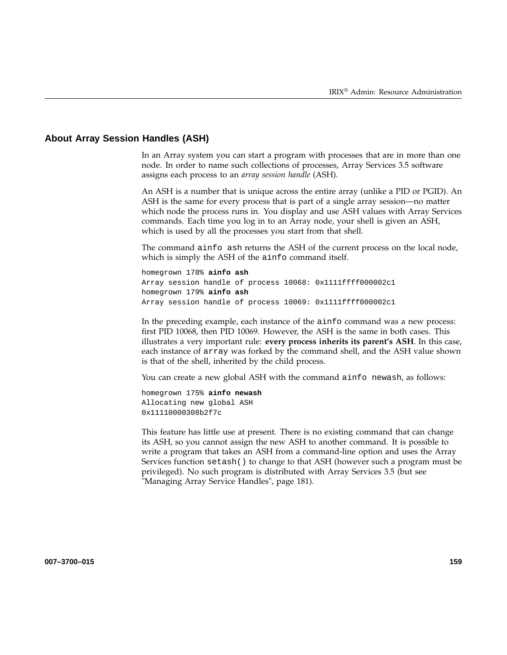## **About Array Session Handles (ASH)**

In an Array system you can start a program with processes that are in more than one node. In order to name such collections of processes, Array Services 3.5 software assigns each process to an *array session handle* (ASH).

An ASH is a number that is unique across the entire array (unlike a PID or PGID). An ASH is the same for every process that is part of a single array session—no matter which node the process runs in. You display and use ASH values with Array Services commands. Each time you log in to an Array node, your shell is given an ASH, which is used by all the processes you start from that shell.

The command ainfo ash returns the ASH of the current process on the local node, which is simply the ASH of the ainfo command itself.

homegrown 178% **ainfo ash** Array session handle of process 10068: 0x1111ffff000002c1 homegrown 179% **ainfo ash** Array session handle of process 10069: 0x1111ffff000002c1

In the preceding example, each instance of the ainfo command was a new process: first PID 10068, then PID 10069. However, the ASH is the same in both cases. This illustrates a very important rule: **every process inherits its parent's ASH**. In this case, each instance of array was forked by the command shell, and the ASH value shown is that of the shell, inherited by the child process.

You can create a new global ASH with the command ainfo newash, as follows:

homegrown 175% **ainfo newash** Allocating new global ASH 0x11110000308b2f7c

This feature has little use at present. There is no existing command that can change its ASH, so you cannot assign the new ASH to another command. It is possible to write a program that takes an ASH from a command-line option and uses the Array Services function setash() to change to that ASH (however such a program must be privileged). No such program is distributed with Array Services 3.5 (but see "Managing Array Service Handles", page 181).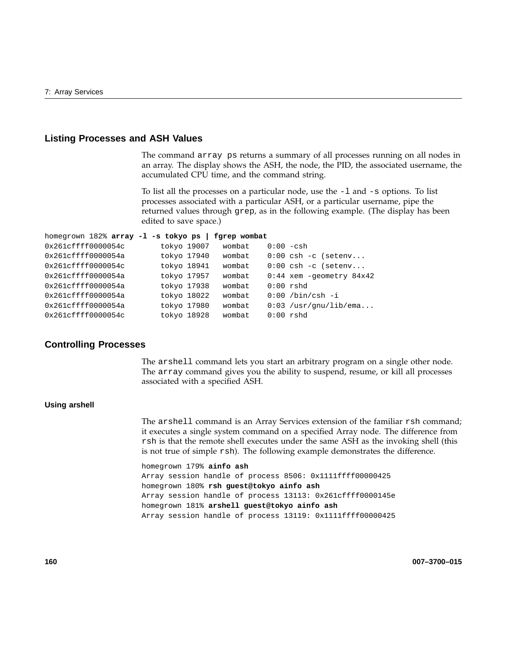### **Listing Processes and ASH Values**

The command array ps returns a summary of all processes running on all nodes in an array. The display shows the ASH, the node, the PID, the associated username, the accumulated CPU time, and the command string.

To list all the processes on a particular node, use the -l and -s options. To list processes associated with a particular ASH, or a particular username, pipe the returned values through grep, as in the following example. (The display has been edited to save space.)

```
homegrown 182% array -l -s tokyo ps | fgrep wombat
0x261cffff0000054c tokyo 19007 wombat 0:00 -csh
0x261cffff0000054a tokyo 17940 wombat 0:00 csh -c (setenv...
0x261cffff0000054c tokyo 18941 wombat 0:00 csh -c (setenv...
0x261cffff0000054a tokyo 17957 wombat 0:44 xem -geometry 84x42
0x261cffff0000054a tokyo 17938 wombat 0:00 rshd
0x261cffff0000054a tokyo 18022 wombat 0:00 /bin/csh -i
0x261cffff0000054a tokyo 17980 wombat 0:03 /usr/gnu/lib/ema...
0x261cffff0000054c tokyo 18928 wombat 0:00 rshd
```
## **Controlling Processes**

The arshell command lets you start an arbitrary program on a single other node. The array command gives you the ability to suspend, resume, or kill all processes associated with a specified ASH.

### **Using arshell**

The arshell command is an Array Services extension of the familiar rsh command; it executes a single system command on a specified Array node. The difference from rsh is that the remote shell executes under the same ASH as the invoking shell (this is not true of simple rsh). The following example demonstrates the difference.

homegrown 179% **ainfo ash** Array session handle of process 8506: 0x1111ffff00000425 homegrown 180% **rsh guest@tokyo ainfo ash** Array session handle of process 13113: 0x261cffff0000145e homegrown 181% **arshell guest@tokyo ainfo ash** Array session handle of process 13119: 0x1111ffff00000425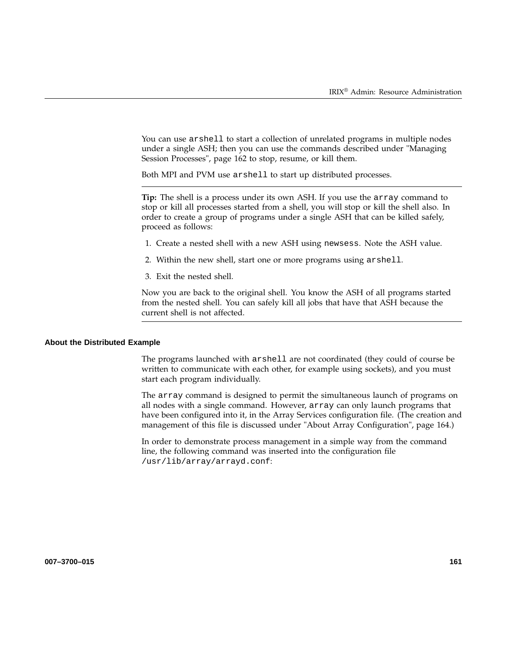You can use arshell to start a collection of unrelated programs in multiple nodes under a single ASH; then you can use the commands described under "Managing Session Processes", page 162 to stop, resume, or kill them.

Both MPI and PVM use arshell to start up distributed processes.

**Tip:** The shell is a process under its own ASH. If you use the array command to stop or kill all processes started from a shell, you will stop or kill the shell also. In order to create a group of programs under a single ASH that can be killed safely, proceed as follows:

- 1. Create a nested shell with a new ASH using newsess. Note the ASH value.
- 2. Within the new shell, start one or more programs using arshell.
- 3. Exit the nested shell.

Now you are back to the original shell. You know the ASH of all programs started from the nested shell. You can safely kill all jobs that have that ASH because the current shell is not affected.

#### **About the Distributed Example**

The programs launched with arshell are not coordinated (they could of course be written to communicate with each other, for example using sockets), and you must start each program individually.

The array command is designed to permit the simultaneous launch of programs on all nodes with a single command. However, array can only launch programs that have been configured into it, in the Array Services configuration file. (The creation and management of this file is discussed under "About Array Configuration", page 164.)

In order to demonstrate process management in a simple way from the command line, the following command was inserted into the configuration file /usr/lib/array/arrayd.conf: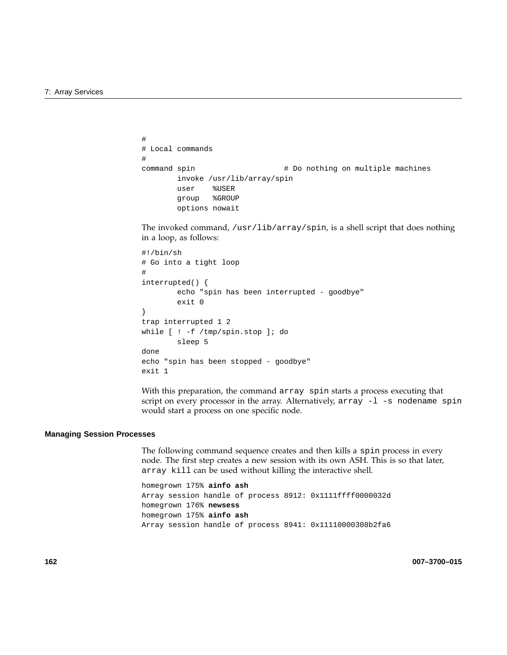```
#
# Local commands
#
command spin \qquad # Do nothing on multiple machines
       invoke /usr/lib/array/spin
       user %USER
       group %GROUP
       options nowait
```
The invoked command, /usr/lib/array/spin, is a shell script that does nothing in a loop, as follows:

```
#!/bin/sh
# Go into a tight loop
#
interrupted() {
        echo "spin has been interrupted - goodbye"
        exit 0
}
trap interrupted 1 2
while [ ! -f /tmp/spin.stop ]; do
        sleep 5
done
echo "spin has been stopped - goodbye"
exit 1
```
With this preparation, the command array spin starts a process executing that script on every processor in the array. Alternatively, array -1 -s nodename spin would start a process on one specific node.

#### **Managing Session Processes**

The following command sequence creates and then kills a spin process in every node. The first step creates a new session with its own ASH. This is so that later, array kill can be used without killing the interactive shell.

homegrown 175% **ainfo ash** Array session handle of process 8912: 0x1111ffff0000032d homegrown 176% **newsess** homegrown 175% **ainfo ash** Array session handle of process 8941: 0x11110000308b2fa6

**162 007–3700–015**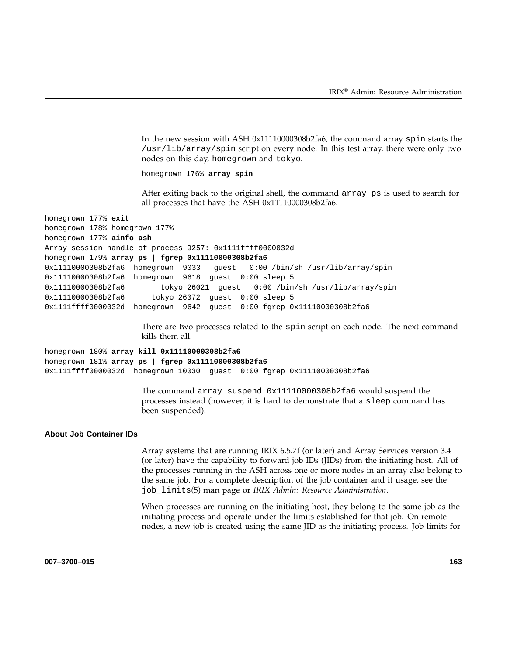In the new session with ASH 0x11110000308b2fa6, the command array spin starts the /usr/lib/array/spin script on every node. In this test array, there were only two nodes on this day, homegrown and tokyo.

homegrown 176% **array spin**

After exiting back to the original shell, the command array ps is used to search for all processes that have the ASH 0x11110000308b2fa6.

homegrown 178% homegrown 177% homegrown 177% **ainfo ash** Array session handle of process 9257: 0x1111ffff0000032d homegrown 179% **array ps | fgrep 0x11110000308b2fa6** 0x11110000308b2fa6 homegrown 9033 guest 0:00 /bin/sh /usr/lib/array/spin 0x11110000308b2fa6 homegrown 9618 guest 0:00 sleep 5 0x11110000308b2fa6 tokyo 26021 guest 0:00 /bin/sh /usr/lib/array/spin 0x11110000308b2fa6 tokyo 26072 guest 0:00 sleep 5 0x1111ffff0000032d homegrown 9642 guest 0:00 fgrep 0x11110000308b2fa6

> There are two processes related to the spin script on each node. The next command kills them all.

homegrown 180% **array kill 0x11110000308b2fa6** homegrown 181% **array ps | fgrep 0x11110000308b2fa6** 0x1111ffff0000032d homegrown 10030 guest 0:00 fgrep 0x11110000308b2fa6

> The command array suspend 0x11110000308b2fa6 would suspend the processes instead (however, it is hard to demonstrate that a sleep command has been suspended).

#### **About Job Container IDs**

homegrown 177% **exit**

Array systems that are running IRIX 6.5.7f (or later) and Array Services version 3.4 (or later) have the capability to forward job IDs (JIDs) from the initiating host. All of the processes running in the ASH across one or more nodes in an array also belong to the same job. For a complete description of the job container and it usage, see the job\_limits(5) man page or *IRIX Admin: Resource Administration*.

When processes are running on the initiating host, they belong to the same job as the initiating process and operate under the limits established for that job. On remote nodes, a new job is created using the same JID as the initiating process. Job limits for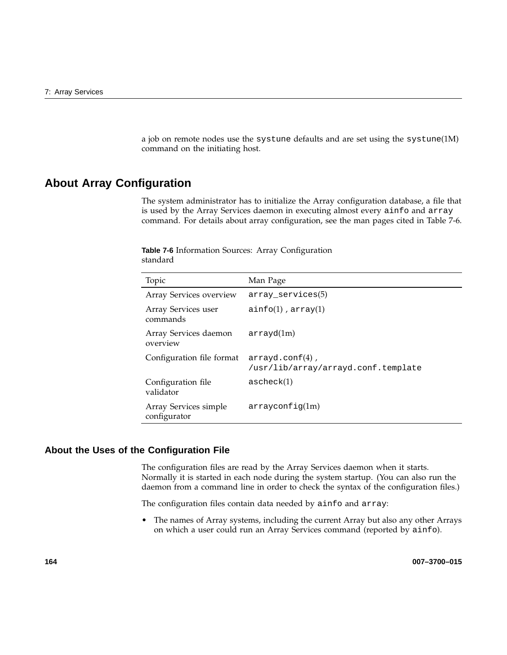a job on remote nodes use the systune defaults and are set using the systune(1M) command on the initiating host.

# **About Array Configuration**

The system administrator has to initialize the Array configuration database, a file that is used by the Array Services daemon in executing almost every ainfo and array command. For details about array configuration, see the man pages cited in Table 7-6.

| Topic                                 | Man Page                                                  |
|---------------------------------------|-----------------------------------------------------------|
| Array Services overview               | $array\_serves(5)$                                        |
| Array Services user<br>commands       | $ainfo(1)$ , $array(1)$                                   |
| Array Services daemon<br>overview     | arrayd(1m)                                                |
| Configuration file format             | $arrayd.comf(4)$ ,<br>/usr/lib/array/arrayd.conf.template |
| Configuration file<br>validator       | ascheck(1)                                                |
| Array Services simple<br>configurator | arrayconfiq(1m)                                           |
|                                       |                                                           |

**Table 7-6** Information Sources: Array Configuration standard

# **About the Uses of the Configuration File**

The configuration files are read by the Array Services daemon when it starts. Normally it is started in each node during the system startup. (You can also run the daemon from a command line in order to check the syntax of the configuration files.)

The configuration files contain data needed by ainfo and array:

• The names of Array systems, including the current Array but also any other Arrays on which a user could run an Array Services command (reported by ainfo).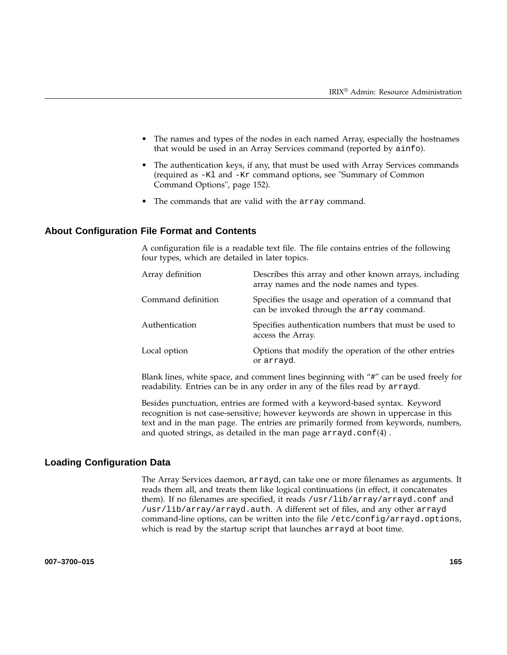- The names and types of the nodes in each named Array, especially the hostnames that would be used in an Array Services command (reported by ainfo).
- The authentication keys, if any, that must be used with Array Services commands (required as -Kl and -Kr command options, see "Summary of Common Command Options", page 152).
- The commands that are valid with the array command.

## **About Configuration File Format and Contents**

A configuration file is a readable text file. The file contains entries of the following four types, which are detailed in later topics.

| Array definition   | Describes this array and other known arrays, including<br>array names and the node names and types. |
|--------------------|-----------------------------------------------------------------------------------------------------|
| Command definition | Specifies the usage and operation of a command that<br>can be invoked through the array command.    |
| Authentication     | Specifies authentication numbers that must be used to<br>access the Array.                          |
| Local option       | Options that modify the operation of the other entries<br>or arrayd.                                |

Blank lines, white space, and comment lines beginning with "#" can be used freely for readability. Entries can be in any order in any of the files read by arrayd.

Besides punctuation, entries are formed with a keyword-based syntax. Keyword recognition is not case-sensitive; however keywords are shown in uppercase in this text and in the man page. The entries are primarily formed from keywords, numbers, and quoted strings, as detailed in the man page  $arrayd.conf(4)$ .

## **Loading Configuration Data**

The Array Services daemon, arrayd, can take one or more filenames as arguments. It reads them all, and treats them like logical continuations (in effect, it concatenates them). If no filenames are specified, it reads /usr/lib/array/arrayd.conf and /usr/lib/array/arrayd.auth. A different set of files, and any other arrayd command-line options, can be written into the file /etc/config/arrayd.options, which is read by the startup script that launches arrayd at boot time.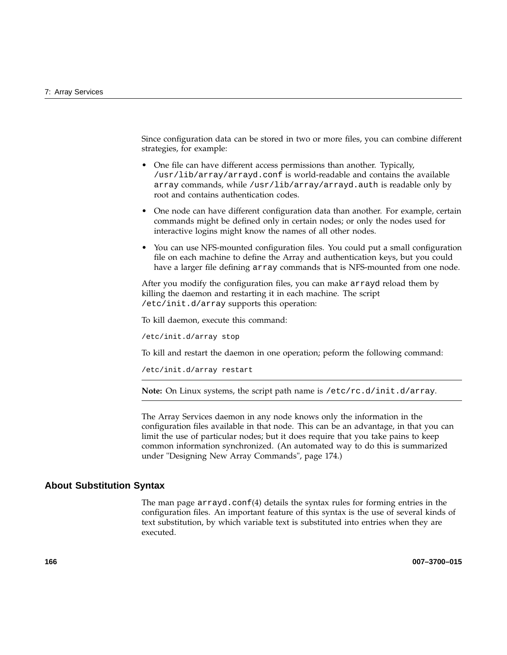Since configuration data can be stored in two or more files, you can combine different strategies, for example:

- One file can have different access permissions than another. Typically, /usr/lib/array/arrayd.conf is world-readable and contains the available array commands, while /usr/lib/array/arrayd.auth is readable only by root and contains authentication codes.
- One node can have different configuration data than another. For example, certain commands might be defined only in certain nodes; or only the nodes used for interactive logins might know the names of all other nodes.
- You can use NFS-mounted configuration files. You could put a small configuration file on each machine to define the Array and authentication keys, but you could have a larger file defining array commands that is NFS-mounted from one node.

After you modify the configuration files, you can make arrayd reload them by killing the daemon and restarting it in each machine. The script /etc/init.d/array supports this operation:

To kill daemon, execute this command:

/etc/init.d/array stop

To kill and restart the daemon in one operation; peform the following command:

/etc/init.d/array restart

**Note:** On Linux systems, the script path name is /etc/rc.d/init.d/array.

The Array Services daemon in any node knows only the information in the configuration files available in that node. This can be an advantage, in that you can limit the use of particular nodes; but it does require that you take pains to keep common information synchronized. (An automated way to do this is summarized under "Designing New Array Commands", page 174.)

### **About Substitution Syntax**

The man page  $\arctan(4)$  details the syntax rules for forming entries in the configuration files. An important feature of this syntax is the use of several kinds of text substitution, by which variable text is substituted into entries when they are executed.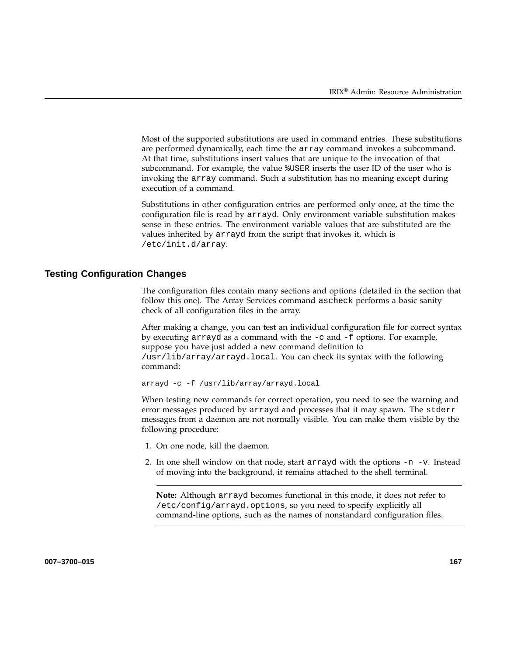Most of the supported substitutions are used in command entries. These substitutions are performed dynamically, each time the array command invokes a subcommand. At that time, substitutions insert values that are unique to the invocation of that subcommand. For example, the value %USER inserts the user ID of the user who is invoking the array command. Such a substitution has no meaning except during execution of a command.

Substitutions in other configuration entries are performed only once, at the time the configuration file is read by arrayd. Only environment variable substitution makes sense in these entries. The environment variable values that are substituted are the values inherited by arrayd from the script that invokes it, which is /etc/init.d/array.

## **Testing Configuration Changes**

The configuration files contain many sections and options (detailed in the section that follow this one). The Array Services command ascheck performs a basic sanity check of all configuration files in the array.

After making a change, you can test an individual configuration file for correct syntax by executing arrayd as a command with the  $-c$  and  $-f$  options. For example, suppose you have just added a new command definition to /usr/lib/array/arrayd.local. You can check its syntax with the following command:

arrayd -c -f /usr/lib/array/arrayd.local

When testing new commands for correct operation, you need to see the warning and error messages produced by arrayd and processes that it may spawn. The stderr messages from a daemon are not normally visible. You can make them visible by the following procedure:

- 1. On one node, kill the daemon.
- 2. In one shell window on that node, start arrayd with the options  $-n$  -v. Instead of moving into the background, it remains attached to the shell terminal.

**Note:** Although arrayd becomes functional in this mode, it does not refer to /etc/config/arrayd.options, so you need to specify explicitly all command-line options, such as the names of nonstandard configuration files.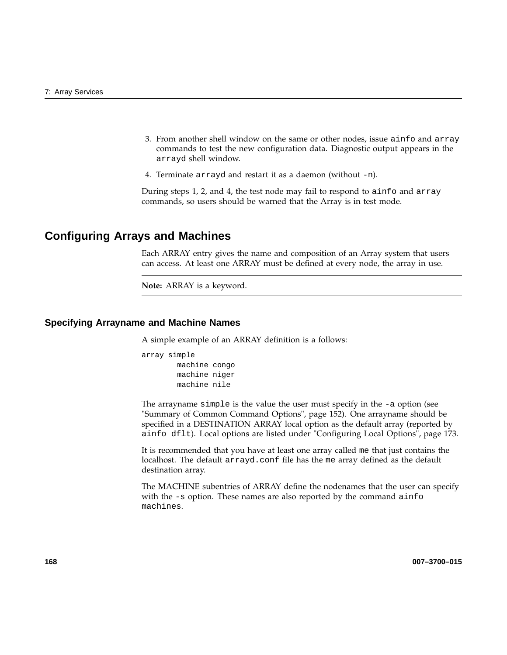- 3. From another shell window on the same or other nodes, issue ainfo and array commands to test the new configuration data. Diagnostic output appears in the arrayd shell window.
- 4. Terminate arrayd and restart it as a daemon (without -n).

During steps 1, 2, and 4, the test node may fail to respond to ainfo and array commands, so users should be warned that the Array is in test mode.

# **Configuring Arrays and Machines**

Each ARRAY entry gives the name and composition of an Array system that users can access. At least one ARRAY must be defined at every node, the array in use.

```
Note: ARRAY is a keyword.
```
### **Specifying Arrayname and Machine Names**

A simple example of an ARRAY definition is a follows:

```
array simple
        machine congo
        machine niger
        machine nile
```
The arrayname simple is the value the user must specify in the -a option (see "Summary of Common Command Options", page 152). One arrayname should be specified in a DESTINATION ARRAY local option as the default array (reported by ainfo dflt). Local options are listed under "Configuring Local Options", page 173.

It is recommended that you have at least one array called me that just contains the localhost. The default arrayd.conf file has the me array defined as the default destination array.

The MACHINE subentries of ARRAY define the nodenames that the user can specify with the -s option. These names are also reported by the command ainfo machines.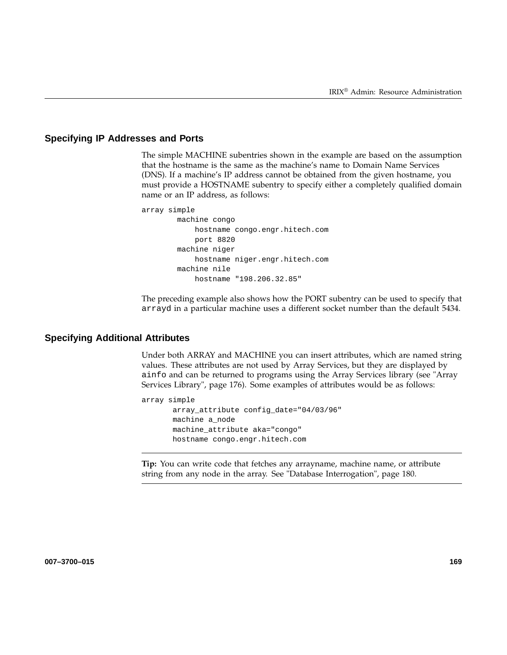## **Specifying IP Addresses and Ports**

The simple MACHINE subentries shown in the example are based on the assumption that the hostname is the same as the machine's name to Domain Name Services (DNS). If a machine's IP address cannot be obtained from the given hostname, you must provide a HOSTNAME subentry to specify either a completely qualified domain name or an IP address, as follows:

```
array simple
       machine congo
           hostname congo.engr.hitech.com
            port 8820
       machine niger
           hostname niger.engr.hitech.com
        machine nile
            hostname "198.206.32.85"
```
The preceding example also shows how the PORT subentry can be used to specify that arrayd in a particular machine uses a different socket number than the default 5434.

### **Specifying Additional Attributes**

Under both ARRAY and MACHINE you can insert attributes, which are named string values. These attributes are not used by Array Services, but they are displayed by ainfo and can be returned to programs using the Array Services library (see "Array Services Library", page 176). Some examples of attributes would be as follows:

```
array simple
       array_attribute config_date="04/03/96"
       machine a_node
      machine_attribute aka="congo"
       hostname congo.engr.hitech.com
```
**Tip:** You can write code that fetches any arrayname, machine name, or attribute string from any node in the array. See "Database Interrogation", page 180.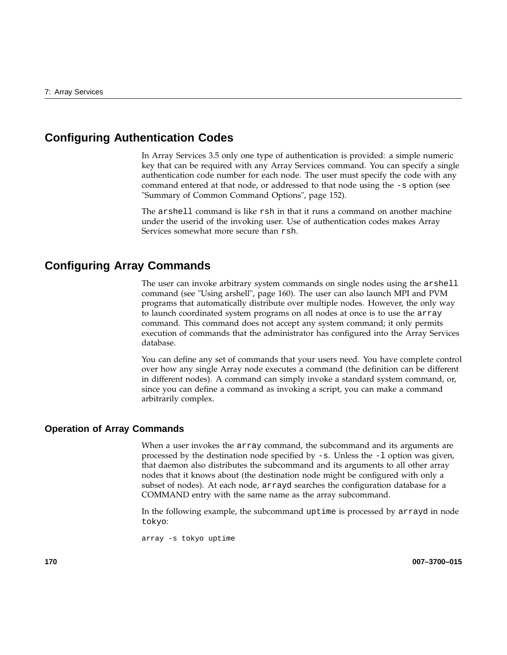# **Configuring Authentication Codes**

In Array Services 3.5 only one type of authentication is provided: a simple numeric key that can be required with any Array Services command. You can specify a single authentication code number for each node. The user must specify the code with any command entered at that node, or addressed to that node using the -s option (see "Summary of Common Command Options", page 152).

The arshell command is like rsh in that it runs a command on another machine under the userid of the invoking user. Use of authentication codes makes Array Services somewhat more secure than rsh.

# **Configuring Array Commands**

The user can invoke arbitrary system commands on single nodes using the arshell command (see "Using arshell", page 160). The user can also launch MPI and PVM programs that automatically distribute over multiple nodes. However, the only way to launch coordinated system programs on all nodes at once is to use the array command. This command does not accept any system command; it only permits execution of commands that the administrator has configured into the Array Services database.

You can define any set of commands that your users need. You have complete control over how any single Array node executes a command (the definition can be different in different nodes). A command can simply invoke a standard system command, or, since you can define a command as invoking a script, you can make a command arbitrarily complex.

## **Operation of Array Commands**

When a user invokes the array command, the subcommand and its arguments are processed by the destination node specified by  $-s$ . Unless the  $-1$  option was given, that daemon also distributes the subcommand and its arguments to all other array nodes that it knows about (the destination node might be configured with only a subset of nodes). At each node, arrayd searches the configuration database for a COMMAND entry with the same name as the array subcommand.

In the following example, the subcommand uptime is processed by arrayd in node tokyo:

array -s tokyo uptime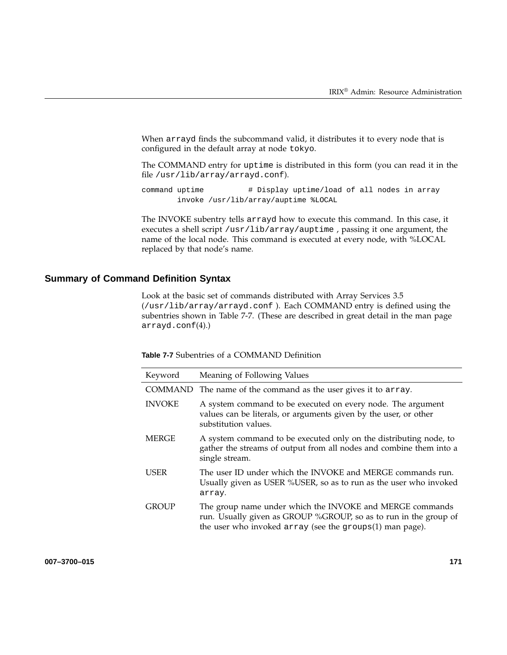When arrayd finds the subcommand valid, it distributes it to every node that is configured in the default array at node tokyo.

The COMMAND entry for uptime is distributed in this form (you can read it in the file /usr/lib/array/arrayd.conf).

command uptime  $\#$  Display uptime/load of all nodes in array invoke /usr/lib/array/auptime %LOCAL

The INVOKE subentry tells arrayd how to execute this command. In this case, it executes a shell script /usr/lib/array/auptime , passing it one argument, the name of the local node. This command is executed at every node, with %LOCAL replaced by that node's name.

# **Summary of Command Definition Syntax**

Look at the basic set of commands distributed with Array Services 3.5 (/usr/lib/array/arrayd.conf ). Each COMMAND entry is defined using the subentries shown in Table 7-7. (These are described in great detail in the man page arrayd.conf(4).)

| <b>Table 7-7</b> Subentries of a COMMAND Definition |
|-----------------------------------------------------|
|-----------------------------------------------------|

| Keyword        | Meaning of Following Values                                                                                                                                                              |
|----------------|------------------------------------------------------------------------------------------------------------------------------------------------------------------------------------------|
| <b>COMMAND</b> | The name of the command as the user gives it to array.                                                                                                                                   |
| <b>INVOKE</b>  | A system command to be executed on every node. The argument<br>values can be literals, or arguments given by the user, or other<br>substitution values.                                  |
| <b>MERGE</b>   | A system command to be executed only on the distributing node, to<br>gather the streams of output from all nodes and combine them into a<br>single stream.                               |
| <b>USER</b>    | The user ID under which the INVOKE and MERGE commands run.<br>Usually given as USER %USER, so as to run as the user who invoked<br>array.                                                |
| <b>GROUP</b>   | The group name under which the INVOKE and MERGE commands<br>run. Usually given as GROUP %GROUP, so as to run in the group of<br>the user who invoked array (see the groups(1) man page). |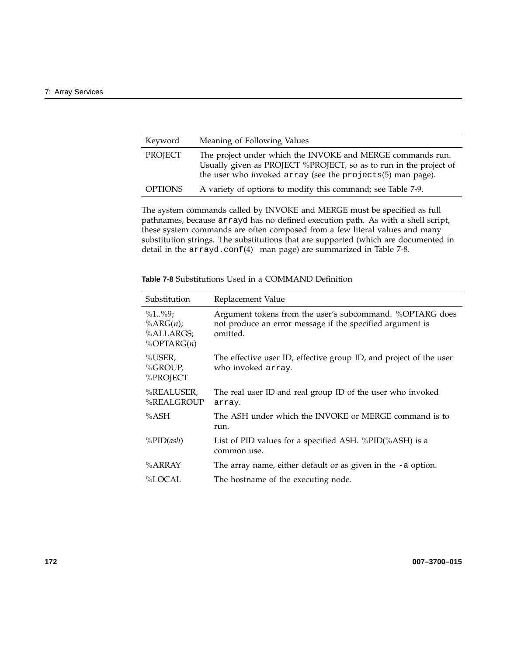| Keyword        | Meaning of Following Values                                                                                                                                                                   |
|----------------|-----------------------------------------------------------------------------------------------------------------------------------------------------------------------------------------------|
| PROJECT        | The project under which the INVOKE and MERGE commands run.<br>Usually given as PROJECT %PROJECT, so as to run in the project of<br>the user who invoked array (see the projects(5) man page). |
| <b>OPTIONS</b> | A variety of options to modify this command; see Table 7-9.                                                                                                                                   |

The system commands called by INVOKE and MERGE must be specified as full pathnames, because arrayd has no defined execution path. As with a shell script, these system commands are often composed from a few literal values and many substitution strings. The substitutions that are supported (which are documented in detail in the arrayd.conf(4) man page) are summarized in Table 7-8.

| Substitution                                               | Replacement Value                                                                                                                 |
|------------------------------------------------------------|-----------------------------------------------------------------------------------------------------------------------------------|
| $\%1\%9;$<br>$\%ARG(n);$<br>%ALLARGS;<br>$\%$ OPTARG $(n)$ | Argument tokens from the user's subcommand. %OPTARG does<br>not produce an error message if the specified argument is<br>omitted. |
| %USER,<br>%GROUP,<br>%PROJECT                              | The effective user ID, effective group ID, and project of the user<br>who invoked array.                                          |
| %REALUSER,<br>%REALGROUP                                   | The real user ID and real group ID of the user who invoked<br>array.                                                              |
| %ASH                                                       | The ASH under which the INVOKE or MERGE command is to<br>run.                                                                     |
| $\%PID(ash)$                                               | List of PID values for a specified ASH. %PID(%ASH) is a<br>common use.                                                            |
| %ARRAY                                                     | The array name, either default or as given in the $-a$ option.                                                                    |
| %LOCAL                                                     | The hostname of the executing node.                                                                                               |

**Table 7-8** Substitutions Used in a COMMAND Definition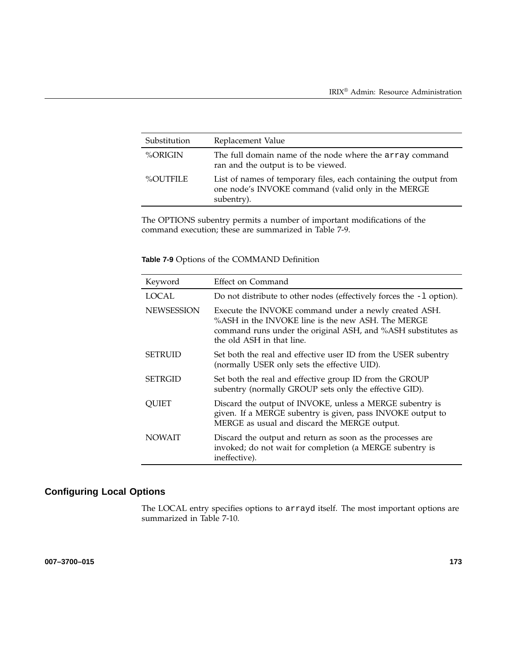| Substitution | Replacement Value                                                                                                                     |
|--------------|---------------------------------------------------------------------------------------------------------------------------------------|
| %ORIGIN      | The full domain name of the node where the array command<br>ran and the output is to be viewed.                                       |
| %OUTFILE     | List of names of temporary files, each containing the output from<br>one node's INVOKE command (valid only in the MERGE<br>subentry). |

The OPTIONS subentry permits a number of important modifications of the command execution; these are summarized in Table 7-9.

| Keyword           | Effect on Command                                                                                                                                                                                       |
|-------------------|---------------------------------------------------------------------------------------------------------------------------------------------------------------------------------------------------------|
| <b>LOCAL</b>      | Do not distribute to other nodes (effectively forces the $-1$ option).                                                                                                                                  |
| <b>NEWSESSION</b> | Execute the INVOKE command under a newly created ASH.<br>%ASH in the INVOKE line is the new ASH. The MERGE<br>command runs under the original ASH, and %ASH substitutes as<br>the old ASH in that line. |
| <b>SETRUID</b>    | Set both the real and effective user ID from the USER subentry<br>(normally USER only sets the effective UID).                                                                                          |
| <b>SETRGID</b>    | Set both the real and effective group ID from the GROUP<br>subentry (normally GROUP sets only the effective GID).                                                                                       |
| OUIET             | Discard the output of INVOKE, unless a MERGE subentry is<br>given. If a MERGE subentry is given, pass INVOKE output to<br>MERGE as usual and discard the MERGE output.                                  |
| <b>NOWAIT</b>     | Discard the output and return as soon as the processes are<br>invoked; do not wait for completion (a MERGE subentry is<br>ineffective).                                                                 |

# **Configuring Local Options**

The LOCAL entry specifies options to arrayd itself. The most important options are summarized in Table 7-10.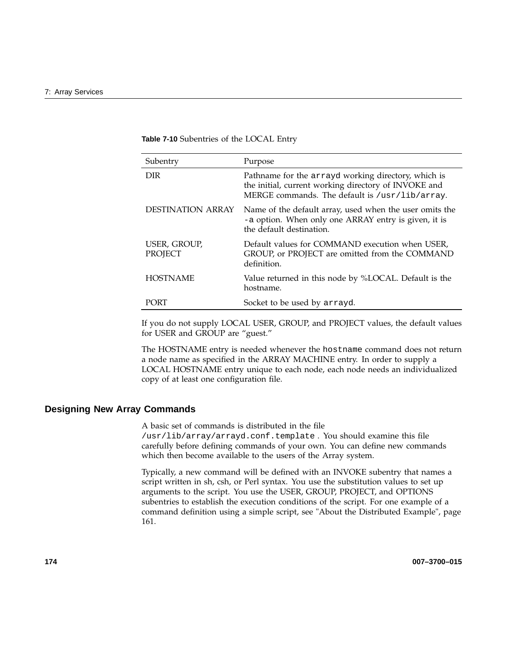**Table 7-10** Subentries of the LOCAL Entry

| Subentry                       | Purpose                                                                                                                                                       |
|--------------------------------|---------------------------------------------------------------------------------------------------------------------------------------------------------------|
| <b>DIR</b>                     | Pathname for the arrayd working directory, which is<br>the initial, current working directory of INVOKE and<br>MERGE commands. The default is /usr/lib/array. |
| <b>DESTINATION ARRAY</b>       | Name of the default array, used when the user omits the<br>-a option. When only one ARRAY entry is given, it is<br>the default destination.                   |
| USER, GROUP,<br><b>PROJECT</b> | Default values for COMMAND execution when USER,<br>GROUP, or PROJECT are omitted from the COMMAND<br>definition.                                              |
| <b>HOSTNAME</b>                | Value returned in this node by %LOCAL. Default is the<br>hostname.                                                                                            |
| <b>PORT</b>                    | Socket to be used by arrayd.                                                                                                                                  |

If you do not supply LOCAL USER, GROUP, and PROJECT values, the default values for USER and GROUP are "guest."

The HOSTNAME entry is needed whenever the hostname command does not return a node name as specified in the ARRAY MACHINE entry. In order to supply a LOCAL HOSTNAME entry unique to each node, each node needs an individualized copy of at least one configuration file.

# **Designing New Array Commands**

A basic set of commands is distributed in the file /usr/lib/array/arrayd.conf.template . You should examine this file carefully before defining commands of your own. You can define new commands which then become available to the users of the Array system.

Typically, a new command will be defined with an INVOKE subentry that names a script written in sh, csh, or Perl syntax. You use the substitution values to set up arguments to the script. You use the USER, GROUP, PROJECT, and OPTIONS subentries to establish the execution conditions of the script. For one example of a command definition using a simple script, see "About the Distributed Example", page 161.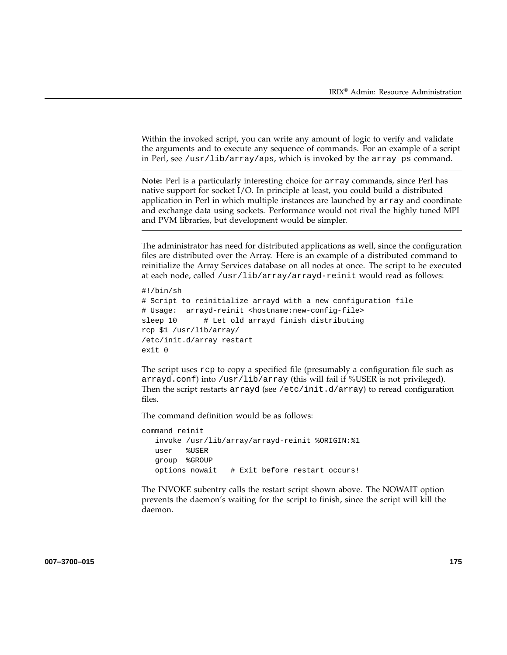Within the invoked script, you can write any amount of logic to verify and validate the arguments and to execute any sequence of commands. For an example of a script in Perl, see /usr/lib/array/aps, which is invoked by the array ps command.

**Note:** Perl is a particularly interesting choice for array commands, since Perl has native support for socket I/O. In principle at least, you could build a distributed application in Perl in which multiple instances are launched by array and coordinate and exchange data using sockets. Performance would not rival the highly tuned MPI and PVM libraries, but development would be simpler.

The administrator has need for distributed applications as well, since the configuration files are distributed over the Array. Here is an example of a distributed command to reinitialize the Array Services database on all nodes at once. The script to be executed at each node, called /usr/lib/array/arrayd-reinit would read as follows:

```
#!/bin/sh
# Script to reinitialize arrayd with a new configuration file
# Usage: arrayd-reinit <hostname:new-config-file>
sleep 10 # Let old arrayd finish distributing
rcp $1 /usr/lib/array/
/etc/init.d/array restart
exit 0
```
The script uses rcp to copy a specified file (presumably a configuration file such as arrayd.conf) into /usr/lib/array (this will fail if %USER is not privileged). Then the script restarts arrayd (see /etc/init.d/array) to reread configuration files.

The command definition would be as follows:

```
command reinit
  invoke /usr/lib/array/arrayd-reinit %ORIGIN:%1
  user %USER
  group %GROUP
  options nowait # Exit before restart occurs!
```
The INVOKE subentry calls the restart script shown above. The NOWAIT option prevents the daemon's waiting for the script to finish, since the script will kill the daemon.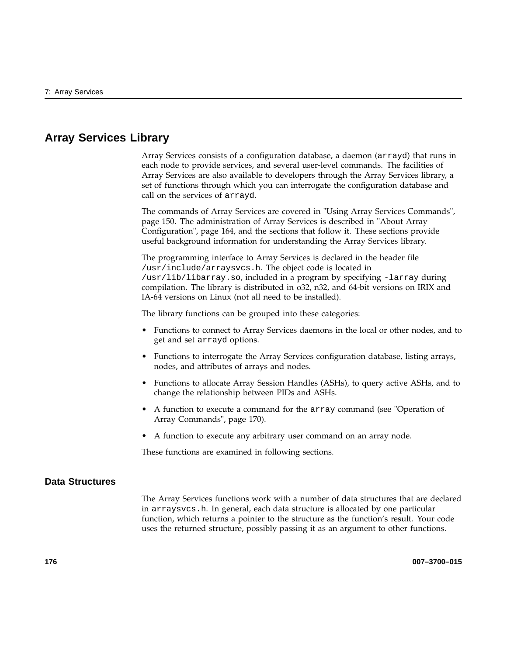# **Array Services Library**

Array Services consists of a configuration database, a daemon (arrayd) that runs in each node to provide services, and several user-level commands. The facilities of Array Services are also available to developers through the Array Services library, a set of functions through which you can interrogate the configuration database and call on the services of arrayd.

The commands of Array Services are covered in "Using Array Services Commands", page 150. The administration of Array Services is described in "About Array Configuration", page 164, and the sections that follow it. These sections provide useful background information for understanding the Array Services library.

The programming interface to Array Services is declared in the header file /usr/include/arraysvcs.h. The object code is located in /usr/lib/libarray.so, included in a program by specifying -larray during compilation. The library is distributed in o32, n32, and 64-bit versions on IRIX and IA-64 versions on Linux (not all need to be installed).

The library functions can be grouped into these categories:

- Functions to connect to Array Services daemons in the local or other nodes, and to get and set arrayd options.
- Functions to interrogate the Array Services configuration database, listing arrays, nodes, and attributes of arrays and nodes.
- Functions to allocate Array Session Handles (ASHs), to query active ASHs, and to change the relationship between PIDs and ASHs.
- A function to execute a command for the array command (see "Operation of Array Commands", page 170).
- A function to execute any arbitrary user command on an array node.

These functions are examined in following sections.

# **Data Structures**

The Array Services functions work with a number of data structures that are declared in arraysvcs.h. In general, each data structure is allocated by one particular function, which returns a pointer to the structure as the function's result. Your code uses the returned structure, possibly passing it as an argument to other functions.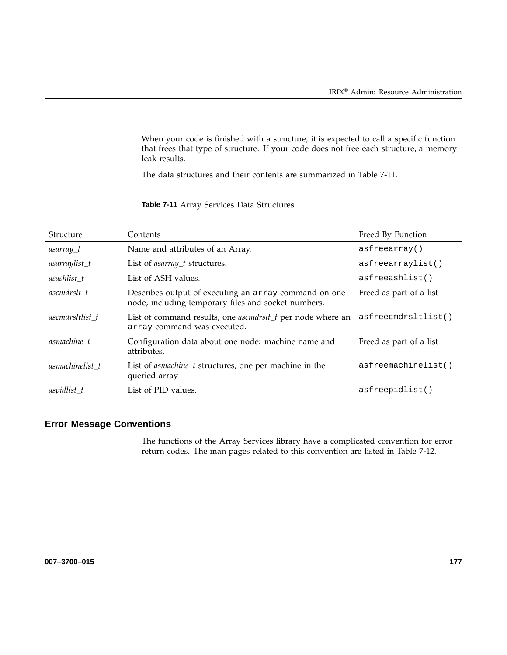When your code is finished with a structure, it is expected to call a specific function that frees that type of structure. If your code does not free each structure, a memory leak results.

The data structures and their contents are summarized in Table 7-11.

| Structure       | Contents                                                                                                             | Freed By Function       |
|-----------------|----------------------------------------------------------------------------------------------------------------------|-------------------------|
| asarray_t       | Name and attributes of an Array.                                                                                     | asfreearray()           |
| $asarraylist_t$ | List of <i>asarray_t</i> structures.                                                                                 | asfreearraylist()       |
| asashlist t     | List of ASH values.                                                                                                  | asfreeashlist()         |
| ascmdrslt t     | Describes output of executing an array command on one<br>node, including temporary files and socket numbers.         | Freed as part of a list |
| ascmdrsltlist t | List of command results, one <i>ascmdrslt_t</i> per node where an asfreecmdrsltlist()<br>array command was executed. |                         |
| asmachine t     | Configuration data about one node: machine name and<br>attributes.                                                   | Freed as part of a list |
| asmachinelist t | List of <i>asmachine_t</i> structures, one per machine in the<br>queried array                                       | asfreemachinelist()     |
| $aspidlist_t$   | List of PID values.                                                                                                  | asfreepidlist()         |

# **Table 7-11** Array Services Data Structures

# **Error Message Conventions**

The functions of the Array Services library have a complicated convention for error return codes. The man pages related to this convention are listed in Table 7-12.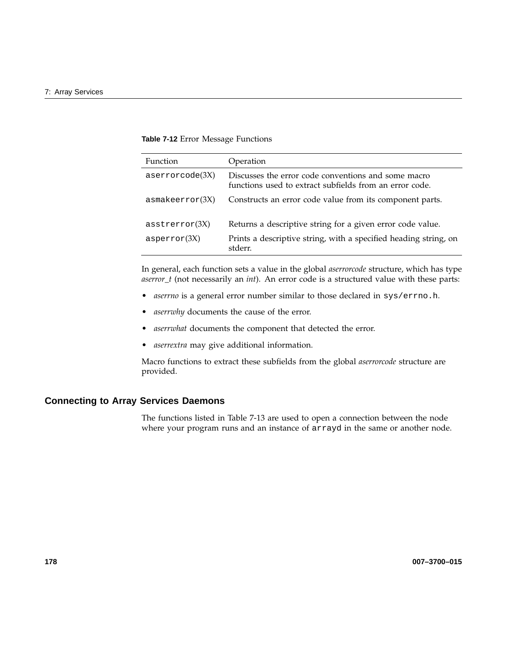### **Table 7-12** Error Message Functions

| <b>Function</b> | Operation                                                                                                      |
|-----------------|----------------------------------------------------------------------------------------------------------------|
| $aserver (3X)$  | Discusses the error code conventions and some macro<br>functions used to extract subfields from an error code. |
| asmakeerror(3X) | Constructs an error code value from its component parts.                                                       |
| asserterror(3X) | Returns a descriptive string for a given error code value.                                                     |
| asperror(3X)    | Prints a descriptive string, with a specified heading string, on<br>stderr.                                    |

In general, each function sets a value in the global *aserrorcode* structure, which has type *aserror\_t* (not necessarily an *int*). An error code is a structured value with these parts:

- *aserrno* is a general error number similar to those declared in sys/errno.h.
- aserrwhy documents the cause of the error.
- *aserrwhat* documents the component that detected the error.
- *aserrextra* may give additional information.

Macro functions to extract these subfields from the global *aserrorcode* structure are provided.

# **Connecting to Array Services Daemons**

The functions listed in Table 7-13 are used to open a connection between the node where your program runs and an instance of arrayd in the same or another node.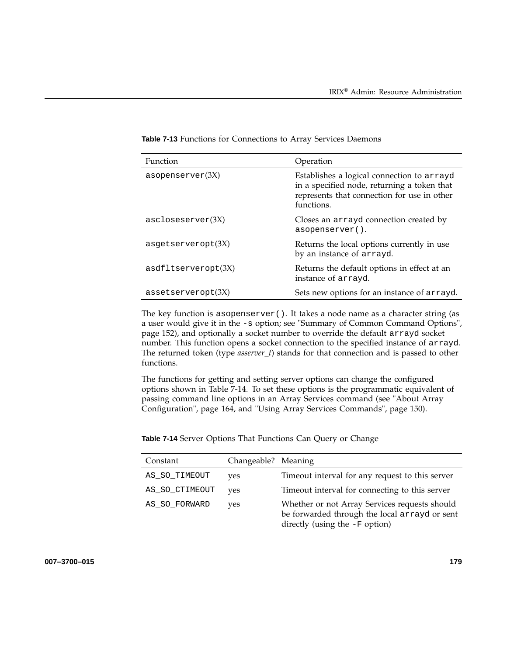| Function            | Operation                                                                                                                                              |
|---------------------|--------------------------------------------------------------------------------------------------------------------------------------------------------|
| asopenserver $(3X)$ | Establishes a logical connection to arrayd<br>in a specified node, returning a token that<br>represents that connection for use in other<br>functions. |
| ascloseserver(3X)   | Closes an arrayd connection created by<br>asopenserver().                                                                                              |
| asqetserveropt(3X)  | Returns the local options currently in use<br>by an instance of arrayd.                                                                                |
| asdfltserveropt(3X) | Returns the default options in effect at an<br>instance of arrayd.                                                                                     |
| assertserveropt(3X) | Sets new options for an instance of arrayd.                                                                                                            |

**Table 7-13** Functions for Connections to Array Services Daemons

The key function is asopenserver(). It takes a node name as a character string (as a user would give it in the -s option; see "Summary of Common Command Options", page 152), and optionally a socket number to override the default arrayd socket number. This function opens a socket connection to the specified instance of arrayd. The returned token (type *asserver\_t*) stands for that connection and is passed to other functions.

The functions for getting and setting server options can change the configured options shown in Table 7-14. To set these options is the programmatic equivalent of passing command line options in an Array Services command (see "About Array Configuration", page 164, and "Using Array Services Commands", page 150).

| Constant       | Changeable? Meaning |                                                                                                                                    |
|----------------|---------------------|------------------------------------------------------------------------------------------------------------------------------------|
| AS_SO_TIMEOUT  | yes                 | Timeout interval for any request to this server                                                                                    |
| AS_SO_CTIMEOUT | ves                 | Timeout interval for connecting to this server                                                                                     |
| AS_SO_FORWARD  | ves                 | Whether or not Array Services requests should<br>be forwarded through the local arrayd or sent<br>directly (using the $-F$ option) |

**Table 7-14** Server Options That Functions Can Query or Change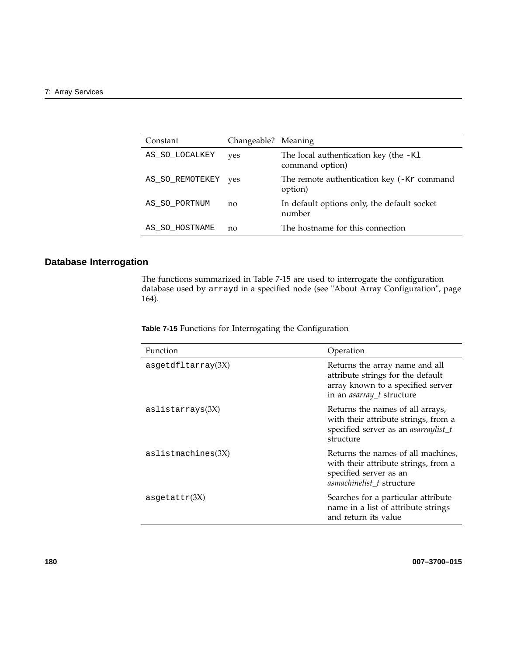| Constant        | Changeable? Meaning |                                                            |
|-----------------|---------------------|------------------------------------------------------------|
| AS_SO_LOCALKEY  | yes                 | The local authentication key (the $-K1$<br>command option) |
| AS_SO_REMOTEKEY | ves                 | The remote authentication key (-Kr command<br>option)      |
| AS SO PORTNUM   | no                  | In default options only, the default socket<br>number      |
| AS SO HOSTNAME  | no                  | The hostname for this connection                           |

# **Database Interrogation**

The functions summarized in Table 7-15 are used to interrogate the configuration database used by arrayd in a specified node (see "About Array Configuration", page 164).

**Table 7-15** Functions for Interrogating the Configuration

| Function           | Operation                                                                                                                                    |
|--------------------|----------------------------------------------------------------------------------------------------------------------------------------------|
| asgetdfltarray(3X) | Returns the array name and all<br>attribute strings for the default<br>array known to a specified server<br>in an <i>asarray_t</i> structure |
| aslistarray(3X)    | Returns the names of all arrays,<br>with their attribute strings, from a<br>specified server as an <i>asarraylist_t</i><br>structure         |
| aslistmachines(3X) | Returns the names of all machines,<br>with their attribute strings, from a<br>specified server as an<br>asmachinelist_t structure            |
| asgetattr $(3X)$   | Searches for a particular attribute<br>name in a list of attribute strings<br>and return its value                                           |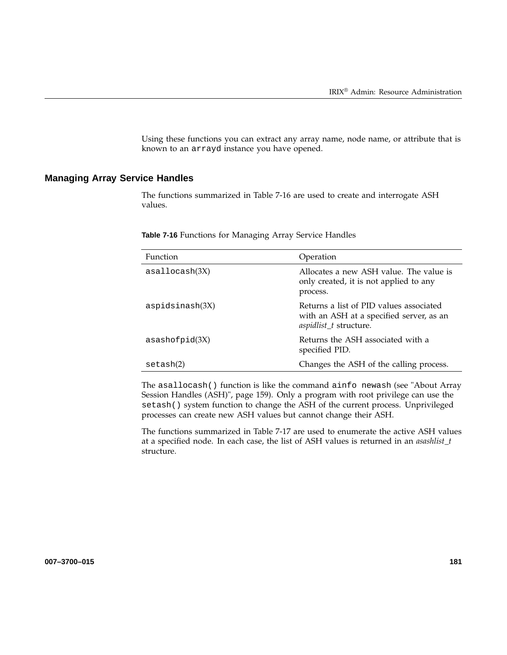Using these functions you can extract any array name, node name, or attribute that is known to an arrayd instance you have opened.

# **Managing Array Service Handles**

The functions summarized in Table 7-16 are used to create and interrogate ASH values.

| <b>Table 7-16</b> Functions for Managing Array Service Handles |  |  |  |  |  |  |
|----------------------------------------------------------------|--|--|--|--|--|--|
|----------------------------------------------------------------|--|--|--|--|--|--|

| Function         | Operation                                                                                                            |
|------------------|----------------------------------------------------------------------------------------------------------------------|
| asallocash(3X)   | Allocates a new ASH value. The value is<br>only created, it is not applied to any<br>process.                        |
| aspids inash(3X) | Returns a list of PID values associated<br>with an ASH at a specified server, as an<br><i>aspidlist_t</i> structure. |
| asashofpid(3X)   | Returns the ASH associated with a<br>specified PID.                                                                  |
| setash(2)        | Changes the ASH of the calling process.                                                                              |

The asallocash() function is like the command ainfo newash (see "About Array Session Handles (ASH)", page 159). Only a program with root privilege can use the setash() system function to change the ASH of the current process. Unprivileged processes can create new ASH values but cannot change their ASH.

The functions summarized in Table 7-17 are used to enumerate the active ASH values at a specified node. In each case, the list of ASH values is returned in an *asashlist\_t* structure.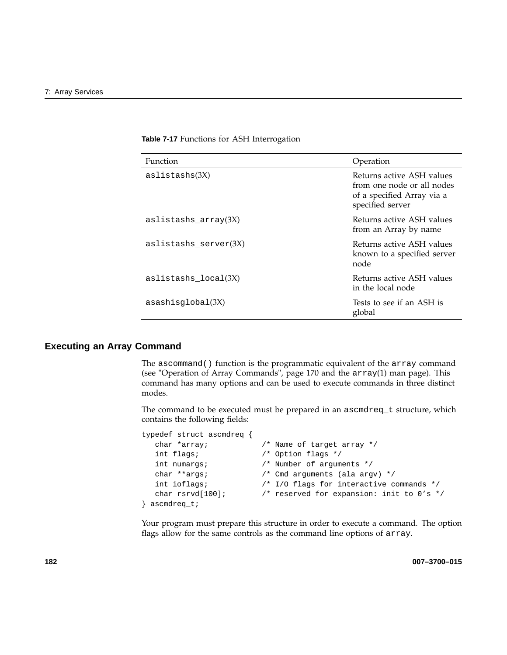| <b>Function</b>          | Operation                                                                                                 |
|--------------------------|-----------------------------------------------------------------------------------------------------------|
| aslistashs(3X)           | Returns active ASH values<br>from one node or all nodes<br>of a specified Array via a<br>specified server |
| aslistashs_array $(3X)$  | Returns active ASH values<br>from an Array by name                                                        |
| $aslistashs\_server(3X)$ | Returns active ASH values<br>known to a specified server<br>node                                          |
| aslistashs local(3X)     | Returns active ASH values<br>in the local node                                                            |
| asashisglobal(3X)        | Tests to see if an ASH is<br>global                                                                       |

**Table 7-17** Functions for ASH Interrogation

#### **Executing an Array Command**

The ascommand() function is the programmatic equivalent of the array command (see "Operation of Array Commands", page 170 and the array(1) man page). This command has many options and can be used to execute commands in three distinct modes.

The command to be executed must be prepared in an ascmdreq\_t structure, which contains the following fields:

```
typedef struct ascmdreq {
  char *array; /* Name of target array */
  int flags; /* Option flags */
  int numargs; \frac{1}{2} /* Number of arguments */
  char **args; /* Cmd arguments (ala argv) */
  int ioflags; /* I/O flags for interactive commands */
  char rsrvd[100]; /* reserved for expansion: init to 0's */
} ascmdreq_t;
```
Your program must prepare this structure in order to execute a command. The option flags allow for the same controls as the command line options of array.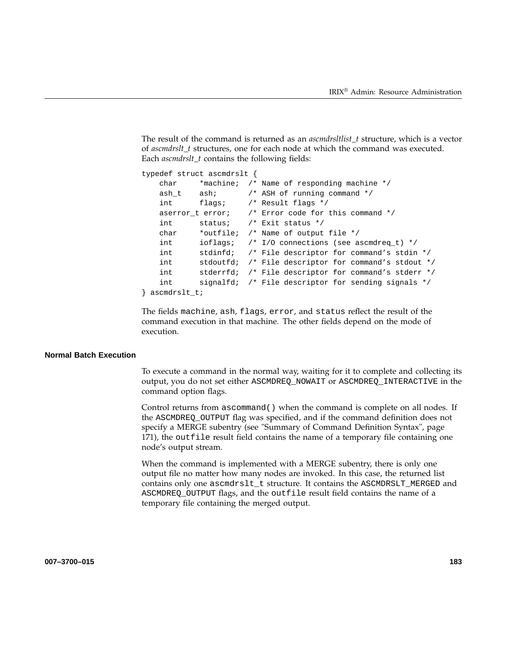The result of the command is returned as an *ascmdrsltlist\_t* structure, which is a vector of *ascmdrslt\_t* structures, one for each node at which the command was executed. Each *ascmdrslt\_t* contains the following fields:

```
typedef struct ascmdrslt {
   char *machine; /* Name of responding machine */
   ash_t ash; \frac{1}{2} /* ASH of running command */
   int flags; /* Result flags */
   aserror_t error; \quad /* Error code for this command */
   int status; /* Exit status */
   char *outfile; /* Name of output file */
   int ioflags; /* I/O connections (see ascmdreq_t) */
   int stdinfd; /* File descriptor for command's stdin */
   int stdoutfd; /* File descriptor for command's stdout */
   int stderrfd; /* File descriptor for command's stderr */
   int signalfd; /* File descriptor for sending signals */
} ascmdrslt_t;
```
The fields machine, ash, flags, error, and status reflect the result of the command execution in that machine. The other fields depend on the mode of execution.

#### **Normal Batch Execution**

To execute a command in the normal way, waiting for it to complete and collecting its output, you do not set either ASCMDREQ\_NOWAIT or ASCMDREQ\_INTERACTIVE in the command option flags.

Control returns from ascommand() when the command is complete on all nodes. If the ASCMDREQ\_OUTPUT flag was specified, and if the command definition does not specify a MERGE subentry (see "Summary of Command Definition Syntax", page 171), the outfile result field contains the name of a temporary file containing one node's output stream.

When the command is implemented with a MERGE subentry, there is only one output file no matter how many nodes are invoked. In this case, the returned list contains only one ascmdrslt\_t structure. It contains the ASCMDRSLT\_MERGED and ASCMDREQ\_OUTPUT flags, and the outfile result field contains the name of a temporary file containing the merged output.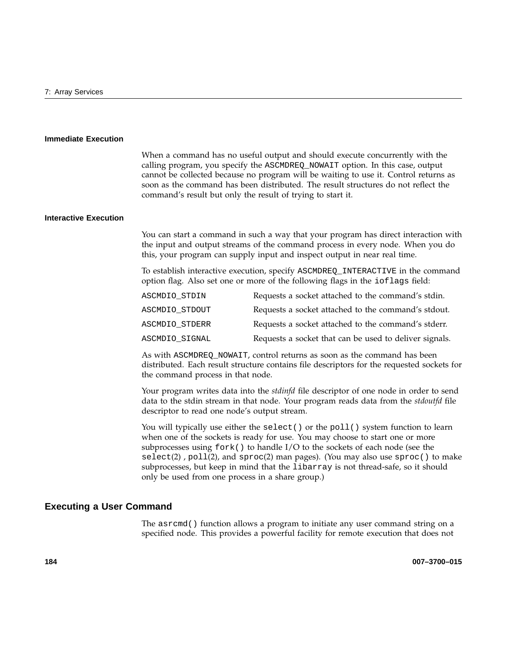#### **Immediate Execution**

When a command has no useful output and should execute concurrently with the calling program, you specify the ASCMDREQ\_NOWAIT option. In this case, output cannot be collected because no program will be waiting to use it. Control returns as soon as the command has been distributed. The result structures do not reflect the command's result but only the result of trying to start it.

### **Interactive Execution**

You can start a command in such a way that your program has direct interaction with the input and output streams of the command process in every node. When you do this, your program can supply input and inspect output in near real time.

To establish interactive execution, specify ASCMDREQ\_INTERACTIVE in the command option flag. Also set one or more of the following flags in the ioflags field:

| ASCMDIO STDIN  | Requests a socket attached to the command's stdin.     |
|----------------|--------------------------------------------------------|
| ASCMDIO STDOUT | Requests a socket attached to the command's stdout.    |
| ASCMDIO STDERR | Requests a socket attached to the command's stderr.    |
| ASCMDIO SIGNAL | Requests a socket that can be used to deliver signals. |

As with ASCMDREQ\_NOWAIT, control returns as soon as the command has been distributed. Each result structure contains file descriptors for the requested sockets for the command process in that node.

Your program writes data into the *stdinfd* file descriptor of one node in order to send data to the stdin stream in that node. Your program reads data from the *stdoutfd* file descriptor to read one node's output stream.

You will typically use either the select () or the poll () system function to learn when one of the sockets is ready for use. You may choose to start one or more subprocesses using  $f \circ r k$  () to handle I/O to the sockets of each node (see the  $select(2)$ ,  $pol(2)$ , and  $spec(2)$  man pages). (You may also use  $spec()$  to make subprocesses, but keep in mind that the libarray is not thread-safe, so it should only be used from one process in a share group.)

### **Executing a User Command**

The asrcmd() function allows a program to initiate any user command string on a specified node. This provides a powerful facility for remote execution that does not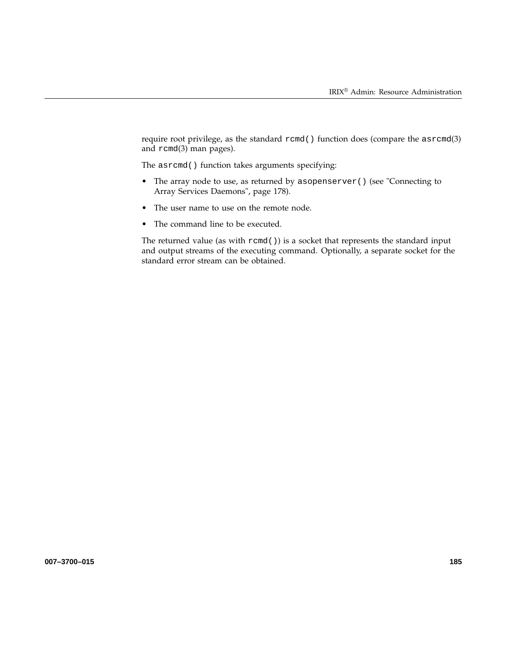require root privilege, as the standard rcmd() function does (compare the asrcmd(3) and rcmd(3) man pages).

The asrcmd() function takes arguments specifying:

- The array node to use, as returned by asopenserver () (see "Connecting to Array Services Daemons", page 178).
- The user name to use on the remote node.
- The command line to be executed.

The returned value (as with rcmd()) is a socket that represents the standard input and output streams of the executing command. Optionally, a separate socket for the standard error stream can be obtained.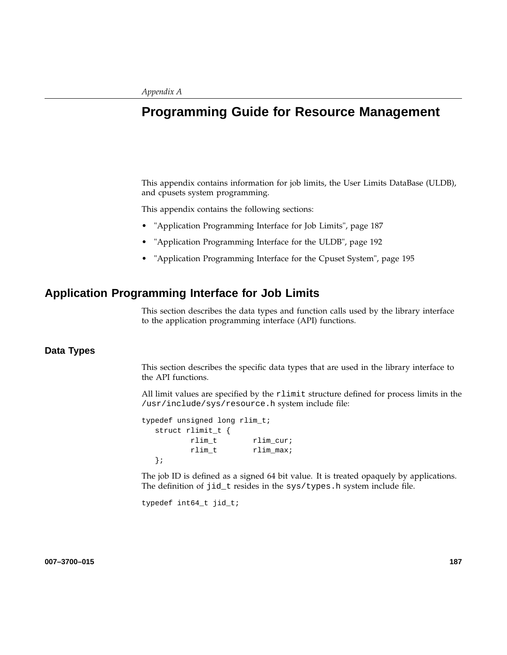# **Programming Guide for Resource Management**

This appendix contains information for job limits, the User Limits DataBase (ULDB), and cpusets system programming.

This appendix contains the following sections:

- "Application Programming Interface for Job Limits", page 187
- "Application Programming Interface for the ULDB", page 192
- "Application Programming Interface for the Cpuset System", page 195

# **Application Programming Interface for Job Limits**

This section describes the data types and function calls used by the library interface to the application programming interface (API) functions.

### **Data Types**

This section describes the specific data types that are used in the library interface to the API functions.

All limit values are specified by the rlimit structure defined for process limits in the /usr/include/sys/resource.h system include file:

```
typedef unsigned long rlim_t;
  struct rlimit_t {
         rlim_t rlim_cur;
         rlim_t rlim_max;
  };
```
The job ID is defined as a signed 64 bit value. It is treated opaquely by applications. The definition of jid\_t resides in the sys/types.h system include file.

typedef int64\_t jid\_t;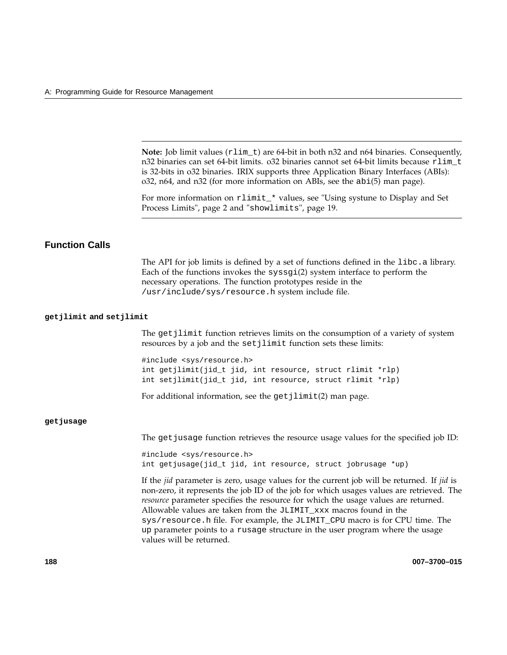**Note:** Job limit values (rlim\_t) are 64-bit in both n32 and n64 binaries. Consequently, n32 binaries can set 64-bit limits. o32 binaries cannot set 64-bit limits because rlim\_t is 32-bits in o32 binaries. IRIX supports three Application Binary Interfaces (ABIs): o32, n64, and n32 (for more information on ABIs, see the abi(5) man page).

For more information on rlimit\_\* values, see "Using systune to Display and Set Process Limits", page 2 and "showlimits", page 19.

# **Function Calls**

The API for job limits is defined by a set of functions defined in the libc.a library. Each of the functions invokes the syssgi(2) system interface to perform the necessary operations. The function prototypes reside in the /usr/include/sys/resource.h system include file.

#### **getjlimit and setjlimit**

The getjlimit function retrieves limits on the consumption of a variety of system resources by a job and the set jlimit function sets these limits:

#include <sys/resource.h> int getjlimit(jid\_t jid, int resource, struct rlimit \*rlp) int setjlimit(jid\_t jid, int resource, struct rlimit \*rlp)

For additional information, see the  $getjlimit(2)$  man page.

#### **getjusage**

The get jusage function retrieves the resource usage values for the specified job ID:

#include <sys/resource.h> int getjusage(jid\_t jid, int resource, struct jobrusage \*up)

If the *jid* parameter is zero, usage values for the current job will be returned. If *jid* is non-zero, it represents the job ID of the job for which usages values are retrieved. The *resource* parameter specifies the resource for which the usage values are returned. Allowable values are taken from the JLIMIT\_xxx macros found in the sys/resource.h file. For example, the JLIMIT\_CPU macro is for CPU time. The up parameter points to a rusage structure in the user program where the usage values will be returned.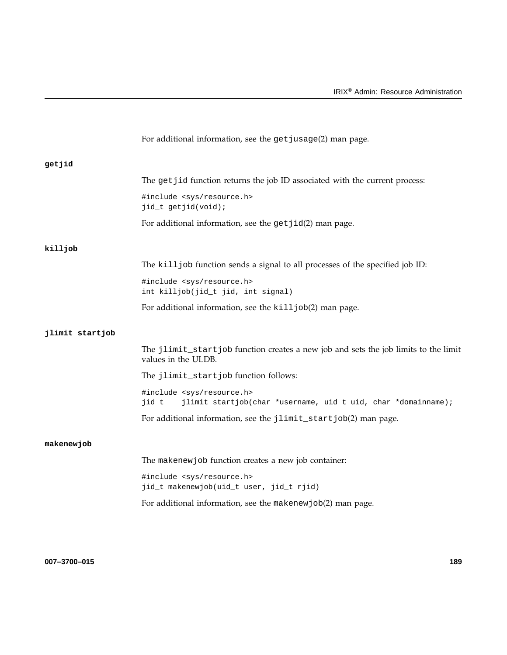|                 | For additional information, see the get jusage(2) man page.                                                    |
|-----------------|----------------------------------------------------------------------------------------------------------------|
| getjid          |                                                                                                                |
|                 | The get jid function returns the job ID associated with the current process:                                   |
|                 | #include <sys resource.h=""><br/>jid_t getjid(void);</sys>                                                     |
|                 | For additional information, see the $getjid(2)$ man page.                                                      |
| killjob         |                                                                                                                |
|                 | The kill job function sends a signal to all processes of the specified job ID:                                 |
|                 | #include <sys resource.h=""><br/>int killjob(jid_t jid, int signal)</sys>                                      |
|                 | For additional information, see the kill job(2) man page.                                                      |
| jlimit_startjob |                                                                                                                |
|                 | The jlimit_startjob function creates a new job and sets the job limits to the limit<br>values in the ULDB.     |
|                 | The jlimit_startjob function follows:                                                                          |
|                 | #include <sys resource.h=""><br/>jid_t<br/>jlimit_startjob(char *username, uid_t uid, char *domainname);</sys> |
|                 | For additional information, see the jlimit_startjob(2) man page.                                               |
| makenewjob      |                                                                                                                |
|                 | The makenew job function creates a new job container:                                                          |
|                 | #include <sys resource.h=""><br/>jid_t makenewjob(uid_t user, jid_t rjid)</sys>                                |
|                 | For additional information, see the makenew job(2) man page.                                                   |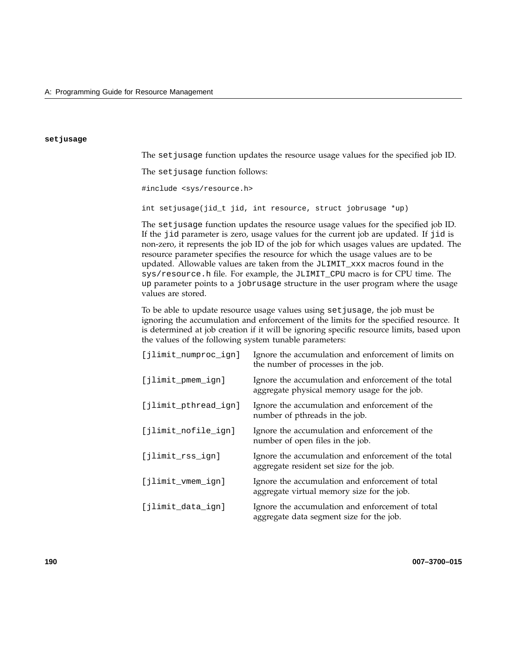#### **setjusage**

The set jusage function updates the resource usage values for the specified job ID.

The set jusage function follows:

#include <sys/resource.h>

int setjusage(jid\_t jid, int resource, struct jobrusage \*up)

The set jusage function updates the resource usage values for the specified job ID. If the jid parameter is zero, usage values for the current job are updated. If jid is non-zero, it represents the job ID of the job for which usages values are updated. The resource parameter specifies the resource for which the usage values are to be updated. Allowable values are taken from the JLIMIT\_xxx macros found in the sys/resource.h file. For example, the JLIMIT\_CPU macro is for CPU time. The up parameter points to a jobrusage structure in the user program where the usage values are stored.

To be able to update resource usage values using setjusage, the job must be ignoring the accumulation and enforcement of the limits for the specified resource. It is determined at job creation if it will be ignoring specific resource limits, based upon the values of the following system tunable parameters:

| [jlimit_numproc_ign] | Ignore the accumulation and enforcement of limits on<br>the number of processes in the job.          |
|----------------------|------------------------------------------------------------------------------------------------------|
| [jlimit_pmem_ign]    | Ignore the accumulation and enforcement of the total<br>aggregate physical memory usage for the job. |
| [jlimit_pthread_ign] | Ignore the accumulation and enforcement of the<br>number of pthreads in the job.                     |
| [jlimit_nofile_ign]  | Ignore the accumulation and enforcement of the<br>number of open files in the job.                   |
| [jlimit_rss_ign]     | Ignore the accumulation and enforcement of the total<br>aggregate resident set size for the job.     |
| [jlimit_vmem_ign]    | Ignore the accumulation and enforcement of total<br>aggregate virtual memory size for the job.       |
| [jlimit_data_ign]    | Ignore the accumulation and enforcement of total<br>aggregate data segment size for the job.         |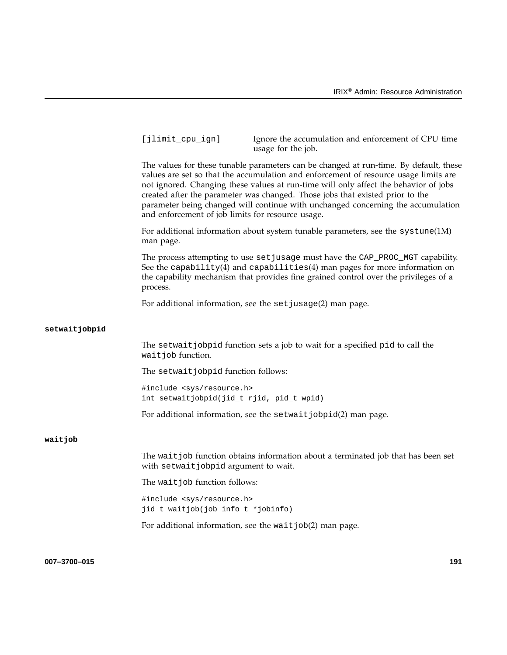|               | [jlimit_cpu_ign]                                                                 | Ignore the accumulation and enforcement of CPU time<br>usage for the job.                                                                                                                                                                                                                                                                                                                                                                  |     |
|---------------|----------------------------------------------------------------------------------|--------------------------------------------------------------------------------------------------------------------------------------------------------------------------------------------------------------------------------------------------------------------------------------------------------------------------------------------------------------------------------------------------------------------------------------------|-----|
|               | and enforcement of job limits for resource usage.                                | The values for these tunable parameters can be changed at run-time. By default, these<br>values are set so that the accumulation and enforcement of resource usage limits are<br>not ignored. Changing these values at run-time will only affect the behavior of jobs<br>created after the parameter was changed. Those jobs that existed prior to the<br>parameter being changed will continue with unchanged concerning the accumulation |     |
|               | man page.                                                                        | For additional information about system tunable parameters, see the $systune(1M)$                                                                                                                                                                                                                                                                                                                                                          |     |
|               | process.                                                                         | The process attempting to use set jusage must have the CAP_PROC_MGT capability.<br>See the capability(4) and capabilities(4) man pages for more information on<br>the capability mechanism that provides fine grained control over the privileges of a                                                                                                                                                                                     |     |
|               |                                                                                  | For additional information, see the set jusage(2) man page.                                                                                                                                                                                                                                                                                                                                                                                |     |
| setwaitjobpid |                                                                                  |                                                                                                                                                                                                                                                                                                                                                                                                                                            |     |
|               | wait job function.                                                               | The setwait jobpid function sets a job to wait for a specified pid to call the                                                                                                                                                                                                                                                                                                                                                             |     |
|               | The setwait jobpid function follows:                                             |                                                                                                                                                                                                                                                                                                                                                                                                                                            |     |
|               | #include <sys resource.h=""><br/>int setwaitjobpid(jid_t rjid, pid_t wpid)</sys> |                                                                                                                                                                                                                                                                                                                                                                                                                                            |     |
|               |                                                                                  | For additional information, see the setwait jobpid(2) man page.                                                                                                                                                                                                                                                                                                                                                                            |     |
| waitjob       |                                                                                  |                                                                                                                                                                                                                                                                                                                                                                                                                                            |     |
|               | with setwaitjobpid argument to wait.                                             | The wait job function obtains information about a terminated job that has been set                                                                                                                                                                                                                                                                                                                                                         |     |
|               | The wait job function follows:                                                   |                                                                                                                                                                                                                                                                                                                                                                                                                                            |     |
|               | #include <sys resource.h=""><br/>jid_t waitjob(job_info_t *jobinfo)</sys>        |                                                                                                                                                                                                                                                                                                                                                                                                                                            |     |
|               |                                                                                  | For additional information, see the wait job(2) man page.                                                                                                                                                                                                                                                                                                                                                                                  |     |
|               |                                                                                  |                                                                                                                                                                                                                                                                                                                                                                                                                                            |     |
| 007-3700-015  |                                                                                  |                                                                                                                                                                                                                                                                                                                                                                                                                                            | 191 |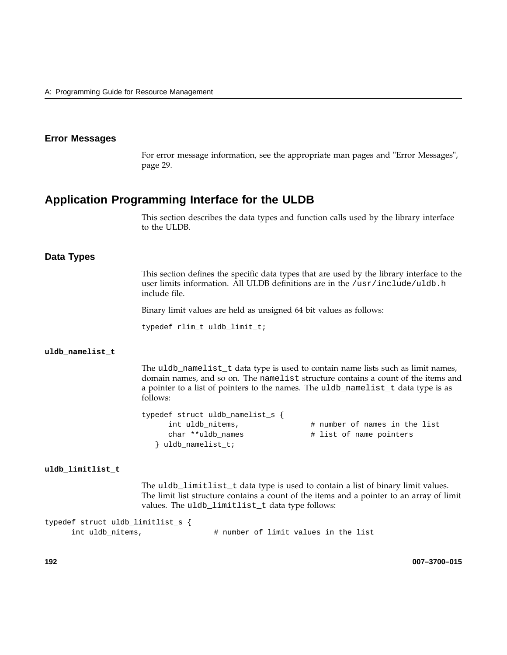### **Error Messages**

For error message information, see the appropriate man pages and "Error Messages", page 29.

# **Application Programming Interface for the ULDB**

This section describes the data types and function calls used by the library interface to the ULDB.

#### **Data Types**

This section defines the specific data types that are used by the library interface to the user limits information. All ULDB definitions are in the /usr/include/uldb.h include file.

Binary limit values are held as unsigned 64 bit values as follows:

typedef rlim\_t uldb\_limit\_t;

#### **uldb\_namelist\_t**

The uldb\_namelist\_t data type is used to contain name lists such as limit names, domain names, and so on. The namelist structure contains a count of the items and a pointer to a list of pointers to the names. The uldb\_namelist\_t data type is as follows:

```
typedef struct uldb_namelist_s {
     int uldb_nitems, \qquad # number of names in the list
     char **uldb names \qquad # list of name pointers
  } uldb_namelist_t;
```
### **uldb\_limitlist\_t**

The uldb\_limitlist\_t data type is used to contain a list of binary limit values. The limit list structure contains a count of the items and a pointer to an array of limit values. The uldb\_limitlist\_t data type follows:

```
typedef struct uldb_limitlist_s {
     int uldb_nitems, \qquad # number of limit values in the list
```
**192 007–3700–015**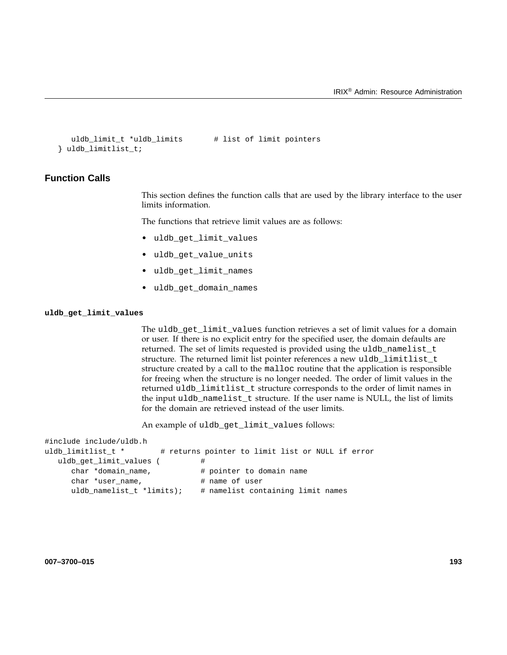```
uldb_limit_t *uldb_limits # list of limit pointers
} uldb_limitlist_t;
```
# **Function Calls**

This section defines the function calls that are used by the library interface to the user limits information.

The functions that retrieve limit values are as follows:

- uldb get limit values
- uldb\_get\_value\_units
- uldb\_get\_limit\_names
- uldb get domain names

### **uldb\_get\_limit\_values**

The uldb get limit values function retrieves a set of limit values for a domain or user. If there is no explicit entry for the specified user, the domain defaults are returned. The set of limits requested is provided using the uldb\_namelist\_t structure. The returned limit list pointer references a new uldb\_limitlist\_t structure created by a call to the malloc routine that the application is responsible for freeing when the structure is no longer needed. The order of limit values in the returned uldb\_limitlist\_t structure corresponds to the order of limit names in the input uldb\_namelist\_t structure. If the user name is NULL, the list of limits for the domain are retrieved instead of the user limits.

An example of uldb\_get\_limit\_values follows:

```
#include include/uldb.h
uldb_limitlist_t * # returns pointer to limit list or NULL if error
  uldb_get_limit_values ( \qquad \qquad \, \texttt{\#}char *domain_name, \qquad # pointer to domain name
     char *user_name, \qquad # name of user
     uldb_namelist_t *limits); # namelist containing limit names
```
**007–3700–015 193**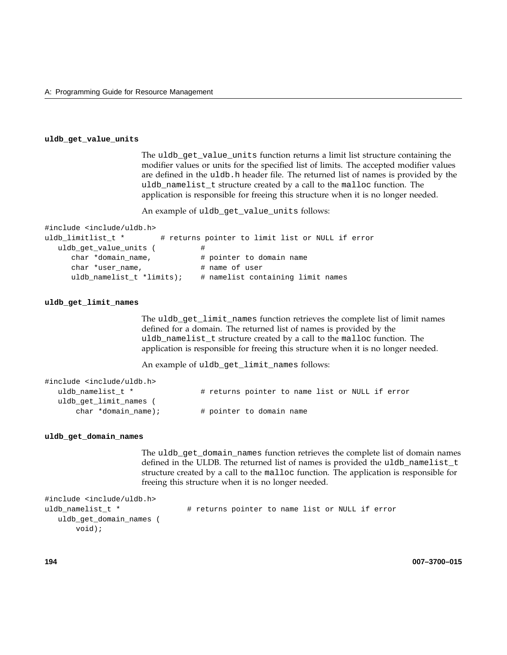#### **uldb\_get\_value\_units**

The uldb\_get\_value\_units function returns a limit list structure containing the modifier values or units for the specified list of limits. The accepted modifier values are defined in the uldb.h header file. The returned list of names is provided by the uldb\_namelist\_t structure created by a call to the malloc function. The application is responsible for freeing this structure when it is no longer needed.

An example of uldb\_get\_value\_units follows:

```
#include <include/uldb.h>
uldb_limitlist_t * # returns pointer to limit list or NULL if error
  uldb_get_value_units ( \qquad \qquad \, +char *domain_name, # pointer to domain name
     char *user_name, \qquad # name of user
     uldb_namelist_t *limits); # namelist containing limit names
```
#### **uldb\_get\_limit\_names**

The uldb\_get\_limit\_names function retrieves the complete list of limit names defined for a domain. The returned list of names is provided by the uldb\_namelist\_t structure created by a call to the malloc function. The application is responsible for freeing this structure when it is no longer needed.

An example of uldb\_get\_limit\_names follows:

| #include <include uldb.h=""></include> |                                                 |  |  |  |  |
|----------------------------------------|-------------------------------------------------|--|--|--|--|
| uldb namelist t *                      | # returns pointer to name list or NULL if error |  |  |  |  |
| uldb get limit names                   |                                                 |  |  |  |  |
| char *domain name);                    | # pointer to domain name                        |  |  |  |  |

#### **uldb\_get\_domain\_names**

The uldb\_get\_domain\_names function retrieves the complete list of domain names defined in the ULDB. The returned list of names is provided the uldb\_namelist\_t structure created by a call to the malloc function. The application is responsible for freeing this structure when it is no longer needed.

```
#include <include/uldb.h>
uldb_namelist_t * \qquad # returns pointer to name list or NULL if error
  uldb_get_domain_names (
      void);
```
**194 007–3700–015**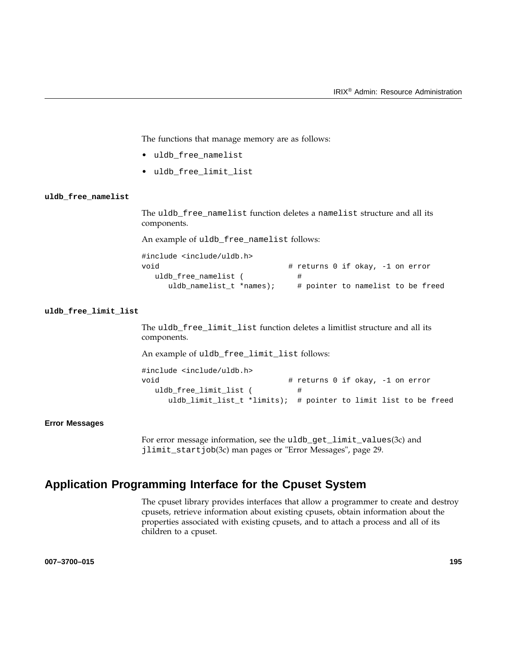The functions that manage memory are as follows:

- uldb\_free\_namelist
- uldb\_free\_limit\_list

#### **uldb\_free\_namelist**

The uldb\_free\_namelist function deletes a namelist structure and all its components.

An example of uldb\_free\_namelist follows:

| #include <include uldb.h=""></include> |                                   |  |
|----------------------------------------|-----------------------------------|--|
| void                                   | # returns 0 if okay, -1 on error  |  |
| uldb free namelist (                   |                                   |  |
| uldb namelist_t *names);               | # pointer to namelist to be freed |  |

#### **uldb\_free\_limit\_list**

The uldb\_free\_limit\_list function deletes a limitlist structure and all its components.

An example of uldb\_free\_limit\_list follows:

#include <include/uldb.h> void  $\qquad$   $\qquad$   $\qquad$   $\qquad$   $\qquad$   $\qquad$   $\qquad$   $\qquad$   $\qquad$   $\qquad$   $\qquad$   $\qquad$   $\qquad$   $\qquad$   $\qquad$   $\qquad$   $\qquad$   $\qquad$   $\qquad$   $\qquad$   $\qquad$   $\qquad$   $\qquad$   $\qquad$   $\qquad$   $\qquad$   $\qquad$   $\qquad$   $\qquad$   $\qquad$   $\qquad$   $\qquad$   $\qquad$   $\qquad$   $\qquad$   $\qquad$  uldb\_free\_limit\_list (  $\#$ uldb\_limit\_list\_t \*limits); # pointer to limit list to be freed

#### **Error Messages**

For error message information, see the uldb\_get\_limit\_values(3c) and jlimit\_startjob(3c) man pages or "Error Messages", page 29.

# **Application Programming Interface for the Cpuset System**

The cpuset library provides interfaces that allow a programmer to create and destroy cpusets, retrieve information about existing cpusets, obtain information about the properties associated with existing cpusets, and to attach a process and all of its children to a cpuset.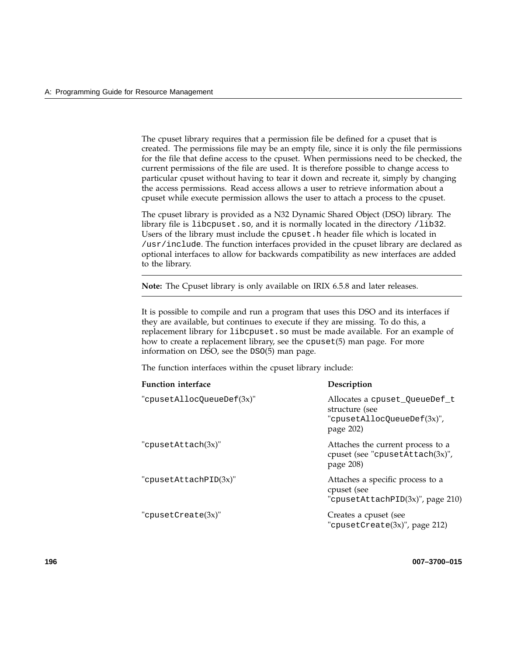The cpuset library requires that a permission file be defined for a cpuset that is created. The permissions file may be an empty file, since it is only the file permissions for the file that define access to the cpuset. When permissions need to be checked, the current permissions of the file are used. It is therefore possible to change access to particular cpuset without having to tear it down and recreate it, simply by changing the access permissions. Read access allows a user to retrieve information about a cpuset while execute permission allows the user to attach a process to the cpuset.

The cpuset library is provided as a N32 Dynamic Shared Object (DSO) library. The library file is libcpuset.so, and it is normally located in the directory /lib32. Users of the library must include the cpuset.h header file which is located in /usr/include. The function interfaces provided in the cpuset library are declared as optional interfaces to allow for backwards compatibility as new interfaces are added to the library.

**Note:** The Cpuset library is only available on IRIX 6.5.8 and later releases.

It is possible to compile and run a program that uses this DSO and its interfaces if they are available, but continues to execute if they are missing. To do this, a replacement library for libcpuset.so must be made available. For an example of how to create a replacement library, see the cpuset(5) man page. For more information on DSO, see the DSO(5) man page.

The function interfaces within the cpuset library include:

| <b>Function</b> interface | Description                                                                                |
|---------------------------|--------------------------------------------------------------------------------------------|
| "cpusetAllocQueueDef(3x)" | Allocates a cpuset QueueDef t<br>structure (see<br>"cpusetAllocQueueDef(3x)",<br>page 202) |
| "cpusetAttach(3x)"        | Attaches the current process to a<br>cpuset (see "cpusetAttach(3x)",<br>page 208)          |
| "cpusetAttachPID $(3x)$ " | Attaches a specific process to a<br>cpuset (see<br>"cpusetAttachPID $(3x)$ ", page 210)    |
| "cpusetCreate $(3x)$ "    | Creates a cpuset (see<br>"cpusetCreate(3x)", page 212)                                     |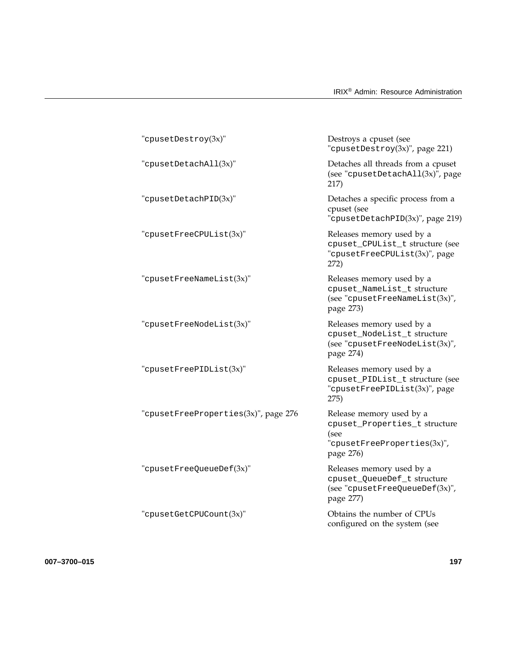| $"$ cpusetDestroy $(3x)"$            | Destroys a cpuset (see<br>"cpusetDestroy $(3x)$ ", page 221)                                                  |
|--------------------------------------|---------------------------------------------------------------------------------------------------------------|
| "cpusetDetachAll(3x)"                | Detaches all threads from a cpuset<br>(see "cpusetDetachAll(3x)", page<br>217)                                |
| "cpusetDetachPID(3x)"                | Detaches a specific process from a<br>cpuset (see<br>"cpusetDetachPID(3x)", page 219)                         |
| "cpusetFreeCPUList(3x)"              | Releases memory used by a<br>cpuset_CPUList_t structure (see<br>"cpusetFreeCPUList(3x)", page<br>272)         |
| "cpusetFreeNameList(3x)"             | Releases memory used by a<br>cpuset_NameList_t structure<br>(see "cpusetFreeNameList $(3x)$ ",<br>page 273)   |
| "cpusetFreeNodeList(3x)"             | Releases memory used by a<br>cpuset_NodeList_t structure<br>(see "cpusetFreeNodeList $(3x)$ ",<br>page 274)   |
| "cpusetFreePIDList(3x)"              | Releases memory used by a<br>cpuset_PIDList_t structure (see<br>"cpusetFreePIDList(3x)", page<br>275)         |
| "cpusetFreeProperties(3x)", page 276 | Release memory used by a<br>cpuset_Properties_t structure<br>(see<br>"cpusetFreeProperties(3x)",<br>page 276) |
| "cpusetFreeQueueDef(3x)"             | Releases memory used by a<br>cpuset_QueueDef_t structure<br>(see "cpusetFreeQueueDef(3x)",<br>page 277)       |
| "cpusetGetCPUCount(3x)"              | Obtains the number of CPUs<br>configured on the system (see                                                   |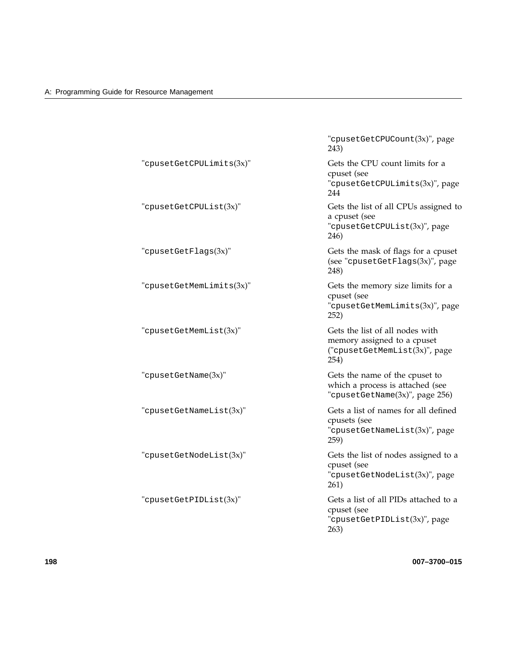|                          | "cpusetGetCPUCount(3x)", page<br>243)                                                                   |
|--------------------------|---------------------------------------------------------------------------------------------------------|
| "cpusetGetCPULimits(3x)" | Gets the CPU count limits for a<br>cpuset (see<br>"cpusetGetCPULimits(3x)", page<br>244                 |
| "cpusetGetCPUList(3x)"   | Gets the list of all CPUs assigned to<br>a cpuset (see<br>"cpusetGetCPUList(3x)", page<br>246)          |
| "cpusetGetFlags(3x)"     | Gets the mask of flags for a cpuset<br>(see "cpusetGetFlags(3x)", page<br>248)                          |
| "cpusetGetMemLimits(3x)" | Gets the memory size limits for a<br>cpuset (see<br>"cpusetGetMemLimits(3x)", page<br>252)              |
| "cpusetGetMemList(3x)"   | Gets the list of all nodes with<br>memory assigned to a cpuset<br>("cpusetGetMemList(3x)", page<br>254) |
| "cpusetGetName(3x)"      | Gets the name of the cpuset to<br>which a process is attached (see<br>"cpusetGetName(3x)", page 256)    |
| "cpusetGetNameList(3x)"  | Gets a list of names for all defined<br>cpusets (see<br>"cpusetGetNameList(3x)", page<br>259)           |
| "cpusetGetNodeList(3x)"  | Gets the list of nodes assigned to a<br>cpuset (see<br>"cpusetGetNodeList(3x)", page<br>261)            |
| "cpusetGetPIDList(3x)"   | Gets a list of all PIDs attached to a<br>cpuset (see<br>"cpusetGetPIDList(3x)", page<br>263)            |

**198 007–3700–015**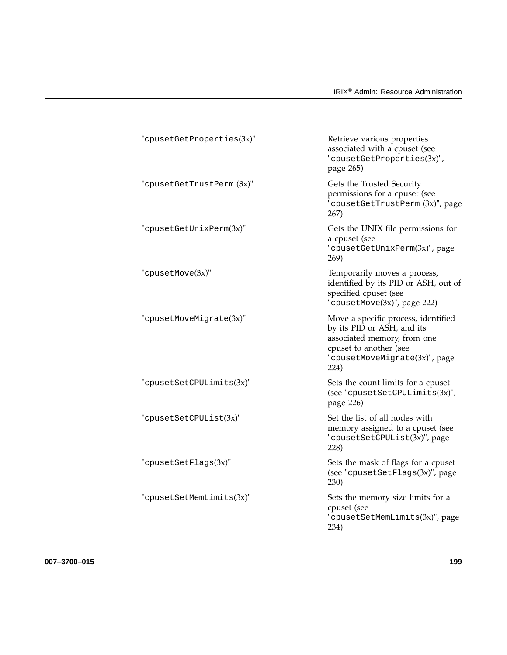| "cpusetGetProperty        | Retrieve various properties<br>associated with a cpuset (see<br>"cpusetGetProperties(3x)",<br>page 265)                                                             |
|---------------------------|---------------------------------------------------------------------------------------------------------------------------------------------------------------------|
| "cpusetGetTrustPerm (3x)" | Gets the Trusted Security<br>permissions for a cpuset (see<br>"cpusetGetTrustPerm(3x)", page<br>267)                                                                |
| "cpusetGetUnixPerm(3x)"   | Gets the UNIX file permissions for<br>a cpuset (see<br>"cpusetGetUnixPerm(3x)", page<br>269)                                                                        |
| "cpusetMove(3x)"          | Temporarily moves a process,<br>identified by its PID or ASH, out of<br>specified cpuset (see<br>"cpusetMove(3x)", page 222)                                        |
| "cpusetMoveMigrate(3x)"   | Move a specific process, identified<br>by its PID or ASH, and its<br>associated memory, from one<br>cpuset to another (see<br>"cpusetMoveMigrate(3x)", page<br>224) |
| "cpusetSetCPULimits(3x)"  | Sets the count limits for a cpuset<br>(see "cpusetSetCPULimits $(3x)$ ",<br>page 226)                                                                               |
| "cpusetSetCPUList(3x)"    | Set the list of all nodes with<br>memory assigned to a cpuset (see<br>"cpusetSetCPUList(3x)", page<br>228)                                                          |
| "cpusetSetFlags(3x)"      | Sets the mask of flags for a cpuset<br>(see "cpusetSetFlags(3x)", page<br>230)                                                                                      |
| "cpusetSetMemLimits(3x)"  | Sets the memory size limits for a<br>cpuset (see<br>"cpusetSetMemLimits(3x)", page<br>234)                                                                          |

**007–3700–015 199**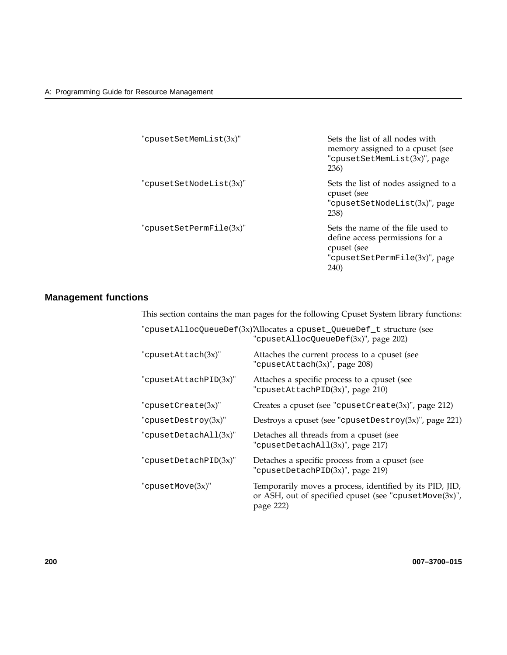| "cpusetSetMemList(3x)"      | Sets the list of all nodes with<br>memory assigned to a cpuset (see<br>"cpusetSetMemList(3x)", page<br>236)                          |
|-----------------------------|--------------------------------------------------------------------------------------------------------------------------------------|
| "cpusetSetNodeList $(3x)$ " | Sets the list of nodes assigned to a<br>cpuset (see<br>"cpusetSetNodeList(3x)", page<br>238)                                         |
| "cpusetSetPermFile $(3x)$ " | Sets the name of the file used to<br>define access permissions for a<br>cpuset (see<br>"cpusetSetPermFile(3x)", page<br><b>240</b> ) |

# **Management functions**

This section contains the man pages for the following Cpuset System library functions:

|                         | "cpusetAllocQueueDef(3x)'Allocates a cpuset_QueueDef_t structure (see<br>"cpusetAllocQueueDef(3x)", page 202)                       |
|-------------------------|-------------------------------------------------------------------------------------------------------------------------------------|
| "cpusetAttach(3x)"      | Attaches the current process to a cpuset (see<br>"cpusetAttach(3x)", page 208)                                                      |
| "cpusetAttachPID(3x)"   | Attaches a specific process to a cpuset (see<br>"cpusetAttachPID(3x)", page 210)                                                    |
| "cpusetCreate $(3x)$ "  | Creates a cpuset (see "cpusetCreate $(3x)$ ", page 212)                                                                             |
| "cpusetDestroy $(3x)$ " | Destroys a cpuset (see "cpusetDestroy(3x)", page 221)                                                                               |
| "cpusetDetachAll(3x)"   | Detaches all threads from a cpuset (see<br>"cpusetDetachAll(3x)", page 217)                                                         |
| "cpusetDetachPID(3x)"   | Detaches a specific process from a cpuset (see<br>"cpusetDetachPID(3x)", page 219)                                                  |
| "cpusetMove(3x)"        | Temporarily moves a process, identified by its PID, JID,<br>or ASH, out of specified cpuset (see "cpusetMove $(3x)$ ",<br>page 222) |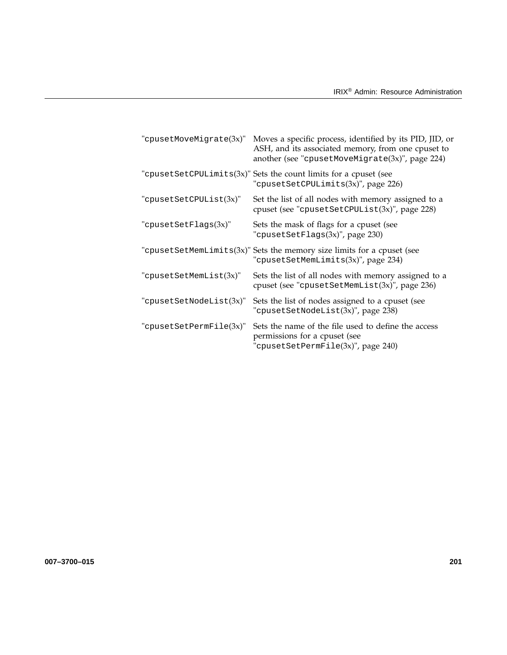| "cpusetMoveMigrate(3x)"  | Moves a specific process, identified by its PID, JID, or<br>ASH, and its associated memory, from one cpuset to<br>another (see "cpusetMoveMigrate $(3x)$ ", page 224) |
|--------------------------|-----------------------------------------------------------------------------------------------------------------------------------------------------------------------|
|                          | "cpusetSetCPULimits $(3x)$ " Sets the count limits for a cpuset (see<br>"cpusetSetCPULimits(3x)", page 226)                                                           |
| "cpusetSetCPUList(3x)"   | Set the list of all nodes with memory assigned to a<br>cpuset (see "cpusetSetCPUList(3x)", page 228)                                                                  |
| "cpusetSetFlags(3x)"     | Sets the mask of flags for a cpuset (see<br>"cpusetSetFlags(3x)", page 230)                                                                                           |
| "cpusetSetMemLimits(3x)" | Sets the memory size limits for a cpuset (see<br>"cpusetSetMemLimits(3x)", page 234)                                                                                  |
| "cpusetSetMemList(3x)"   | Sets the list of all nodes with memory assigned to a<br>cpuset (see "cpusetSetMemList(3x)", page 236)                                                                 |
| "cpusetSetNodeList(3x)"  | Sets the list of nodes assigned to a cpuset (see<br>"cpusetSetNodeList(3x)", page 238)                                                                                |
| "cpusetSetPermFile(3x)"  | Sets the name of the file used to define the access<br>permissions for a cpuset (see<br>"cpusetSetPermFile(3x)", page 240)                                            |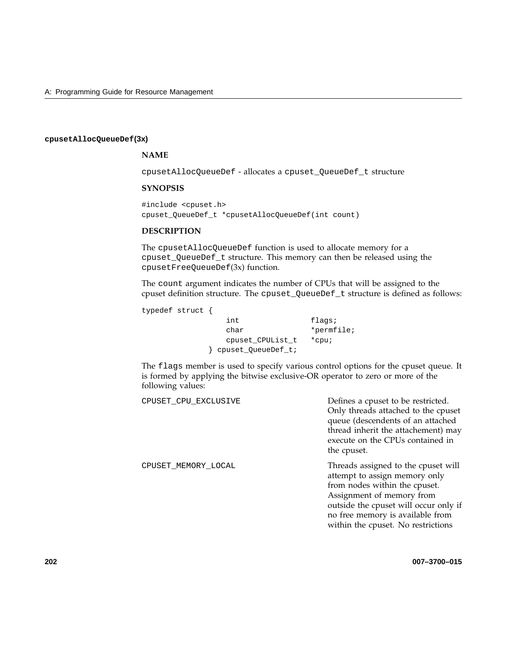#### **cpusetAllocQueueDef(3x)**

### **NAME**

cpusetAllocQueueDef - allocates a cpuset\_QueueDef\_t structure

### **SYNOPSIS**

#include <cpuset.h> cpuset\_QueueDef\_t \*cpusetAllocQueueDef(int count)

#### **DESCRIPTION**

The cpusetAllocQueueDef function is used to allocate memory for a cpuset\_QueueDef\_t structure. This memory can then be released using the cpusetFreeQueueDef(3x) function.

The count argument indicates the number of CPUs that will be assigned to the cpuset definition structure. The cpuset\_QueueDef\_t structure is defined as follows:

typedef struct {

int flags; char \*permfile; cpuset\_CPUList\_t \*cpu; } cpuset\_QueueDef\_t;

The flags member is used to specify various control options for the cpuset queue. It is formed by applying the bitwise exclusive-OR operator to zero or more of the following values:

CPUSET\_CPU\_EXCLUSIVE Defines a cpuset to be restricted. Only threads attached to the cpuset queue (descendents of an attached thread inherit the attachement) may execute on the CPUs contained in the cpuset. CPUSET\_MEMORY\_LOCAL Threads assigned to the cpuset will attempt to assign memory only from nodes within the cpuset. Assignment of memory from outside the cpuset will occur only if no free memory is available from within the cpuset. No restrictions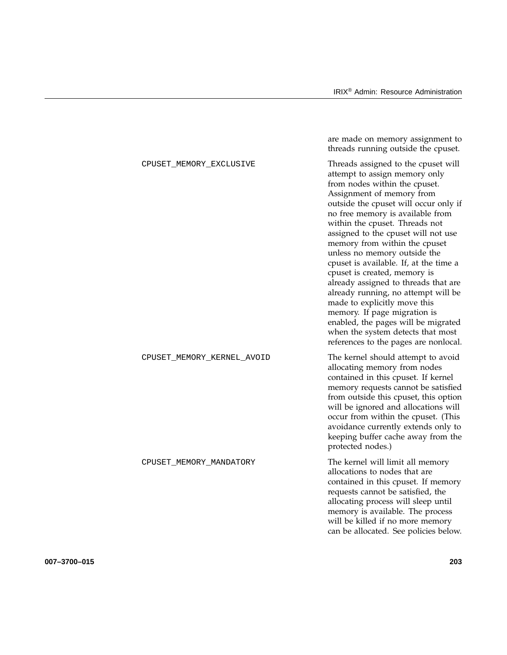|                            | are made on memory assignment to<br>threads running outside the cpuset.                                                                                                                                                                                                                                                                                                                                                                                                                                                                                                                                                                                                                                 |
|----------------------------|---------------------------------------------------------------------------------------------------------------------------------------------------------------------------------------------------------------------------------------------------------------------------------------------------------------------------------------------------------------------------------------------------------------------------------------------------------------------------------------------------------------------------------------------------------------------------------------------------------------------------------------------------------------------------------------------------------|
| CPUSET_MEMORY_EXCLUSIVE    | Threads assigned to the cpuset will<br>attempt to assign memory only<br>from nodes within the cpuset.<br>Assignment of memory from<br>outside the cpuset will occur only if<br>no free memory is available from<br>within the cpuset. Threads not<br>assigned to the cpuset will not use<br>memory from within the cpuset<br>unless no memory outside the<br>cpuset is available. If, at the time a<br>cpuset is created, memory is<br>already assigned to threads that are<br>already running, no attempt will be<br>made to explicitly move this<br>memory. If page migration is<br>enabled, the pages will be migrated<br>when the system detects that most<br>references to the pages are nonlocal. |
| CPUSET_MEMORY_KERNEL_AVOID | The kernel should attempt to avoid<br>allocating memory from nodes<br>contained in this cpuset. If kernel<br>memory requests cannot be satisfied<br>from outside this cpuset, this option<br>will be ignored and allocations will<br>occur from within the cpuset. (This<br>avoidance currently extends only to<br>keeping buffer cache away from the<br>protected nodes.)                                                                                                                                                                                                                                                                                                                              |
| CPUSET_MEMORY_MANDATORY    | The kernel will limit all memory<br>allocations to nodes that are<br>contained in this cpuset. If memory<br>requests cannot be satisfied, the<br>allocating process will sleep until<br>memory is available. The process<br>will be killed if no more memory<br>can be allocated. See policies below.                                                                                                                                                                                                                                                                                                                                                                                                   |

**007–3700–015 203**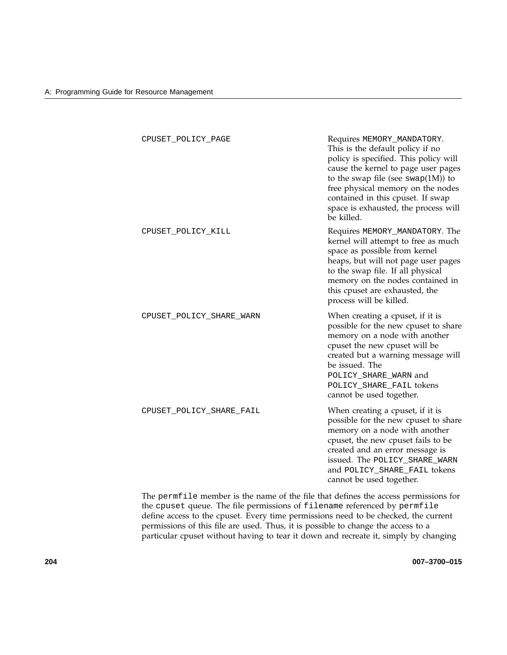| CPUSET_POLICY_PAGE       | Requires MEMORY_MANDATORY.<br>This is the default policy if no<br>policy is specified. This policy will<br>cause the kernel to page user pages<br>to the swap file (see $swap(1M)$ ) to<br>free physical memory on the nodes<br>contained in this cpuset. If swap<br>space is exhausted, the process will<br>be killed. |
|--------------------------|-------------------------------------------------------------------------------------------------------------------------------------------------------------------------------------------------------------------------------------------------------------------------------------------------------------------------|
| CPUSET_POLICY_KILL       | Requires MEMORY_MANDATORY. The<br>kernel will attempt to free as much<br>space as possible from kernel<br>heaps, but will not page user pages<br>to the swap file. If all physical<br>memory on the nodes contained in<br>this cpuset are exhausted, the<br>process will be killed.                                     |
| CPUSET_POLICY_SHARE_WARN | When creating a cpuset, if it is<br>possible for the new cpuset to share<br>memory on a node with another<br>cpuset the new cpuset will be<br>created but a warning message will<br>be issued. The<br>POLICY_SHARE_WARN and<br>POLICY_SHARE_FAIL tokens<br>cannot be used together.                                     |
| CPUSET_POLICY_SHARE_FAIL | When creating a cpuset, if it is<br>possible for the new cpuset to share<br>memory on a node with another<br>cpuset, the new cpuset fails to be<br>created and an error message is<br>issued. The POLICY_SHARE_WARN<br>and POLICY_SHARE_FAIL tokens<br>cannot be used together.                                         |

The permfile member is the name of the file that defines the access permissions for the cpuset queue. The file permissions of filename referenced by permfile define access to the cpuset. Every time permissions need to be checked, the current permissions of this file are used. Thus, it is possible to change the access to a particular cpuset without having to tear it down and recreate it, simply by changing

**204 007–3700–015**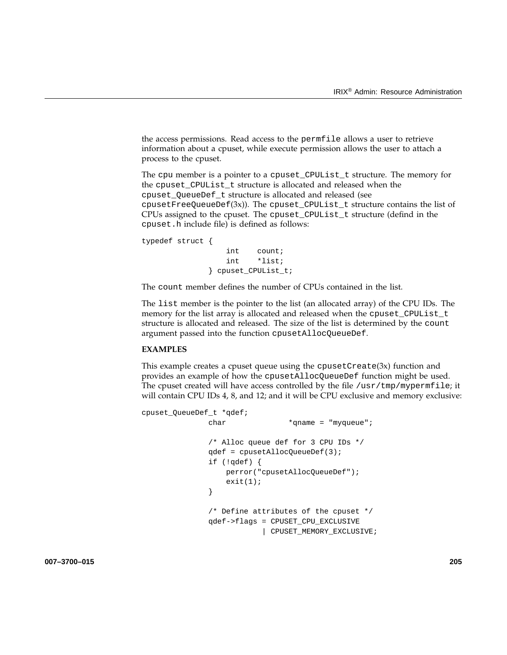the access permissions. Read access to the permfile allows a user to retrieve information about a cpuset, while execute permission allows the user to attach a process to the cpuset.

The cpu member is a pointer to a cpuset\_CPUList\_t structure. The memory for the cpuset\_CPUList\_t structure is allocated and released when the cpuset\_QueueDef\_t structure is allocated and released (see cpusetFreeQueueDef(3x)). The cpuset\_CPUList\_t structure contains the list of CPUs assigned to the cpuset. The cpuset\_CPUList\_t structure (defind in the cpuset.h include file) is defined as follows:

typedef struct { int count; int \*list; } cpuset\_CPUList\_t;

The count member defines the number of CPUs contained in the list.

The list member is the pointer to the list (an allocated array) of the CPU IDs. The memory for the list array is allocated and released when the cpuset\_CPUList\_t structure is allocated and released. The size of the list is determined by the count argument passed into the function cpusetAllocQueueDef.

### **EXAMPLES**

This example creates a cpuset queue using the  $c$  pusetCreate(3x) function and provides an example of how the cpusetAllocQueueDef function might be used. The cpuset created will have access controlled by the file  $/\text{usr}/\text{tmp}/\text{mypermfile}$ ; it will contain CPU IDs 4, 8, and 12; and it will be CPU exclusive and memory exclusive:

```
cpuset_QueueDef_t *qdef;
              char *qname = "myqueue";
              /* Alloc queue def for 3 CPU IDs */
              qdef = cpusetAllocQueueDef(3);
              if (!qdef) {
                  perror("cpusetAllocQueueDef");
                  exit(1);}
              /* Define attributes of the cpuset */
              qdef->flags = CPUSET_CPU_EXCLUSIVE
                          | CPUSET_MEMORY_EXCLUSIVE;
```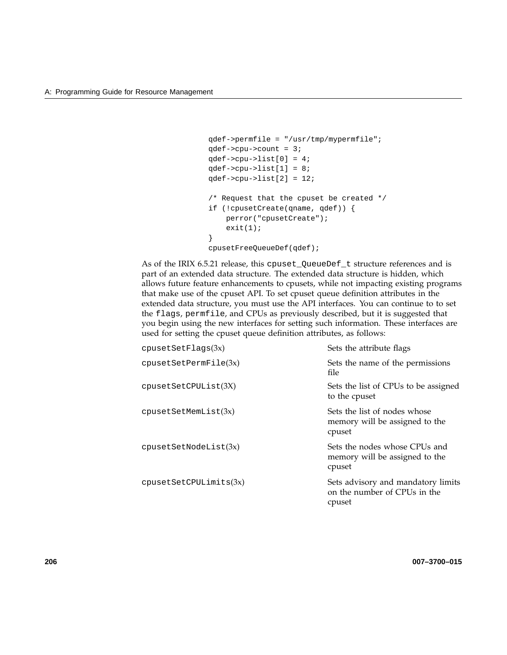```
qdef->permfile = "/usr/tmp/mypermfile";
qdef->cpu->count = 3;
qdef->cpu->list[0] = 4;
qdef->cpu->list[1] = 8;
qdef->cpu->list[2] = 12;/* Request that the cpuset be created */
if (!cpusetCreate(qname, qdef)) {
   perror("cpusetCreate");
   exit(1);}
cpusetFreeQueueDef(qdef);
```
As of the IRIX 6.5.21 release, this cpuset\_QueueDef\_t structure references and is part of an extended data structure. The extended data structure is hidden, which allows future feature enhancements to cpusets, while not impacting existing programs that make use of the cpuset API. To set cpuset queue definition attributes in the extended data structure, you must use the API interfaces. You can continue to to set the flags, permfile, and CPUs as previously described, but it is suggested that you begin using the new interfaces for setting such information. These interfaces are used for setting the cpuset queue definition attributes, as follows:

| cpusetSetFlags(3x)     | Sets the attribute flags                                                     |
|------------------------|------------------------------------------------------------------------------|
| cpusetSetPermFile(3x)  | Sets the name of the permissions<br>file.                                    |
| cpusetSetCPUList(3X)   | Sets the list of CPUs to be assigned<br>to the cpuset                        |
| cpusetSetMemList(3x)   | Sets the list of nodes whose<br>memory will be assigned to the<br>cpuset     |
| cpusetSetNodeList(3x)  | Sets the nodes whose CPUs and<br>memory will be assigned to the<br>cpuset    |
| cpusetSetCPULimits(3x) | Sets advisory and mandatory limits<br>on the number of CPUs in the<br>cpuset |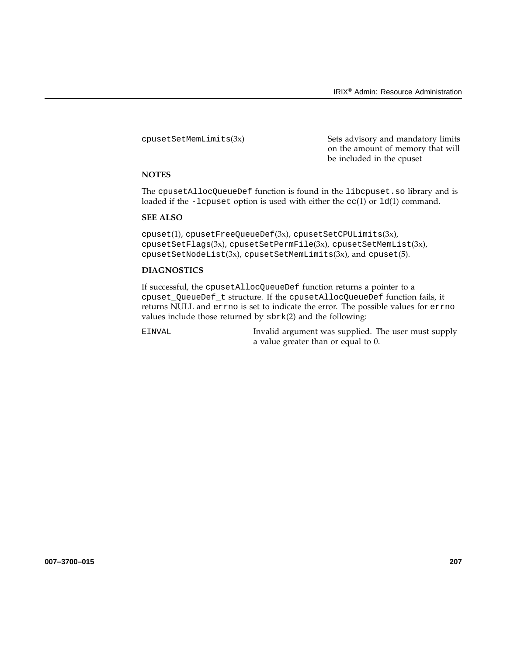cpusetSetMemLimits(3x) Sets advisory and mandatory limits on the amount of memory that will be included in the cpuset

### **NOTES**

The cpusetAllocQueueDef function is found in the libcpuset.so library and is loaded if the -lcpuset option is used with either the  $cc(1)$  or  $ld(1)$  command.

# **SEE ALSO**

 $cpuset(1)$ ,  $cpusetFreeQueueDef(3x)$ ,  $cpusetSetCPULimits(3x)$ , cpusetSetFlags(3x), cpusetSetPermFile(3x), cpusetSetMemList(3x), cpusetSetNodeList(3x), cpusetSetMemLimits(3x), and cpuset(5).

### **DIAGNOSTICS**

If successful, the cpusetAllocQueueDef function returns a pointer to a cpuset\_QueueDef\_t structure. If the cpusetAllocQueueDef function fails, it returns NULL and errno is set to indicate the error. The possible values for errno values include those returned by sbrk(2) and the following:

EINVAL Invalid argument was supplied. The user must supply a value greater than or equal to 0.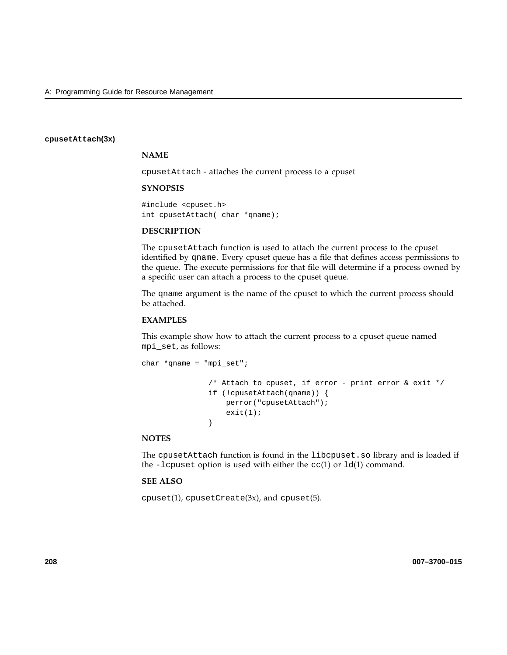### **cpusetAttach(3x)**

### **NAME**

cpusetAttach - attaches the current process to a cpuset

### **SYNOPSIS**

#include <cpuset.h> int cpusetAttach( char \*qname);

### **DESCRIPTION**

The cpusetAttach function is used to attach the current process to the cpuset identified by qname. Every cpuset queue has a file that defines access permissions to the queue. The execute permissions for that file will determine if a process owned by a specific user can attach a process to the cpuset queue.

The qname argument is the name of the cpuset to which the current process should be attached.

### **EXAMPLES**

This example show how to attach the current process to a cpuset queue named mpi\_set, as follows:

```
char *qname = "mpi_set";
               /* Attach to cpuset, if error - print error & exit */
               if (!cpusetAttach(qname)) {
                  perror("cpusetAttach");
                   exit(1);}
```
### **NOTES**

The cpusetAttach function is found in the libcpuset.so library and is loaded if the -lcpuset option is used with either the  $cc(1)$  or  $ld(1)$  command.

# **SEE ALSO**

cpuset(1), cpusetCreate(3x), and cpuset(5).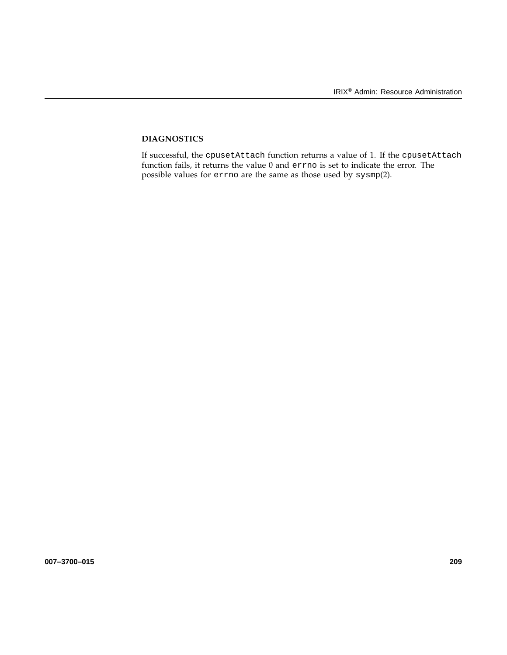# **DIAGNOSTICS**

If successful, the cpusetAttach function returns a value of 1. If the cpusetAttach function fails, it returns the value 0 and errno is set to indicate the error. The possible values for errno are the same as those used by sysmp(2).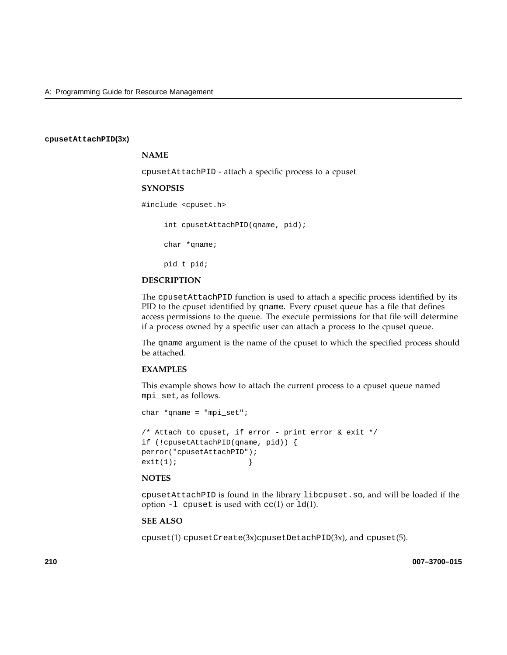#### **cpusetAttachPID(3x)**

#### **NAME**

cpusetAttachPID - attach a specific process to a cpuset

#### **SYNOPSIS**

#include <cpuset.h>

int cpusetAttachPID(qname, pid);

char \*qname;

```
pid_t pid;
```
### **DESCRIPTION**

The cpusetAttachPID function is used to attach a specific process identified by its PID to the cpuset identified by qname. Every cpuset queue has a file that defines access permissions to the queue. The execute permissions for that file will determine if a process owned by a specific user can attach a process to the cpuset queue.

The qname argument is the name of the cpuset to which the specified process should be attached.

### **EXAMPLES**

This example shows how to attach the current process to a cpuset queue named mpi\_set, as follows.

```
char *qname = "mpi_set";
/* Attach to cpuset, if error - print error & exit */
if (!cpusetAttachPID(qname, pid)) {
perror("cpusetAttachPID");
exit(1); }
```
#### **NOTES**

cpusetAttachPID is found in the library libcpuset.so, and will be loaded if the option  $-1$  cpuset is used with  $cc(1)$  or  $1d(1)$ .

### **SEE ALSO**

cpuset(1) cpusetCreate(3x)cpusetDetachPID(3x), and cpuset(5).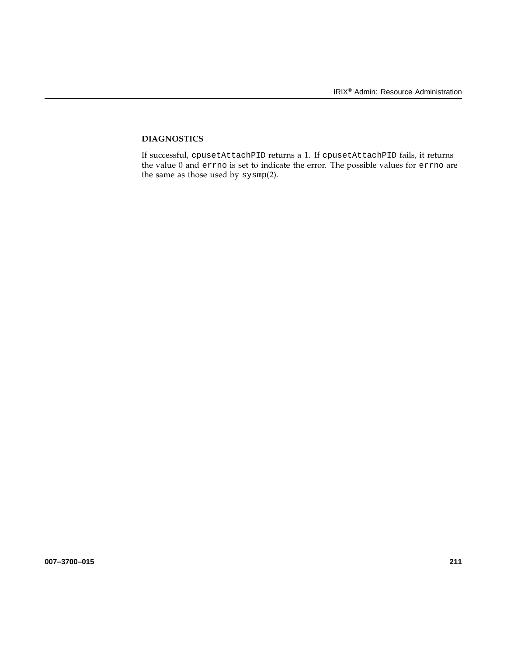# **DIAGNOSTICS**

If successful, cpusetAttachPID returns a 1. If cpusetAttachPID fails, it returns the value 0 and errno is set to indicate the error. The possible values for errno are the same as those used by sysmp(2).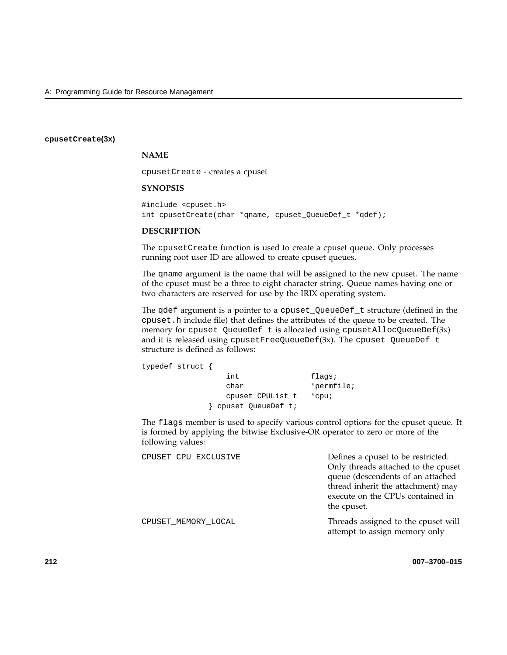### **cpusetCreate(3x)**

## **NAME**

cpusetCreate - creates a cpuset

### **SYNOPSIS**

#include <cpuset.h> int cpusetCreate(char \*qname, cpuset\_QueueDef\_t \*qdef);

### **DESCRIPTION**

The cpusetCreate function is used to create a cpuset queue. Only processes running root user ID are allowed to create cpuset queues.

The qname argument is the name that will be assigned to the new cpuset. The name of the cpuset must be a three to eight character string. Queue names having one or two characters are reserved for use by the IRIX operating system.

The qdef argument is a pointer to a cpuset\_QueueDef\_t structure (defined in the cpuset.h include file) that defines the attributes of the queue to be created. The memory for cpuset\_QueueDef\_t is allocated using cpusetAllocQueueDef(3x) and it is released using cpusetFreeQueueDef(3x). The cpuset\_QueueDef\_t structure is defined as follows:

typedef struct { int flags; char \*permfile; cpuset\_CPUList\_t \*cpu; } cpuset\_QueueDef\_t;

The flags member is used to specify various control options for the cpuset queue. It is formed by applying the bitwise Exclusive-OR operator to zero or more of the following values:

| CPUSET_CPU_EXCLUSIVE | Defines a cpuset to be restricted.<br>Only threads attached to the cpuset<br>queue (descendents of an attached<br>thread inherit the attachment) may<br>execute on the CPUs contained in<br>the cpuset. |
|----------------------|---------------------------------------------------------------------------------------------------------------------------------------------------------------------------------------------------------|
| CPUSET MEMORY LOCAL  | Threads assigned to the cpuset will<br>attempt to assign memory only                                                                                                                                    |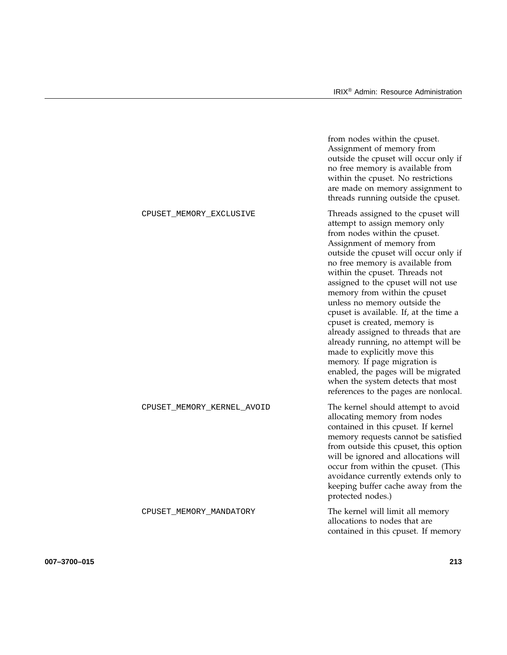|                            | from nodes within the cpuset.<br>Assignment of memory from<br>outside the cpuset will occur only if<br>no free memory is available from<br>within the cpuset. No restrictions<br>are made on memory assignment to<br>threads running outside the cpuset.                                                                                                                                                                                                                                                                                                                                                                                                                                                |
|----------------------------|---------------------------------------------------------------------------------------------------------------------------------------------------------------------------------------------------------------------------------------------------------------------------------------------------------------------------------------------------------------------------------------------------------------------------------------------------------------------------------------------------------------------------------------------------------------------------------------------------------------------------------------------------------------------------------------------------------|
| CPUSET_MEMORY_EXCLUSIVE    | Threads assigned to the cpuset will<br>attempt to assign memory only<br>from nodes within the cpuset.<br>Assignment of memory from<br>outside the cpuset will occur only if<br>no free memory is available from<br>within the cpuset. Threads not<br>assigned to the cpuset will not use<br>memory from within the cpuset<br>unless no memory outside the<br>cpuset is available. If, at the time a<br>cpuset is created, memory is<br>already assigned to threads that are<br>already running, no attempt will be<br>made to explicitly move this<br>memory. If page migration is<br>enabled, the pages will be migrated<br>when the system detects that most<br>references to the pages are nonlocal. |
| CPUSET_MEMORY_KERNEL_AVOID | The kernel should attempt to avoid<br>allocating memory from nodes<br>contained in this cpuset. If kernel<br>memory requests cannot be satisfied<br>from outside this cpuset, this option<br>will be ignored and allocations will<br>occur from within the cpuset. (This<br>avoidance currently extends only to<br>keeping buffer cache away from the<br>protected nodes.)                                                                                                                                                                                                                                                                                                                              |
| CPUSET_MEMORY_MANDATORY    | The kernel will limit all memory<br>allocations to nodes that are<br>contained in this cpuset. If memory                                                                                                                                                                                                                                                                                                                                                                                                                                                                                                                                                                                                |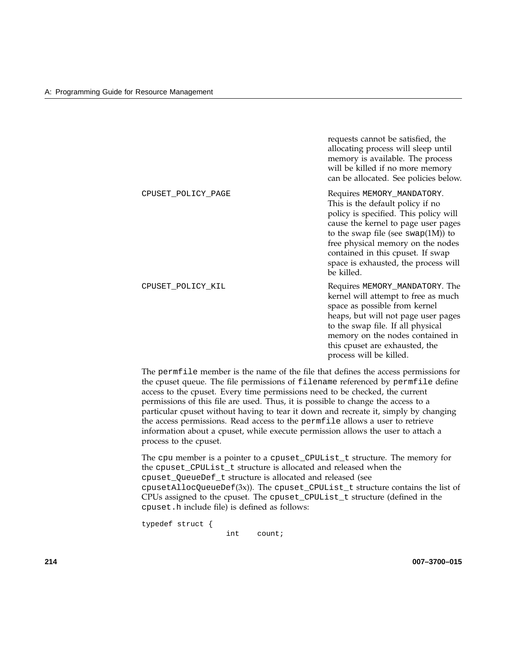requests cannot be satisfied, the allocating process will sleep until memory is available. The process will be killed if no more memory can be allocated. See policies below.

CPUSET POLICY PAGE Requires MEMORY MANDATORY. This is the default policy if no policy is specified. This policy will cause the kernel to page user pages to the swap file (see swap(1M)) to free physical memory on the nodes contained in this cpuset. If swap space is exhausted, the process will be killed.

CPUSET\_POLICY\_KIL **COULCY** Requires MEMORY\_MANDATORY. The kernel will attempt to free as much space as possible from kernel heaps, but will not page user pages to the swap file. If all physical memory on the nodes contained in this cpuset are exhausted, the process will be killed.

The permfile member is the name of the file that defines the access permissions for the cpuset queue. The file permissions of filename referenced by permfile define access to the cpuset. Every time permissions need to be checked, the current permissions of this file are used. Thus, it is possible to change the access to a particular cpuset without having to tear it down and recreate it, simply by changing the access permissions. Read access to the permfile allows a user to retrieve information about a cpuset, while execute permission allows the user to attach a process to the cpuset.

The cpu member is a pointer to a cpuset\_CPUList\_t structure. The memory for the cpuset\_CPUList\_t structure is allocated and released when the cpuset\_QueueDef\_t structure is allocated and released (see  $c$ pusetAllocQueueDef $(3x)$ ). The cpuset\_CPUList\_t structure contains the list of CPUs assigned to the cpuset. The cpuset\_CPUList\_t structure (defined in the cpuset.h include file) is defined as follows:

typedef struct { int count;

**214 007–3700–015**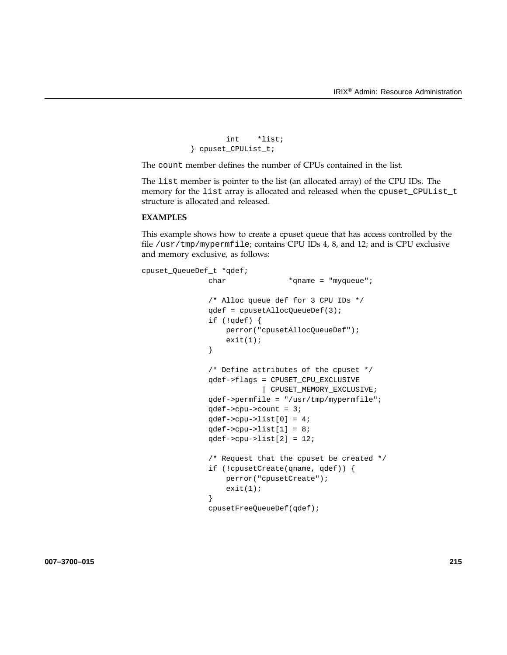```
int *list;
} cpuset_CPUList_t;
```
The count member defines the number of CPUs contained in the list.

The list member is pointer to the list (an allocated array) of the CPU IDs. The memory for the list array is allocated and released when the cpuset\_CPUList\_t structure is allocated and released.

# **EXAMPLES**

This example shows how to create a cpuset queue that has access controlled by the file /usr/tmp/mypermfile; contains CPU IDs 4, 8, and 12; and is CPU exclusive and memory exclusive, as follows:

```
cpuset_QueueDef_t *qdef;
              char *qname = "myqueue";
              /* Alloc queue def for 3 CPU IDs */
              qdef = cpusetAllocQueueDef(3);
              if (!qdef) {
                  perror("cpusetAllocQueueDef");
                  exit(1);}
              /* Define attributes of the cpuset */
              qdef->flags = CPUSET_CPU_EXCLUSIVE
                          | CPUSET_MEMORY_EXCLUSIVE;
              qdef->permfile = "/usr/tmp/mypermfile";
              qdef->cpu->count = 3;
              qdef->cpu->list[0] = 4;
              qdef->cpu->list[1] = 8;
              qdef->cpu->list[2] = 12;
               /* Request that the cpuset be created */
              if (!cpusetCreate(qname, qdef)) {
                  perror("cpusetCreate");
                  exit(1);}
              cpusetFreeQueueDef(qdef);
```
**007–3700–015 215**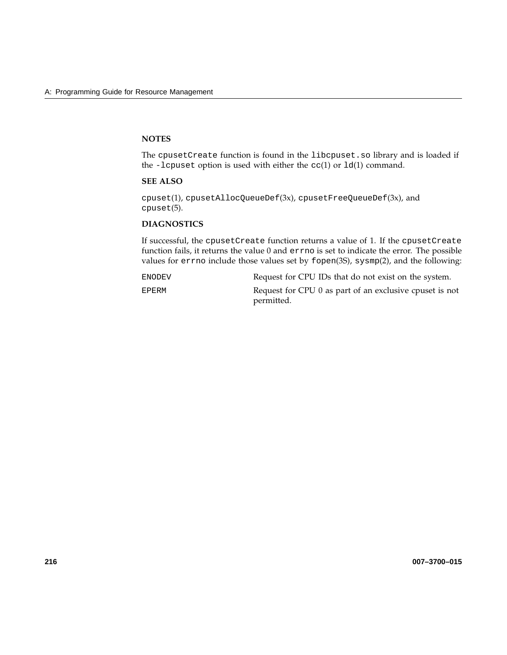### **NOTES**

The cpusetCreate function is found in the libcpuset.so library and is loaded if the -lcpuset option is used with either the  $cc(1)$  or  $ld(1)$  command.

### **SEE ALSO**

cpuset(1), cpusetAllocQueueDef(3x), cpusetFreeQueueDef(3x), and cpuset(5).

# **DIAGNOSTICS**

If successful, the cpusetCreate function returns a value of 1. If the cpusetCreate function fails, it returns the value 0 and errno is set to indicate the error. The possible values for errno include those values set by fopen(3S), sysmp(2), and the following:

ENODEV Request for CPU IDs that do not exist on the system. EPERM Request for CPU 0 as part of an exclusive cpuset is not permitted.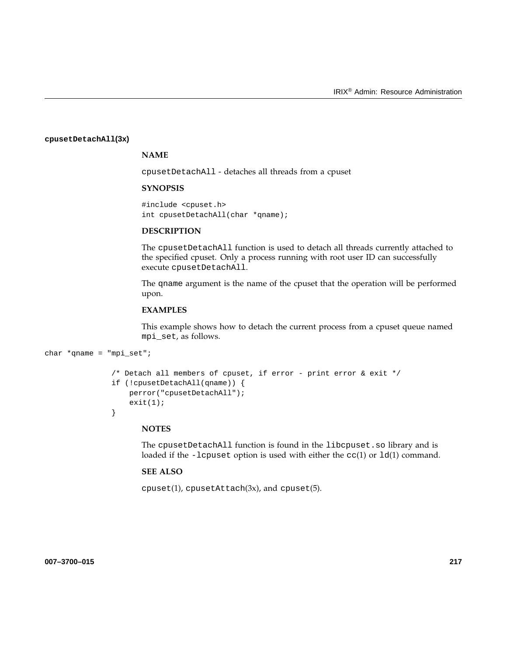#### **cpusetDetachAll(3x)**

# **NAME**

cpusetDetachAll - detaches all threads from a cpuset

### **SYNOPSIS**

#include <cpuset.h> int cpusetDetachAll(char \*qname);

### **DESCRIPTION**

The cpusetDetachAll function is used to detach all threads currently attached to the specified cpuset. Only a process running with root user ID can successfully execute cpusetDetachAll.

The qname argument is the name of the cpuset that the operation will be performed upon.

### **EXAMPLES**

This example shows how to detach the current process from a cpuset queue named mpi\_set, as follows.

```
char *qname = "mpi_set";
```

```
/* Detach all members of cpuset, if error - print error & exit */
if (!cpusetDetachAll(qname)) {
   perror("cpusetDetachAll");
   exit(1);}
```
### **NOTES**

The cpusetDetachAll function is found in the libcpuset.so library and is loaded if the -lcpuset option is used with either the  $cc(1)$  or  $ld(1)$  command.

### **SEE ALSO**

cpuset(1), cpusetAttach(3x), and cpuset(5).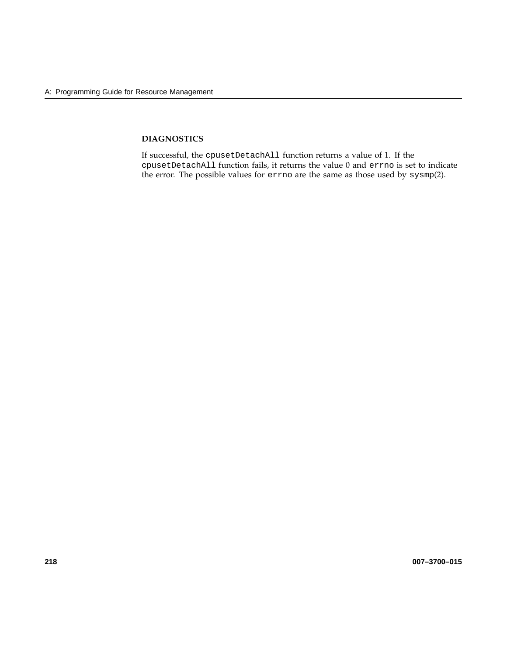# **DIAGNOSTICS**

If successful, the cpusetDetachAll function returns a value of 1. If the cpusetDetachAll function fails, it returns the value 0 and errno is set to indicate the error. The possible values for errno are the same as those used by sysmp(2).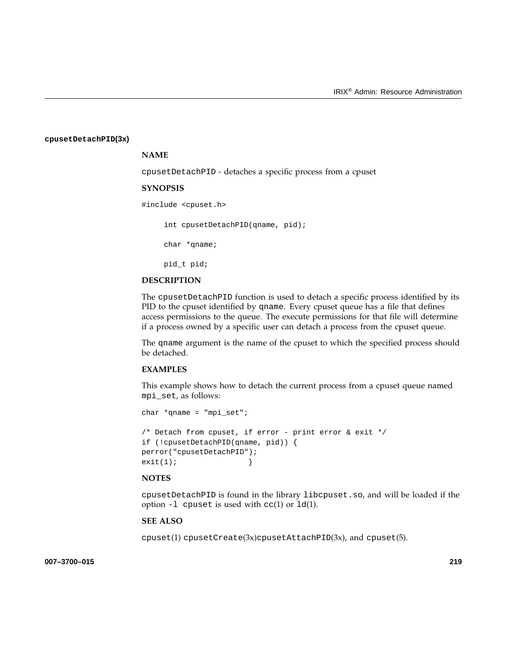#### **cpusetDetachPID(3x)**

### **NAME**

cpusetDetachPID - detaches a specific process from a cpuset

#### **SYNOPSIS**

#include <cpuset.h>

int cpusetDetachPID(qname, pid);

char \*qname;

pid\_t pid;

#### **DESCRIPTION**

The cpusetDetachPID function is used to detach a specific process identified by its PID to the cpuset identified by qname. Every cpuset queue has a file that defines access permissions to the queue. The execute permissions for that file will determine if a process owned by a specific user can detach a process from the cpuset queue.

The qname argument is the name of the cpuset to which the specified process should be detached.

### **EXAMPLES**

This example shows how to detach the current process from a cpuset queue named mpi\_set, as follows:

```
char *qname = "mpi_set";
/* Detach from cpuset, if error - print error & exit */
if (!cpusetDetachPID(qname, pid)) {
perror("cpusetDetachPID");
exit(1); }
```
#### **NOTES**

cpusetDetachPID is found in the library libcpuset.so, and will be loaded if the option  $-1$  cpuset is used with  $cc(1)$  or  $1d(1)$ .

### **SEE ALSO**

cpuset(1) cpusetCreate(3x)cpusetAttachPID(3x), and cpuset(5).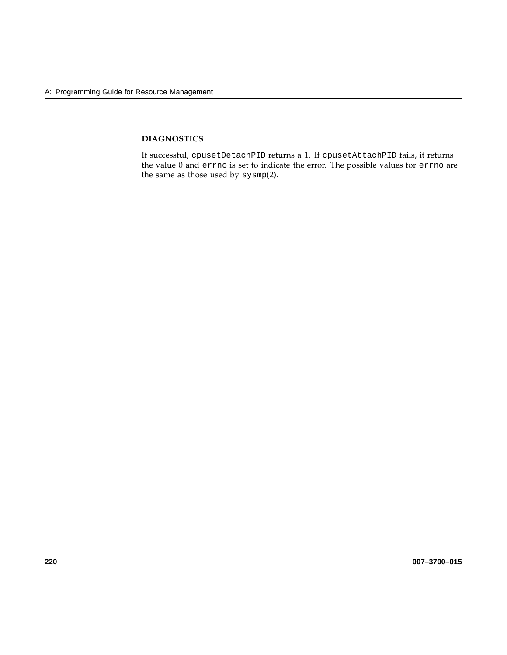# **DIAGNOSTICS**

If successful, cpusetDetachPID returns a 1. If cpusetAttachPID fails, it returns the value 0 and errno is set to indicate the error. The possible values for errno are the same as those used by sysmp(2).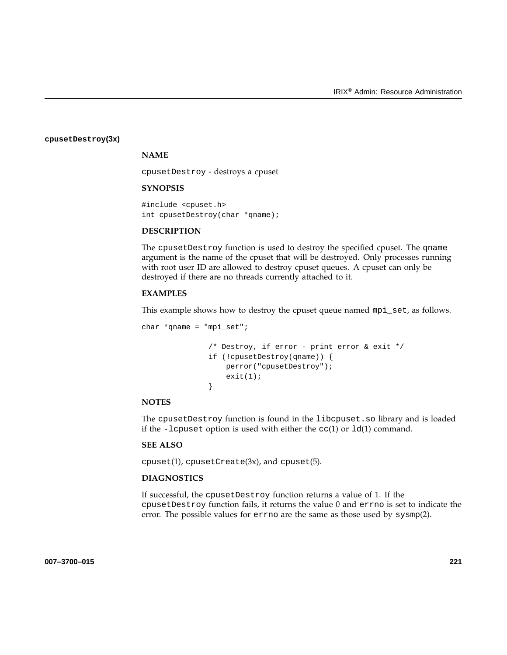#### **cpusetDestroy(3x)**

# **NAME**

cpusetDestroy - destroys a cpuset

### **SYNOPSIS**

#include <cpuset.h> int cpusetDestroy(char \*qname);

### **DESCRIPTION**

The cpusetDestroy function is used to destroy the specified cpuset. The qname argument is the name of the cpuset that will be destroyed. Only processes running with root user ID are allowed to destroy cpuset queues. A cpuset can only be destroyed if there are no threads currently attached to it.

### **EXAMPLES**

This example shows how to destroy the cpuset queue named mpi\_set, as follows.

```
char *qname = "mpi_set";/* Destroy, if error - print error & exit */
               if (!cpusetDestroy(qname)) {
                  perror("cpusetDestroy");
                  exit(1);}
```
### **NOTES**

The cpusetDestroy function is found in the libcpuset.so library and is loaded if the -lcpuset option is used with either the  $cc(1)$  or  $ld(1)$  command.

### **SEE ALSO**

 $c$ puset $(1)$ , cpusetCreate $(3x)$ , and cpuset $(5)$ .

### **DIAGNOSTICS**

If successful, the cpusetDestroy function returns a value of 1. If the cpusetDestroy function fails, it returns the value 0 and errno is set to indicate the error. The possible values for errno are the same as those used by sysmp(2).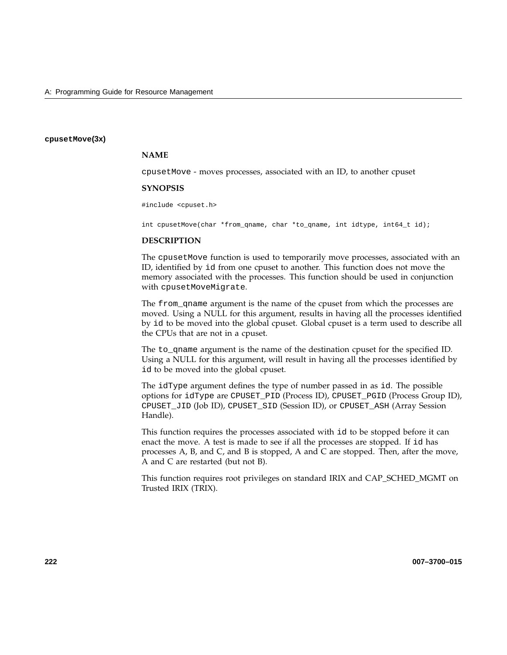#### **cpusetMove(3x)**

### **NAME**

cpusetMove - moves processes, associated with an ID, to another cpuset

#### **SYNOPSIS**

#include <cpuset.h>

int cpusetMove(char \*from\_qname, char \*to\_qname, int idtype, int64\_t id);

#### **DESCRIPTION**

The cpusetMove function is used to temporarily move processes, associated with an ID, identified by id from one cpuset to another. This function does not move the memory associated with the processes. This function should be used in conjunction with cpusetMoveMigrate.

The from\_qname argument is the name of the cpuset from which the processes are moved. Using a NULL for this argument, results in having all the processes identified by id to be moved into the global cpuset. Global cpuset is a term used to describe all the CPUs that are not in a cpuset.

The to\_qname argument is the name of the destination cpuset for the specified ID. Using a NULL for this argument, will result in having all the processes identified by id to be moved into the global cpuset.

The idType argument defines the type of number passed in as id. The possible options for idType are CPUSET\_PID (Process ID), CPUSET\_PGID (Process Group ID), CPUSET\_JID (Job ID), CPUSET\_SID (Session ID), or CPUSET\_ASH (Array Session Handle).

This function requires the processes associated with id to be stopped before it can enact the move. A test is made to see if all the processes are stopped. If id has processes A, B, and C, and B is stopped, A and C are stopped. Then, after the move, A and C are restarted (but not B).

This function requires root privileges on standard IRIX and CAP\_SCHED\_MGMT on Trusted IRIX (TRIX).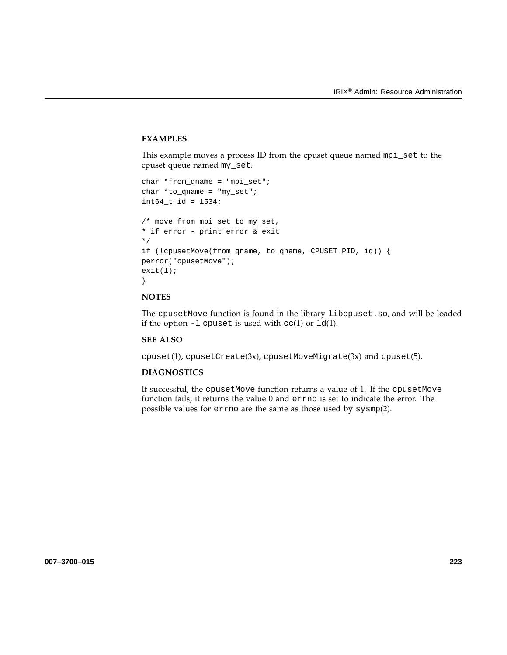### **EXAMPLES**

This example moves a process ID from the cpuset queue named mpi\_set to the cpuset queue named my\_set.

```
char *from_qname = "mpi_set";
char *to_qname = "my_set";
int64_t id = 1534;
/* move from mpi_set to my_set,
* if error - print error & exit
*/
if (!cpusetMove(from_qname, to_qname, CPUSET_PID, id)) {
perror("cpusetMove");
exit(1);}
```
# **NOTES**

The cpusetMove function is found in the library libcpuset.so, and will be loaded if the option  $-1$  cpuset is used with  $cc(1)$  or  $1d(1)$ .

### **SEE ALSO**

 $cpuset(1)$ ,  $cpusetCreate(3x)$ ,  $cpusetMoveMigrate(3x)$  and  $cpuset(5)$ .

# **DIAGNOSTICS**

If successful, the cpusetMove function returns a value of 1. If the cpusetMove function fails, it returns the value 0 and errno is set to indicate the error. The possible values for errno are the same as those used by sysmp(2).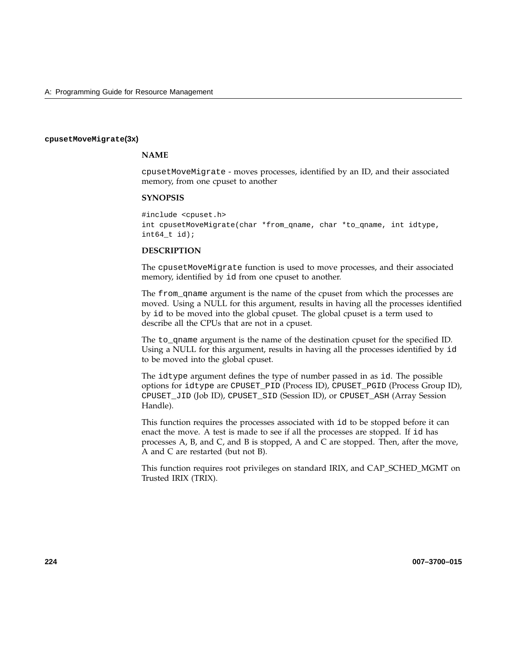#### **cpusetMoveMigrate(3x)**

### **NAME**

cpusetMoveMigrate - moves processes, identified by an ID, and their associated memory, from one cpuset to another

#### **SYNOPSIS**

#include <cpuset.h> int cpusetMoveMigrate(char \*from\_qname, char \*to\_qname, int idtype,  $int64_t$  id);

### **DESCRIPTION**

The cpusetMoveMigrate function is used to move processes, and their associated memory, identified by id from one cpuset to another.

The from\_qname argument is the name of the cpuset from which the processes are moved. Using a NULL for this argument, results in having all the processes identified by id to be moved into the global cpuset. The global cpuset is a term used to describe all the CPUs that are not in a cpuset.

The to\_qname argument is the name of the destination cpuset for the specified ID. Using a NULL for this argument, results in having all the processes identified by id to be moved into the global cpuset.

The idtype argument defines the type of number passed in as id. The possible options for idtype are CPUSET\_PID (Process ID), CPUSET\_PGID (Process Group ID), CPUSET\_JID (Job ID), CPUSET\_SID (Session ID), or CPUSET\_ASH (Array Session Handle).

This function requires the processes associated with id to be stopped before it can enact the move. A test is made to see if all the processes are stopped. If id has processes A, B, and C, and B is stopped, A and C are stopped. Then, after the move, A and C are restarted (but not B).

This function requires root privileges on standard IRIX, and CAP\_SCHED\_MGMT on Trusted IRIX (TRIX).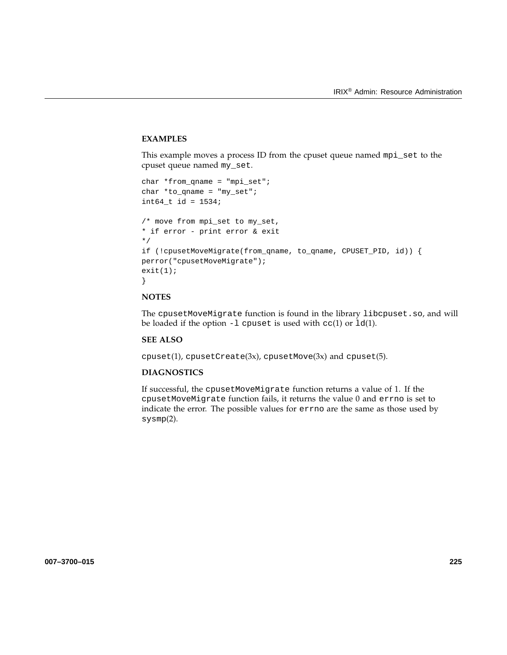# **EXAMPLES**

This example moves a process ID from the cpuset queue named mpi\_set to the cpuset queue named my\_set.

```
char *from_qname = "mpi_set";
char *to_qname = "my_set";
int64_t id = 1534;
/* move from mpi_set to my_set,
* if error - print error & exit
*/
if (!cpusetMoveMigrate(from_qname, to_qname, CPUSET_PID, id)) {
perror("cpusetMoveMigrate");
exit(1);}
```
# **NOTES**

The cpusetMoveMigrate function is found in the library libcpuset.so, and will be loaded if the option  $-1$  cpuset is used with  $cc(1)$  or  $ld(1)$ .

# **SEE ALSO**

 $cpuset(1)$ ,  $cpusetCreate(3x)$ ,  $cpusetMove(3x)$  and  $cpuset(5)$ .

# **DIAGNOSTICS**

If successful, the cpusetMoveMigrate function returns a value of 1. If the cpusetMoveMigrate function fails, it returns the value 0 and errno is set to indicate the error. The possible values for errno are the same as those used by sysmp(2).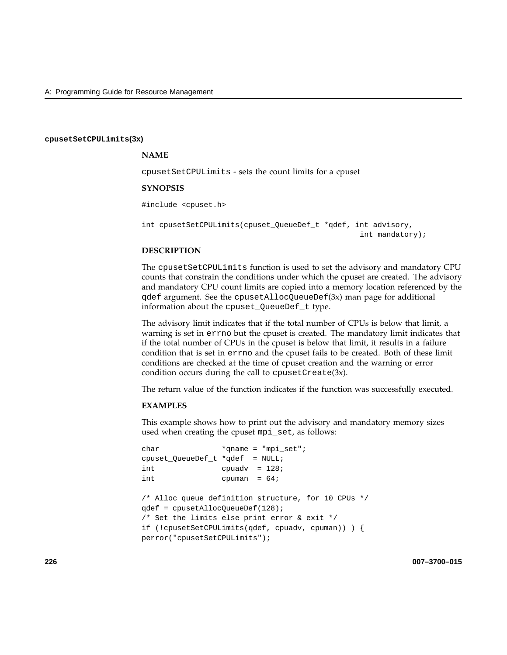#### **cpusetSetCPULimits(3x)**

## **NAME**

cpusetSetCPULimits - sets the count limits for a cpuset

#### **SYNOPSIS**

#include <cpuset.h>

int cpusetSetCPULimits(cpuset\_QueueDef\_t \*qdef, int advisory, int mandatory);

## **DESCRIPTION**

The cpusetSetCPULimits function is used to set the advisory and mandatory CPU counts that constrain the conditions under which the cpuset are created. The advisory and mandatory CPU count limits are copied into a memory location referenced by the qdef argument. See the cpusetAllocQueueDef(3x) man page for additional information about the cpuset\_QueueDef\_t type.

The advisory limit indicates that if the total number of CPUs is below that limit, a warning is set in errno but the cpuset is created. The mandatory limit indicates that if the total number of CPUs in the cpuset is below that limit, it results in a failure condition that is set in errno and the cpuset fails to be created. Both of these limit conditions are checked at the time of cpuset creation and the warning or error condition occurs during the call to cpusetCreate(3x).

The return value of the function indicates if the function was successfully executed.

#### **EXAMPLES**

This example shows how to print out the advisory and mandatory memory sizes used when creating the cpuset mpi\_set, as follows:

```
char *qname = "mpi_set";
cpuset_QueueDef_t *qdef = NULL;
int cpuadv = 128;
int cpuman = 64;/* Alloc queue definition structure, for 10 CPUs */
qdef = cpusetAllocQueueDef(128);
/* Set the limits else print error & exit */
if (!cpusetSetCPULimits(qdef, cpuadv, cpuman)) ) {
perror("cpusetSetCPULimits");
```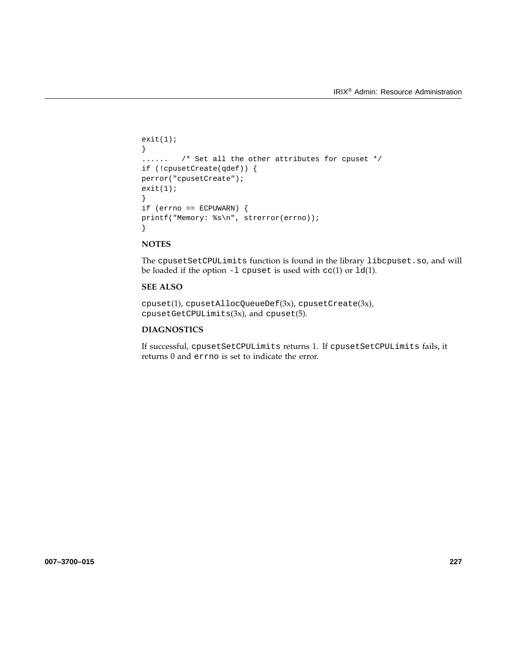```
exit(1);
}
...... /* Set all the other attributes for cpuset */
if (!cpusetCreate(qdef)) {
perror("cpusetCreate");
exit(1);}
if (errno == ECPUWARN) {
printf("Memory: %s\n", strerror(errno));
}
```
The cpusetSetCPULimits function is found in the library libcpuset.so, and will be loaded if the option  $-1$  cpuset is used with  $cc(1)$  or  $ld(1)$ .

# **SEE ALSO**

cpuset(1), cpusetAllocQueueDef(3x), cpusetCreate(3x), cpusetGetCPULimits(3x), and cpuset(5).

# **DIAGNOSTICS**

If successful, cpusetSetCPULimits returns 1. If cpusetSetCPULimits fails, it returns 0 and errno is set to indicate the error.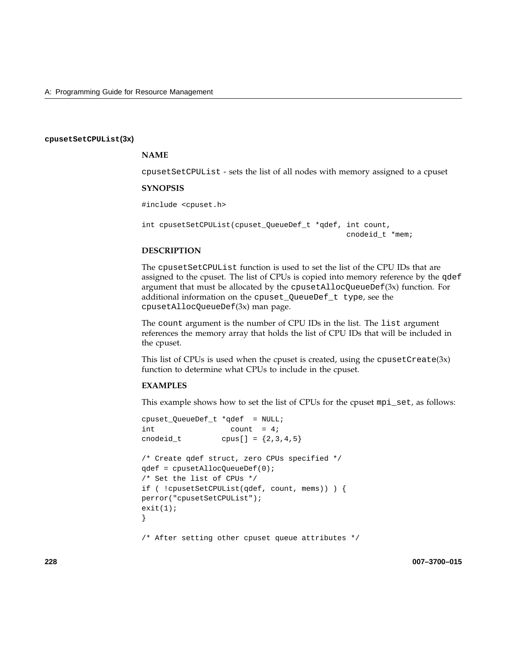## **cpusetSetCPUList(3x)**

# **NAME**

cpusetSetCPUList - sets the list of all nodes with memory assigned to a cpuset

## **SYNOPSIS**

#include <cpuset.h>

int cpusetSetCPUList(cpuset\_QueueDef\_t \*qdef, int count, cnodeid\_t \*mem;

# **DESCRIPTION**

The cpusetSetCPUList function is used to set the list of the CPU IDs that are assigned to the cpuset. The list of CPUs is copied into memory reference by the qdef argument that must be allocated by the cpusetAllocQueueDe $f(3x)$  function. For additional information on the cpuset\_QueueDef\_t type, see the cpusetAllocQueueDef(3x) man page.

The count argument is the number of CPU IDs in the list. The list argument references the memory array that holds the list of CPU IDs that will be included in the cpuset.

This list of CPUs is used when the cpuset is created, using the cpusetCreate $(3x)$ function to determine what CPUs to include in the cpuset.

### **EXAMPLES**

This example shows how to set the list of CPUs for the cpuset mpi\_set, as follows:

```
cpuset_QueueDef_t *qdef = NULL;
int count = 4;
cnodeid_t cpus[] = {2, 3, 4, 5}/* Create qdef struct, zero CPUs specified */
qdef = cpusetAllocQueueDef(0);
/* Set the list of CPUs */
if ( !cpusetSetCPUList(qdef, count, mems)) ) {
perror("cpusetSetCPUList");
exit(1);}
```
/\* After setting other cpuset queue attributes \*/

**228 007–3700–015**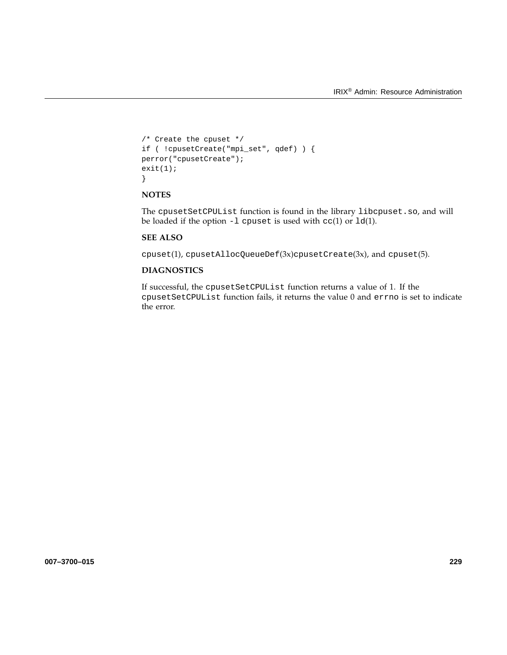```
/* Create the cpuset */
if ( !cpusetCreate("mpi_set", qdef) ) {
perror("cpusetCreate");
exit(1);}
```
The cpusetSetCPUList function is found in the library libcpuset.so, and will be loaded if the option  $-1$  cpuset is used with  $cc(1)$  or  $ld(1)$ .

## **SEE ALSO**

cpuset(1), cpusetAllocQueueDef(3x)cpusetCreate(3x), and cpuset(5).

# **DIAGNOSTICS**

If successful, the cpusetSetCPUList function returns a value of 1. If the cpusetSetCPUList function fails, it returns the value 0 and errno is set to indicate the error.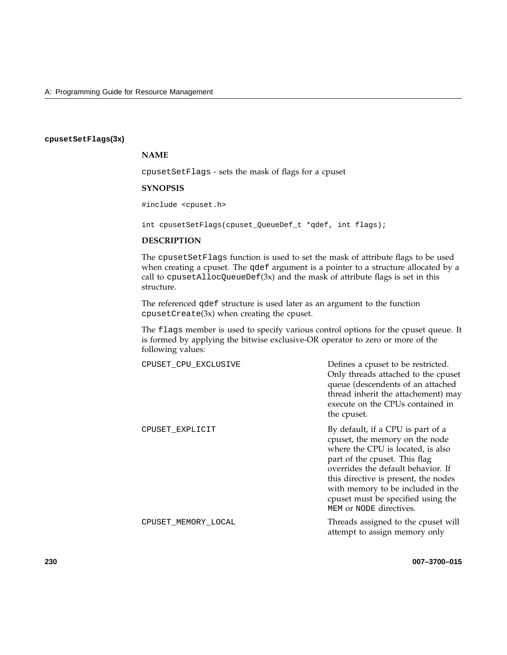## **cpusetSetFlags(3x)**

# **NAME**

cpusetSetFlags - sets the mask of flags for a cpuset

## **SYNOPSIS**

#include <cpuset.h>

int cpusetSetFlags(cpuset\_QueueDef\_t \*qdef, int flags);

## **DESCRIPTION**

The cpusetSetFlags function is used to set the mask of attribute flags to be used when creating a cpuset. The qdef argument is a pointer to a structure allocated by a call to cpusetAllocQueueDef(3x) and the mask of attribute flags is set in this structure.

The referenced qdef structure is used later as an argument to the function cpusetCreate(3x) when creating the cpuset.

The flags member is used to specify various control options for the cpuset queue. It is formed by applying the bitwise exclusive-OR operator to zero or more of the following values:

| CPUSET CPU EXCLUSIVE | Defines a cpuset to be restricted.<br>Only threads attached to the cpuset<br>queue (descendents of an attached<br>thread inherit the attachement) may<br>execute on the CPUs contained in<br>the cpuset.                                                                                                                      |
|----------------------|-------------------------------------------------------------------------------------------------------------------------------------------------------------------------------------------------------------------------------------------------------------------------------------------------------------------------------|
| CPUSET EXPLICIT      | By default, if a CPU is part of a<br>cpuset, the memory on the node<br>where the CPU is located, is also<br>part of the cpuset. This flag<br>overrides the default behavior. If<br>this directive is present, the nodes<br>with memory to be included in the<br>cpuset must be specified using the<br>MEM or NODE directives. |
| CPUSET MEMORY LOCAL  | Threads assigned to the cpuset will<br>attempt to assign memory only                                                                                                                                                                                                                                                          |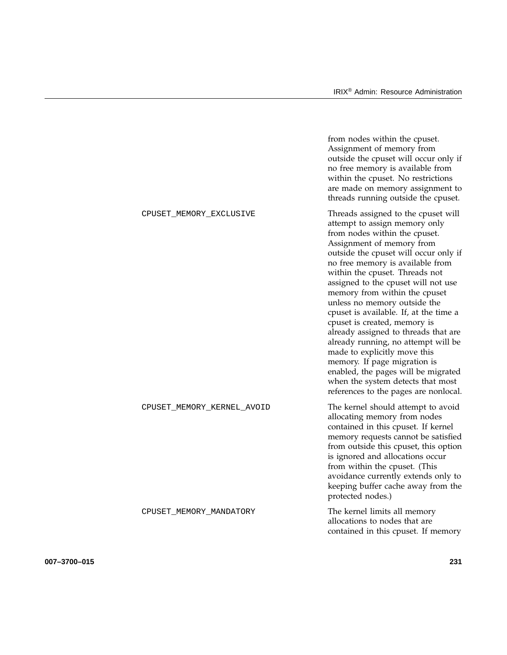|                            | from nodes within the cpuset.<br>Assignment of memory from<br>outside the cpuset will occur only if<br>no free memory is available from<br>within the cpuset. No restrictions<br>are made on memory assignment to<br>threads running outside the cpuset.                                                                                                                                                                                                                                                                                                                                                                                                                                                |
|----------------------------|---------------------------------------------------------------------------------------------------------------------------------------------------------------------------------------------------------------------------------------------------------------------------------------------------------------------------------------------------------------------------------------------------------------------------------------------------------------------------------------------------------------------------------------------------------------------------------------------------------------------------------------------------------------------------------------------------------|
| CPUSET_MEMORY_EXCLUSIVE    | Threads assigned to the cpuset will<br>attempt to assign memory only<br>from nodes within the cpuset.<br>Assignment of memory from<br>outside the cpuset will occur only if<br>no free memory is available from<br>within the cpuset. Threads not<br>assigned to the cpuset will not use<br>memory from within the cpuset<br>unless no memory outside the<br>cpuset is available. If, at the time a<br>cpuset is created, memory is<br>already assigned to threads that are<br>already running, no attempt will be<br>made to explicitly move this<br>memory. If page migration is<br>enabled, the pages will be migrated<br>when the system detects that most<br>references to the pages are nonlocal. |
| CPUSET_MEMORY_KERNEL_AVOID | The kernel should attempt to avoid<br>allocating memory from nodes<br>contained in this cpuset. If kernel<br>memory requests cannot be satisfied<br>from outside this cpuset, this option<br>is ignored and allocations occur<br>from within the cpuset. (This<br>avoidance currently extends only to<br>keeping buffer cache away from the<br>protected nodes.)                                                                                                                                                                                                                                                                                                                                        |
| CPUSET_MEMORY_MANDATORY    | The kernel limits all memory<br>allocations to nodes that are<br>contained in this cpuset. If memory                                                                                                                                                                                                                                                                                                                                                                                                                                                                                                                                                                                                    |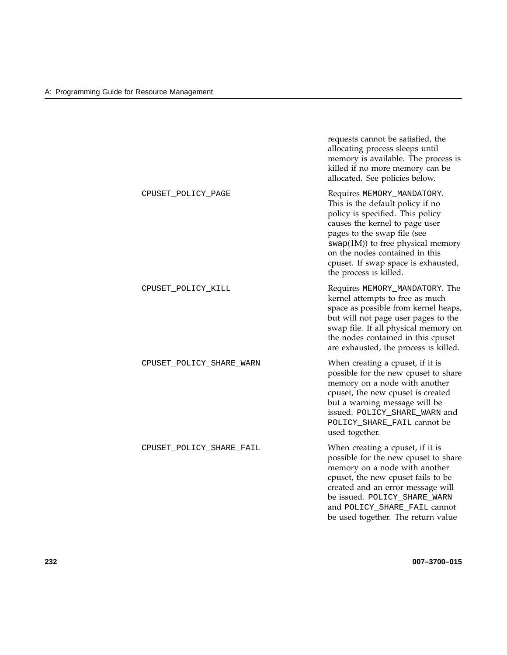|                          | requests cannot be satisfied, the<br>allocating process sleeps until<br>memory is available. The process is<br>killed if no more memory can be<br>allocated. See policies below.                                                                                                                              |
|--------------------------|---------------------------------------------------------------------------------------------------------------------------------------------------------------------------------------------------------------------------------------------------------------------------------------------------------------|
| CPUSET_POLICY_PAGE       | Requires MEMORY_MANDATORY.<br>This is the default policy if no<br>policy is specified. This policy<br>causes the kernel to page user<br>pages to the swap file (see<br>$swap(1M))$ to free physical memory<br>on the nodes contained in this<br>cpuset. If swap space is exhausted,<br>the process is killed. |
| CPUSET_POLICY_KILL       | Requires MEMORY_MANDATORY. The<br>kernel attempts to free as much<br>space as possible from kernel heaps,<br>but will not page user pages to the<br>swap file. If all physical memory on<br>the nodes contained in this cpuset<br>are exhausted, the process is killed.                                       |
| CPUSET_POLICY_SHARE_WARN | When creating a cpuset, if it is<br>possible for the new cpuset to share<br>memory on a node with another<br>cpuset, the new cpuset is created<br>but a warning message will be<br>issued. POLICY_SHARE_WARN and<br>POLICY_SHARE_FAIL cannot be<br>used together.                                             |
| CPUSET_POLICY_SHARE_FAIL | When creating a cpuset, if it is<br>possible for the new cpuset to share<br>memory on a node with another<br>cpuset, the new cpuset fails to be<br>created and an error message will<br>be issued. POLICY_SHARE_WARN<br>and POLICY_SHARE_FAIL cannot<br>be used together. The return value                    |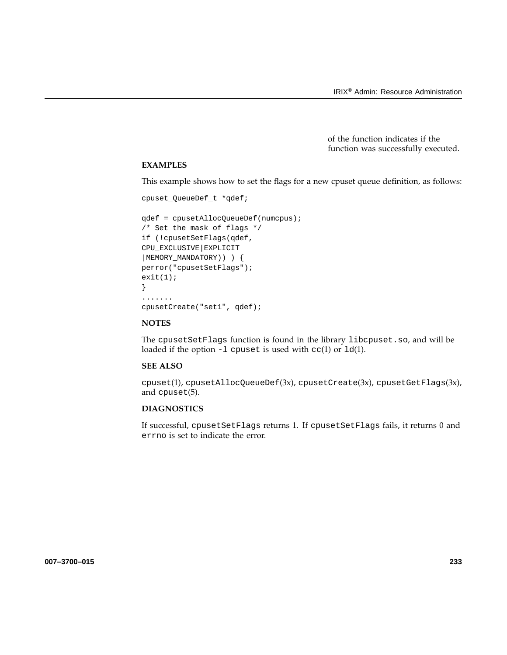of the function indicates if the function was successfully executed.

# **EXAMPLES**

This example shows how to set the flags for a new cpuset queue definition, as follows:

```
cpuset_QueueDef_t *qdef;
```

```
qdef = cpusetAllocQueueDef(numcpus);
/* Set the mask of flags */
if (!cpusetSetFlags(qdef,
CPU_EXCLUSIVE|EXPLICIT
|MEMORY_MANDATORY)) ) {
perror("cpusetSetFlags");
exit(1);}
.......
cpusetCreate("set1", qdef);
```
## **NOTES**

The cpusetSetFlags function is found in the library libcpuset.so, and will be loaded if the option -l cpuset is used with cc(1) or ld(1).

#### **SEE ALSO**

cpuset(1), cpusetAllocQueueDef(3x), cpusetCreate(3x), cpusetGetFlags(3x), and cpuset(5).

# **DIAGNOSTICS**

If successful, cpusetSetFlags returns 1. If cpusetSetFlags fails, it returns 0 and errno is set to indicate the error.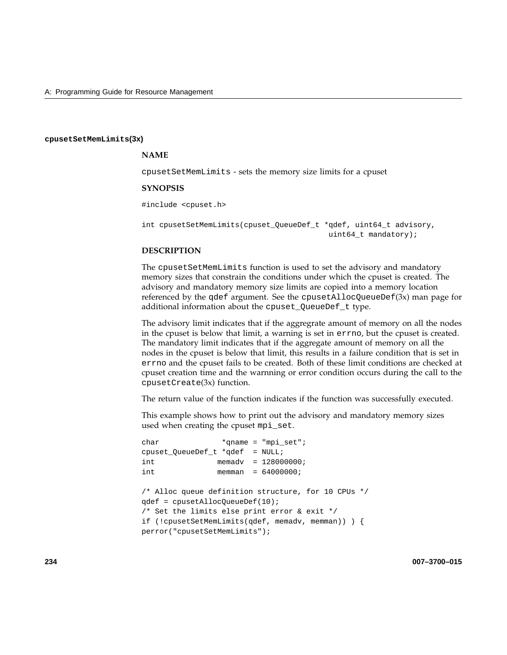#### **cpusetSetMemLimits(3x)**

## **NAME**

cpusetSetMemLimits - sets the memory size limits for a cpuset

#### **SYNOPSIS**

#include <cpuset.h>

```
int cpusetSetMemLimits(cpuset_QueueDef_t *qdef, uint64_t advisory,
                                          uint64_t mandatory);
```
## **DESCRIPTION**

The cpusetSetMemLimits function is used to set the advisory and mandatory memory sizes that constrain the conditions under which the cpuset is created. The advisory and mandatory memory size limits are copied into a memory location referenced by the qdef argument. See the cpusetAllocQueueDef( $3x$ ) man page for additional information about the cpuset\_QueueDef\_t type.

The advisory limit indicates that if the aggregrate amount of memory on all the nodes in the cpuset is below that limit, a warning is set in errno, but the cpuset is created. The mandatory limit indicates that if the aggregate amount of memory on all the nodes in the cpuset is below that limit, this results in a failure condition that is set in errno and the cpuset fails to be created. Both of these limit conditions are checked at cpuset creation time and the warnning or error condition occurs during the call to the cpusetCreate(3x) function.

The return value of the function indicates if the function was successfully executed.

This example shows how to print out the advisory and mandatory memory sizes used when creating the cpuset mpi\_set.

```
char *qname = "mpi_set";
cpuset_QueueDef_t *qdef = NULL;
int memadv = 128000000;
int memman = 64000000;
/* Alloc queue definition structure, for 10 CPUs */
qdef = cpusetAllocQueueDef(10);
/* Set the limits else print error & exit */
if (!cpusetSetMemLimits(qdef, memadv, memman)) ) {
perror("cpusetSetMemLimits");
```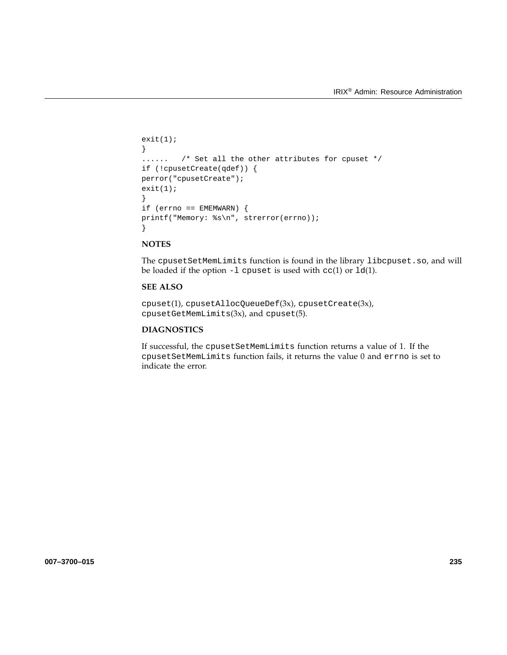```
exit(1);
}
...... /* Set all the other attributes for cpuset */
if (!cpusetCreate(qdef)) {
perror("cpusetCreate");
exit(1);}
if (errno == EMEMWARN) {
printf("Memory: %s\n", strerror(errno));
}
```
The cpusetSetMemLimits function is found in the library libcpuset.so, and will be loaded if the option  $-1$  cpuset is used with  $cc(1)$  or  $ld(1)$ .

# **SEE ALSO**

cpuset(1), cpusetAllocQueueDef(3x), cpusetCreate(3x), cpusetGetMemLimits(3x), and cpuset(5).

# **DIAGNOSTICS**

If successful, the cpusetSetMemLimits function returns a value of 1. If the cpusetSetMemLimits function fails, it returns the value 0 and errno is set to indicate the error.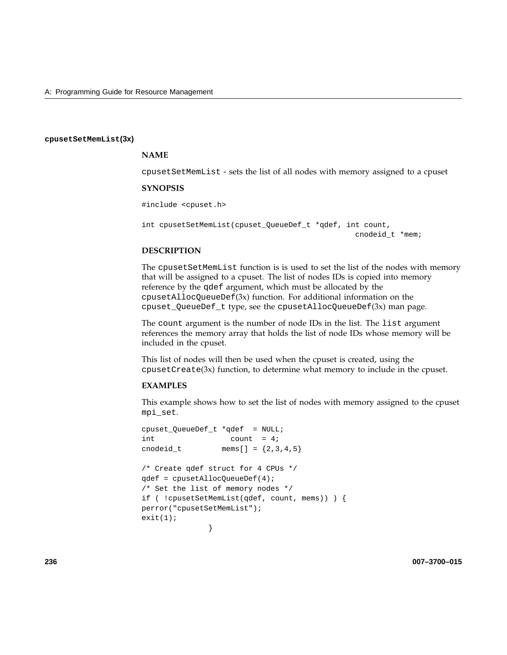#### **cpusetSetMemList(3x)**

# **NAME**

cpusetSetMemList - sets the list of all nodes with memory assigned to a cpuset

#### **SYNOPSIS**

#include <cpuset.h>

int cpusetSetMemList(cpuset\_QueueDef\_t \*qdef, int count, cnodeid\_t \*mem;

## **DESCRIPTION**

The cpusetSetMemList function is is used to set the list of the nodes with memory that will be assigned to a cpuset. The list of nodes IDs is copied into memory reference by the qdef argument, which must be allocated by the cpusetAllocQueueDef(3x) function. For additional information on the cpuset\_QueueDef\_t type, see the cpusetAllocQueueDef(3x) man page.

The count argument is the number of node IDs in the list. The list argument references the memory array that holds the list of node IDs whose memory will be included in the cpuset.

This list of nodes will then be used when the cpuset is created, using the cpusetCreate(3x) function, to determine what memory to include in the cpuset.

### **EXAMPLES**

This example shows how to set the list of nodes with memory assigned to the cpuset mpi\_set.

```
cpuset_QueueDef_t *qdef = NULL;
int count = 4;
cnodeid_t mems[] = {2, 3, 4, 5}/* Create qdef struct for 4 CPUs */
qdef = cpusetAllocQueueDef(4);
/* Set the list of memory nodes */
if ( !cpusetSetMemList(qdef, count, mems)) ) {
perror("cpusetSetMemList");
exit(1);}
```
**236 007–3700–015**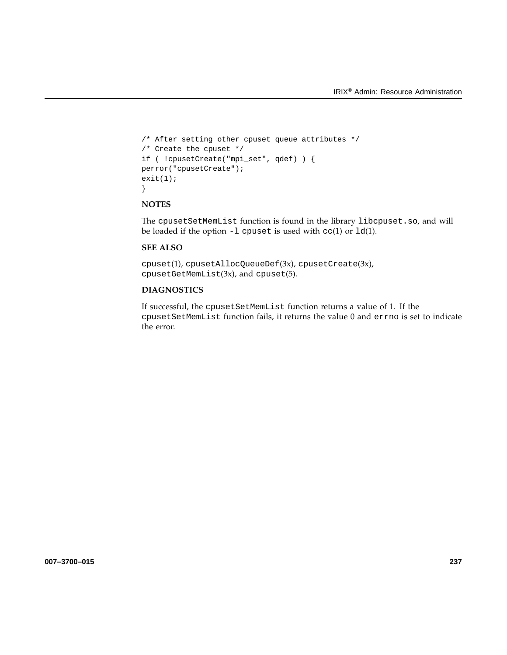```
/* After setting other cpuset queue attributes */
/* Create the cpuset */
if ( !cpusetCreate("mpi_set", qdef) ) {
perror("cpusetCreate");
exit(1);}
```
The cpusetSetMemList function is found in the library libcpuset.so, and will be loaded if the option  $-1$  cpuset is used with  $cc(1)$  or  $ld(1)$ .

# **SEE ALSO**

cpuset(1), cpusetAllocQueueDef(3x), cpusetCreate(3x), cpusetGetMemList(3x), and cpuset(5).

## **DIAGNOSTICS**

If successful, the cpusetSetMemList function returns a value of 1. If the cpusetSetMemList function fails, it returns the value 0 and errno is set to indicate the error.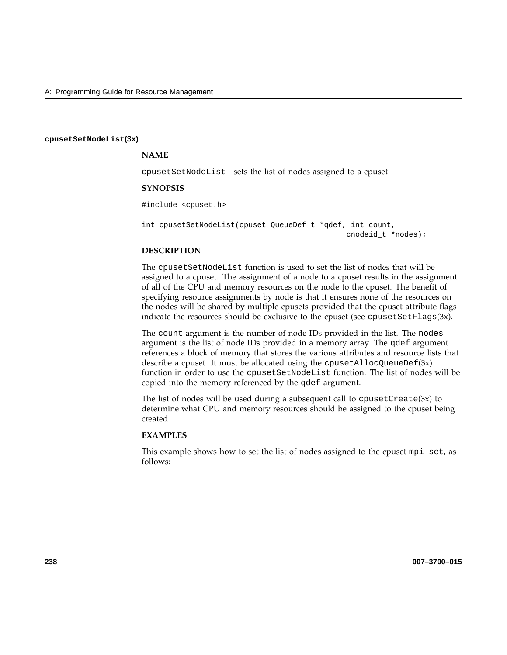#### **cpusetSetNodeList(3x)**

## **NAME**

cpusetSetNodeList - sets the list of nodes assigned to a cpuset

#### **SYNOPSIS**

#include <cpuset.h>

int cpusetSetNodeList(cpuset\_QueueDef\_t \*qdef, int count, cnodeid\_t \*nodes);

## **DESCRIPTION**

The cpusetSetNodeList function is used to set the list of nodes that will be assigned to a cpuset. The assignment of a node to a cpuset results in the assignment of all of the CPU and memory resources on the node to the cpuset. The benefit of specifying resource assignments by node is that it ensures none of the resources on the nodes will be shared by multiple cpusets provided that the cpuset attribute flags indicate the resources should be exclusive to the cpuset (see cpusetSetFlags( $3x$ ).

The count argument is the number of node IDs provided in the list. The nodes argument is the list of node IDs provided in a memory array. The qdef argument references a block of memory that stores the various attributes and resource lists that describe a cpuset. It must be allocated using the cpusetAllocQueueDef(3x) function in order to use the cpusetSetNodeList function. The list of nodes will be copied into the memory referenced by the qdef argument.

The list of nodes will be used during a subsequent call to  $c$  pusetCreate(3x) to determine what CPU and memory resources should be assigned to the cpuset being created.

## **EXAMPLES**

This example shows how to set the list of nodes assigned to the cpuset mpi\_set, as follows: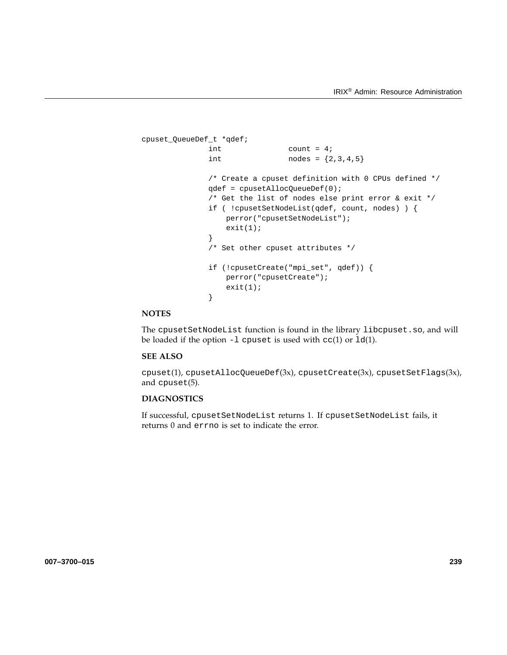```
cpuset_QueueDef_t *qdef;
              int count = 4;
              int nodes = \{2, 3, 4, 5\}/* Create a cpuset definition with 0 CPUs defined */
              qdef = cpusetAllocQueueDef(0);
              /* Get the list of nodes else print error & exit */
              if ( !cpusetSetNodeList(qdef, count, nodes) ) {
                  perror("cpusetSetNodeList");
                  exit(1);
              }
              /* Set other cpuset attributes */
              if (!cpusetCreate("mpi_set", qdef)) {
                 perror("cpusetCreate");
                  exit(1);}
```
The cpusetSetNodeList function is found in the library libcpuset.so, and will be loaded if the option  $-1$  cpuset is used with  $cc(1)$  or  $1d(1)$ .

# **SEE ALSO**

cpuset(1), cpusetAllocQueueDef(3x), cpusetCreate(3x), cpusetSetFlags(3x), and cpuset(5).

## **DIAGNOSTICS**

If successful, cpusetSetNodeList returns 1. If cpusetSetNodeList fails, it returns 0 and errno is set to indicate the error.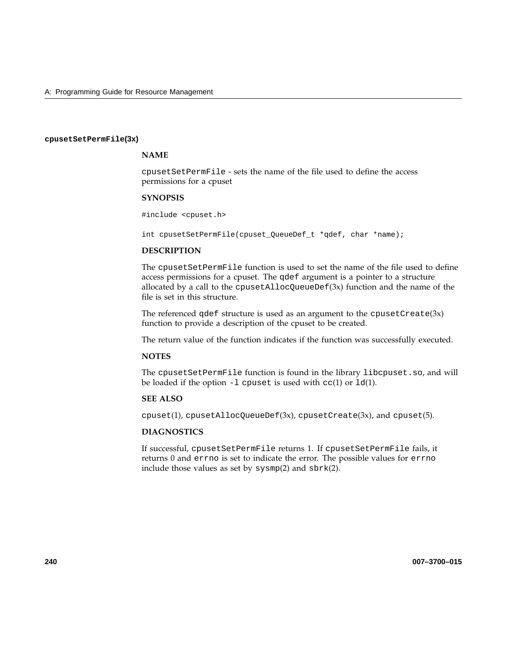#### **cpusetSetPermFile(3x)**

# **NAME**

cpusetSetPermFile - sets the name of the file used to define the access permissions for a cpuset

#### **SYNOPSIS**

#include <cpuset.h>

int cpusetSetPermFile(cpuset\_QueueDef\_t \*qdef, char \*name);

# **DESCRIPTION**

The cpusetSetPermFile function is used to set the name of the file used to define access permissions for a cpuset. The qdef argument is a pointer to a structure allocated by a call to the cpusetAllocQueueDef(3x) function and the name of the file is set in this structure.

The referenced  $qdef$  structure is used as an argument to the  $cpusetCreate(3x)$ function to provide a description of the cpuset to be created.

The return value of the function indicates if the function was successfully executed.

## **NOTES**

The cpusetSetPermFile function is found in the library libcpuset.so, and will be loaded if the option  $-1$  cpuset is used with  $cc(1)$  or  $ld(1)$ .

## **SEE ALSO**

 $cpuset(1)$ ,  $cpusetAllocQueueDef(3x)$ ,  $cpusetCreate(3x)$ , and  $cpuset(5)$ .

## **DIAGNOSTICS**

If successful, cpusetSetPermFile returns 1. If cpusetSetPermFile fails, it returns 0 and errno is set to indicate the error. The possible values for errno include those values as set by  $sysmp(2)$  and  $sbrk(2)$ .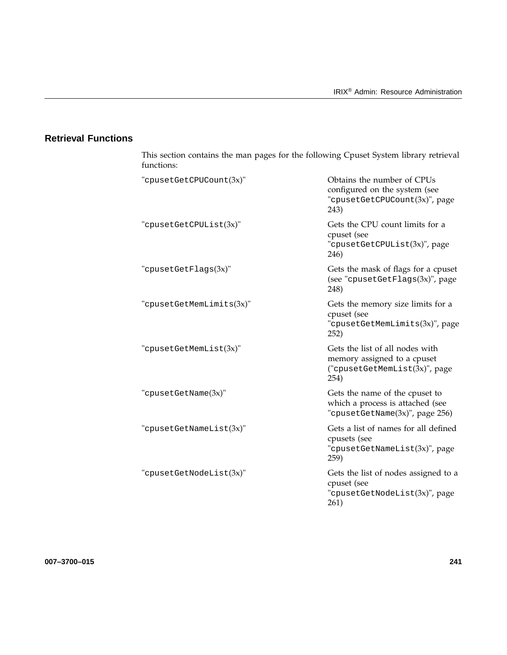# **Retrieval Functions**

| functions:               |                                                                                                          |
|--------------------------|----------------------------------------------------------------------------------------------------------|
| "cpusetGetCPUCount(3x)"  | Obtains the number of CPUs<br>configured on the system (see<br>"cpusetGetCPUCount(3x)", page<br>243)     |
| "cpusetGetCPUList(3x)"   | Gets the CPU count limits for a<br>cpuset (see<br>"cpusetGetCPUList(3x)", page<br>246)                   |
| "cpusetGetFlags(3x)"     | Gets the mask of flags for a cpuset<br>(see "cpusetGetFlags(3x)", page<br>248)                           |
| "cpusetGetMemLimits(3x)" | Gets the memory size limits for a<br>cpuset (see<br>"cpusetGetMemLimits(3x)", page<br>252)               |
| "cpusetGetMemList(3x)"   | Gets the list of all nodes with<br>memory assigned to a cpuset<br>("cpusetGetMemList(3x)", page<br>254)  |
| "cpusetGetName(3x)"      | Gets the name of the cpuset to<br>which a process is attached (see<br>"cpusetGetName $(3x)$ ", page 256) |
| "cpusetGetNameList(3x)"  | Gets a list of names for all defined<br>cpusets (see<br>"cpusetGetNameList(3x)", page<br>259)            |
| "cpusetGetNodeList(3x)"  | Gets the list of nodes assigned to a<br>cpuset (see<br>"cpusetGetNodeList(3x)", page<br>261)             |

This section contains the man pages for the following Cpuset System library retrieval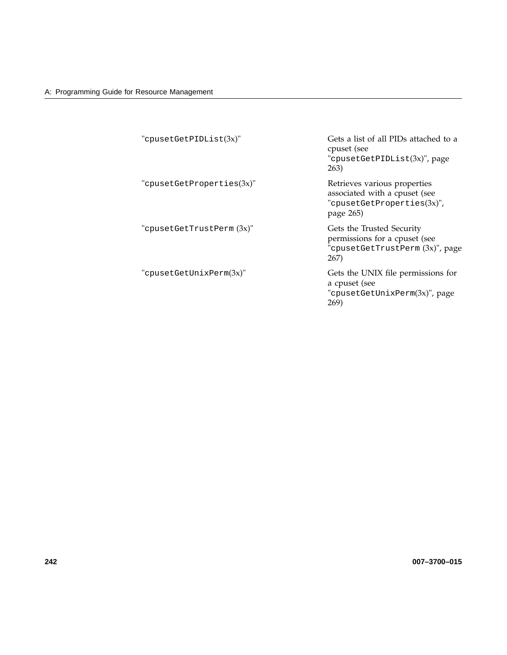| "cpusetGetPIDList(3x)"    | Gets a list of all PIDs attached to a<br>cpuset (see<br>"cpusetGetPIDList(3x)", page<br>263)             |
|---------------------------|----------------------------------------------------------------------------------------------------------|
| "cpusetGetProperties(3x)" | Retrieves various properties<br>associated with a cpuset (see<br>"cpusetGetProperties(3x)",<br>page 265) |
| "cpusetGetTrustPerm (3x)" | Gets the Trusted Security<br>permissions for a cpuset (see<br>"cpusetGetTrustPerm (3x)", page<br>267)    |
| "cpusetGetUnixPerm(3x)"   | Gets the UNIX file permissions for<br>a cpuset (see<br>"cpusetGetUnixPerm(3x)", page<br>269)             |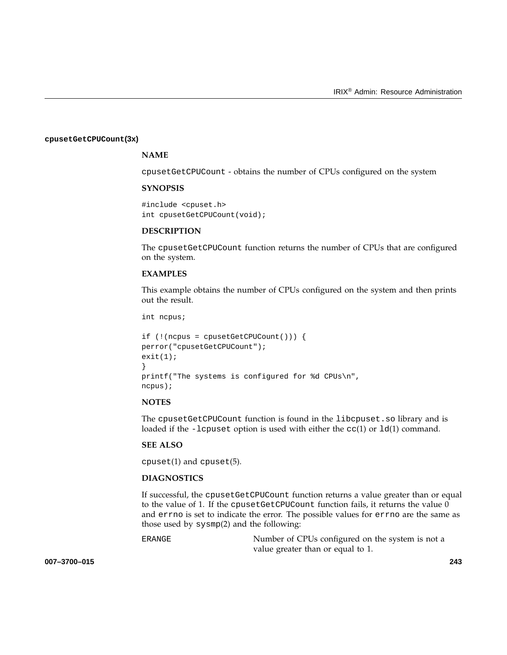#### **cpusetGetCPUCount(3x)**

# **NAME**

cpusetGetCPUCount - obtains the number of CPUs configured on the system

#### **SYNOPSIS**

```
#include <cpuset.h>
int cpusetGetCPUCount(void);
```
## **DESCRIPTION**

The cpusetGetCPUCount function returns the number of CPUs that are configured on the system.

## **EXAMPLES**

This example obtains the number of CPUs configured on the system and then prints out the result.

int ncpus;

```
if (!(ncpus = cpusetGetCPUCount())) {
perror("cpusetGetCPUCount");
exit(1);}
printf("The systems is configured for %d CPUs\n",
ncpus);
```
#### **NOTES**

The cpusetGetCPUCount function is found in the libcpuset.so library and is loaded if the -lcpuset option is used with either the  $cc(1)$  or  $ld(1)$  command.

## **SEE ALSO**

cpuset(1) and cpuset(5).

## **DIAGNOSTICS**

If successful, the cpusetGetCPUCount function returns a value greater than or equal to the value of 1. If the cpusetGetCPUCount function fails, it returns the value 0 and errno is set to indicate the error. The possible values for errno are the same as those used by sysmp(2) and the following:

ERANGE Number of CPUs configured on the system is not a value greater than or equal to 1.

**007–3700–015 243**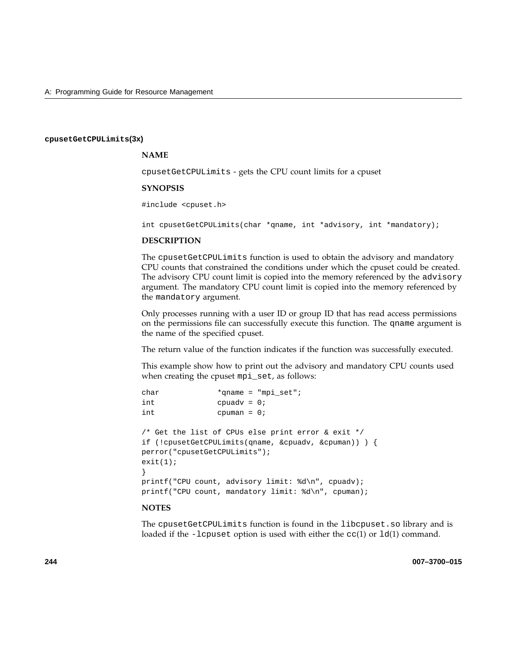#### **cpusetGetCPULimits(3x)**

## **NAME**

cpusetGetCPULimits - gets the CPU count limits for a cpuset

#### **SYNOPSIS**

#include <cpuset.h>

int cpusetGetCPULimits(char \*qname, int \*advisory, int \*mandatory);

#### **DESCRIPTION**

The cpusetGetCPULimits function is used to obtain the advisory and mandatory CPU counts that constrained the conditions under which the cpuset could be created. The advisory CPU count limit is copied into the memory referenced by the advisory argument. The mandatory CPU count limit is copied into the memory referenced by the mandatory argument.

Only processes running with a user ID or group ID that has read access permissions on the permissions file can successfully execute this function. The qname argument is the name of the specified cpuset.

The return value of the function indicates if the function was successfully executed.

This example show how to print out the advisory and mandatory CPU counts used when creating the cpuset mpi\_set, as follows:

| char                                      |                | *qname = "mpi set";                                                                                                 |
|-------------------------------------------|----------------|---------------------------------------------------------------------------------------------------------------------|
| int                                       | $cpuadv = 0;$  |                                                                                                                     |
| int                                       | cpuman = $0$ ; |                                                                                                                     |
| perror("cpusetGetCPULimits");<br>exit(1); |                | /* Get the list of CPUs else print error & exit */<br>if (!cpusetGetCPULimits(qname, $\&$ cpuadv, $\&$ cpuman)) } { |
|                                           |                | printf("CPU count, advisory limit: %d\n", cpuadv);                                                                  |
|                                           |                | printf("CPU count, mandatory limit: $d\n\cdot$ ", cpuman);                                                          |

# **NOTES**

The cpusetGetCPULimits function is found in the libcpuset.so library and is loaded if the -lcpuset option is used with either the  $cc(1)$  or  $ld(1)$  command.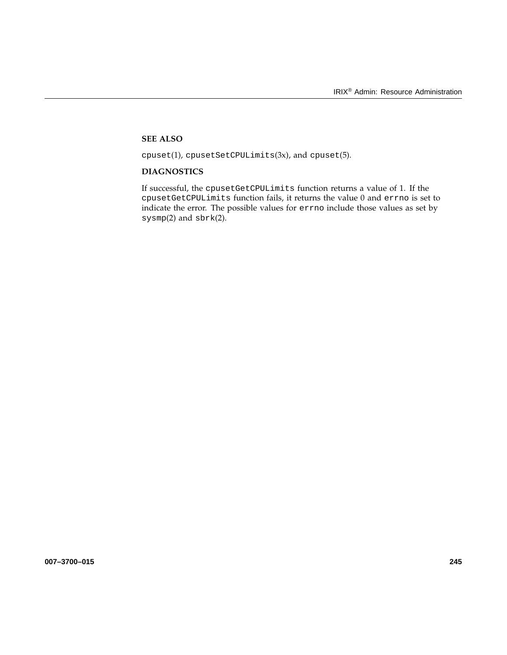# **SEE ALSO**

 $cpuset(1)$ ,  $cpusetSetCPULimits(3x)$ , and  $cpuset(5)$ .

# **DIAGNOSTICS**

If successful, the cpusetGetCPULimits function returns a value of 1. If the cpusetGetCPULimits function fails, it returns the value 0 and errno is set to indicate the error. The possible values for errno include those values as set by sysmp(2) and sbrk(2).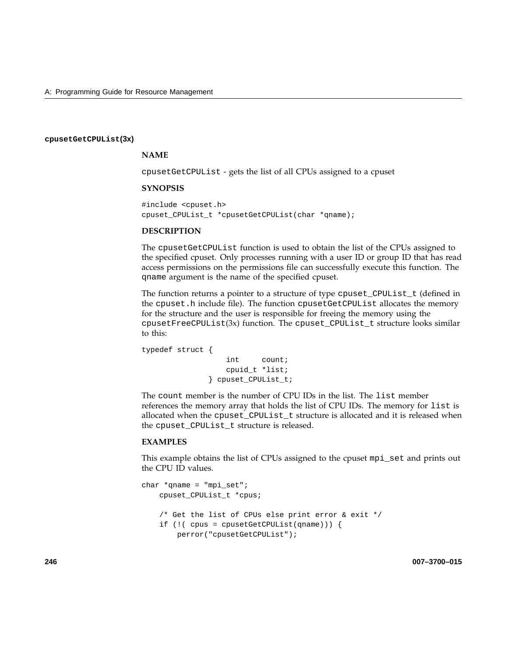## **cpusetGetCPUList(3x)**

## **NAME**

cpusetGetCPUList - gets the list of all CPUs assigned to a cpuset

#### **SYNOPSIS**

#include <cpuset.h> cpuset\_CPUList\_t \*cpusetGetCPUList(char \*qname);

#### **DESCRIPTION**

The cpusetGetCPUList function is used to obtain the list of the CPUs assigned to the specified cpuset. Only processes running with a user ID or group ID that has read access permissions on the permissions file can successfully execute this function. The qname argument is the name of the specified cpuset.

The function returns a pointer to a structure of type cpuset\_CPUList\_t (defined in the cpuset.h include file). The function cpusetGetCPUList allocates the memory for the structure and the user is responsible for freeing the memory using the cpusetFreeCPUList(3x) function. The cpuset\_CPUList\_t structure looks similar to this:

```
typedef struct {
                  int count;
                  cpuid_t *list;
              } cpuset_CPUList_t;
```
The count member is the number of CPU IDs in the list. The list member references the memory array that holds the list of CPU IDs. The memory for list is allocated when the cpuset\_CPUList\_t structure is allocated and it is released when the cpuset\_CPUList\_t structure is released.

# **EXAMPLES**

This example obtains the list of CPUs assigned to the cpuset mpi\_set and prints out the CPU ID values.

```
char *qname = "mpi_set";
   cpuset_CPUList_t *cpus;
   /* Get the list of CPUs else print error & exit */
   if (!( cpus = cpusetGetCPUList(qname))) {
       perror("cpusetGetCPUList");
```
**246 007–3700–015**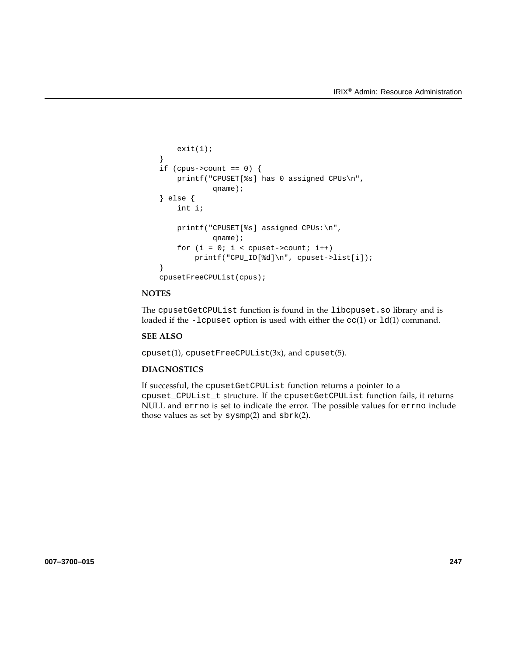```
exit(1);}
if (cpus->count == 0) {
    printf("CPUSET[%s] has 0 assigned CPUs\n",
            qname);
} else {
    int i;
    printf("CPUSET[%s] assigned CPUs:\n",
            qname);
    for (i = 0; i < cpuset->count; i++)printf("CPU_ID[%d]\n", cpuset->list[i]);
}
cpusetFreeCPUList(cpus);
```
The cpusetGetCPUList function is found in the libcpuset.so library and is loaded if the -lcpuset option is used with either the  $cc(1)$  or  $ld(1)$  command.

## **SEE ALSO**

cpuset(1), cpusetFreeCPUList(3x), and cpuset(5).

# **DIAGNOSTICS**

If successful, the cpusetGetCPUList function returns a pointer to a cpuset\_CPUList\_t structure. If the cpusetGetCPUList function fails, it returns NULL and errno is set to indicate the error. The possible values for errno include those values as set by sysmp(2) and sbrk(2).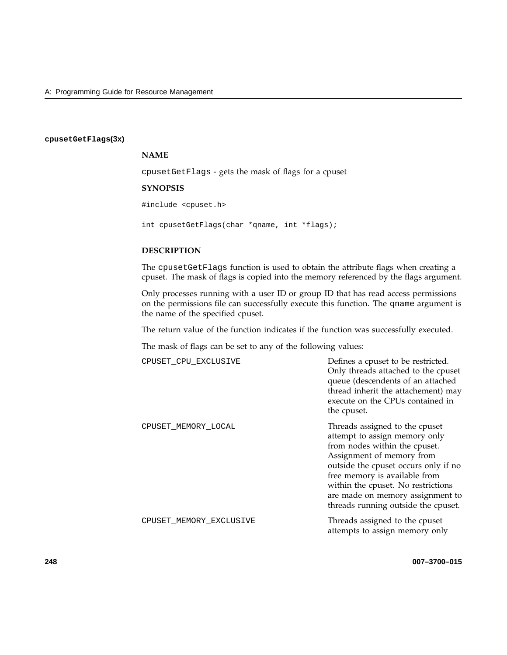## **cpusetGetFlags(3x)**

## **NAME**

cpusetGetFlags - gets the mask of flags for a cpuset

## **SYNOPSIS**

#include <cpuset.h>

int cpusetGetFlags(char \*qname, int \*flags);

# **DESCRIPTION**

The cpusetGetFlags function is used to obtain the attribute flags when creating a cpuset. The mask of flags is copied into the memory referenced by the flags argument.

Only processes running with a user ID or group ID that has read access permissions on the permissions file can successfully execute this function. The qname argument is the name of the specified cpuset.

The return value of the function indicates if the function was successfully executed.

The mask of flags can be set to any of the following values:

| CPUSET CPU EXCLUSIVE    | Defines a cpuset to be restricted.<br>Only threads attached to the cpuset<br>queue (descendents of an attached<br>thread inherit the attachement) may<br>execute on the CPUs contained in<br>the cpuset.                                                                                                                |
|-------------------------|-------------------------------------------------------------------------------------------------------------------------------------------------------------------------------------------------------------------------------------------------------------------------------------------------------------------------|
| CPUSET MEMORY LOCAL     | Threads assigned to the cpuset<br>attempt to assign memory only<br>from nodes within the cpuset.<br>Assignment of memory from<br>outside the cpuset occurs only if no<br>free memory is available from<br>within the cpuset. No restrictions<br>are made on memory assignment to<br>threads running outside the cpuset. |
| CPUSET MEMORY EXCLUSIVE | Threads assigned to the cpuset<br>attempts to assign memory only                                                                                                                                                                                                                                                        |

**248 007–3700–015**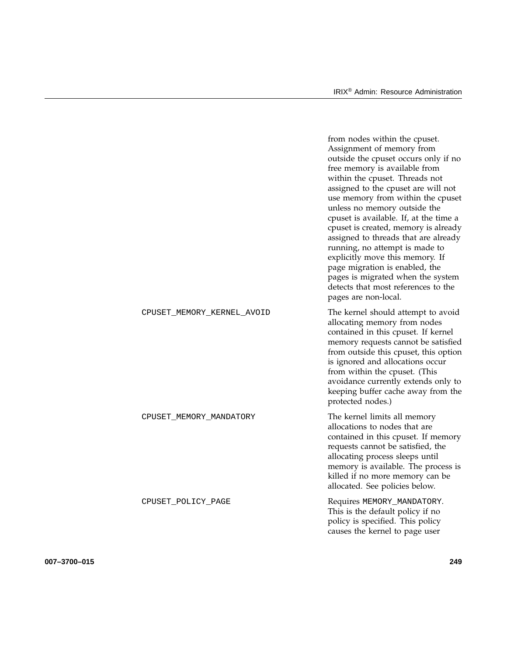from nodes within the cpuset.

|                            | Assignment of memory from<br>outside the cpuset occurs only if no<br>free memory is available from<br>within the cpuset. Threads not<br>assigned to the cpuset are will not<br>use memory from within the cpuset<br>unless no memory outside the<br>cpuset is available. If, at the time a<br>cpuset is created, memory is already<br>assigned to threads that are already<br>running, no attempt is made to<br>explicitly move this memory. If<br>page migration is enabled, the<br>pages is migrated when the system<br>detects that most references to the<br>pages are non-local. |
|----------------------------|---------------------------------------------------------------------------------------------------------------------------------------------------------------------------------------------------------------------------------------------------------------------------------------------------------------------------------------------------------------------------------------------------------------------------------------------------------------------------------------------------------------------------------------------------------------------------------------|
| CPUSET_MEMORY_KERNEL_AVOID | The kernel should attempt to avoid<br>allocating memory from nodes<br>contained in this cpuset. If kernel<br>memory requests cannot be satisfied<br>from outside this cpuset, this option<br>is ignored and allocations occur<br>from within the cpuset. (This<br>avoidance currently extends only to<br>keeping buffer cache away from the<br>protected nodes.)                                                                                                                                                                                                                      |
| CPUSET_MEMORY_MANDATORY    | The kernel limits all memory<br>allocations to nodes that are<br>contained in this cpuset. If memory<br>requests cannot be satisfied, the<br>allocating process sleeps until<br>memory is available. The process is<br>killed if no more memory can be<br>allocated. See policies below.                                                                                                                                                                                                                                                                                              |
| CPUSET_POLICY_PAGE         | Requires MEMORY_MANDATORY.<br>This is the default policy if no<br>policy is specified. This policy<br>causes the kernel to page user                                                                                                                                                                                                                                                                                                                                                                                                                                                  |

**007–3700–015 249**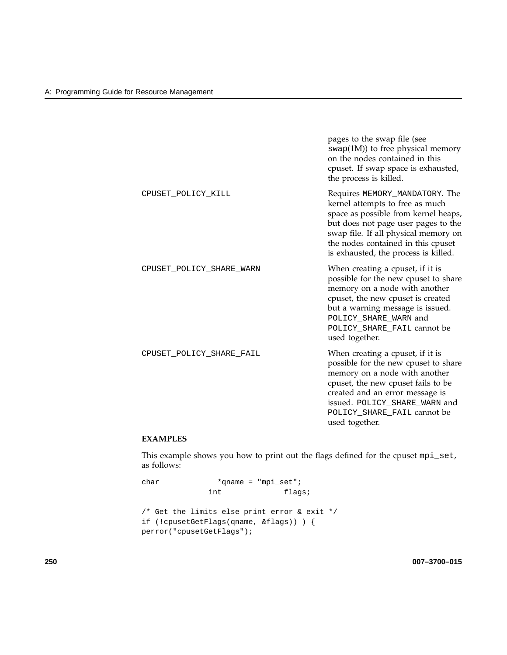|                          | pages to the swap file (see<br>$swap(1M))$ to free physical memory<br>on the nodes contained in this<br>cpuset. If swap space is exhausted,<br>the process is killed.                                                                                                  |
|--------------------------|------------------------------------------------------------------------------------------------------------------------------------------------------------------------------------------------------------------------------------------------------------------------|
| CPUSET POLICY KILL       | Requires MEMORY_MANDATORY. The<br>kernel attempts to free as much<br>space as possible from kernel heaps,<br>but does not page user pages to the<br>swap file. If all physical memory on<br>the nodes contained in this cpuset<br>is exhausted, the process is killed. |
| CPUSET_POLICY_SHARE_WARN | When creating a cpuset, if it is<br>possible for the new cpuset to share<br>memory on a node with another<br>cpuset, the new cpuset is created<br>but a warning message is issued.<br>POLICY_SHARE_WARN and<br>POLICY_SHARE_FAIL cannot be<br>used together.           |
| CPUSET_POLICY_SHARE_FAIL | When creating a cpuset, if it is<br>possible for the new cpuset to share<br>memory on a node with another<br>cpuset, the new cpuset fails to be<br>created and an error message is<br>issued. POLICY_SHARE_WARN and<br>POLICY_SHARE_FAIL cannot be<br>used together.   |

# **EXAMPLES**

This example shows you how to print out the flags defined for the cpuset mpi\_set, as follows:

```
char *qname = "mpi_set";
             int flags;
/* Get the limits else print error & exit */
if (!cpusetGetFlags(qname, &flags)) ) {
perror("cpusetGetFlags");
```
**250 007–3700–015**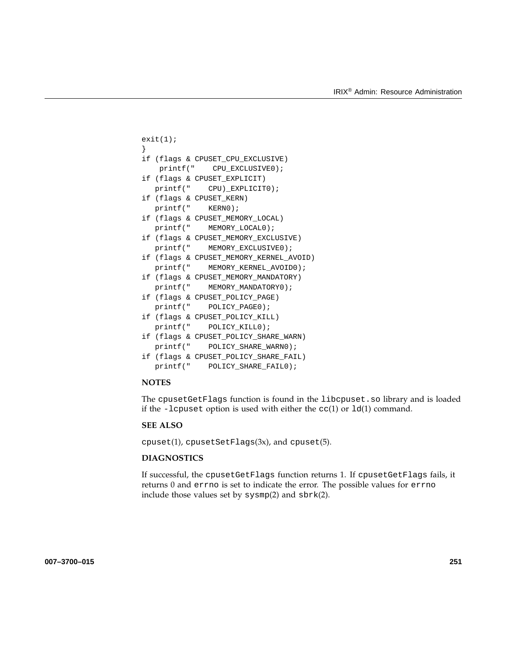```
exit(1);}
if (flags & CPUSET_CPU_EXCLUSIVE)
   printf(" CPU_EXCLUSIVE0);
if (flags & CPUSET_EXPLICIT)
  printf(" CPU)_EXPLICIT0);
if (flags & CPUSET_KERN)
  printf(" KERN0);
if (flags & CPUSET_MEMORY_LOCAL)
  printf(" MEMORY_LOCAL0);
if (flags & CPUSET_MEMORY_EXCLUSIVE)
  printf(" MEMORY_EXCLUSIVE0);
if (flags & CPUSET_MEMORY_KERNEL_AVOID)
  printf(" MEMORY_KERNEL_AVOID0);
if (flags & CPUSET_MEMORY_MANDATORY)
  printf(" MEMORY_MANDATORY0);
if (flags & CPUSET_POLICY_PAGE)
  printf(" POLICY_PAGE0);
if (flags & CPUSET_POLICY_KILL)
  printf(" POLICY_KILL0);
if (flags & CPUSET_POLICY_SHARE_WARN)
  printf(" POLICY_SHARE_WARN0);
if (flags & CPUSET_POLICY_SHARE_FAIL)
  printf(" POLICY_SHARE_FAIL0);
```
The cpusetGetFlags function is found in the libcpuset.so library and is loaded if the -lcpuset option is used with either the  $cc(1)$  or  $ld(1)$  command.

## **SEE ALSO**

cpuset(1), cpusetSetFlags(3x), and cpuset(5).

## **DIAGNOSTICS**

If successful, the cpusetGetFlags function returns 1. If cpusetGetFlags fails, it returns 0 and errno is set to indicate the error. The possible values for errno include those values set by sysmp(2) and sbrk(2).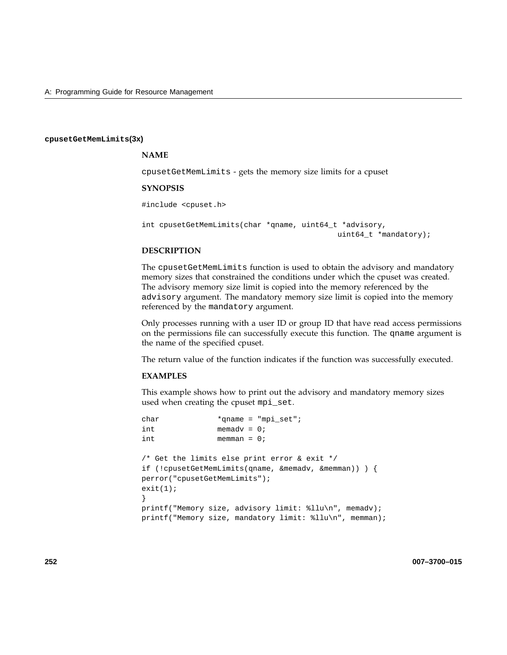#### **cpusetGetMemLimits(3x)**

## **NAME**

cpusetGetMemLimits - gets the memory size limits for a cpuset

#### **SYNOPSIS**

#include <cpuset.h>

```
int cpusetGetMemLimits(char *qname, uint64_t *advisory,
                                            uint64_t *mandatory);
```
## **DESCRIPTION**

The cpusetGetMemLimits function is used to obtain the advisory and mandatory memory sizes that constrained the conditions under which the cpuset was created. The advisory memory size limit is copied into the memory referenced by the advisory argument. The mandatory memory size limit is copied into the memory referenced by the mandatory argument.

Only processes running with a user ID or group ID that have read access permissions on the permissions file can successfully execute this function. The qname argument is the name of the specified cpuset.

The return value of the function indicates if the function was successfully executed.

#### **EXAMPLES**

This example shows how to print out the advisory and mandatory memory sizes used when creating the cpuset mpi\_set.

```
char *qname = "mpi_set";
int memadv = 0;
int memman = 0;
/* Get the limits else print error & exit */
if (!cpusetGetMemLimits(qname, &memadv, &memman)) ) {
perror("cpusetGetMemLimits");
exit(1);}
printf("Memory size, advisory limit: %llu\n", memadv);
printf("Memory size, mandatory limit: %llu\n", memman);
```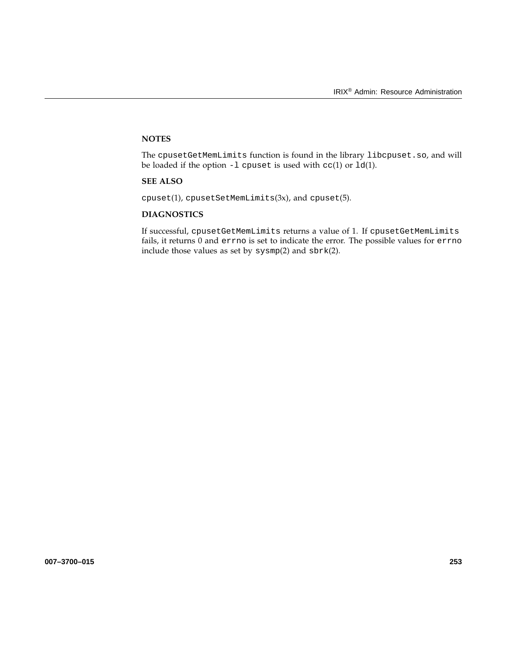The cpusetGetMemLimits function is found in the library libcpuset.so, and will be loaded if the option  $-1$  cpuset is used with  $cc(1)$  or  $ld(1)$ .

# **SEE ALSO**

 $cpuset(1)$ ,  $cpusetSetMemLimits(3x)$ , and  $cpuset(5)$ .

# **DIAGNOSTICS**

If successful, cpusetGetMemLimits returns a value of 1. If cpusetGetMemLimits fails, it returns 0 and errno is set to indicate the error. The possible values for errno include those values as set by sysmp(2) and sbrk(2).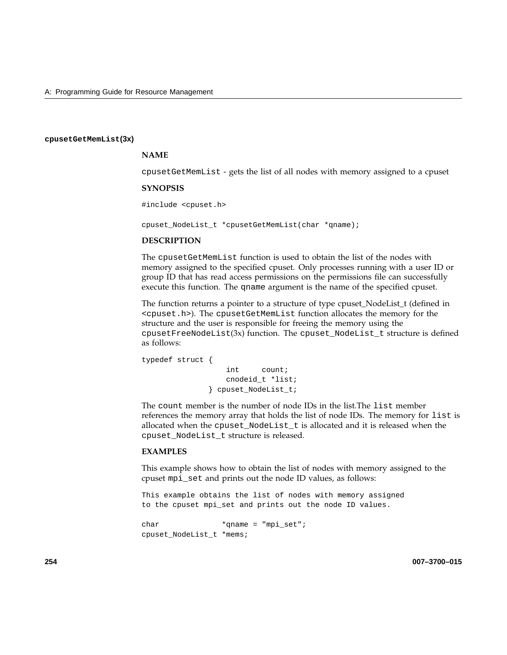#### **cpusetGetMemList(3x)**

## **NAME**

cpusetGetMemList - gets the list of all nodes with memory assigned to a cpuset

#### **SYNOPSIS**

#include <cpuset.h>

cpuset\_NodeList\_t \*cpusetGetMemList(char \*qname);

#### **DESCRIPTION**

The cpusetGetMemList function is used to obtain the list of the nodes with memory assigned to the specified cpuset. Only processes running with a user ID or group ID that has read access permissions on the permissions file can successfully execute this function. The qname argument is the name of the specified cpuset.

The function returns a pointer to a structure of type cpuset\_NodeList\_t (defined in <cpuset.h>). The cpusetGetMemList function allocates the memory for the structure and the user is responsible for freeing the memory using the  $c$ pusetFreeNodeList $(3x)$  function. The cpuset\_NodeList\_t structure is defined as follows:

```
typedef struct {
                  int count;
                  cnodeid_t *list;
              } cpuset_NodeList_t;
```
The count member is the number of node IDs in the list.The list member references the memory array that holds the list of node IDs. The memory for list is allocated when the cpuset\_NodeList\_t is allocated and it is released when the cpuset\_NodeList\_t structure is released.

#### **EXAMPLES**

This example shows how to obtain the list of nodes with memory assigned to the cpuset mpi\_set and prints out the node ID values, as follows:

This example obtains the list of nodes with memory assigned to the cpuset mpi\_set and prints out the node ID values.

```
char *qname = "mpi_set";
cpuset_NodeList_t *mems;
```
**254 007–3700–015**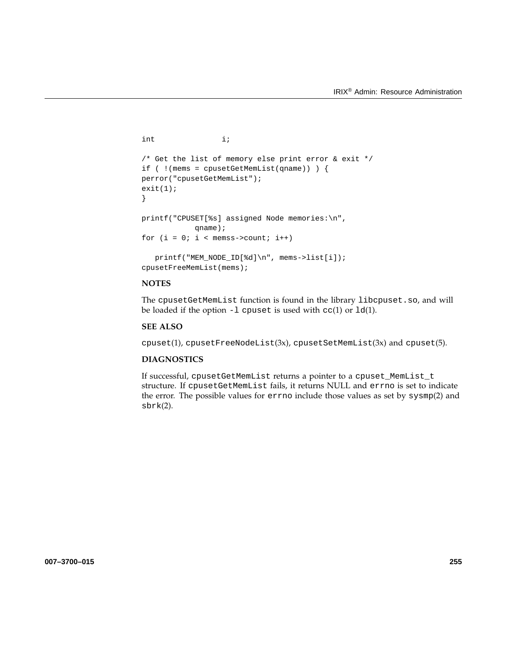```
int i;
/* Get the list of memory else print error & exit */
if ( !(mems = cpusetGetMemList(qname)) ) {
perror("cpusetGetMemList");
exit(1);}
printf("CPUSET[%s] assigned Node memories:\n",
           qname);
for (i = 0; i < memss->count; i++)printf("MEM_NODE_ID[%d]\n", mems->list[i]);
cpusetFreeMemList(mems);
```
The cpusetGetMemList function is found in the library libcpuset.so, and will be loaded if the option  $-1$  cpuset is used with  $cc(1)$  or  $ld(1)$ .

# **SEE ALSO**

cpuset(1), cpusetFreeNodeList(3x), cpusetSetMemList(3x) and cpuset(5).

# **DIAGNOSTICS**

If successful, cpusetGetMemList returns a pointer to a cpuset\_MemList\_t structure. If cpusetGetMemList fails, it returns NULL and errno is set to indicate the error. The possible values for errno include those values as set by sysmp(2) and sbrk(2).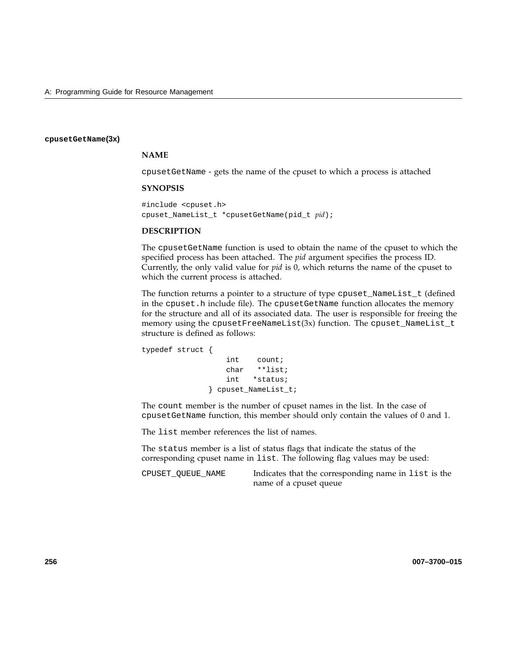#### **cpusetGetName(3x)**

# **NAME**

cpusetGetName - gets the name of the cpuset to which a process is attached

#### **SYNOPSIS**

#include <cpuset.h> cpuset\_NameList\_t \*cpusetGetName(pid\_t *pid*);

## **DESCRIPTION**

The cpusetGetName function is used to obtain the name of the cpuset to which the specified process has been attached. The *pid* argument specifies the process ID. Currently, the only valid value for *pid* is 0, which returns the name of the cpuset to which the current process is attached.

The function returns a pointer to a structure of type cpuset\_NameList\_t (defined in the cpuset.h include file). The cpusetGetName function allocates the memory for the structure and all of its associated data. The user is responsible for freeing the memory using the cpusetFreeNameList(3x) function. The cpuset\_NameList\_t structure is defined as follows:

```
typedef struct {
                  int count;
                  char **list;
                  int *status;
              } cpuset_NameList_t;
```
The count member is the number of cpuset names in the list. In the case of cpusetGetName function, this member should only contain the values of 0 and 1.

The list member references the list of names.

The status member is a list of status flags that indicate the status of the corresponding cpuset name in list. The following flag values may be used:

CPUSET\_QUEUE\_NAME Indicates that the corresponding name in list is the name of a cpuset queue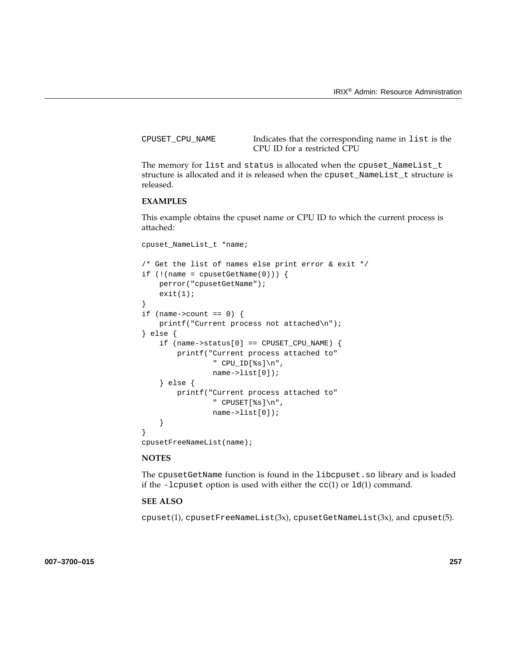CPUSET\_CPU\_NAME Indicates that the corresponding name in list is the CPU ID for a restricted CPU

The memory for list and status is allocated when the cpuset\_NameList\_t structure is allocated and it is released when the cpuset\_NameList\_t structure is released.

# **EXAMPLES**

This example obtains the cpuset name or CPU ID to which the current process is attached:

```
cpuset_NameList_t *name;
```

```
/* Get the list of names else print error & exit */
if (!(name = cpusetGetName(0))) {
    perror("cpusetGetName");
    exit(1);}
if (name->count == 0) {
    printf("Current process not attached\n");
} else {
    if (name->status[0] == CPUSET_CPU_NAME) {
        printf("Current process attached to"
                " CPU_ID[%s]\n",
                name->list[0]);
    } else {
        printf("Current process attached to"
                " CPUSET[%s]\n",
                name->list[0]);
    }
}
cpusetFreeNameList(name);
```
## **NOTES**

The cpusetGetName function is found in the libcpuset.so library and is loaded if the -lcpuset option is used with either the  $cc(1)$  or  $ld(1)$  command.

# **SEE ALSO**

cpuset(1), cpusetFreeNameList(3x), cpusetGetNameList(3x), and cpuset(5).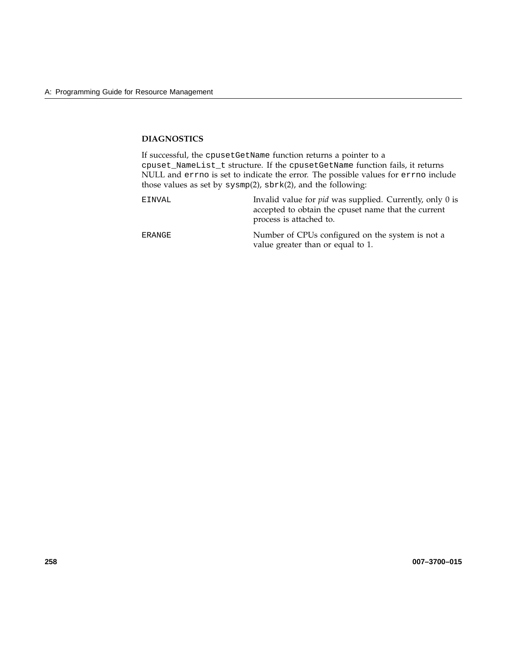# **DIAGNOSTICS**

If successful, the cpusetGetName function returns a pointer to a cpuset\_NameList\_t structure. If the cpusetGetName function fails, it returns NULL and errno is set to indicate the error. The possible values for errno include those values as set by sysmp(2), sbrk(2), and the following:

| EINVAL | Invalid value for <i>pid</i> was supplied. Currently, only 0 is<br>accepted to obtain the cpuset name that the current<br>process is attached to. |
|--------|---------------------------------------------------------------------------------------------------------------------------------------------------|
| ERANGE | Number of CPUs configured on the system is not a<br>value greater than or equal to 1.                                                             |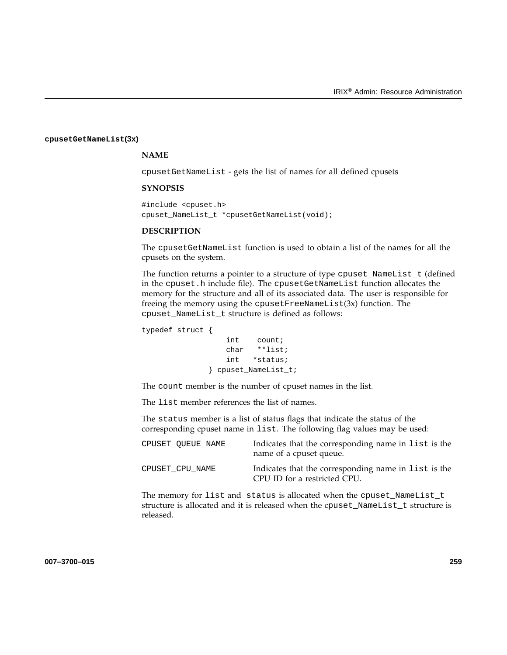#### **cpusetGetNameList(3x)**

# **NAME**

cpusetGetNameList - gets the list of names for all defined cpusets

#### **SYNOPSIS**

#include <cpuset.h> cpuset\_NameList\_t \*cpusetGetNameList(void);

#### **DESCRIPTION**

The cpusetGetNameList function is used to obtain a list of the names for all the cpusets on the system.

The function returns a pointer to a structure of type cpuset\_NameList\_t (defined in the cpuset.h include file). The cpusetGetNameList function allocates the memory for the structure and all of its associated data. The user is responsible for freeing the memory using the cpusetFreeNameList(3x) function. The cpuset\_NameList\_t structure is defined as follows:

typedef struct {

```
int count;
   char **list;
   int *status;
} cpuset_NameList_t;
```
The count member is the number of cpuset names in the list.

The list member references the list of names.

The status member is a list of status flags that indicate the status of the corresponding cpuset name in list. The following flag values may be used:

| CPUSET OUEUE NAME | Indicates that the corresponding name in list is the<br>name of a cpuset queue.      |
|-------------------|--------------------------------------------------------------------------------------|
| CPUSET CPU NAME   | Indicates that the corresponding name in list is the<br>CPU ID for a restricted CPU. |

The memory for list and status is allocated when the cpuset\_NameList\_t structure is allocated and it is released when the cpuset\_NameList\_t structure is released.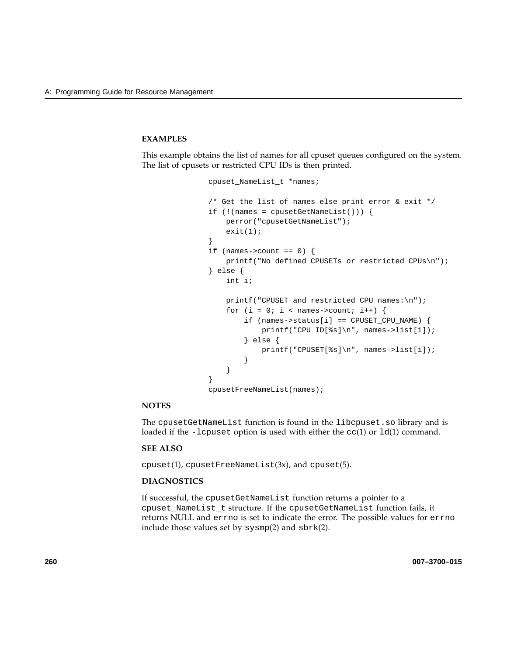# **EXAMPLES**

This example obtains the list of names for all cpuset queues configured on the system. The list of cpusets or restricted CPU IDs is then printed.

```
cpuset_NameList_t *names;
/* Get the list of names else print error & exit */
if (!(\text{names = cpusetGetNameList}()) )perror("cpusetGetNameList");
    exit(1);}
if (names->count == 0) {
    printf("No defined CPUSETs or restricted CPUs\n");
} else {
    int i;
    printf("CPUSET and restricted CPU names:\n");
    for (i = 0; i < names->count; i++) {
        if (names->status[i] == CPUSET_CPU_NAME) {
            printf("CPU_ID[%s]\n", names->list[i]);
        } else {
            printf("CPUSET[%s]\n", names->list[i]);
        }
    }
}
cpusetFreeNameList(names);
```
## **NOTES**

The cpusetGetNameList function is found in the libcpuset.so library and is loaded if the -lcpuset option is used with either the  $cc(1)$  or  $ld(1)$  command.

## **SEE ALSO**

 $cpuset(1)$ ,  $cpusetFreeNameList(3x)$ , and  $cpuset(5)$ .

## **DIAGNOSTICS**

If successful, the cpusetGetNameList function returns a pointer to a cpuset\_NameList\_t structure. If the cpusetGetNameList function fails, it returns NULL and errno is set to indicate the error. The possible values for errno include those values set by sysmp(2) and sbrk(2).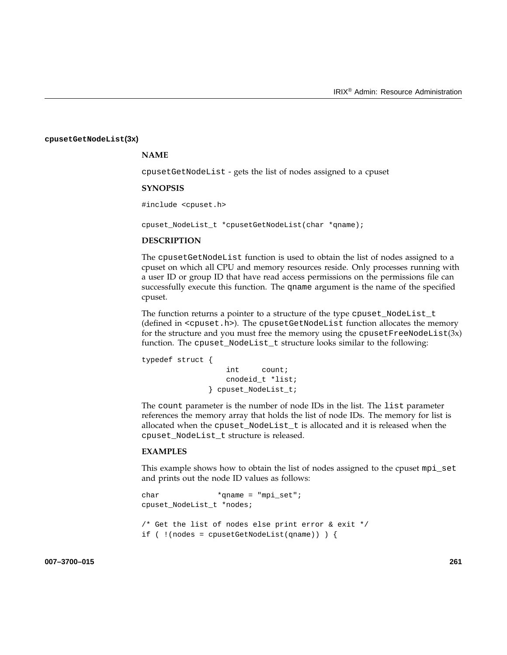#### **cpusetGetNodeList(3x)**

# **NAME**

cpusetGetNodeList - gets the list of nodes assigned to a cpuset

#### **SYNOPSIS**

#include <cpuset.h>

cpuset\_NodeList\_t \*cpusetGetNodeList(char \*qname);

#### **DESCRIPTION**

The cpusetGetNodeList function is used to obtain the list of nodes assigned to a cpuset on which all CPU and memory resources reside. Only processes running with a user ID or group ID that have read access permissions on the permissions file can successfully execute this function. The qname argument is the name of the specified cpuset.

The function returns a pointer to a structure of the type cpuset\_NodeList\_t (defined in <cpuset.h>). The cpusetGetNodeList function allocates the memory for the structure and you must free the memory using the  $c$  pusetFreeNodeList(3x) function. The cpuset\_NodeList\_t structure looks similar to the following:

```
typedef struct {
                  int count;
                  cnodeid_t *list;
              } cpuset_NodeList_t;
```
The count parameter is the number of node IDs in the list. The list parameter references the memory array that holds the list of node IDs. The memory for list is allocated when the cpuset\_NodeList\_t is allocated and it is released when the cpuset\_NodeList\_t structure is released.

#### **EXAMPLES**

This example shows how to obtain the list of nodes assigned to the cpuset mpi\_set and prints out the node ID values as follows:

```
char *qname = "mpi_set";
cpuset_NodeList_t *nodes;
/* Get the list of nodes else print error & exit */
if ( !( nodes = cpusetGetNodeList(qname)) \}
```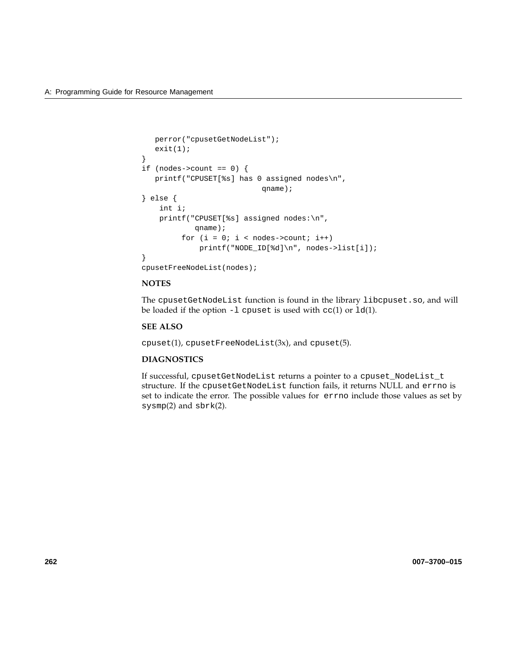```
perror("cpusetGetNodeList");
  exit(1);}
if (nodes->count == 0) {
  printf("CPUSET[%s] has 0 assigned nodes\n",
                           qname);
} else {
    int i;
   printf("CPUSET[%s] assigned nodes:\n",
            qname);
         for (i = 0; i < nodes->count; i++)printf("NODE_ID[%d]\n", nodes->list[i]);
}
```
cpusetFreeNodeList(nodes);

#### **NOTES**

The cpusetGetNodeList function is found in the library libcpuset.so, and will be loaded if the option  $-1$  cpuset is used with  $cc(1)$  or  $ld(1)$ .

# **SEE ALSO**

 $cpuset(1)$ ,  $cpusetFreeNodeList(3x)$ , and  $cpuset(5)$ .

# **DIAGNOSTICS**

If successful, cpusetGetNodeList returns a pointer to a cpuset\_NodeList\_t structure. If the cpusetGetNodeList function fails, it returns NULL and errno is set to indicate the error. The possible values for errno include those values as set by sysmp(2) and sbrk(2).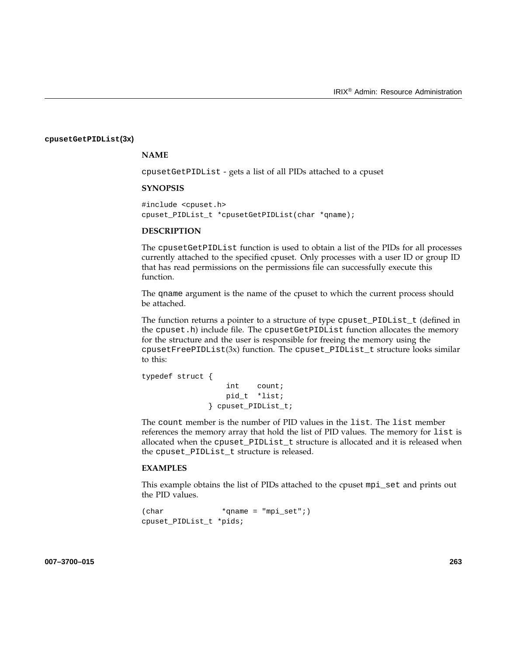#### **cpusetGetPIDList(3x)**

#### **NAME**

cpusetGetPIDList - gets a list of all PIDs attached to a cpuset

#### **SYNOPSIS**

#include <cpuset.h> cpuset\_PIDList\_t \*cpusetGetPIDList(char \*qname);

#### **DESCRIPTION**

The cpusetGetPIDList function is used to obtain a list of the PIDs for all processes currently attached to the specified cpuset. Only processes with a user ID or group ID that has read permissions on the permissions file can successfully execute this function.

The qname argument is the name of the cpuset to which the current process should be attached.

The function returns a pointer to a structure of type cpuset\_PIDList\_t (defined in the cpuset.h) include file. The cpusetGetPIDList function allocates the memory for the structure and the user is responsible for freeing the memory using the cpusetFreePIDList(3x) function. The cpuset\_PIDList\_t structure looks similar to this:

```
typedef struct {
                  int count;
                  pid_t *list;
              } cpuset_PIDList_t;
```
The count member is the number of PID values in the list. The list member references the memory array that hold the list of PID values. The memory for list is allocated when the cpuset\_PIDList\_t structure is allocated and it is released when the cpuset\_PIDList\_t structure is released.

#### **EXAMPLES**

This example obtains the list of PIDs attached to the cpuset mpi\_set and prints out the PID values.

```
(char \quad *qname = "mpi set"i)cpuset_PIDList_t *pids;
```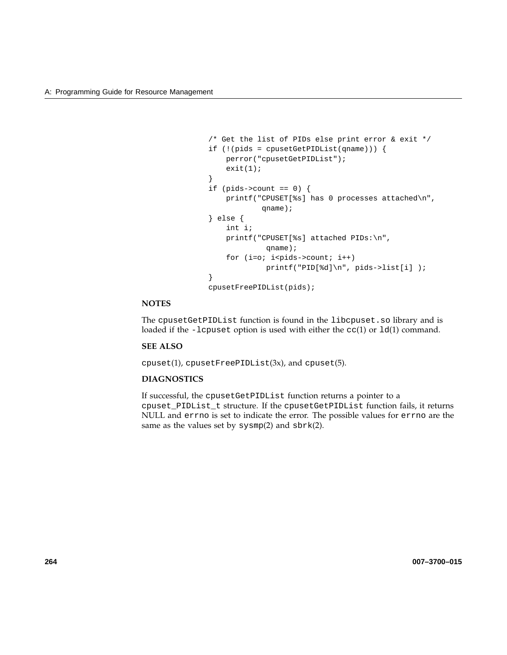```
/* Get the list of PIDs else print error & exit */
if (!(pids = cpusetGetPIDList(qname))) {
   perror("cpusetGetPIDList");
   exit(1);}
if (pids->count == 0) {
   printf("CPUSET[%s] has 0 processes attached\n",
            qname);
} else {
   int i;
   printf("CPUSET[%s] attached PIDs:\n",
             qname);
    for (i=0; i<pids->count; i++)printf("PID[%d]\n", pids->list[i] );
}
cpusetFreePIDList(pids);
```
# **NOTES**

The cpusetGetPIDList function is found in the libcpuset.so library and is loaded if the -lcpuset option is used with either the  $cc(1)$  or  $ld(1)$  command.

#### **SEE ALSO**

 $cpuset(1)$ ,  $cpusetFreePIDList(3x)$ , and  $cpuset(5)$ .

#### **DIAGNOSTICS**

If successful, the cpusetGetPIDList function returns a pointer to a cpuset\_PIDList\_t structure. If the cpusetGetPIDList function fails, it returns NULL and errno is set to indicate the error. The possible values for errno are the same as the values set by sysmp(2) and sbrk(2).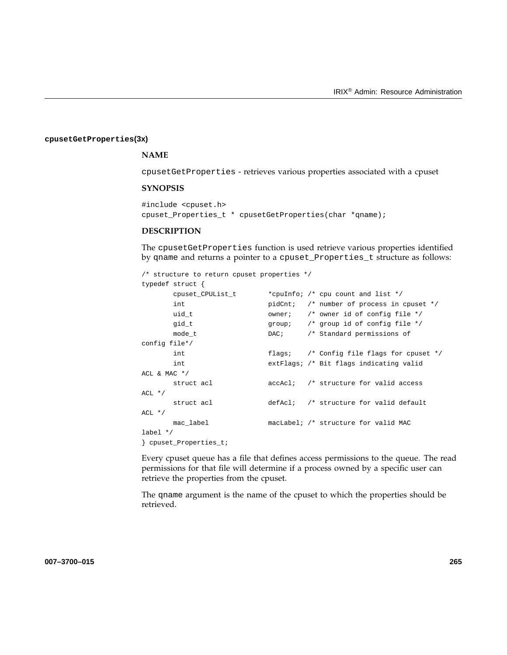#### **cpusetGetProperties(3x)**

# **NAME**

cpusetGetProperties - retrieves various properties associated with a cpuset

#### **SYNOPSIS**

```
#include <cpuset.h>
cpuset_Properties_t * cpusetGetProperties(char *qname);
```
# **DESCRIPTION**

The cpusetGetProperties function is used retrieve various properties identified by qname and returns a pointer to a cpuset\_Properties\_t structure as follows:

```
/* structure to return cpuset properties */
```
typedef struct {

|                      | cpuset_CPUList_t |  |  | *cpuInfo; /* cpu count and list */                      |  |
|----------------------|------------------|--|--|---------------------------------------------------------|--|
|                      | int              |  |  | pidCnt; /* number of process in cpuset */               |  |
|                      | uid t            |  |  | owner: $/*$ owner id of config file $*/$                |  |
|                      | gid_t            |  |  | group: $/*$ group id of config file $*/$                |  |
|                      | mode t           |  |  | DAC; /* Standard permissions of                         |  |
| config file*/        |                  |  |  |                                                         |  |
|                      | int              |  |  | flags; $\frac{1}{2}$ /* Config file flags for cpuset */ |  |
|                      | int              |  |  | extFlags; /* Bit flags indicating valid                 |  |
| ACL & MAC $*/$       |                  |  |  |                                                         |  |
|                      | struct acl       |  |  | accAcl; /* structure for valid access                   |  |
| $ACL * /$            |                  |  |  |                                                         |  |
|                      | struct acl       |  |  | defAcl; /* structure for valid default                  |  |
| $ACL$ */             |                  |  |  |                                                         |  |
|                      | mac label        |  |  | macLabel; /* structure for valid MAC                    |  |
| label $*/$           |                  |  |  |                                                         |  |
| cpuset Properties t; |                  |  |  |                                                         |  |

Every cpuset queue has a file that defines access permissions to the queue. The read permissions for that file will determine if a process owned by a specific user can retrieve the properties from the cpuset.

The qname argument is the name of the cpuset to which the properties should be retrieved.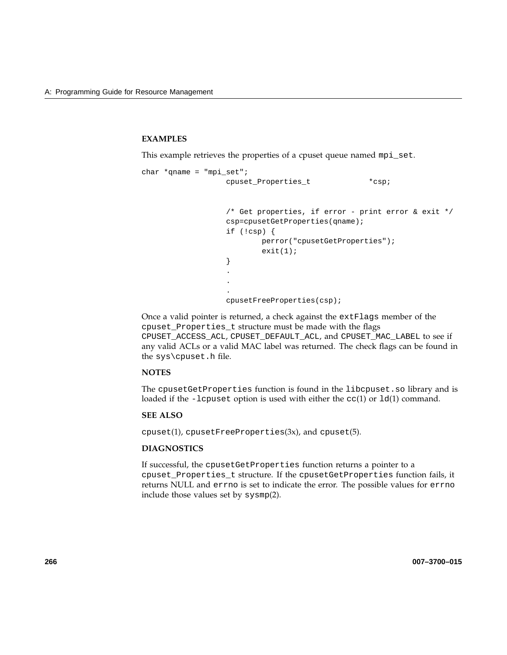# **EXAMPLES**

This example retrieves the properties of a cpuset queue named mpi\_set.

```
char *qname = "mpi_set";cpuset_Properties_t *csp;
                  /* Get properties, if error - print error & exit */
                  csp=cpusetGetProperties(qname);
                  if (!csp) {
                         perror("cpusetGetProperties");
                         exit(1);}
                  .
                  .
```
cpusetFreeProperties(csp);

Once a valid pointer is returned, a check against the extFlags member of the cpuset\_Properties\_t structure must be made with the flags CPUSET\_ACCESS\_ACL, CPUSET\_DEFAULT\_ACL, and CPUSET\_MAC\_LABEL to see if any valid ACLs or a valid MAC label was returned. The check flags can be found in the sys\cpuset.h file.

### **NOTES**

The cpusetGetProperties function is found in the libcpuset.so library and is loaded if the -lcpuset option is used with either the  $cc(1)$  or  $ld(1)$  command.

#### **SEE ALSO**

cpuset(1), cpusetFreeProperties(3x), and cpuset(5).

# **DIAGNOSTICS**

If successful, the cpusetGetProperties function returns a pointer to a cpuset\_Properties\_t structure. If the cpusetGetProperties function fails, it returns NULL and errno is set to indicate the error. The possible values for errno include those values set by sysmp(2).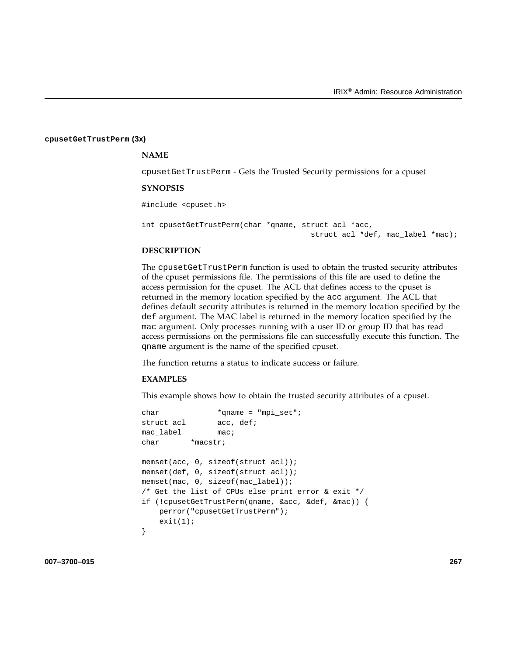#### **cpusetGetTrustPerm (3x)**

#### **NAME**

cpusetGetTrustPerm - Gets the Trusted Security permissions for a cpuset

#### **SYNOPSIS**

#include <cpuset.h>

```
int cpusetGetTrustPerm(char *qname, struct acl *acc,
                                      struct acl *def, mac_label *mac);
```
# **DESCRIPTION**

The cpusetGetTrustPerm function is used to obtain the trusted security attributes of the cpuset permissions file. The permissions of this file are used to define the access permission for the cpuset. The ACL that defines access to the cpuset is returned in the memory location specified by the acc argument. The ACL that defines default security attributes is returned in the memory location specified by the def argument. The MAC label is returned in the memory location specified by the mac argument. Only processes running with a user ID or group ID that has read access permissions on the permissions file can successfully execute this function. The qname argument is the name of the specified cpuset.

The function returns a status to indicate success or failure.

#### **EXAMPLES**

This example shows how to obtain the trusted security attributes of a cpuset.

```
char *qname = "mpi_set";
struct acl acc, def;
mac_label mac;
char *macstr;
memset(acc, 0, sizeof(struct acl));
memset(def, 0, sizeof(struct acl));
memset(mac, 0, sizeof(mac_label));
/* Get the list of CPUs else print error & exit */
if (!cpusetGetTrustPerm(qname, &acc, &def, &mac)) {
   perror("cpusetGetTrustPerm");
   exit(1);}
```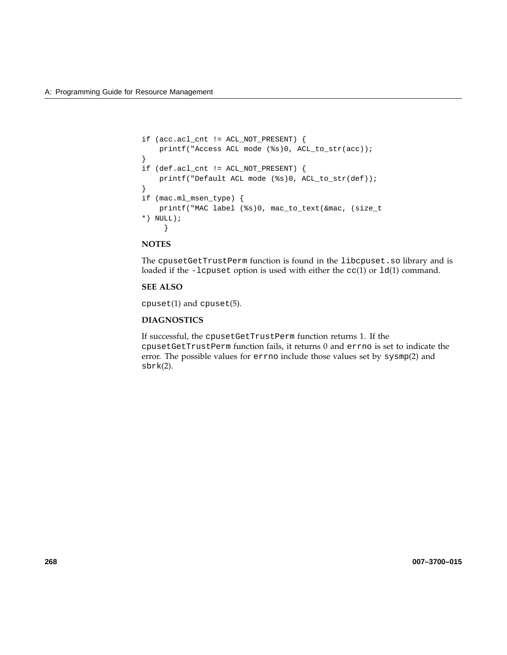```
if (acc.acl_cnt != ACL_NOT_PRESENT) {
   printf("Access ACL mode (%s)0, ACL_to_str(acc));
}
if (def.acl_cnt != ACL_NOT_PRESENT) {
   printf("Default ACL mode (%s)0, ACL_to_str(def));
}
if (mac.ml_msen_type) {
   printf("MAC label (%s)0, mac_to_text(&mac, (size_t
*) NULL);
     }
```
# **NOTES**

The cpusetGetTrustPerm function is found in the libcpuset.so library and is loaded if the -lcpuset option is used with either the  $cc(1)$  or  $ld(1)$  command.

# **SEE ALSO**

cpuset(1) and cpuset(5).

# **DIAGNOSTICS**

If successful, the cpusetGetTrustPerm function returns 1. If the cpusetGetTrustPerm function fails, it returns 0 and errno is set to indicate the error. The possible values for errno include those values set by sysmp(2) and sbrk(2).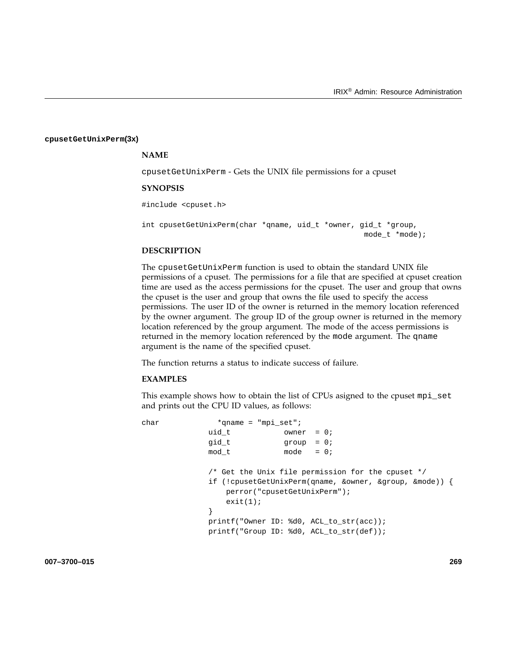#### **cpusetGetUnixPerm(3x)**

#### **NAME**

cpusetGetUnixPerm - Gets the UNIX file permissions for a cpuset

#### **SYNOPSIS**

#include <cpuset.h>

int cpusetGetUnixPerm(char \*qname, uid\_t \*owner, gid\_t \*group, mode\_t \*mode);

#### **DESCRIPTION**

The cpusetGetUnixPerm function is used to obtain the standard UNIX file permissions of a cpuset. The permissions for a file that are specified at cpuset creation time are used as the access permissions for the cpuset. The user and group that owns the cpuset is the user and group that owns the file used to specify the access permissions. The user ID of the owner is returned in the memory location referenced by the owner argument. The group ID of the group owner is returned in the memory location referenced by the group argument. The mode of the access permissions is returned in the memory location referenced by the mode argument. The qname argument is the name of the specified cpuset.

The function returns a status to indicate success of failure.

#### **EXAMPLES**

This example shows how to obtain the list of CPUs asigned to the cpuset mpi\_set and prints out the CPU ID values, as follows:

```
char *qname = "mpi_set";
                uid_t \qquad \qquad \text{owner} = 0;gid_t group = 0;
                \begin{array}{rcl} \text{mod } t & \text{mod} e & = 0 \, ; \end{array}/* Get the Unix file permission for the cpuset */
                if (!cpusetGetUnixPerm(qname, &owner, &group, &mode)) {
                    perror("cpusetGetUnixPerm");
                    exit(1);}
                printf("Owner ID: %d0, ACL_to_str(acc));
                printf("Group ID: %d0, ACL_to_str(def));
```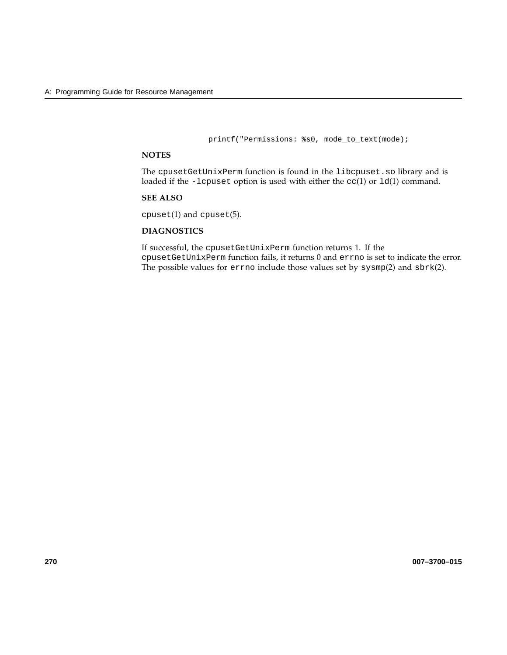printf("Permissions: %s0, mode\_to\_text(mode);

# **NOTES**

The cpusetGetUnixPerm function is found in the libcpuset.so library and is loaded if the -lcpuset option is used with either the cc(1) or ld(1) command.

### **SEE ALSO**

cpuset(1) and cpuset(5).

# **DIAGNOSTICS**

If successful, the cpusetGetUnixPerm function returns 1. If the cpusetGetUnixPerm function fails, it returns 0 and errno is set to indicate the error. The possible values for errno include those values set by sysmp(2) and sbrk(2).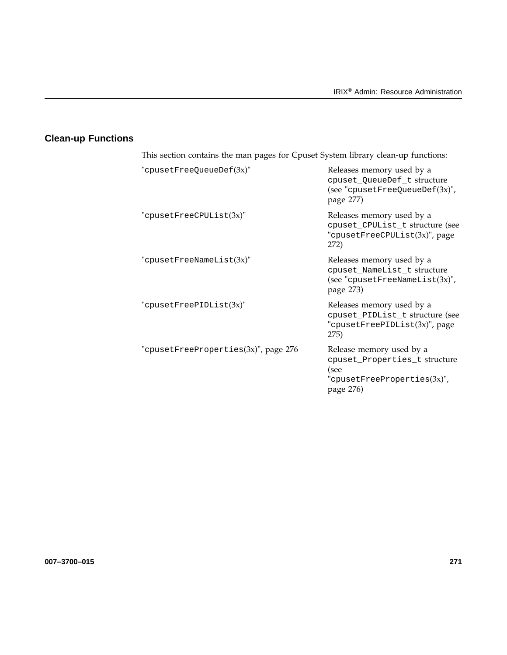# **Clean-up Functions**

| This section contains the man pages for Cpuset System library clean-up functions: |                                                                                                                   |
|-----------------------------------------------------------------------------------|-------------------------------------------------------------------------------------------------------------------|
| "cpusetFreeQueueDef(3x)"                                                          | Releases memory used by a<br>cpuset_QueueDef_t structure<br>(see "cpusetFreeQueueDef $(3x)$ ",<br>page 277)       |
| "cpusetFreeCPUList $(3x)$ "                                                       | Releases memory used by a<br>cpuset_CPUList_t structure (see<br>"cpusetFreeCPUList(3x)", page<br>272)             |
| "cpusetFreeNameList(3x)"                                                          | Releases memory used by a<br>cpuset_NameList_t structure<br>(see "cpusetFreeNameList $(3x)$ ",<br>page 273)       |
| "cpusetFreePIDList $(3x)$ "                                                       | Releases memory used by a<br>cpuset_PIDList_t structure (see<br>"cpusetFreePIDList(3x)", page<br>275)             |
| "cpusetFreeProperties $(3x)$ ", page 276                                          | Release memory used by a<br>cpuset_Properties_t structure<br>(see<br>"cpusetFreeProperties $(3x)$ ",<br>page 276) |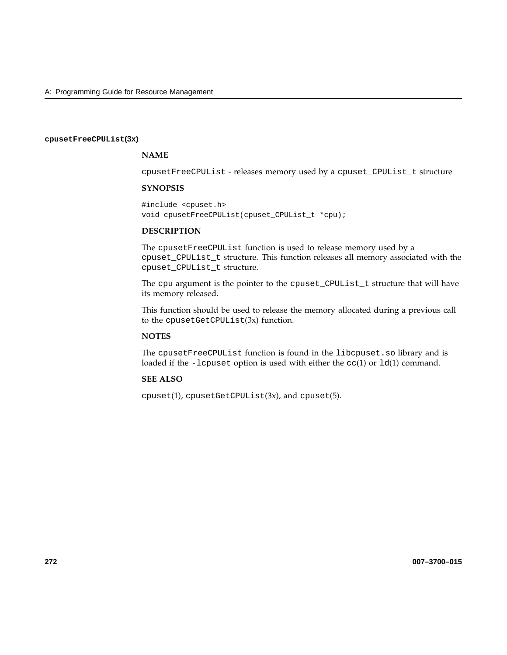#### **cpusetFreeCPUList(3x)**

# **NAME**

cpusetFreeCPUList - releases memory used by a cpuset\_CPUList\_t structure

### **SYNOPSIS**

#include <cpuset.h> void cpusetFreeCPUList(cpuset\_CPUList\_t \*cpu);

# **DESCRIPTION**

The cpusetFreeCPUList function is used to release memory used by a cpuset\_CPUList\_t structure. This function releases all memory associated with the cpuset\_CPUList\_t structure.

The cpu argument is the pointer to the cpuset\_CPUList\_t structure that will have its memory released.

This function should be used to release the memory allocated during a previous call to the cpusetGetCPUList(3x) function.

# **NOTES**

The cpusetFreeCPUList function is found in the libcpuset.so library and is loaded if the -lcpuset option is used with either the  $cc(1)$  or  $ld(1)$  command.

#### **SEE ALSO**

 $cpuset(1)$ ,  $cpusetGetCPUList(3x)$ , and  $cpuset(5)$ .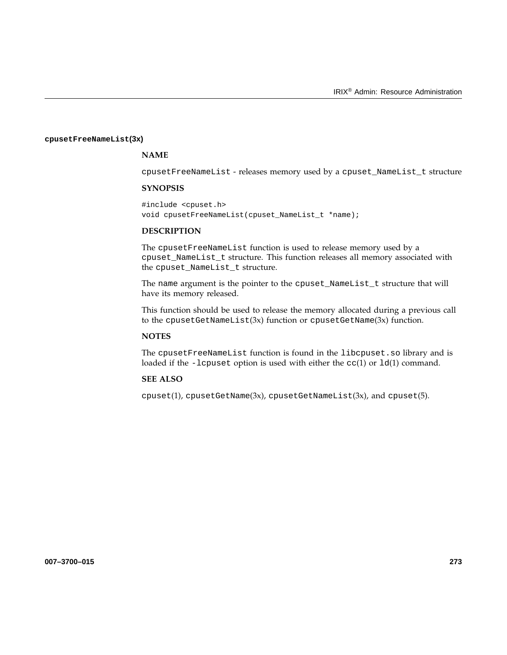#### **cpusetFreeNameList(3x)**

# **NAME**

cpusetFreeNameList - releases memory used by a cpuset\_NameList\_t structure

### **SYNOPSIS**

#include <cpuset.h> void cpusetFreeNameList(cpuset\_NameList\_t \*name);

# **DESCRIPTION**

The cpusetFreeNameList function is used to release memory used by a cpuset\_NameList\_t structure. This function releases all memory associated with the cpuset\_NameList\_t structure.

The name argument is the pointer to the cpuset\_NameList\_t structure that will have its memory released.

This function should be used to release the memory allocated during a previous call to the cpusetGetNameList(3x) function or cpusetGetName(3x) function.

# **NOTES**

The cpusetFreeNameList function is found in the libcpuset.so library and is loaded if the -lcpuset option is used with either the  $cc(1)$  or  $ld(1)$  command.

#### **SEE ALSO**

 $cpuset(1)$ ,  $cpusetGetName(3x)$ ,  $cpusetGetNameList(3x)$ , and  $cpuset(5)$ .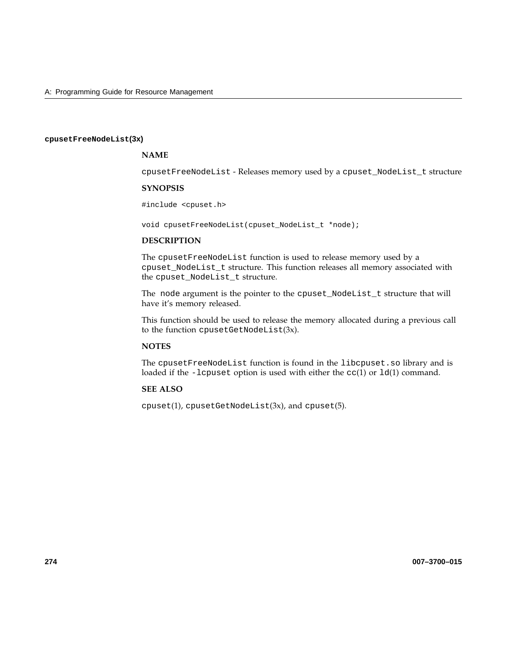#### **cpusetFreeNodeList(3x)**

# **NAME**

cpusetFreeNodeList - Releases memory used by a cpuset\_NodeList\_t structure

# **SYNOPSIS**

#include <cpuset.h>

void cpusetFreeNodeList(cpuset\_NodeList\_t \*node);

## **DESCRIPTION**

The cpusetFreeNodeList function is used to release memory used by a cpuset\_NodeList\_t structure. This function releases all memory associated with the cpuset\_NodeList\_t structure.

The node argument is the pointer to the cpuset\_NodeList\_t structure that will have it's memory released.

This function should be used to release the memory allocated during a previous call to the function cpusetGetNodeList(3x).

# **NOTES**

The cpusetFreeNodeList function is found in the libcpuset.so library and is loaded if the -lcpuset option is used with either the cc(1) or ld(1) command.

# **SEE ALSO**

 $cpuset(1)$ ,  $cpusetGetNodeList(3x)$ , and  $cpuset(5)$ .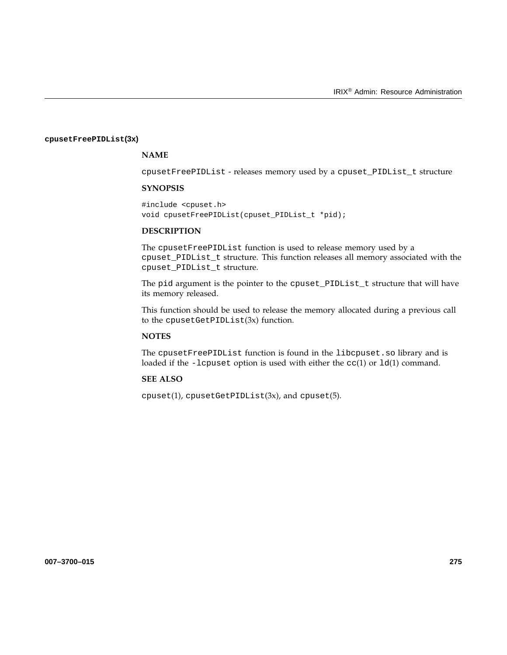#### **cpusetFreePIDList(3x)**

# **NAME**

cpusetFreePIDList - releases memory used by a cpuset\_PIDList\_t structure

### **SYNOPSIS**

#include <cpuset.h> void cpusetFreePIDList(cpuset\_PIDList\_t \*pid);

# **DESCRIPTION**

The cpusetFreePIDList function is used to release memory used by a cpuset\_PIDList\_t structure. This function releases all memory associated with the cpuset\_PIDList\_t structure.

The pid argument is the pointer to the cpuset\_PIDList\_t structure that will have its memory released.

This function should be used to release the memory allocated during a previous call to the cpusetGetPIDList(3x) function.

# **NOTES**

The cpusetFreePIDList function is found in the libcpuset.so library and is loaded if the -lcpuset option is used with either the  $cc(1)$  or  $ld(1)$  command.

#### **SEE ALSO**

 $cpuset(1)$ ,  $cpusetGetPIDList(3x)$ , and  $cpuset(5)$ .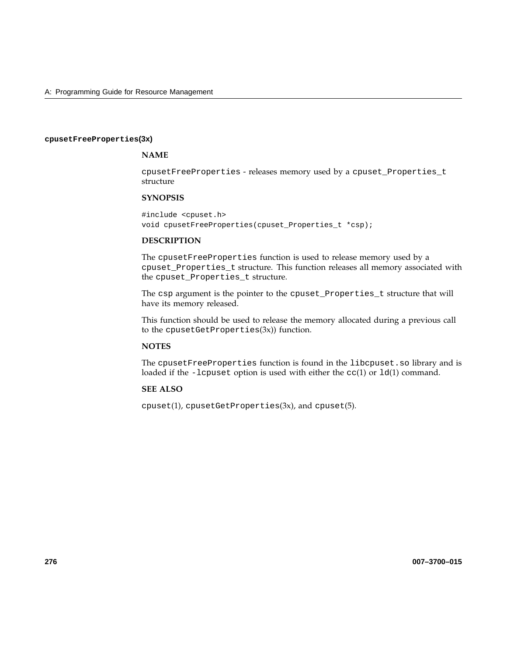#### **cpusetFreeProperties(3x)**

# **NAME**

cpusetFreeProperties - releases memory used by a cpuset\_Properties\_t structure

### **SYNOPSIS**

#include <cpuset.h> void cpusetFreeProperties(cpuset\_Properties\_t \*csp);

#### **DESCRIPTION**

The cpusetFreeProperties function is used to release memory used by a cpuset\_Properties\_t structure. This function releases all memory associated with the cpuset\_Properties\_t structure.

The csp argument is the pointer to the cpuset\_Properties\_t structure that will have its memory released.

This function should be used to release the memory allocated during a previous call to the cpusetGetProperties(3x)) function.

# **NOTES**

The cpusetFreeProperties function is found in the libcpuset.so library and is loaded if the -lcpuset option is used with either the cc(1) or ld(1) command.

# **SEE ALSO**

 $cpuset(1)$ ,  $cpusetGetProperties(3x)$ , and  $cpuset(5)$ .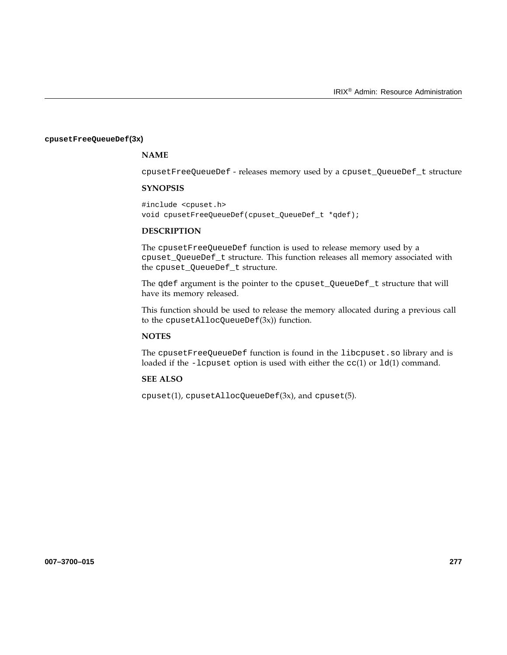#### **cpusetFreeQueueDef(3x)**

# **NAME**

cpusetFreeQueueDef - releases memory used by a cpuset\_QueueDef\_t structure

### **SYNOPSIS**

#include <cpuset.h> void cpusetFreeQueueDef(cpuset\_QueueDef\_t \*qdef);

# **DESCRIPTION**

The cpusetFreeQueueDef function is used to release memory used by a cpuset\_QueueDef\_t structure. This function releases all memory associated with the cpuset\_QueueDef\_t structure.

The qdef argument is the pointer to the cpuset\_QueueDef\_t structure that will have its memory released.

This function should be used to release the memory allocated during a previous call to the cpusetAllocQueueDef(3x)) function.

# **NOTES**

The cpusetFreeQueueDef function is found in the libcpuset.so library and is loaded if the -lcpuset option is used with either the  $cc(1)$  or  $ld(1)$  command.

#### **SEE ALSO**

cpuset(1), cpusetAllocQueueDef(3x), and cpuset(5).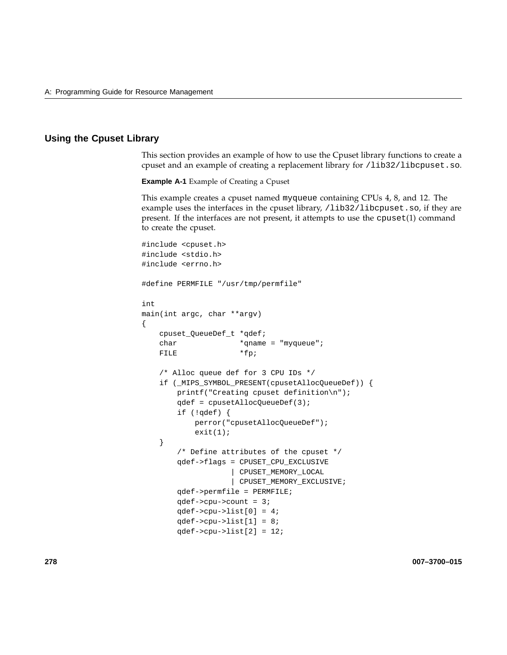# **Using the Cpuset Library**

This section provides an example of how to use the Cpuset library functions to create a cpuset and an example of creating a replacement library for /lib32/libcpuset.so.

**Example A-1** Example of Creating a Cpuset

This example creates a cpuset named myqueue containing CPUs 4, 8, and 12. The example uses the interfaces in the cpuset library, /lib32/libcpuset.so, if they are present. If the interfaces are not present, it attempts to use the cpuset(1) command to create the cpuset.

```
#include <cpuset.h>
#include <stdio.h>
#include <errno.h>
#define PERMFILE "/usr/tmp/permfile"
int
main(int argc, char **argv)
{
   cpuset_QueueDef_t *qdef;
   char *qname = "myqueue";
   FILE *fp;
   /* Alloc queue def for 3 CPU IDs */
   if (_MIPS_SYMBOL_PRESENT(cpusetAllocQueueDef)) {
       printf("Creating cpuset definition\n");
       qdef = cpusetAllocQueueDef(3);
       if (!qdef) {
           perror("cpusetAllocQueueDef");
           exit(1);}
       /* Define attributes of the cpuset */
       qdef->flags = CPUSET_CPU_EXCLUSIVE
                   | CPUSET_MEMORY_LOCAL
                   | CPUSET_MEMORY_EXCLUSIVE;
       qdef->permfile = PERMFILE;
       qdef->cpu->count = 3;
       qdef->cpu->list[0] = 4;qdef->cpu->list[1] = 8;qdef->cpu->list[2] = 12;
```
**278 007–3700–015**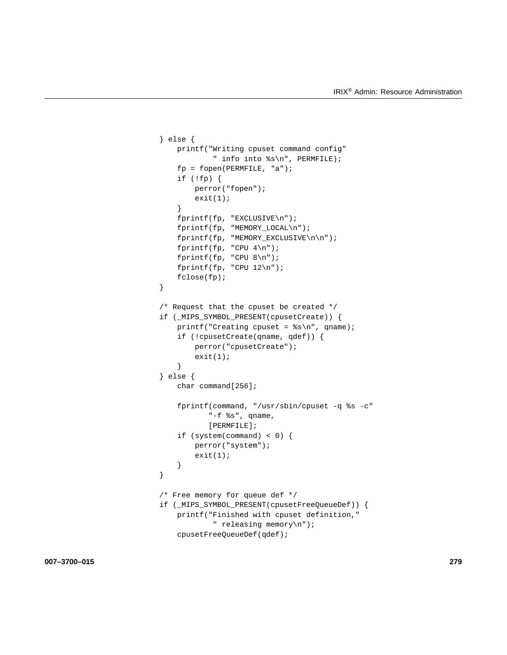```
} else {
    printf("Writing cpuset command config"
            " info into %s\n", PERMFILE);
    fp = fopen(PERMFILE, "a");
    if (!fp) {
        perror("fopen");
        exit(1);}
    fprintf(fp, "EXCLUSIVE\n");
    fprintf(fp, "MEMORY_LOCAL\n");
    fprintf(fp, "MEMORY_EXCLUSIVE\n\n");
    fprintf(fp, "CPU 4\n\n\in");
    fprintf(fp, "CPU 8\n\n\pi");
    fprintf(fp, "CPU 12\n\n\mid");
    fclose(fp);
}
/* Request that the cpuset be created */
if (_MIPS_SYMBOL_PRESENT(cpusetCreate)) {
    printf("Creating cpuset = s\nm", qname);
    if (!cpusetCreate(qname, qdef)) {
        perror("cpusetCreate");
        exit(1);}
} else {
    char command[256];
    fprintf(command, "/usr/sbin/cpuset -q %s -c"
           "-f %s", qname,
           [PERMFILE];
    if (system(command) < 0) {
        perror("system");
        exit(1);}
}
/* Free memory for queue def */
if (_MIPS_SYMBOL_PRESENT(cpusetFreeQueueDef)) {
    printf("Finished with cpuset definition,"
            " releasing memory\n");
    cpusetFreeQueueDef(qdef);
```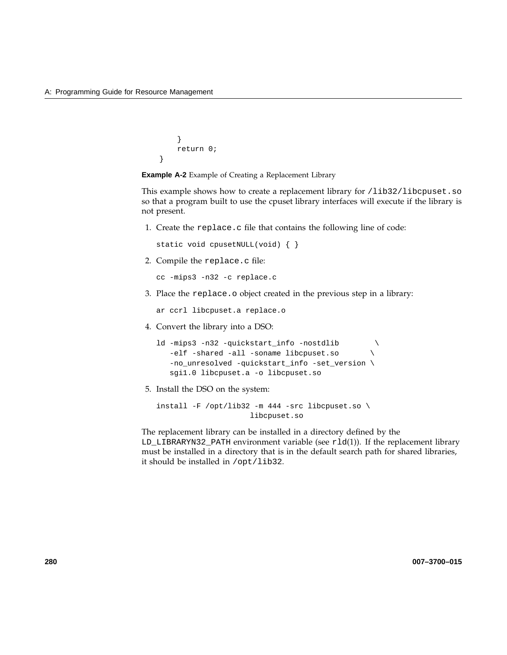```
}
    return 0;
}
```
**Example A-2** Example of Creating a Replacement Library

This example shows how to create a replacement library for /lib32/libcpuset.so so that a program built to use the cpuset library interfaces will execute if the library is not present.

1. Create the replace.c file that contains the following line of code:

```
static void cpusetNULL(void) { }
```
2. Compile the replace.c file:

cc -mips3 -n32 -c replace.c

3. Place the replace.o object created in the previous step in a library:

ar ccrl libcpuset.a replace.o

4. Convert the library into a DSO:

ld -mips3 -n32 -quickstart\_info -nostdlib \ -elf -shared -all -soname libcpuset.so -no\_unresolved -quickstart\_info -set\_version \ sgi1.0 libcpuset.a -o libcpuset.so

5. Install the DSO on the system:

install -F /opt/lib32 -m 444 -src libcpuset.so \ libcpuset.so

The replacement library can be installed in a directory defined by the  $LD_{LL}$ IBRARYN32\_PATH environment variable (see  $r1d(1)$ ). If the replacement library must be installed in a directory that is in the default search path for shared libraries, it should be installed in /opt/lib32.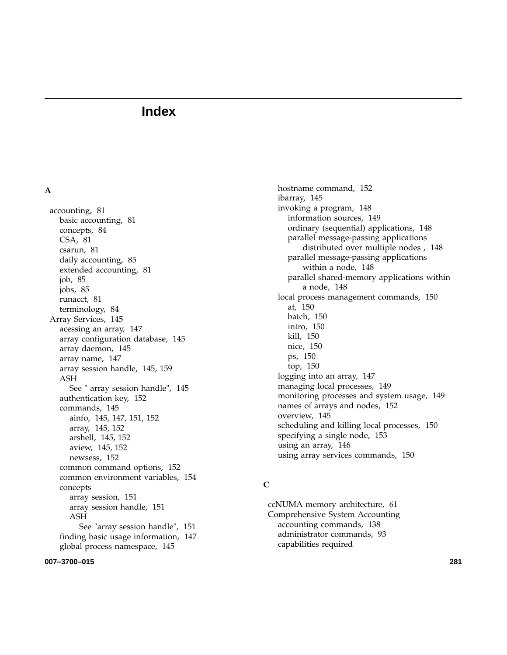# **Index**

# **A**

accounting, 81 basic accounting, 81 concepts, 84 CSA, 81 csarun, 81 daily accounting, 85 extended accounting, 81 job, 85 jobs, 85 runacct, 81 terminology, 84 Array Services, 145 acessing an array, 147 array configuration database, 145 array daemon, 145 array name, 147 array session handle, 145, 159 ASH See " array session handle", 145 authentication key, 152 commands, 145 ainfo, 145, 147, 151, 152 array, 145, 152 arshell, 145, 152 aview, 145, 152 newsess, 152 common command options, 152 common environment variables, 154 concepts array session, 151 array session handle, 151 ASH See "array session handle", 151 finding basic usage information, 147 global process namespace, 145

**007–3700–015 281**

hostname command, 152 ibarray, 145 invoking a program, 148 information sources, 149 ordinary (sequential) applications, 148 parallel message-passing applications distributed over multiple nodes , 148 parallel message-passing applications within a node, 148 parallel shared-memory applications within a node, 148 local process management commands, 150 at, 150 batch, 150 intro, 150 kill, 150 nice, 150 ps, 150 top, 150 logging into an array, 147 managing local processes, 149 monitoring processes and system usage, 149 names of arrays and nodes, 152 overview, 145 scheduling and killing local processes, 150 specifying a single node, 153 using an array, 146 using array services commands, 150

# **C**

ccNUMA memory architecture, 61 Comprehensive System Accounting accounting commands, 138 administrator commands, 93 capabilities required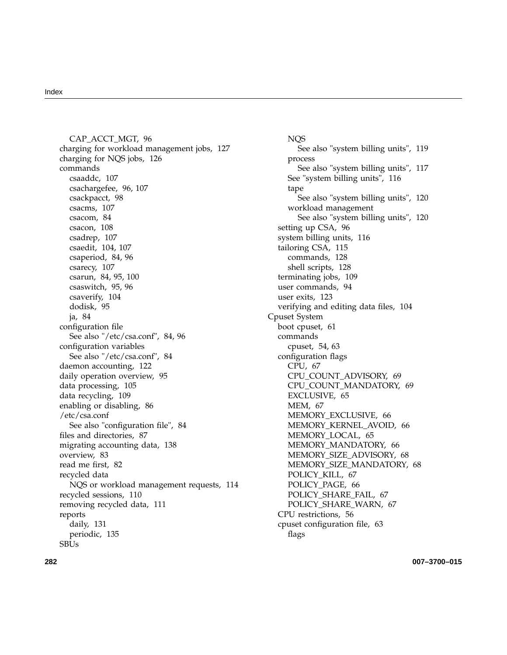#### Index

CAP\_ACCT\_MGT, 96 charging for workload management jobs, 127 charging for NQS jobs, 126 commands csaaddc, 107 csachargefee, 96, 107 csackpacct, 98 csacms, 107 csacom, 84 csacon, 108 csadrep, 107 csaedit, 104, 107 csaperiod, 84, 96 csarecy, 107 csarun, 84, 95, 100 csaswitch, 95, 96 csaverify, 104 dodisk, 95 ja, 84 configuration file See also "/etc/csa.conf", 84, 96 configuration variables See also "/etc/csa.conf", 84 daemon accounting, 122 daily operation overview, 95 data processing, 105 data recycling, 109 enabling or disabling, 86 /etc/csa.conf See also "configuration file", 84 files and directories, 87 migrating accounting data, 138 overview, 83 read me first, 82 recycled data NQS or workload management requests, 114 recycled sessions, 110 removing recycled data, 111 reports daily, 131 periodic, 135 SBUs

NQS See also "system billing units", 119 process See also "system billing units", 117 See "system billing units", 116 tape See also "system billing units", 120 workload management See also "system billing units", 120 setting up CSA, 96 system billing units, 116 tailoring CSA, 115 commands, 128 shell scripts, 128 terminating jobs, 109 user commands, 94 user exits, 123 verifying and editing data files, 104 Cpuset System boot cpuset, 61 commands cpuset, 54, 63 configuration flags CPU, 67 CPU\_COUNT\_ADVISORY, 69 CPU\_COUNT\_MANDATORY, 69 EXCLUSIVE, 65 MEM, 67 MEMORY\_EXCLUSIVE, 66 MEMORY\_KERNEL\_AVOID, 66 MEMORY\_LOCAL, 65 MEMORY\_MANDATORY, 66 MEMORY\_SIZE\_ADVISORY, 68 MEMORY\_SIZE\_MANDATORY, 68 POLICY\_KILL, 67 POLICY\_PAGE, 66 POLICY\_SHARE\_FAIL, 67 POLICY\_SHARE\_WARN, 67 CPU restrictions, 56 cpuset configuration file, 63 flags

**282 007–3700–015**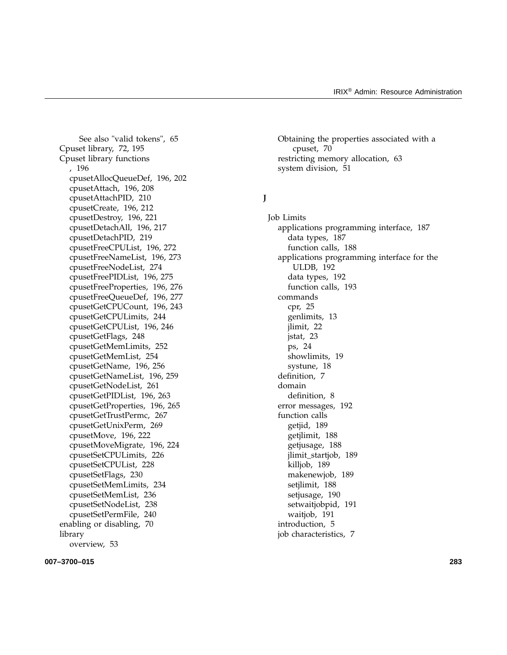See also "valid tokens", 65 Cpuset library, 72, 195 Cpuset library functions , 196 cpusetAllocQueueDef, 196, 202 cpusetAttach, 196, 208 cpusetAttachPID, 210 cpusetCreate, 196, 212 cpusetDestroy, 196, 221 cpusetDetachAll, 196, 217 cpusetDetachPID, 219 cpusetFreeCPUList, 196, 272 cpusetFreeNameList, 196, 273 cpusetFreeNodeList, 274 cpusetFreePIDList, 196, 275 cpusetFreeProperties, 196, 276 cpusetFreeQueueDef, 196, 277 cpusetGetCPUCount, 196, 243 cpusetGetCPULimits, 244 cpusetGetCPUList, 196, 246 cpusetGetFlags, 248 cpusetGetMemLimits, 252 cpusetGetMemList, 254 cpusetGetName, 196, 256 cpusetGetNameList, 196, 259 cpusetGetNodeList, 261 cpusetGetPIDList, 196, 263 cpusetGetProperties, 196, 265 cpusetGetTrustPermc, 267 cpusetGetUnixPerm, 269 cpusetMove, 196, 222 cpusetMoveMigrate, 196, 224 cpusetSetCPULimits, 226 cpusetSetCPUList, 228 cpusetSetFlags, 230 cpusetSetMemLimits, 234 cpusetSetMemList, 236 cpusetSetNodeList, 238 cpusetSetPermFile, 240 enabling or disabling, 70 library overview, 53

**007–3700–015 283**

Obtaining the properties associated with a cpuset, 70 restricting memory allocation, 63 system division, 51

# **J**

Job Limits applications programming interface, 187 data types, 187 function calls, 188 applications programming interface for the ULDB, 192 data types, 192 function calls, 193 commands cpr, 25 genlimits, 13 jlimit, 22 jstat, 23 ps, 24 showlimits, 19 systune, 18 definition, 7 domain definition, 8 error messages, 192 function calls getjid, 189 getjlimit, 188 getjusage, 188 jlimit\_startjob, 189 killjob, 189 makenewjob, 189 setjlimit, 188 setjusage, 190 setwaitjobpid, 191 waitjob, 191 introduction, 5 job characteristics, 7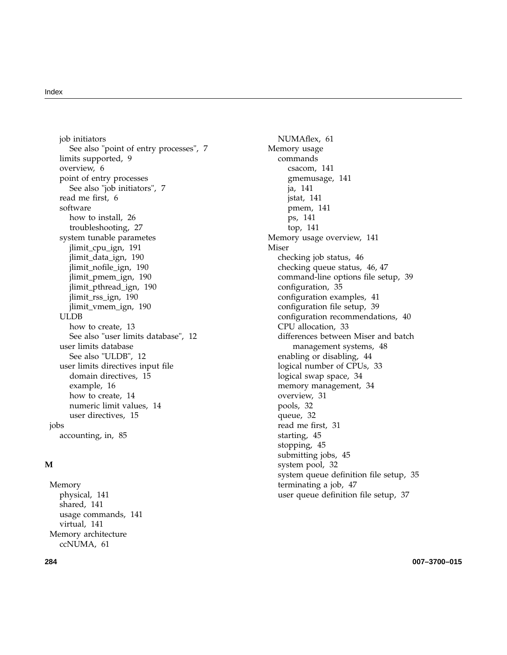job initiators See also "point of entry processes", 7 limits supported, 9 overview, 6 point of entry processes See also "job initiators", 7 read me first, 6 software how to install, 26 troubleshooting, 27 system tunable parametes jlimit\_cpu\_ign, 191 jlimit\_data\_ign, 190 jlimit\_nofile\_ign, 190 jlimit\_pmem\_ign, 190 jlimit\_pthread\_ign, 190 jlimit\_rss\_ign, 190 jlimit\_vmem\_ign, 190 ULDB how to create, 13 See also "user limits database", 12 user limits database See also "ULDB", 12 user limits directives input file domain directives, 15 example, 16 how to create, 14 numeric limit values, 14 user directives, 15 jobs accounting, in, 85

# **M**

Memory physical, 141 shared, 141 usage commands, 141 virtual, 141 Memory architecture ccNUMA, 61

NUMAflex, 61 Memory usage commands csacom, 141 gmemusage, 141 ja, 141 jstat, 141 pmem, 141 ps, 141 top, 141 Memory usage overview, 141 Miser checking job status, 46 checking queue status, 46, 47 command-line options file setup, 39 configuration, 35 configuration examples, 41 configuration file setup, 39 configuration recommendations, 40 CPU allocation, 33 differences between Miser and batch management systems, 48 enabling or disabling, 44 logical number of CPUs, 33 logical swap space, 34 memory management, 34 overview, 31 pools, 32 queue, 32 read me first, 31 starting, 45 stopping, 45 submitting jobs, 45 system pool, 32 system queue definition file setup, 35 terminating a job, 47 user queue definition file setup, 37

**284 007–3700–015**